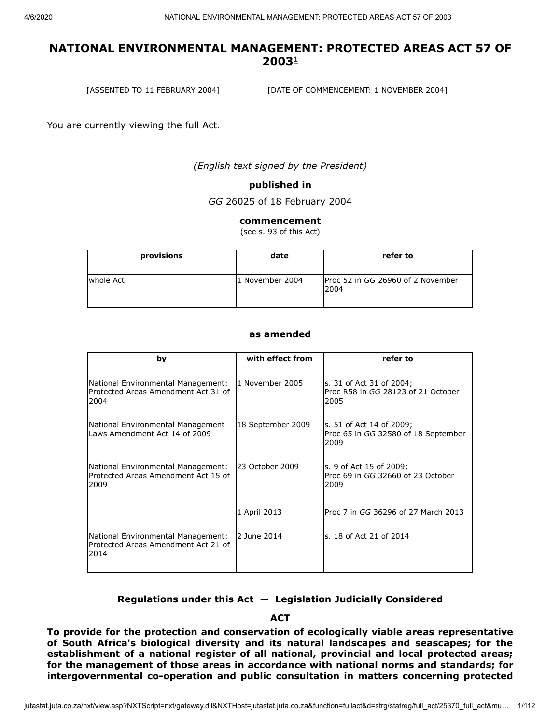[ASSENTED TO 11 FEBRUARY 2004] [DATE OF COMMENCEMENT: 1 NOVEMBER 2004]

You are currently viewing the full Act.

*(English text signed by the President)*

#### **published in**

*GG* 26025 of 18 February 2004

#### **commencement**

(see s. 93 of this Act)

| provisions | date            | refer to                                  |
|------------|-----------------|-------------------------------------------|
| whole Act  | 1 November 2004 | Proc 52 in GG 26960 of 2 November<br>2004 |

#### **as amended**

| by                                                                                | with effect from  | refer to                                                                |
|-----------------------------------------------------------------------------------|-------------------|-------------------------------------------------------------------------|
| National Environmental Management:<br>Protected Areas Amendment Act 31 of<br>2004 | 1 November 2005   | s. 31 of Act 31 of 2004;<br>Proc R58 in GG 28123 of 21 October<br>2005  |
| National Environmental Management<br>Laws Amendment Act 14 of 2009                | 18 September 2009 | s. 51 of Act 14 of 2009;<br>Proc 65 in GG 32580 of 18 September<br>2009 |
| National Environmental Management:<br>Protected Areas Amendment Act 15 of<br>2009 | 23 October 2009   | s. 9 of Act 15 of 2009;<br>Proc 69 in GG 32660 of 23 October<br>2009    |
|                                                                                   | 1 April 2013      | Proc 7 in GG 36296 of 27 March 2013                                     |
| National Environmental Management:<br>Protected Areas Amendment Act 21 of<br>2014 | 2 June 2014       | ls. 18 of Act 21 of 2014                                                |

# **Regulations under this Act — Legislation Judicially Considered**

#### **ACT**

**To provide for the protection and conservation of ecologically viable areas representative of South Africa's biological diversity and its natural landscapes and seascapes; for the establishment of a national register of all national, provincial and local protected areas; for the management of those areas in accordance with national norms and standards; for intergovernmental co-operation and public consultation in matters concerning protected**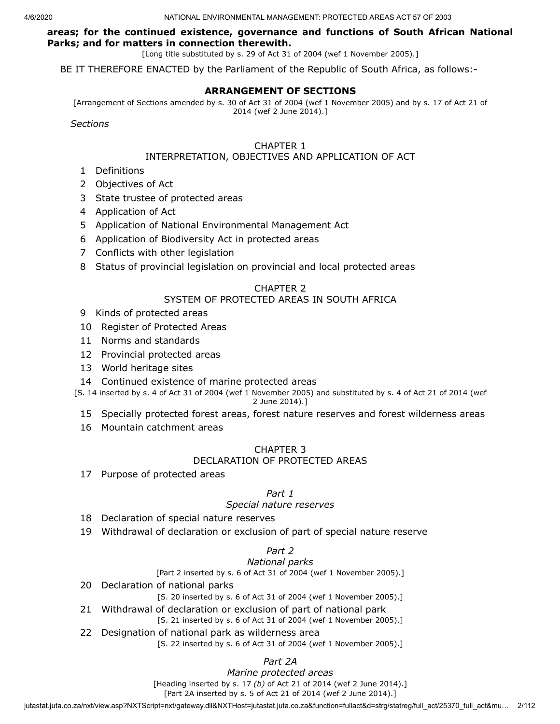### **areas; for the continued existence, governance and functions of South African National Parks; and for matters in connection therewith.**

[Long title substituted by s. 29 of Act 31 of 2004 (wef 1 November 2005).]

BE IT THEREFORE ENACTED by the Parliament of the Republic of South Africa, as follows:-

### **ARRANGEMENT OF SECTIONS**

[Arrangement of Sections amended by s. 30 of Act 31 of 2004 (wef 1 November 2005) and by s. 17 of Act 21 of 2014 (wef 2 June 2014).]

*Sections*

### CHAPTER 1

### INTERPRETATION, OBJECTIVES AND APPLICATION OF ACT

- 1 Definitions
- 2 Objectives of Act
- 3 State trustee of protected areas
- 4 Application of Act
- 5 Application of National Environmental Management Act
- 6 Application of Biodiversity Act in protected areas
- 7 Conflicts with other legislation
- 8 Status of provincial legislation on provincial and local protected areas

# CHAPTER 2

### SYSTEM OF PROTECTED AREAS IN SOUTH AFRICA

- 9 Kinds of protected areas
- 10 Register of Protected Areas
- 11 Norms and standards
- 12 Provincial protected areas
- 13 World heritage sites
- 14 Continued existence of marine protected areas

[S. 14 inserted by s. 4 of Act 31 of 2004 (wef 1 November 2005) and substituted by s. 4 of Act 21 of 2014 (wef 2 June 2014).]

- 15 Specially protected forest areas, forest nature reserves and forest wilderness areas
- 16 Mountain catchment areas

### CHAPTER 3

### DECLARATION OF PROTECTED AREAS

17 Purpose of protected areas

#### *Part 1*

# *Special nature reserves*

- 18 Declaration of special nature reserves
- 19 Withdrawal of declaration or exclusion of part of special nature reserve

### *Part 2*

### *National parks*

[Part 2 inserted by s. 6 of Act 31 of 2004 (wef 1 November 2005).]

- 20 Declaration of national parks
	- [S. 20 inserted by s. 6 of Act 31 of 2004 (wef 1 November 2005).]
- 21 Withdrawal of declaration or exclusion of part of national park
	- [S. 21 inserted by s. 6 of Act 31 of 2004 (wef 1 November 2005).]
- 22 Designation of national park as wilderness area
	- [S. 22 inserted by s. 6 of Act 31 of 2004 (wef 1 November 2005).]

### *Part 2A*

*Marine protected areas*

[Heading inserted by s. 17 *(b)* of Act 21 of 2014 (wef 2 June 2014).]

[Part 2A inserted by s. 5 of Act 21 of 2014 (wef 2 June 2014).]

jutastat.juta.co.za/nxt/view.asp?NXTScript=nxt/gateway.dll&NXTHost=jutastat.juta.co.za&function=fullact&d=strg/statreg/full\_act/25370\_full\_act&mu... 2/112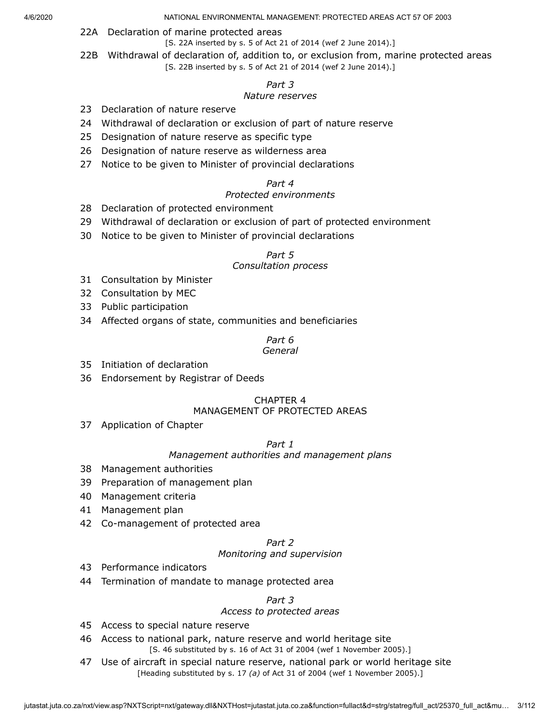22A Declaration of marine protected areas

[S. 22A inserted by s. 5 of Act 21 of 2014 (wef 2 June 2014).]

22B Withdrawal of declaration of, addition to, or exclusion from, marine protected areas [S. 22B inserted by s. 5 of Act 21 of 2014 (wef 2 June 2014).]

# *Part 3*

### *Nature reserves*

- 23 Declaration of nature reserve
- 24 Withdrawal of declaration or exclusion of part of nature reserve
- 25 Designation of nature reserve as specific type
- 26 Designation of nature reserve as wilderness area
- 27 Notice to be given to Minister of provincial declarations

#### *Part 4*

#### *Protected environments*

- 28 Declaration of protected environment
- 29 Withdrawal of declaration or exclusion of part of protected environment
- 30 Notice to be given to Minister of provincial declarations

# *Part 5*

# *Consultation process*

- 31 Consultation by Minister
- 32 Consultation by MEC
- 33 Public participation
- 34 Affected organs of state, communities and beneficiaries

### *Part 6*

#### *General*

- 35 Initiation of declaration
- 36 Endorsement by Registrar of Deeds

### CHAPTER 4

#### MANAGEMENT OF PROTECTED AREAS

37 Application of Chapter

#### *Part 1*

#### *Management authorities and management plans*

- 38 Management authorities
- 39 Preparation of management plan
- 40 Management criteria
- 41 Management plan
- 42 Co-management of protected area

# *Part 2*

# *Monitoring and supervision*

- 43 Performance indicators
- 44 Termination of mandate to manage protected area

#### *Part 3*

#### *Access to protected areas*

- 45 Access to special nature reserve
- 46 Access to national park, nature reserve and world heritage site [S. 46 substituted by s. 16 of Act 31 of 2004 (wef 1 November 2005).]
- 47 Use of aircraft in special nature reserve, national park or world heritage site [Heading substituted by s. 17 *(a)* of Act 31 of 2004 (wef 1 November 2005).]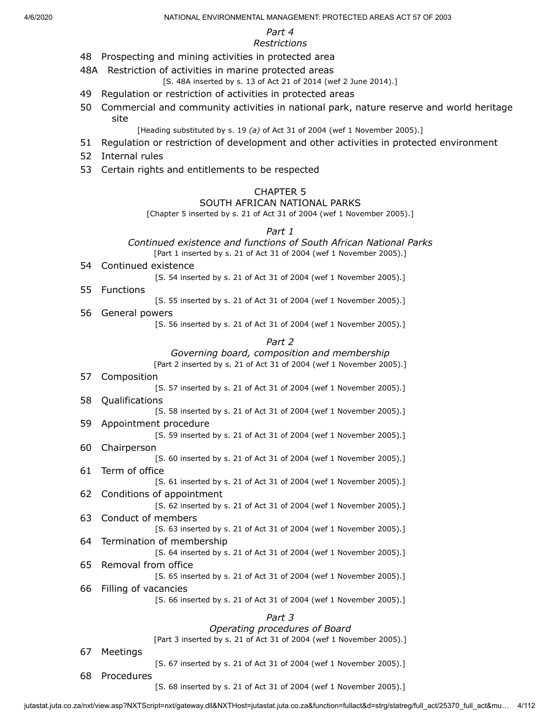#### *Part 4 Restrictions*

48 Prospecting and mining activities in protected area

48A Restriction of activities in marine protected areas

[S. 48A inserted by s. 13 of Act 21 of 2014 (wef 2 June 2014).]

- 49 Regulation or restriction of activities in protected areas
- 50 Commercial and community activities in national park, nature reserve and world heritage site

[Heading substituted by s. 19 *(a)* of Act 31 of 2004 (wef 1 November 2005).]

- 51 Regulation or restriction of development and other activities in protected environment
- 52 Internal rules
- 53 Certain rights and entitlements to be respected

#### CHAPTER 5

#### SOUTH AFRICAN NATIONAL PARKS

[Chapter 5 inserted by s. 21 of Act 31 of 2004 (wef 1 November 2005).]

*Part 1*

# *Continued existence and functions of South African National Parks*

[Part 1 inserted by s. 21 of Act 31 of 2004 (wef 1 November 2005).]

54 Continued existence

[S. 54 inserted by s. 21 of Act 31 of 2004 (wef 1 November 2005).]

55 Functions

[S. 55 inserted by s. 21 of Act 31 of 2004 (wef 1 November 2005).]

56 General powers

[S. 56 inserted by s. 21 of Act 31 of 2004 (wef 1 November 2005).]

*Part 2*

#### *Governing board, composition and membership*

[Part 2 inserted by s. 21 of Act 31 of 2004 (wef 1 November 2005).] 57 Composition [S. 57 inserted by s. 21 of Act 31 of 2004 (wef 1 November 2005).] 58 Qualifications [S. 58 inserted by s. 21 of Act 31 of 2004 (wef 1 November 2005).] 59 Appointment procedure [S. 59 inserted by s. 21 of Act 31 of 2004 (wef 1 November 2005).] 60 Chairperson [S. 60 inserted by s. 21 of Act 31 of 2004 (wef 1 November 2005).] 61 Term of office [S. 61 inserted by s. 21 of Act 31 of 2004 (wef 1 November 2005).] 62 Conditions of appointment [S. 62 inserted by s. 21 of Act 31 of 2004 (wef 1 November 2005).] 63 Conduct of members [S. 63 inserted by s. 21 of Act 31 of 2004 (wef 1 November 2005).] 64 Termination of membership [S. 64 inserted by s. 21 of Act 31 of 2004 (wef 1 November 2005).] 65 Removal from office [S. 65 inserted by s. 21 of Act 31 of 2004 (wef 1 November 2005).] 66 Filling of vacancies [S. 66 inserted by s. 21 of Act 31 of 2004 (wef 1 November 2005).] *Part 3 Operating procedures of Board* [Part 3 inserted by s. 21 of Act 31 of 2004 (wef 1 November 2005).]

67 Meetings

[S. 67 inserted by s. 21 of Act 31 of 2004 (wef 1 November 2005).]

68 Procedures

[S. 68 inserted by s. 21 of Act 31 of 2004 (wef 1 November 2005).]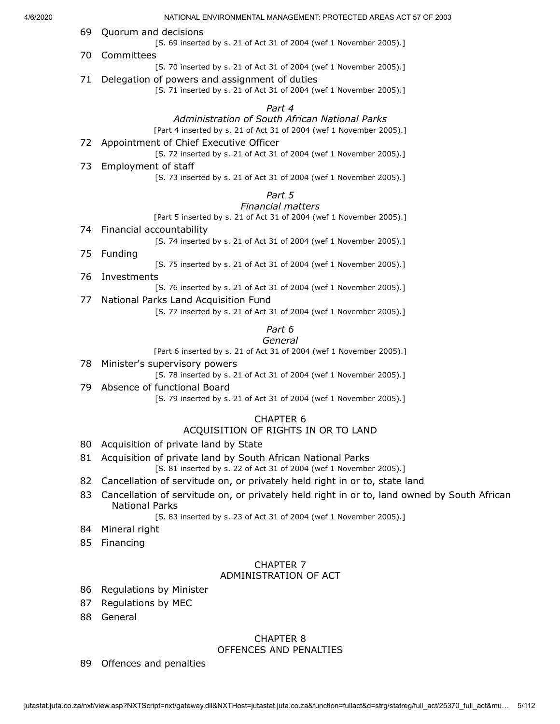- 69 Quorum and decisions [S. 69 inserted by s. 21 of Act 31 of 2004 (wef 1 November 2005).]
- 70 Committees

[S. 70 inserted by s. 21 of Act 31 of 2004 (wef 1 November 2005).]

71 Delegation of powers and assignment of duties

[S. 71 inserted by s. 21 of Act 31 of 2004 (wef 1 November 2005).]

#### *Part 4*

# *Administration of South African National Parks*

[Part 4 inserted by s. 21 of Act 31 of 2004 (wef 1 November 2005).]

72 Appointment of Chief Executive Officer

[S. 72 inserted by s. 21 of Act 31 of 2004 (wef 1 November 2005).]

73 Employment of staff

[S. 73 inserted by s. 21 of Act 31 of 2004 (wef 1 November 2005).]

#### *Part 5*

#### *Financial matters*

[Part 5 inserted by s. 21 of Act 31 of 2004 (wef 1 November 2005).]

74 Financial accountability

[S. 74 inserted by s. 21 of Act 31 of 2004 (wef 1 November 2005).]

75 Funding

[S. 75 inserted by s. 21 of Act 31 of 2004 (wef 1 November 2005).]

76 Investments

[S. 76 inserted by s. 21 of Act 31 of 2004 (wef 1 November 2005).]

77 National Parks Land Acquisition Fund

[S. 77 inserted by s. 21 of Act 31 of 2004 (wef 1 November 2005).]

*Part 6*

#### *General*

[Part 6 inserted by s. 21 of Act 31 of 2004 (wef 1 November 2005).]

78 Minister's supervisory powers

[S. 78 inserted by s. 21 of Act 31 of 2004 (wef 1 November 2005).]

#### 79 Absence of functional Board

[S. 79 inserted by s. 21 of Act 31 of 2004 (wef 1 November 2005).]

#### CHAPTER 6

#### ACQUISITION OF RIGHTS IN OR TO LAND

- 80 Acquisition of private land by State
- 81 Acquisition of private land by South African National Parks
	- [S. 81 inserted by s. 22 of Act 31 of 2004 (wef 1 November 2005).]
- 82 Cancellation of servitude on, or privately held right in or to, state land
- 83 Cancellation of servitude on, or privately held right in or to, land owned by South African National Parks

[S. 83 inserted by s. 23 of Act 31 of 2004 (wef 1 November 2005).]

- 84 Mineral right
- 85 Financing

#### CHAPTER 7 ADMINISTRATION OF ACT

- 86 Regulations by Minister
- 87 Regulations by MEC
- 88 General

# CHAPTER 8

#### OFFENCES AND PENALTIES

89 Offences and penalties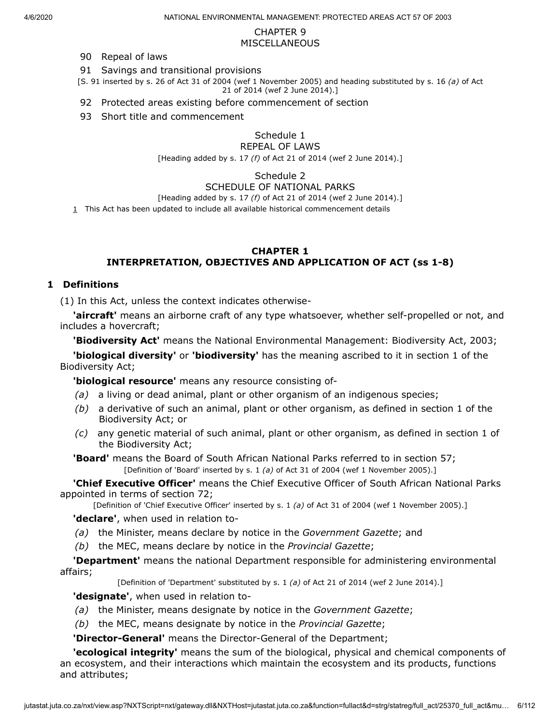#### CHAPTER 9 **MISCELLANEOUS**

- 90 Repeal of laws
- 91 Savings and transitional provisions
- [S. 91 inserted by s. 26 of Act 31 of 2004 (wef 1 November 2005) and heading substituted by s. 16 *(a)* of Act 21 of 2014 (wef 2 June 2014).]
- 92 Protected areas existing before commencement of section
- 93 Short title and commencement

# Schedule 1

REPEAL OF LAWS

[Heading added by s. 17 *(f)* of Act 21 of 2014 (wef 2 June 2014).]

Schedule 2

#### SCHEDULE OF NATIONAL PARKS

[Heading added by s. 17 *(f)* of Act 21 of 2014 (wef 2 June 2014).]

<span id="page-5-0"></span> $1$  This Act has been updated to include all available historical commencement details

#### **CHAPTER 1 INTERPRETATION, OBJECTIVES AND APPLICATION OF ACT (ss 1-8)**

#### **1 Definitions**

(1) In this Act, unless the context indicates otherwise-

**'aircraft'** means an airborne craft of any type whatsoever, whether self-propelled or not, and includes a hovercraft;

**'Biodiversity Act'** means the National Environmental Management: Biodiversity Act, 2003;

**'biological diversity'** or **'biodiversity'** has the meaning ascribed to it in section 1 of the Biodiversity Act;

**'biological resource'** means any resource consisting of-

- *(a)* a living or dead animal, plant or other organism of an indigenous species;
- *(b)* a derivative of such an animal, plant or other organism, as defined in section 1 of the Biodiversity Act; or
- *(c)* any genetic material of such animal, plant or other organism, as defined in section 1 of the Biodiversity Act;
- **'Board'** means the Board of South African National Parks referred to in section 57; [Definition of 'Board' inserted by s. 1 *(a)* of Act 31 of 2004 (wef 1 November 2005).]

**'Chief Executive Officer'** means the Chief Executive Officer of South African National Parks appointed in terms of section 72;

[Definition of 'Chief Executive Officer' inserted by s. 1 *(a)* of Act 31 of 2004 (wef 1 November 2005).]

**'declare'**, when used in relation to-

- *(a)* the Minister, means declare by notice in the *Government Gazette*; and
- *(b)* the MEC, means declare by notice in the *Provincial Gazette*;

**'Department'** means the national Department responsible for administering environmental affairs;

[Definition of 'Department' substituted by s. 1 *(a)* of Act 21 of 2014 (wef 2 June 2014).]

**'designate'**, when used in relation to-

- *(a)* the Minister, means designate by notice in the *Government Gazette*;
- *(b)* the MEC, means designate by notice in the *Provincial Gazette*;

**'Director-General'** means the Director-General of the Department;

**'ecological integrity'** means the sum of the biological, physical and chemical components of an ecosystem, and their interactions which maintain the ecosystem and its products, functions and attributes;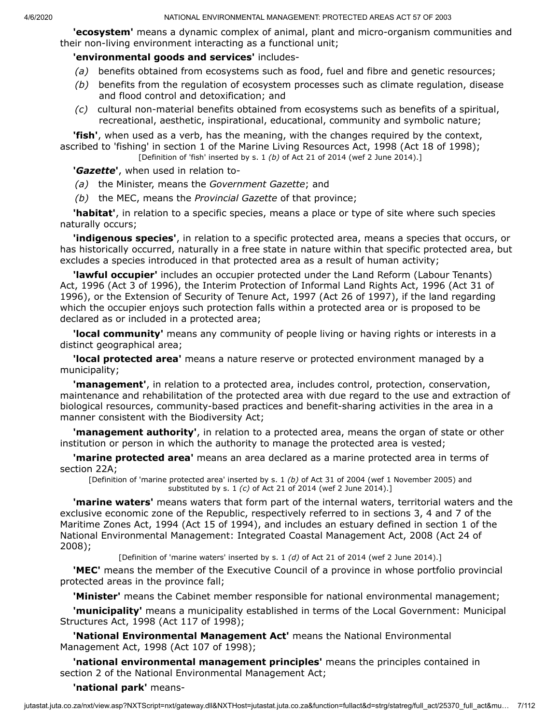**'ecosystem'** means a dynamic complex of animal, plant and micro-organism communities and their non-living environment interacting as a functional unit;

#### **'environmental goods and services'** includes-

- *(a)* benefits obtained from ecosystems such as food, fuel and fibre and genetic resources;
- *(b)* benefits from the regulation of ecosystem processes such as climate regulation, disease and flood control and detoxification; and
- *(c)* cultural non-material benefits obtained from ecosystems such as benefits of a spiritual, recreational, aesthetic, inspirational, educational, community and symbolic nature;

**'fish'**, when used as a verb, has the meaning, with the changes required by the context, ascribed to 'fishing' in section 1 of the Marine Living Resources Act, 1998 (Act 18 of 1998); [Definition of 'fish' inserted by s. 1 *(b)* of Act 21 of 2014 (wef 2 June 2014).]

**'***Gazette***'**, when used in relation to-

- *(a)* the Minister, means the *Government Gazette*; and
- *(b)* the MEC, means the *Provincial Gazette* of that province;

**'habitat'**, in relation to a specific species, means a place or type of site where such species naturally occurs;

**'indigenous species'**, in relation to a specific protected area, means a species that occurs, or has historically occurred, naturally in a free state in nature within that specific protected area, but excludes a species introduced in that protected area as a result of human activity;

**'lawful occupier'** includes an occupier protected under the Land Reform (Labour Tenants) Act, 1996 (Act 3 of 1996), the Interim Protection of Informal Land Rights Act, 1996 (Act 31 of 1996), or the Extension of Security of Tenure Act, 1997 (Act 26 of 1997), if the land regarding which the occupier enjoys such protection falls within a protected area or is proposed to be declared as or included in a protected area;

**'local community'** means any community of people living or having rights or interests in a distinct geographical area;

**'local protected area'** means a nature reserve or protected environment managed by a municipality;

**'management'**, in relation to a protected area, includes control, protection, conservation, maintenance and rehabilitation of the protected area with due regard to the use and extraction of biological resources, community-based practices and benefit-sharing activities in the area in a manner consistent with the Biodiversity Act;

**'management authority'**, in relation to a protected area, means the organ of state or other institution or person in which the authority to manage the protected area is vested;

**'marine protected area'** means an area declared as a marine protected area in terms of section 22A;

[Definition of 'marine protected area' inserted by s. 1 *(b)* of Act 31 of 2004 (wef 1 November 2005) and substituted by s. 1 *(c)* of Act 21 of 2014 (wef 2 June 2014).]

**'marine waters'** means waters that form part of the internal waters, territorial waters and the exclusive economic zone of the Republic, respectively referred to in sections 3, 4 and 7 of the Maritime Zones Act, 1994 (Act 15 of 1994), and includes an estuary defined in section 1 of the National Environmental Management: Integrated Coastal Management Act, 2008 (Act 24 of 2008);

[Definition of 'marine waters' inserted by s. 1 *(d)* of Act 21 of 2014 (wef 2 June 2014).]

**'MEC'** means the member of the Executive Council of a province in whose portfolio provincial protected areas in the province fall;

**'Minister'** means the Cabinet member responsible for national environmental management;

**'municipality'** means a municipality established in terms of the Local Government: Municipal Structures Act, 1998 (Act 117 of 1998);

**'National Environmental Management Act'** means the National Environmental Management Act, 1998 (Act 107 of 1998);

**'national environmental management principles'** means the principles contained in section 2 of the National Environmental Management Act;

**'national park'** means-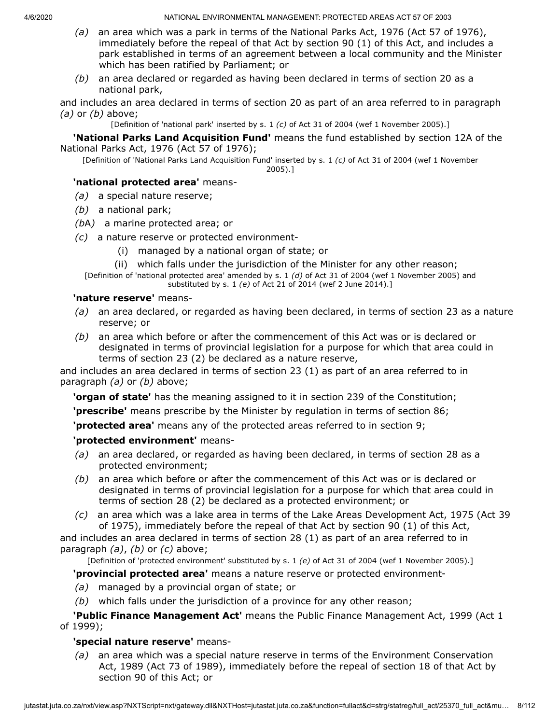- *(a)* an area which was a park in terms of the National Parks Act, 1976 (Act 57 of 1976), immediately before the repeal of that Act by section 90 (1) of this Act, and includes a park established in terms of an agreement between a local community and the Minister which has been ratified by Parliament; or
- *(b)* an area declared or regarded as having been declared in terms of section 20 as a national park,

and includes an area declared in terms of section 20 as part of an area referred to in paragraph *(a)* or *(b)* above;

[Definition of 'national park' inserted by s. 1 *(c)* of Act 31 of 2004 (wef 1 November 2005).]

**'National Parks Land Acquisition Fund'** means the fund established by section 12A of the National Parks Act, 1976 (Act 57 of 1976);

[Definition of 'National Parks Land Acquisition Fund' inserted by s. 1 *(c)* of Act 31 of 2004 (wef 1 November 2005).]

#### **'national protected area'** means-

*(a)* a special nature reserve;

- *(b)* a national park;
- *(b*A*)* a marine protected area; or
- *(c)* a nature reserve or protected environment-
	- (i) managed by a national organ of state; or
	- (ii) which falls under the jurisdiction of the Minister for any other reason;

[Definition of 'national protected area' amended by s. 1 *(d)* of Act 31 of 2004 (wef 1 November 2005) and substituted by s. 1 *(e)* of Act 21 of 2014 (wef 2 June 2014).]

#### **'nature reserve'** means-

- *(a)* an area declared, or regarded as having been declared, in terms of section 23 as a nature reserve; or
- *(b)* an area which before or after the commencement of this Act was or is declared or designated in terms of provincial legislation for a purpose for which that area could in terms of section 23 (2) be declared as a nature reserve,

and includes an area declared in terms of section 23 (1) as part of an area referred to in paragraph *(a)* or *(b)* above;

**'organ of state'** has the meaning assigned to it in section 239 of the Constitution;

**'prescribe'** means prescribe by the Minister by regulation in terms of section 86;

**'protected area'** means any of the protected areas referred to in section 9;

### **'protected environment'** means-

- *(a)* an area declared, or regarded as having been declared, in terms of section 28 as a protected environment;
- *(b)* an area which before or after the commencement of this Act was or is declared or designated in terms of provincial legislation for a purpose for which that area could in terms of section 28 (2) be declared as a protected environment; or
- *(c)* an area which was a lake area in terms of the Lake Areas Development Act, 1975 (Act 39 of 1975), immediately before the repeal of that Act by section 90 (1) of this Act,

and includes an area declared in terms of section 28 (1) as part of an area referred to in paragraph *(a)*, *(b)* or *(c)* above;

[Definition of 'protected environment' substituted by s. 1 *(e)* of Act 31 of 2004 (wef 1 November 2005).]

**'provincial protected area'** means a nature reserve or protected environment-

- *(a)* managed by a provincial organ of state; or
- *(b)* which falls under the jurisdiction of a province for any other reason;

# **'Public Finance Management Act'** means the Public Finance Management Act, 1999 (Act 1 of 1999);

### **'special nature reserve'** means-

*(a)* an area which was a special nature reserve in terms of the Environment Conservation Act, 1989 (Act 73 of 1989), immediately before the repeal of section 18 of that Act by section 90 of this Act; or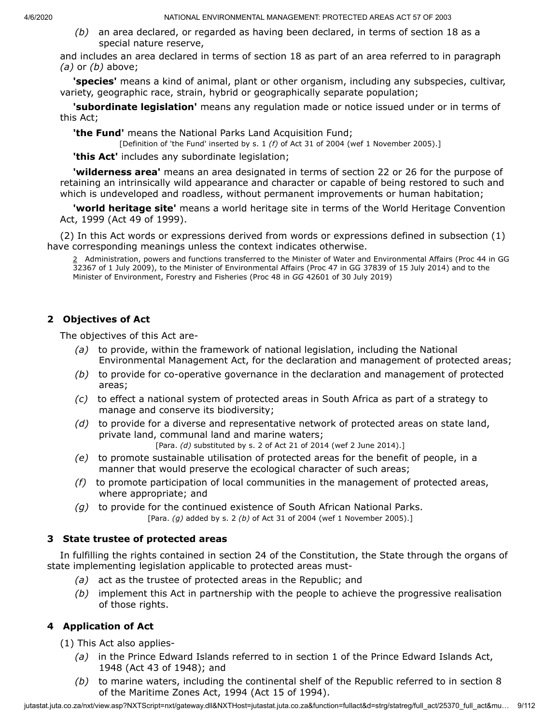*(b)* an area declared, or regarded as having been declared, in terms of section 18 as a special nature reserve,

and includes an area declared in terms of section 18 as part of an area referred to in paragraph *(a)* or *(b)* above;

**'species'** means a kind of animal, plant or other organism, including any subspecies, cultivar, variety, geographic race, strain, hybrid or geographically separate population;

**'subordinate legislation'** means any regulation made or notice issued under or in terms of this Act;

**'the Fund'** means the National Parks Land Acquisition Fund;

[Definition of 'the Fund' inserted by s. 1 *(f)* of Act 31 of 2004 (wef 1 November 2005).]

**'this Act'** includes any subordinate legislation;

**'wilderness area'** means an area designated in terms of section 22 or 26 for the purpose of retaining an intrinsically wild appearance and character or capable of being restored to such and which is undeveloped and roadless, without permanent improvements or human habitation;

**'world heritage site'** means a world heritage site in terms of the World Heritage Convention Act, 1999 (Act 49 of 1999).

(2) In this Act words or expressions derived from words or expressions defined in subsection (1) have corresponding meanings unless the context indicates otherwise.

2 Administration, powers and functions transferred to the Minister of Water and Environmental Affairs (Proc 44 in GG 32367 of 1 July 2009), to the Minister of Environmental Affairs (Proc 47 in GG 37839 of 15 July 2014) and to the Minister of Environment, Forestry and Fisheries (Proc 48 in *GG* 42601 of 30 July 2019)

# **2 Objectives of Act**

The objectives of this Act are-

- *(a)* to provide, within the framework of national legislation, including the National Environmental Management Act, for the declaration and management of protected areas;
- *(b)* to provide for co-operative governance in the declaration and management of protected areas;
- *(c)* to effect a national system of protected areas in South Africa as part of a strategy to manage and conserve its biodiversity;
- *(d)* to provide for a diverse and representative network of protected areas on state land, private land, communal land and marine waters;

[Para. *(d)* substituted by s. 2 of Act 21 of 2014 (wef 2 June 2014).]

- *(e)* to promote sustainable utilisation of protected areas for the benefit of people, in a manner that would preserve the ecological character of such areas;
- *(f)* to promote participation of local communities in the management of protected areas, where appropriate; and
- *(g)* to provide for the continued existence of South African National Parks. [Para. *(g)* added by s. 2 *(b)* of Act 31 of 2004 (wef 1 November 2005).]

### **3 State trustee of protected areas**

In fulfilling the rights contained in section 24 of the Constitution, the State through the organs of state implementing legislation applicable to protected areas must-

- *(a)* act as the trustee of protected areas in the Republic; and
- *(b)* implement this Act in partnership with the people to achieve the progressive realisation of those rights.

# **4 Application of Act**

(1) This Act also applies-

- *(a)* in the Prince Edward Islands referred to in section 1 of the Prince Edward Islands Act, 1948 (Act 43 of 1948); and
- *(b)* to marine waters, including the continental shelf of the Republic referred to in section 8 of the Maritime Zones Act, 1994 (Act 15 of 1994).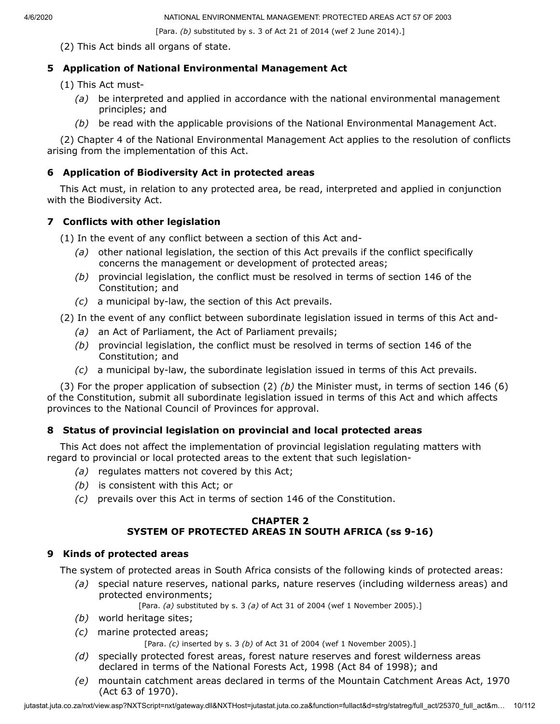[Para. *(b)* substituted by s. 3 of Act 21 of 2014 (wef 2 June 2014).]

(2) This Act binds all organs of state.

# **5 Application of National Environmental Management Act**

- (1) This Act must-
	- *(a)* be interpreted and applied in accordance with the national environmental management principles; and
	- *(b)* be read with the applicable provisions of the National Environmental Management Act.

(2) Chapter 4 of the National Environmental Management Act applies to the resolution of conflicts arising from the implementation of this Act.

# **6 Application of Biodiversity Act in protected areas**

This Act must, in relation to any protected area, be read, interpreted and applied in conjunction with the Biodiversity Act.

# **7 Conflicts with other legislation**

(1) In the event of any conflict between a section of this Act and-

- *(a)* other national legislation, the section of this Act prevails if the conflict specifically concerns the management or development of protected areas;
- *(b)* provincial legislation, the conflict must be resolved in terms of section 146 of the Constitution; and
- *(c)* a municipal by-law, the section of this Act prevails.

(2) In the event of any conflict between subordinate legislation issued in terms of this Act and-

- *(a)* an Act of Parliament, the Act of Parliament prevails;
- *(b)* provincial legislation, the conflict must be resolved in terms of section 146 of the Constitution; and
- *(c)* a municipal by-law, the subordinate legislation issued in terms of this Act prevails.

(3) For the proper application of subsection (2) *(b)* the Minister must, in terms of section 146 (6) of the Constitution, submit all subordinate legislation issued in terms of this Act and which affects provinces to the National Council of Provinces for approval.

# **8 Status of provincial legislation on provincial and local protected areas**

This Act does not affect the implementation of provincial legislation regulating matters with regard to provincial or local protected areas to the extent that such legislation-

- *(a)* regulates matters not covered by this Act;
- *(b)* is consistent with this Act; or
- *(c)* prevails over this Act in terms of section 146 of the Constitution.

### **CHAPTER 2 SYSTEM OF PROTECTED AREAS IN SOUTH AFRICA (ss 9-16)**

### **9 Kinds of protected areas**

The system of protected areas in South Africa consists of the following kinds of protected areas:

*(a)* special nature reserves, national parks, nature reserves (including wilderness areas) and protected environments;

[Para. *(a)* substituted by s. 3 *(a)* of Act 31 of 2004 (wef 1 November 2005).]

- *(b)* world heritage sites;
- *(c)* marine protected areas;

[Para. *(c)* inserted by s. 3 *(b)* of Act 31 of 2004 (wef 1 November 2005).]

- *(d)* specially protected forest areas, forest nature reserves and forest wilderness areas declared in terms of the National Forests Act, 1998 (Act 84 of 1998); and
- *(e)* mountain catchment areas declared in terms of the Mountain Catchment Areas Act, 1970 (Act 63 of 1970).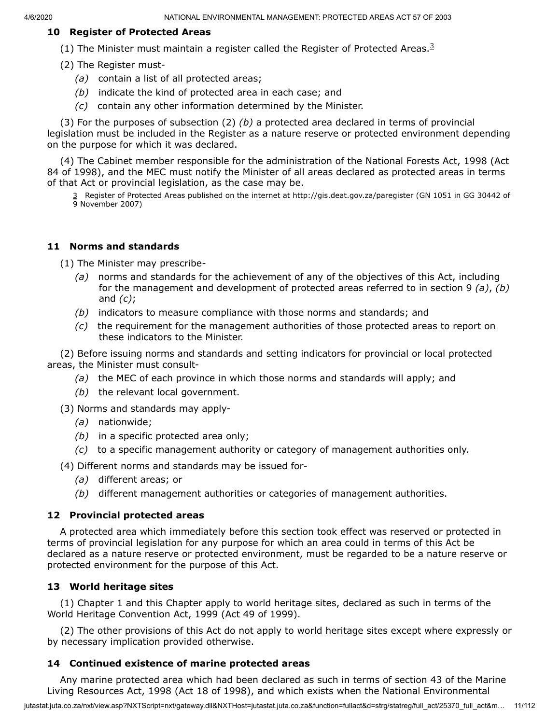### **10 Register of Protected Areas**

(1) The Minister must maintain a register called the Register of Protected Areas.<sup>[3](#page-10-0)</sup>

- (2) The Register must-
	- *(a)* contain a list of all protected areas;
	- *(b)* indicate the kind of protected area in each case; and
	- *(c)* contain any other information determined by the Minister.

(3) For the purposes of subsection (2) *(b)* a protected area declared in terms of provincial legislation must be included in the Register as a nature reserve or protected environment depending on the purpose for which it was declared.

(4) The Cabinet member responsible for the administration of the National Forests Act, 1998 (Act 84 of 1998), and the MEC must notify the Minister of all areas declared as protected areas in terms of that Act or provincial legislation, as the case may be.

<span id="page-10-0"></span>3 Register of Protected Areas published on the internet at http://gis.deat.gov.za/paregister (GN 1051 in GG 30442 of 9 November 2007)

# **11 Norms and standards**

(1) The Minister may prescribe-

- *(a)* norms and standards for the achievement of any of the objectives of this Act, including for the management and development of protected areas referred to in section 9 *(a)*, *(b)* and *(c)*;
- *(b)* indicators to measure compliance with those norms and standards; and
- *(c)* the requirement for the management authorities of those protected areas to report on these indicators to the Minister.

(2) Before issuing norms and standards and setting indicators for provincial or local protected areas, the Minister must consult-

- *(a)* the MEC of each province in which those norms and standards will apply; and
- *(b)* the relevant local government.

(3) Norms and standards may apply-

- *(a)* nationwide;
- *(b)* in a specific protected area only;
- *(c)* to a specific management authority or category of management authorities only.

(4) Different norms and standards may be issued for-

- *(a)* different areas; or
- *(b)* different management authorities or categories of management authorities.

# **12 Provincial protected areas**

A protected area which immediately before this section took effect was reserved or protected in terms of provincial legislation for any purpose for which an area could in terms of this Act be declared as a nature reserve or protected environment, must be regarded to be a nature reserve or protected environment for the purpose of this Act.

# **13 World heritage sites**

(1) Chapter 1 and this Chapter apply to world heritage sites, declared as such in terms of the World Heritage Convention Act, 1999 (Act 49 of 1999).

(2) The other provisions of this Act do not apply to world heritage sites except where expressly or by necessary implication provided otherwise.

# **14 Continued existence of marine protected areas**

Any marine protected area which had been declared as such in terms of section 43 of the Marine Living Resources Act, 1998 (Act 18 of 1998), and which exists when the National Environmental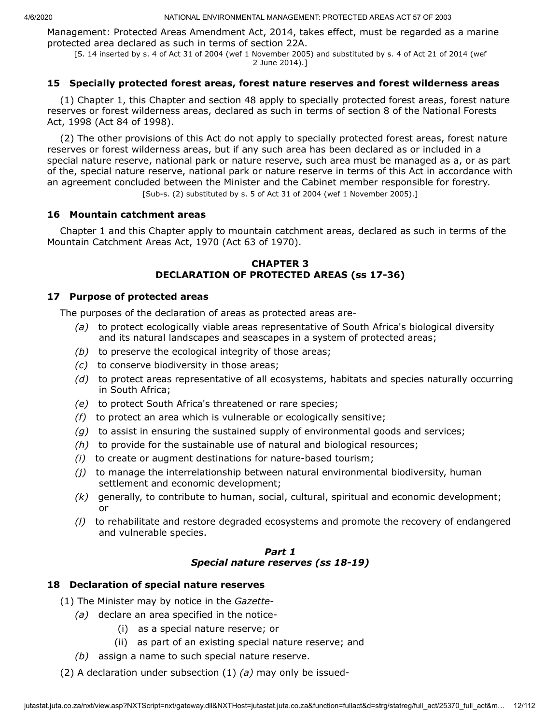Management: Protected Areas Amendment Act, 2014, takes effect, must be regarded as a marine protected area declared as such in terms of section 22A.

[S. 14 inserted by s. 4 of Act 31 of 2004 (wef 1 November 2005) and substituted by s. 4 of Act 21 of 2014 (wef 2 June 2014).]

### **15 Specially protected forest areas, forest nature reserves and forest wilderness areas**

(1) Chapter 1, this Chapter and section 48 apply to specially protected forest areas, forest nature reserves or forest wilderness areas, declared as such in terms of section 8 of the National Forests Act, 1998 (Act 84 of 1998).

(2) The other provisions of this Act do not apply to specially protected forest areas, forest nature reserves or forest wilderness areas, but if any such area has been declared as or included in a special nature reserve, national park or nature reserve, such area must be managed as a, or as part of the, special nature reserve, national park or nature reserve in terms of this Act in accordance with an agreement concluded between the Minister and the Cabinet member responsible for forestry. [Sub-s. (2) substituted by s. 5 of Act 31 of 2004 (wef 1 November 2005).]

### **16 Mountain catchment areas**

Chapter 1 and this Chapter apply to mountain catchment areas, declared as such in terms of the Mountain Catchment Areas Act, 1970 (Act 63 of 1970).

### **CHAPTER 3 DECLARATION OF PROTECTED AREAS (ss 17-36)**

# **17 Purpose of protected areas**

The purposes of the declaration of areas as protected areas are-

- *(a)* to protect ecologically viable areas representative of South Africa's biological diversity and its natural landscapes and seascapes in a system of protected areas;
- *(b)* to preserve the ecological integrity of those areas;
- *(c)* to conserve biodiversity in those areas;
- *(d)* to protect areas representative of all ecosystems, habitats and species naturally occurring in South Africa;
- *(e)* to protect South Africa's threatened or rare species;
- *(f)* to protect an area which is vulnerable or ecologically sensitive;
- *(g)* to assist in ensuring the sustained supply of environmental goods and services;
- *(h)* to provide for the sustainable use of natural and biological resources;
- *(i)* to create or augment destinations for nature-based tourism;
- *(j)* to manage the interrelationship between natural environmental biodiversity, human settlement and economic development;
- *(k)* generally, to contribute to human, social, cultural, spiritual and economic development; or
- *(l)* to rehabilitate and restore degraded ecosystems and promote the recovery of endangered and vulnerable species.

### *Part 1 Special nature reserves (ss 18-19)*

### **18 Declaration of special nature reserves**

- (1) The Minister may by notice in the *Gazette*
	- *(a)* declare an area specified in the notice-
		- (i) as a special nature reserve; or
		- (ii) as part of an existing special nature reserve; and
		- *(b)* assign a name to such special nature reserve.
- (2) A declaration under subsection (1) *(a)* may only be issued-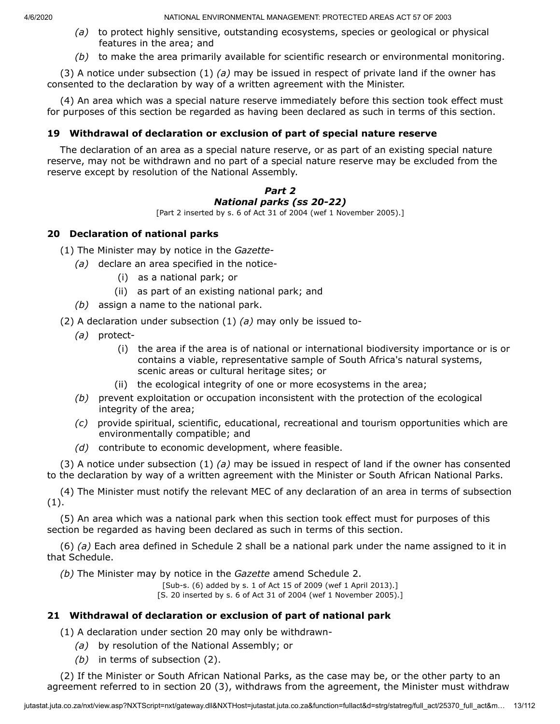- *(a)* to protect highly sensitive, outstanding ecosystems, species or geological or physical features in the area; and
- *(b)* to make the area primarily available for scientific research or environmental monitoring.

(3) A notice under subsection (1) *(a)* may be issued in respect of private land if the owner has consented to the declaration by way of a written agreement with the Minister.

(4) An area which was a special nature reserve immediately before this section took effect must for purposes of this section be regarded as having been declared as such in terms of this section.

### **19 Withdrawal of declaration or exclusion of part of special nature reserve**

The declaration of an area as a special nature reserve, or as part of an existing special nature reserve, may not be withdrawn and no part of a special nature reserve may be excluded from the reserve except by resolution of the National Assembly.

# *Part 2 National parks (ss 20-22)*

[Part 2 inserted by s. 6 of Act 31 of 2004 (wef 1 November 2005).]

# **20 Declaration of national parks**

(1) The Minister may by notice in the *Gazette*-

- *(a)* declare an area specified in the notice-
	- (i) as a national park; or
	- (ii) as part of an existing national park; and
- *(b)* assign a name to the national park.

(2) A declaration under subsection (1) *(a)* may only be issued to-

- *(a)* protect-
	- (i) the area if the area is of national or international biodiversity importance or is or contains a viable, representative sample of South Africa's natural systems, scenic areas or cultural heritage sites; or
	- (ii) the ecological integrity of one or more ecosystems in the area;
- *(b)* prevent exploitation or occupation inconsistent with the protection of the ecological integrity of the area;
- *(c)* provide spiritual, scientific, educational, recreational and tourism opportunities which are environmentally compatible; and
- *(d)* contribute to economic development, where feasible.

(3) A notice under subsection (1) *(a)* may be issued in respect of land if the owner has consented to the declaration by way of a written agreement with the Minister or South African National Parks.

(4) The Minister must notify the relevant MEC of any declaration of an area in terms of subsection (1).

(5) An area which was a national park when this section took effect must for purposes of this section be regarded as having been declared as such in terms of this section.

(6) *(a)* Each area defined in Schedule 2 shall be a national park under the name assigned to it in that Schedule.

*(b)* The Minister may by notice in the *Gazette* amend Schedule 2.

[Sub-s. (6) added by s. 1 of Act 15 of 2009 (wef 1 April 2013).] [S. 20 inserted by s. 6 of Act 31 of 2004 (wef 1 November 2005).]

# **21 Withdrawal of declaration or exclusion of part of national park**

(1) A declaration under section 20 may only be withdrawn-

- *(a)* by resolution of the National Assembly; or
- *(b)* in terms of subsection (2).

(2) If the Minister or South African National Parks, as the case may be, or the other party to an agreement referred to in section 20 (3), withdraws from the agreement, the Minister must withdraw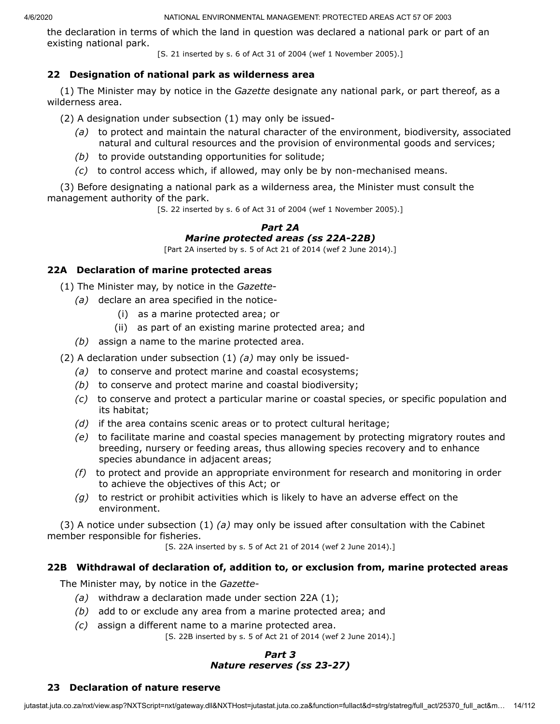the declaration in terms of which the land in question was declared a national park or part of an existing national park.

[S. 21 inserted by s. 6 of Act 31 of 2004 (wef 1 November 2005).]

# **22 Designation of national park as wilderness area**

(1) The Minister may by notice in the *Gazette* designate any national park, or part thereof, as a wilderness area.

(2) A designation under subsection (1) may only be issued-

- *(a)* to protect and maintain the natural character of the environment, biodiversity, associated natural and cultural resources and the provision of environmental goods and services;
- *(b)* to provide outstanding opportunities for solitude;
- *(c)* to control access which, if allowed, may only be by non-mechanised means.

(3) Before designating a national park as a wilderness area, the Minister must consult the management authority of the park.

[S. 22 inserted by s. 6 of Act 31 of 2004 (wef 1 November 2005).]

# *Part 2A Marine protected areas (ss 22A-22B)*

[Part 2A inserted by s. 5 of Act 21 of 2014 (wef 2 June 2014).]

# **22A Declaration of marine protected areas**

- (1) The Minister may, by notice in the *Gazette*
	- *(a)* declare an area specified in the notice-
		- (i) as a marine protected area; or
		- (ii) as part of an existing marine protected area; and
	- *(b)* assign a name to the marine protected area.

(2) A declaration under subsection (1) *(a)* may only be issued-

- *(a)* to conserve and protect marine and coastal ecosystems;
- *(b)* to conserve and protect marine and coastal biodiversity;
- *(c)* to conserve and protect a particular marine or coastal species, or specific population and its habitat;
- *(d)* if the area contains scenic areas or to protect cultural heritage;
- *(e)* to facilitate marine and coastal species management by protecting migratory routes and breeding, nursery or feeding areas, thus allowing species recovery and to enhance species abundance in adjacent areas;
- *(f)* to protect and provide an appropriate environment for research and monitoring in order to achieve the objectives of this Act; or
- *(g)* to restrict or prohibit activities which is likely to have an adverse effect on the environment.

(3) A notice under subsection (1) *(a)* may only be issued after consultation with the Cabinet member responsible for fisheries.

[S. 22A inserted by s. 5 of Act 21 of 2014 (wef 2 June 2014).]

# **22B Withdrawal of declaration of, addition to, or exclusion from, marine protected areas**

The Minister may, by notice in the *Gazette*-

- *(a)* withdraw a declaration made under section 22A (1);
- *(b)* add to or exclude any area from a marine protected area; and
- *(c)* assign a different name to a marine protected area.

[S. 22B inserted by s. 5 of Act 21 of 2014 (wef 2 June 2014).]

### *Part 3 Nature reserves (ss 23-27)*

### **23 Declaration of nature reserve**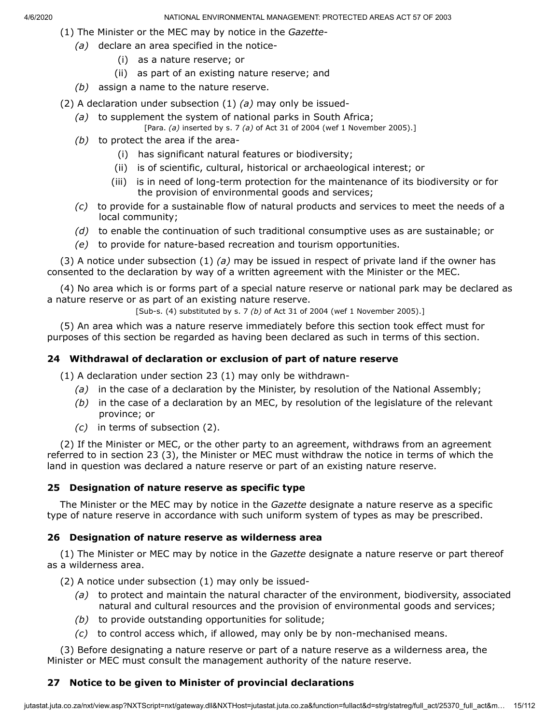- (1) The Minister or the MEC may by notice in the *Gazette*
	- *(a)* declare an area specified in the notice-
		- (i) as a nature reserve; or
		- (ii) as part of an existing nature reserve; and
	- *(b)* assign a name to the nature reserve.
- (2) A declaration under subsection (1) *(a)* may only be issued-
	- *(a)* to supplement the system of national parks in South Africa;
		- [Para. *(a)* inserted by s. 7 *(a)* of Act 31 of 2004 (wef 1 November 2005).]
	- *(b)* to protect the area if the area-
		- (i) has significant natural features or biodiversity;
		- (ii) is of scientific, cultural, historical or archaeological interest; or
		- (iii) is in need of long-term protection for the maintenance of its biodiversity or for the provision of environmental goods and services;
	- *(c)* to provide for a sustainable flow of natural products and services to meet the needs of a local community;
	- *(d)* to enable the continuation of such traditional consumptive uses as are sustainable; or
	- *(e)* to provide for nature-based recreation and tourism opportunities.

(3) A notice under subsection (1) *(a)* may be issued in respect of private land if the owner has consented to the declaration by way of a written agreement with the Minister or the MEC.

(4) No area which is or forms part of a special nature reserve or national park may be declared as a nature reserve or as part of an existing nature reserve.

[Sub-s. (4) substituted by s. 7 *(b)* of Act 31 of 2004 (wef 1 November 2005).]

(5) An area which was a nature reserve immediately before this section took effect must for purposes of this section be regarded as having been declared as such in terms of this section.

# **24 Withdrawal of declaration or exclusion of part of nature reserve**

(1) A declaration under section 23 (1) may only be withdrawn-

- *(a)* in the case of a declaration by the Minister, by resolution of the National Assembly;
- *(b)* in the case of a declaration by an MEC, by resolution of the legislature of the relevant province; or
- *(c)* in terms of subsection (2).

(2) If the Minister or MEC, or the other party to an agreement, withdraws from an agreement referred to in section 23 (3), the Minister or MEC must withdraw the notice in terms of which the land in question was declared a nature reserve or part of an existing nature reserve.

# **25 Designation of nature reserve as specific type**

The Minister or the MEC may by notice in the *Gazette* designate a nature reserve as a specific type of nature reserve in accordance with such uniform system of types as may be prescribed.

# **26 Designation of nature reserve as wilderness area**

(1) The Minister or MEC may by notice in the *Gazette* designate a nature reserve or part thereof as a wilderness area.

(2) A notice under subsection (1) may only be issued-

- *(a)* to protect and maintain the natural character of the environment, biodiversity, associated natural and cultural resources and the provision of environmental goods and services;
- *(b)* to provide outstanding opportunities for solitude;
- *(c)* to control access which, if allowed, may only be by non-mechanised means.

(3) Before designating a nature reserve or part of a nature reserve as a wilderness area, the Minister or MEC must consult the management authority of the nature reserve.

# **27 Notice to be given to Minister of provincial declarations**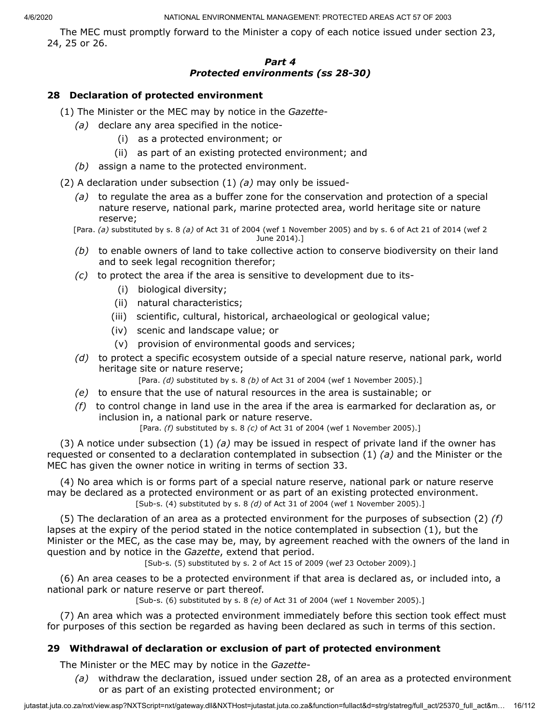The MEC must promptly forward to the Minister a copy of each notice issued under section 23, 24, 25 or 26.

### *Part 4 Protected environments (ss 28-30)*

# **28 Declaration of protected environment**

- (1) The Minister or the MEC may by notice in the *Gazette*
	- *(a)* declare any area specified in the notice-
		- (i) as a protected environment; or
		- (ii) as part of an existing protected environment; and
	- *(b)* assign a name to the protected environment.

(2) A declaration under subsection (1) *(a)* may only be issued-

*(a)* to regulate the area as a buffer zone for the conservation and protection of a special nature reserve, national park, marine protected area, world heritage site or nature reserve;

[Para. *(a)* substituted by s. 8 *(a)* of Act 31 of 2004 (wef 1 November 2005) and by s. 6 of Act 21 of 2014 (wef 2 June 2014).]

- *(b)* to enable owners of land to take collective action to conserve biodiversity on their land and to seek legal recognition therefor;
- *(c)* to protect the area if the area is sensitive to development due to its-
	- (i) biological diversity;
	- (ii) natural characteristics;
	- (iii) scientific, cultural, historical, archaeological or geological value;
	- (iv) scenic and landscape value; or
	- (v) provision of environmental goods and services;
- *(d)* to protect a specific ecosystem outside of a special nature reserve, national park, world heritage site or nature reserve;

[Para. *(d)* substituted by s. 8 *(b)* of Act 31 of 2004 (wef 1 November 2005).]

- *(e)* to ensure that the use of natural resources in the area is sustainable; or
- *(f)* to control change in land use in the area if the area is earmarked for declaration as, or inclusion in, a national park or nature reserve.

[Para. *(f)* substituted by s. 8 *(c)* of Act 31 of 2004 (wef 1 November 2005).]

(3) A notice under subsection (1) *(a)* may be issued in respect of private land if the owner has requested or consented to a declaration contemplated in subsection (1) *(a)* and the Minister or the MEC has given the owner notice in writing in terms of section 33.

(4) No area which is or forms part of a special nature reserve, national park or nature reserve may be declared as a protected environment or as part of an existing protected environment. [Sub-s. (4) substituted by s. 8 *(d)* of Act 31 of 2004 (wef 1 November 2005).]

(5) The declaration of an area as a protected environment for the purposes of subsection (2) *(f)* lapses at the expiry of the period stated in the notice contemplated in subsection (1), but the Minister or the MEC, as the case may be, may, by agreement reached with the owners of the land in question and by notice in the *Gazette*, extend that period.

[Sub-s. (5) substituted by s. 2 of Act 15 of 2009 (wef 23 October 2009).]

(6) An area ceases to be a protected environment if that area is declared as, or included into, a national park or nature reserve or part thereof.

[Sub-s. (6) substituted by s. 8 *(e)* of Act 31 of 2004 (wef 1 November 2005).]

(7) An area which was a protected environment immediately before this section took effect must for purposes of this section be regarded as having been declared as such in terms of this section.

# **29 Withdrawal of declaration or exclusion of part of protected environment**

The Minister or the MEC may by notice in the *Gazette*-

*(a)* withdraw the declaration, issued under section 28, of an area as a protected environment or as part of an existing protected environment; or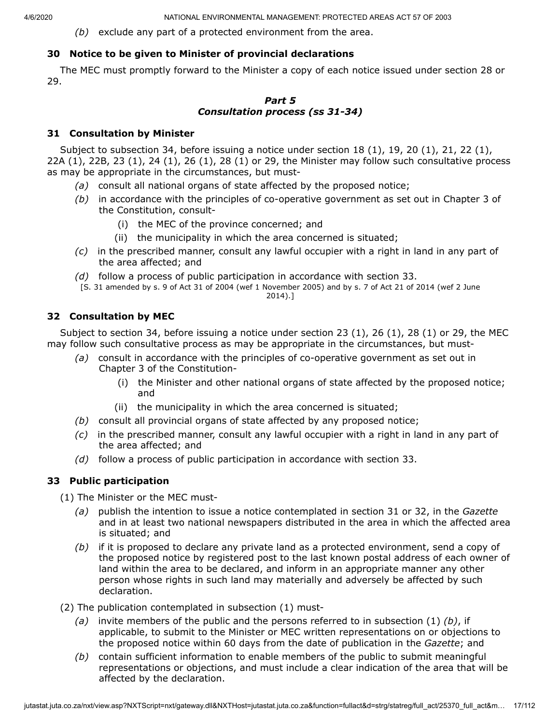*(b)* exclude any part of a protected environment from the area.

# **30 Notice to be given to Minister of provincial declarations**

The MEC must promptly forward to the Minister a copy of each notice issued under section 28 or 29.

# *Part 5 Consultation process (ss 31-34)*

# **31 Consultation by Minister**

Subject to subsection 34, before issuing a notice under section 18 (1), 19, 20 (1), 21, 22 (1), 22A (1), 22B, 23 (1), 24 (1), 26 (1), 28 (1) or 29, the Minister may follow such consultative process as may be appropriate in the circumstances, but must-

- *(a)* consult all national organs of state affected by the proposed notice;
- *(b)* in accordance with the principles of co-operative government as set out in Chapter 3 of the Constitution, consult-
	- (i) the MEC of the province concerned; and
	- (ii) the municipality in which the area concerned is situated;
- *(c)* in the prescribed manner, consult any lawful occupier with a right in land in any part of the area affected; and
- *(d)* follow a process of public participation in accordance with section 33.
- [S. 31 amended by s. 9 of Act 31 of 2004 (wef 1 November 2005) and by s. 7 of Act 21 of 2014 (wef 2 June 2014).]

# **32 Consultation by MEC**

Subject to section 34, before issuing a notice under section 23 (1), 26 (1), 28 (1) or 29, the MEC may follow such consultative process as may be appropriate in the circumstances, but must-

- *(a)* consult in accordance with the principles of co-operative government as set out in Chapter 3 of the Constitution-
	- (i) the Minister and other national organs of state affected by the proposed notice; and
	- (ii) the municipality in which the area concerned is situated;
- *(b)* consult all provincial organs of state affected by any proposed notice;
- *(c)* in the prescribed manner, consult any lawful occupier with a right in land in any part of the area affected; and
- *(d)* follow a process of public participation in accordance with section 33.

# **33 Public participation**

(1) The Minister or the MEC must-

- *(a)* publish the intention to issue a notice contemplated in section 31 or 32, in the *Gazette* and in at least two national newspapers distributed in the area in which the affected area is situated; and
- *(b)* if it is proposed to declare any private land as a protected environment, send a copy of the proposed notice by registered post to the last known postal address of each owner of land within the area to be declared, and inform in an appropriate manner any other person whose rights in such land may materially and adversely be affected by such declaration.
- (2) The publication contemplated in subsection (1) must-
	- *(a)* invite members of the public and the persons referred to in subsection (1) *(b)*, if applicable, to submit to the Minister or MEC written representations on or objections to the proposed notice within 60 days from the date of publication in the *Gazette*; and
	- *(b)* contain sufficient information to enable members of the public to submit meaningful representations or objections, and must include a clear indication of the area that will be affected by the declaration.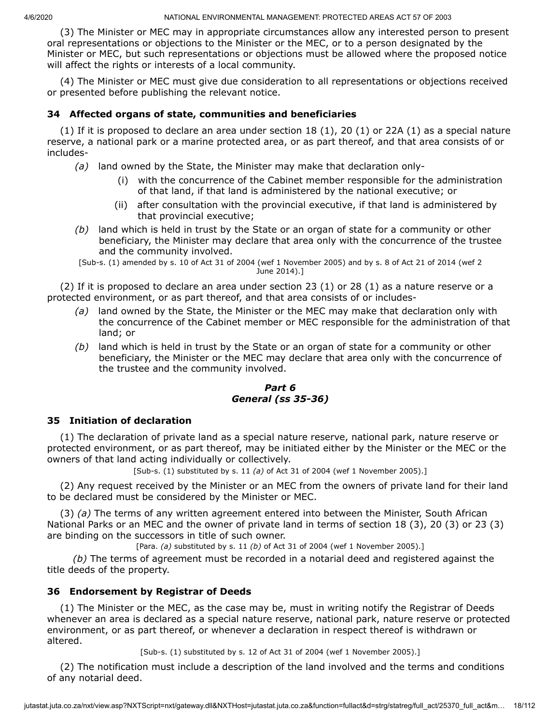(3) The Minister or MEC may in appropriate circumstances allow any interested person to present oral representations or objections to the Minister or the MEC, or to a person designated by the Minister or MEC, but such representations or objections must be allowed where the proposed notice will affect the rights or interests of a local community.

(4) The Minister or MEC must give due consideration to all representations or objections received or presented before publishing the relevant notice.

#### **34 Affected organs of state, communities and beneficiaries**

(1) If it is proposed to declare an area under section 18 (1), 20 (1) or 22A (1) as a special nature reserve, a national park or a marine protected area, or as part thereof, and that area consists of or includes-

- *(a)* land owned by the State, the Minister may make that declaration only-
	- (i) with the concurrence of the Cabinet member responsible for the administration of that land, if that land is administered by the national executive; or
	- (ii) after consultation with the provincial executive, if that land is administered by that provincial executive;
- *(b)* land which is held in trust by the State or an organ of state for a community or other beneficiary, the Minister may declare that area only with the concurrence of the trustee and the community involved.

[Sub-s. (1) amended by s. 10 of Act 31 of 2004 (wef 1 November 2005) and by s. 8 of Act 21 of 2014 (wef 2 June 2014).]

(2) If it is proposed to declare an area under section 23 (1) or 28 (1) as a nature reserve or a protected environment, or as part thereof, and that area consists of or includes-

- *(a)* land owned by the State, the Minister or the MEC may make that declaration only with the concurrence of the Cabinet member or MEC responsible for the administration of that land; or
- *(b)* land which is held in trust by the State or an organ of state for a community or other beneficiary, the Minister or the MEC may declare that area only with the concurrence of the trustee and the community involved.

### *Part 6 General (ss 35-36)*

### **35 Initiation of declaration**

(1) The declaration of private land as a special nature reserve, national park, nature reserve or protected environment, or as part thereof, may be initiated either by the Minister or the MEC or the owners of that land acting individually or collectively.

[Sub-s. (1) substituted by s. 11 *(a)* of Act 31 of 2004 (wef 1 November 2005).]

(2) Any request received by the Minister or an MEC from the owners of private land for their land to be declared must be considered by the Minister or MEC.

(3) *(a)* The terms of any written agreement entered into between the Minister, South African National Parks or an MEC and the owner of private land in terms of section 18 (3), 20 (3) or 23 (3) are binding on the successors in title of such owner.

[Para. *(a)* substituted by s. 11 *(b)* of Act 31 of 2004 (wef 1 November 2005).]

*(b)* The terms of agreement must be recorded in a notarial deed and registered against the title deeds of the property.

### **36 Endorsement by Registrar of Deeds**

(1) The Minister or the MEC, as the case may be, must in writing notify the Registrar of Deeds whenever an area is declared as a special nature reserve, national park, nature reserve or protected environment, or as part thereof, or whenever a declaration in respect thereof is withdrawn or altered.

[Sub-s. (1) substituted by s. 12 of Act 31 of 2004 (wef 1 November 2005).]

(2) The notification must include a description of the land involved and the terms and conditions of any notarial deed.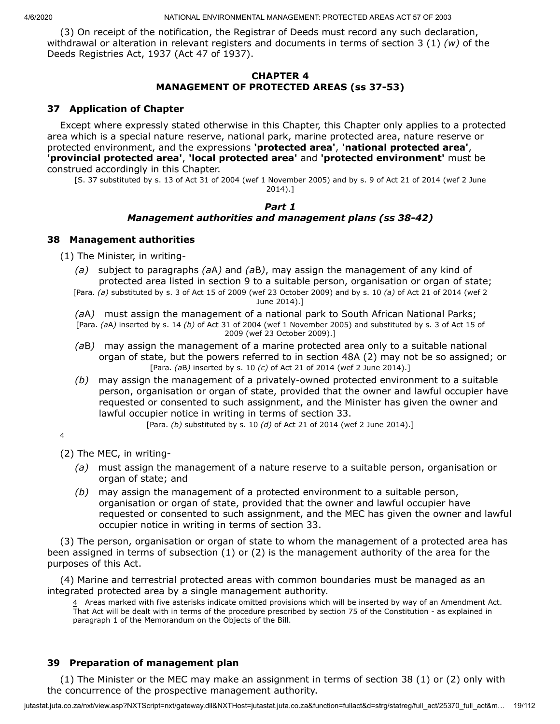(3) On receipt of the notification, the Registrar of Deeds must record any such declaration, withdrawal or alteration in relevant registers and documents in terms of section 3 (1) *(w)* of the Deeds Registries Act, 1937 (Act 47 of 1937).

### **CHAPTER 4 MANAGEMENT OF PROTECTED AREAS (ss 37-53)**

### **37 Application of Chapter**

Except where expressly stated otherwise in this Chapter, this Chapter only applies to a protected area which is a special nature reserve, national park, marine protected area, nature reserve or protected environment, and the expressions **'protected area'**, **'national protected area'**, **'provincial protected area'**, **'local protected area'** and **'protected environment'** must be construed accordingly in this Chapter.

[S. 37 substituted by s. 13 of Act 31 of 2004 (wef 1 November 2005) and by s. 9 of Act 21 of 2014 (wef 2 June 2014).]

# *Part 1*

# *Management authorities and management plans (ss 38-42)*

### **38 Management authorities**

(1) The Minister, in writing-

- *(a)* subject to paragraphs *(a*A*)* and *(a*B*)*, may assign the management of any kind of protected area listed in section 9 to a suitable person, organisation or organ of state;
- [Para. *(a)* substituted by s. 3 of Act 15 of 2009 (wef 23 October 2009) and by s. 10 *(a)* of Act 21 of 2014 (wef 2 June 2014).]

*(a*A*)* must assign the management of a national park to South African National Parks; [Para. *(a*A*)* inserted by s. 14 *(b)* of Act 31 of 2004 (wef 1 November 2005) and substituted by s. 3 of Act 15 of 2009 (wef 23 October 2009).]

- *(a*B*)* may assign the management of a marine protected area only to a suitable national organ of state, but the powers referred to in section 48A (2) may not be so assigned; or [Para. *(a*B*)* inserted by s. 10 *(c)* of Act 21 of 2014 (wef 2 June 2014).]
- *(b)* may assign the management of a privately-owned protected environment to a suitable person, organisation or organ of state, provided that the owner and lawful occupier have requested or consented to such assignment, and the Minister has given the owner and lawful occupier notice in writing in terms of section 33.

[Para. *(b)* substituted by s. 10 *(d)* of Act 21 of 2014 (wef 2 June 2014).]

[4](#page-18-0)

(2) The MEC, in writing-

- *(a)* must assign the management of a nature reserve to a suitable person, organisation or organ of state; and
- *(b)* may assign the management of a protected environment to a suitable person, organisation or organ of state, provided that the owner and lawful occupier have requested or consented to such assignment, and the MEC has given the owner and lawful occupier notice in writing in terms of section 33.

(3) The person, organisation or organ of state to whom the management of a protected area has been assigned in terms of subsection (1) or (2) is the management authority of the area for the purposes of this Act.

<span id="page-18-0"></span>(4) Marine and terrestrial protected areas with common boundaries must be managed as an integrated protected area by a single management authority.

4 Areas marked with five asterisks indicate omitted provisions which will be inserted by way of an Amendment Act. That Act will be dealt with in terms of the procedure prescribed by section 75 of the Constitution - as explained in paragraph 1 of the Memorandum on the Objects of the Bill.

# **39 Preparation of management plan**

(1) The Minister or the MEC may make an assignment in terms of section 38 (1) or (2) only with the concurrence of the prospective management authority.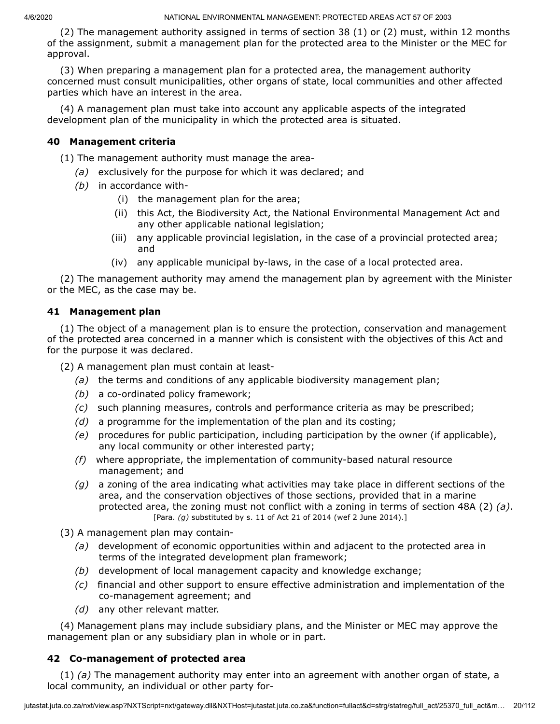(2) The management authority assigned in terms of section 38 (1) or (2) must, within 12 months of the assignment, submit a management plan for the protected area to the Minister or the MEC for approval.

(3) When preparing a management plan for a protected area, the management authority concerned must consult municipalities, other organs of state, local communities and other affected parties which have an interest in the area.

(4) A management plan must take into account any applicable aspects of the integrated development plan of the municipality in which the protected area is situated.

# **40 Management criteria**

(1) The management authority must manage the area-

- *(a)* exclusively for the purpose for which it was declared; and
- *(b)* in accordance with-
	- (i) the management plan for the area;
	- (ii) this Act, the Biodiversity Act, the National Environmental Management Act and any other applicable national legislation;
	- (iii) any applicable provincial legislation, in the case of a provincial protected area; and
	- (iv) any applicable municipal by-laws, in the case of a local protected area.

(2) The management authority may amend the management plan by agreement with the Minister or the MEC, as the case may be.

### **41 Management plan**

(1) The object of a management plan is to ensure the protection, conservation and management of the protected area concerned in a manner which is consistent with the objectives of this Act and for the purpose it was declared.

(2) A management plan must contain at least-

- *(a)* the terms and conditions of any applicable biodiversity management plan;
- *(b)* a co-ordinated policy framework;
- *(c)* such planning measures, controls and performance criteria as may be prescribed;
- *(d)* a programme for the implementation of the plan and its costing;
- *(e)* procedures for public participation, including participation by the owner (if applicable), any local community or other interested party;
- *(f)* where appropriate, the implementation of community-based natural resource management; and
- *(g)* a zoning of the area indicating what activities may take place in different sections of the area, and the conservation objectives of those sections, provided that in a marine protected area, the zoning must not conflict with a zoning in terms of section 48A (2) *(a)*. [Para. *(g)* substituted by s. 11 of Act 21 of 2014 (wef 2 June 2014).]

(3) A management plan may contain-

- *(a)* development of economic opportunities within and adjacent to the protected area in terms of the integrated development plan framework;
- *(b)* development of local management capacity and knowledge exchange;
- *(c)* financial and other support to ensure effective administration and implementation of the co-management agreement; and
- *(d)* any other relevant matter.

(4) Management plans may include subsidiary plans, and the Minister or MEC may approve the management plan or any subsidiary plan in whole or in part.

### **42 Co-management of protected area**

(1) *(a)* The management authority may enter into an agreement with another organ of state, a local community, an individual or other party for-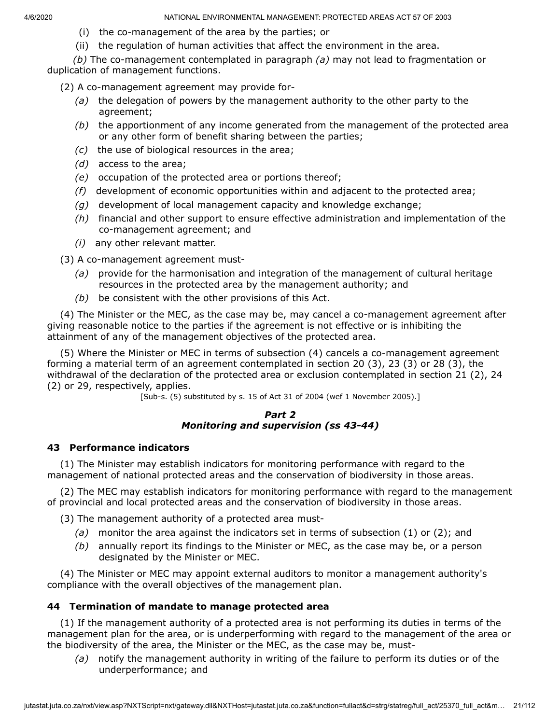- (i) the co-management of the area by the parties; or
- (ii) the regulation of human activities that affect the environment in the area.

*(b)* The co-management contemplated in paragraph *(a)* may not lead to fragmentation or duplication of management functions.

(2) A co-management agreement may provide for-

- *(a)* the delegation of powers by the management authority to the other party to the agreement;
- *(b)* the apportionment of any income generated from the management of the protected area or any other form of benefit sharing between the parties;
- *(c)* the use of biological resources in the area;
- *(d)* access to the area;
- *(e)* occupation of the protected area or portions thereof;
- *(f)* development of economic opportunities within and adjacent to the protected area;
- *(g)* development of local management capacity and knowledge exchange;
- *(h)* financial and other support to ensure effective administration and implementation of the co-management agreement; and
- *(i)* any other relevant matter.

(3) A co-management agreement must-

- *(a)* provide for the harmonisation and integration of the management of cultural heritage resources in the protected area by the management authority; and
- *(b)* be consistent with the other provisions of this Act.

(4) The Minister or the MEC, as the case may be, may cancel a co-management agreement after giving reasonable notice to the parties if the agreement is not effective or is inhibiting the attainment of any of the management objectives of the protected area.

(5) Where the Minister or MEC in terms of subsection (4) cancels a co-management agreement forming a material term of an agreement contemplated in section 20 (3), 23 (3) or 28 (3), the withdrawal of the declaration of the protected area or exclusion contemplated in section 21 (2), 24 (2) or 29, respectively, applies.

[Sub-s. (5) substituted by s. 15 of Act 31 of 2004 (wef 1 November 2005).]

#### *Part 2 Monitoring and supervision (ss 43-44)*

### **43 Performance indicators**

(1) The Minister may establish indicators for monitoring performance with regard to the management of national protected areas and the conservation of biodiversity in those areas.

(2) The MEC may establish indicators for monitoring performance with regard to the management of provincial and local protected areas and the conservation of biodiversity in those areas.

(3) The management authority of a protected area must-

- *(a)* monitor the area against the indicators set in terms of subsection (1) or (2); and
- *(b)* annually report its findings to the Minister or MEC, as the case may be, or a person designated by the Minister or MEC.

(4) The Minister or MEC may appoint external auditors to monitor a management authority's compliance with the overall objectives of the management plan.

# **44 Termination of mandate to manage protected area**

(1) If the management authority of a protected area is not performing its duties in terms of the management plan for the area, or is underperforming with regard to the management of the area or the biodiversity of the area, the Minister or the MEC, as the case may be, must-

*(a)* notify the management authority in writing of the failure to perform its duties or of the underperformance; and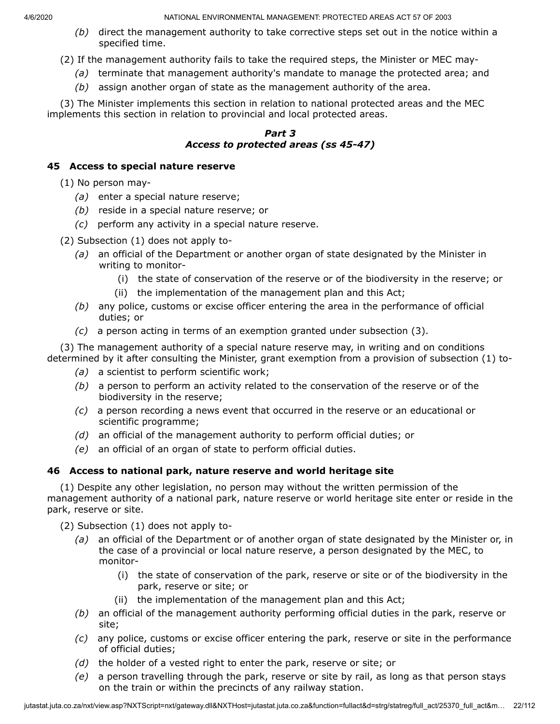*(b)* direct the management authority to take corrective steps set out in the notice within a specified time.

(2) If the management authority fails to take the required steps, the Minister or MEC may-

- *(a)* terminate that management authority's mandate to manage the protected area; and
	- *(b)* assign another organ of state as the management authority of the area.

(3) The Minister implements this section in relation to national protected areas and the MEC implements this section in relation to provincial and local protected areas.

# *Part 3 Access to protected areas (ss 45-47)*

# **45 Access to special nature reserve**

(1) No person may-

- *(a)* enter a special nature reserve;
- *(b)* reside in a special nature reserve; or
- *(c)* perform any activity in a special nature reserve.
- (2) Subsection (1) does not apply to-
	- *(a)* an official of the Department or another organ of state designated by the Minister in writing to monitor-
		- (i) the state of conservation of the reserve or of the biodiversity in the reserve; or
		- (ii) the implementation of the management plan and this Act;
	- *(b)* any police, customs or excise officer entering the area in the performance of official duties; or
	- *(c)* a person acting in terms of an exemption granted under subsection (3).

(3) The management authority of a special nature reserve may, in writing and on conditions determined by it after consulting the Minister, grant exemption from a provision of subsection (1) to-

- *(a)* a scientist to perform scientific work;
- *(b)* a person to perform an activity related to the conservation of the reserve or of the biodiversity in the reserve;
- *(c)* a person recording a news event that occurred in the reserve or an educational or scientific programme;
- *(d)* an official of the management authority to perform official duties; or
- *(e)* an official of an organ of state to perform official duties.

# **46 Access to national park, nature reserve and world heritage site**

(1) Despite any other legislation, no person may without the written permission of the management authority of a national park, nature reserve or world heritage site enter or reside in the park, reserve or site.

(2) Subsection (1) does not apply to-

- *(a)* an official of the Department or of another organ of state designated by the Minister or, in the case of a provincial or local nature reserve, a person designated by the MEC, to monitor-
	- (i) the state of conservation of the park, reserve or site or of the biodiversity in the park, reserve or site; or
	- (ii) the implementation of the management plan and this Act;
- *(b)* an official of the management authority performing official duties in the park, reserve or site;
- *(c)* any police, customs or excise officer entering the park, reserve or site in the performance of official duties;
- *(d)* the holder of a vested right to enter the park, reserve or site; or
- *(e)* a person travelling through the park, reserve or site by rail, as long as that person stays on the train or within the precincts of any railway station.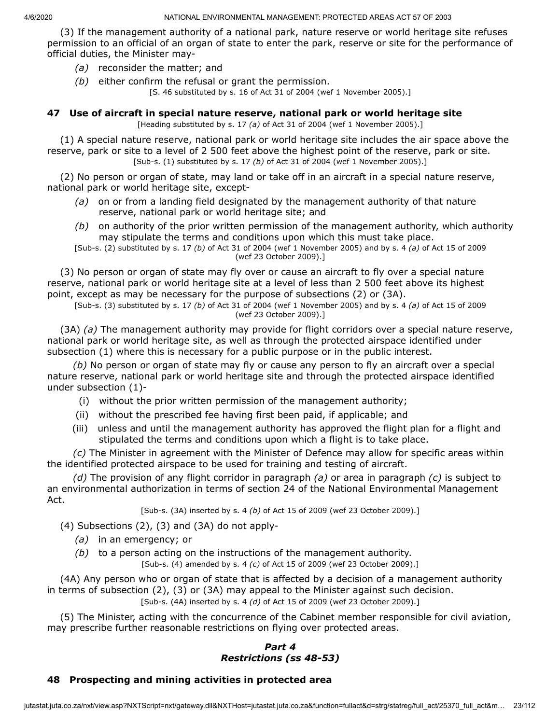(3) If the management authority of a national park, nature reserve or world heritage site refuses permission to an official of an organ of state to enter the park, reserve or site for the performance of official duties, the Minister may-

- *(a)* reconsider the matter; and
- *(b)* either confirm the refusal or grant the permission.

[S. 46 substituted by s. 16 of Act 31 of 2004 (wef 1 November 2005).]

### **47 Use of aircraft in special nature reserve, national park or world heritage site**

[Heading substituted by s. 17 *(a)* of Act 31 of 2004 (wef 1 November 2005).]

(1) A special nature reserve, national park or world heritage site includes the air space above the reserve, park or site to a level of 2 500 feet above the highest point of the reserve, park or site. [Sub-s. (1) substituted by s. 17 *(b)* of Act 31 of 2004 (wef 1 November 2005).]

(2) No person or organ of state, may land or take off in an aircraft in a special nature reserve, national park or world heritage site, except-

- *(a)* on or from a landing field designated by the management authority of that nature reserve, national park or world heritage site; and
- *(b)* on authority of the prior written permission of the management authority, which authority may stipulate the terms and conditions upon which this must take place.

[Sub-s. (2) substituted by s. 17 *(b)* of Act 31 of 2004 (wef 1 November 2005) and by s. 4 *(a)* of Act 15 of 2009 (wef 23 October 2009).]

(3) No person or organ of state may fly over or cause an aircraft to fly over a special nature reserve, national park or world heritage site at a level of less than 2 500 feet above its highest point, except as may be necessary for the purpose of subsections (2) or (3A).

[Sub-s. (3) substituted by s. 17 *(b)* of Act 31 of 2004 (wef 1 November 2005) and by s. 4 *(a)* of Act 15 of 2009 (wef 23 October 2009).]

(3A) *(a)* The management authority may provide for flight corridors over a special nature reserve, national park or world heritage site, as well as through the protected airspace identified under subsection (1) where this is necessary for a public purpose or in the public interest.

*(b)* No person or organ of state may fly or cause any person to fly an aircraft over a special nature reserve, national park or world heritage site and through the protected airspace identified under subsection (1)-

- (i) without the prior written permission of the management authority;
- (ii) without the prescribed fee having first been paid, if applicable; and
- (iii) unless and until the management authority has approved the flight plan for a flight and stipulated the terms and conditions upon which a flight is to take place.

*(c)* The Minister in agreement with the Minister of Defence may allow for specific areas within the identified protected airspace to be used for training and testing of aircraft.

*(d)* The provision of any flight corridor in paragraph *(a)* or area in paragraph *(c)* is subject to an environmental authorization in terms of section 24 of the National Environmental Management Act.

[Sub-s. (3A) inserted by s. 4 *(b)* of Act 15 of 2009 (wef 23 October 2009).]

(4) Subsections (2), (3) and (3A) do not apply-

- *(a)* in an emergency; or
- *(b)* to a person acting on the instructions of the management authority.

[Sub-s. (4) amended by s. 4 *(c)* of Act 15 of 2009 (wef 23 October 2009).]

(4A) Any person who or organ of state that is affected by a decision of a management authority in terms of subsection (2), (3) or (3A) may appeal to the Minister against such decision. [Sub-s. (4A) inserted by s. 4 *(d)* of Act 15 of 2009 (wef 23 October 2009).]

(5) The Minister, acting with the concurrence of the Cabinet member responsible for civil aviation, may prescribe further reasonable restrictions on flying over protected areas.

# *Part 4 Restrictions (ss 48-53)*

# **48 Prospecting and mining activities in protected area**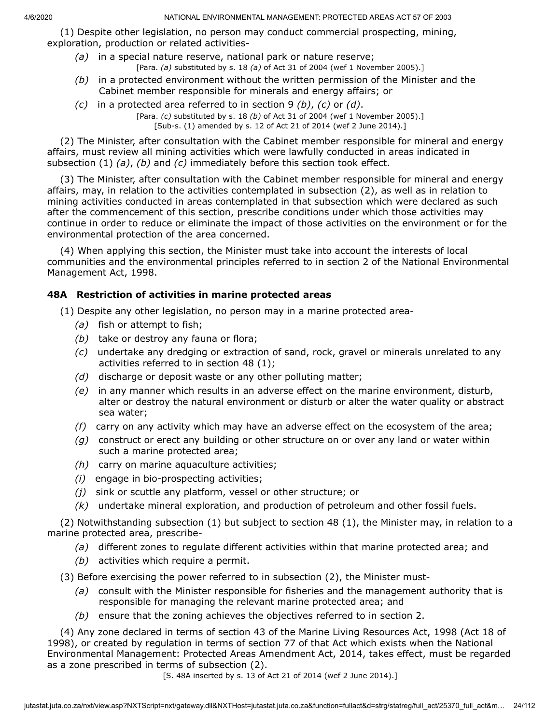(1) Despite other legislation, no person may conduct commercial prospecting, mining, exploration, production or related activities-

- *(a)* in a special nature reserve, national park or nature reserve;
	- [Para. *(a)* substituted by s. 18 *(a)* of Act 31 of 2004 (wef 1 November 2005).]
- *(b)* in a protected environment without the written permission of the Minister and the Cabinet member responsible for minerals and energy affairs; or
- *(c)* in a protected area referred to in section 9 *(b)*, *(c)* or *(d)*.
	- [Para. *(c)* substituted by s. 18 *(b)* of Act 31 of 2004 (wef 1 November 2005).] [Sub-s. (1) amended by s. 12 of Act 21 of 2014 (wef 2 June 2014).]

(2) The Minister, after consultation with the Cabinet member responsible for mineral and energy affairs, must review all mining activities which were lawfully conducted in areas indicated in subsection (1) *(a)*, *(b)* and *(c)* immediately before this section took effect.

(3) The Minister, after consultation with the Cabinet member responsible for mineral and energy affairs, may, in relation to the activities contemplated in subsection (2), as well as in relation to mining activities conducted in areas contemplated in that subsection which were declared as such after the commencement of this section, prescribe conditions under which those activities may continue in order to reduce or eliminate the impact of those activities on the environment or for the environmental protection of the area concerned.

(4) When applying this section, the Minister must take into account the interests of local communities and the environmental principles referred to in section 2 of the National Environmental Management Act, 1998.

# **48A Restriction of activities in marine protected areas**

(1) Despite any other legislation, no person may in a marine protected area-

- *(a)* fish or attempt to fish;
- *(b)* take or destroy any fauna or flora;
- *(c)* undertake any dredging or extraction of sand, rock, gravel or minerals unrelated to any activities referred to in section 48 (1);
- *(d)* discharge or deposit waste or any other polluting matter;
- *(e)* in any manner which results in an adverse effect on the marine environment, disturb, alter or destroy the natural environment or disturb or alter the water quality or abstract sea water;
- *(f)* carry on any activity which may have an adverse effect on the ecosystem of the area;
- *(g)* construct or erect any building or other structure on or over any land or water within such a marine protected area;
- *(h)* carry on marine aquaculture activities;
- *(i)* engage in bio-prospecting activities;
- *(j)* sink or scuttle any platform, vessel or other structure; or
- *(k)* undertake mineral exploration, and production of petroleum and other fossil fuels.

(2) Notwithstanding subsection (1) but subject to section 48 (1), the Minister may, in relation to a marine protected area, prescribe-

- *(a)* different zones to regulate different activities within that marine protected area; and
- *(b)* activities which require a permit.

(3) Before exercising the power referred to in subsection (2), the Minister must-

- *(a)* consult with the Minister responsible for fisheries and the management authority that is responsible for managing the relevant marine protected area; and
- *(b)* ensure that the zoning achieves the objectives referred to in section 2.

(4) Any zone declared in terms of section 43 of the Marine Living Resources Act, 1998 (Act 18 of 1998), or created by regulation in terms of section 77 of that Act which exists when the National Environmental Management: Protected Areas Amendment Act, 2014, takes effect, must be regarded as a zone prescribed in terms of subsection (2).

[S. 48A inserted by s. 13 of Act 21 of 2014 (wef 2 June 2014).]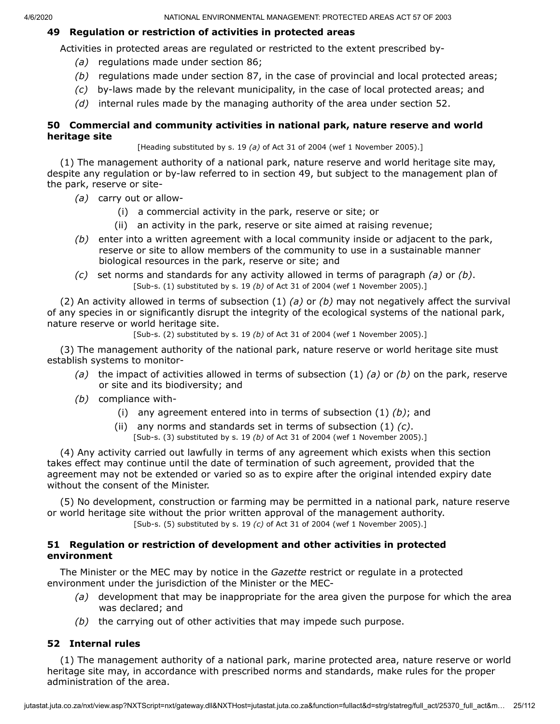# **49 Regulation or restriction of activities in protected areas**

Activities in protected areas are regulated or restricted to the extent prescribed by-

- *(a)* regulations made under section 86;
- *(b)* regulations made under section 87, in the case of provincial and local protected areas;
- *(c)* by-laws made by the relevant municipality, in the case of local protected areas; and
- *(d)* internal rules made by the managing authority of the area under section 52.

# **50 Commercial and community activities in national park, nature reserve and world heritage site**

[Heading substituted by s. 19 *(a)* of Act 31 of 2004 (wef 1 November 2005).]

(1) The management authority of a national park, nature reserve and world heritage site may, despite any regulation or by-law referred to in section 49, but subject to the management plan of the park, reserve or site-

- *(a)* carry out or allow-
	- (i) a commercial activity in the park, reserve or site; or
	- (ii) an activity in the park, reserve or site aimed at raising revenue;
- *(b)* enter into a written agreement with a local community inside or adjacent to the park, reserve or site to allow members of the community to use in a sustainable manner biological resources in the park, reserve or site; and
- *(c)* set norms and standards for any activity allowed in terms of paragraph *(a)* or *(b)*. [Sub-s. (1) substituted by s. 19 *(b)* of Act 31 of 2004 (wef 1 November 2005).]

(2) An activity allowed in terms of subsection (1) *(a)* or *(b)* may not negatively affect the survival of any species in or significantly disrupt the integrity of the ecological systems of the national park, nature reserve or world heritage site.

[Sub-s. (2) substituted by s. 19 *(b)* of Act 31 of 2004 (wef 1 November 2005).]

(3) The management authority of the national park, nature reserve or world heritage site must establish systems to monitor-

- *(a)* the impact of activities allowed in terms of subsection (1) *(a)* or *(b)* on the park, reserve or site and its biodiversity; and
- *(b)* compliance with-
	- (i) any agreement entered into in terms of subsection (1) *(b)*; and
	- (ii) any norms and standards set in terms of subsection (1) *(c)*.
		- [Sub-s. (3) substituted by s. 19 *(b)* of Act 31 of 2004 (wef 1 November 2005).]

(4) Any activity carried out lawfully in terms of any agreement which exists when this section takes effect may continue until the date of termination of such agreement, provided that the agreement may not be extended or varied so as to expire after the original intended expiry date without the consent of the Minister.

(5) No development, construction or farming may be permitted in a national park, nature reserve or world heritage site without the prior written approval of the management authority. [Sub-s. (5) substituted by s. 19 *(c)* of Act 31 of 2004 (wef 1 November 2005).]

# **51 Regulation or restriction of development and other activities in protected environment**

The Minister or the MEC may by notice in the *Gazette* restrict or regulate in a protected environment under the jurisdiction of the Minister or the MEC-

- *(a)* development that may be inappropriate for the area given the purpose for which the area was declared; and
- *(b)* the carrying out of other activities that may impede such purpose.

# **52 Internal rules**

(1) The management authority of a national park, marine protected area, nature reserve or world heritage site may, in accordance with prescribed norms and standards, make rules for the proper administration of the area.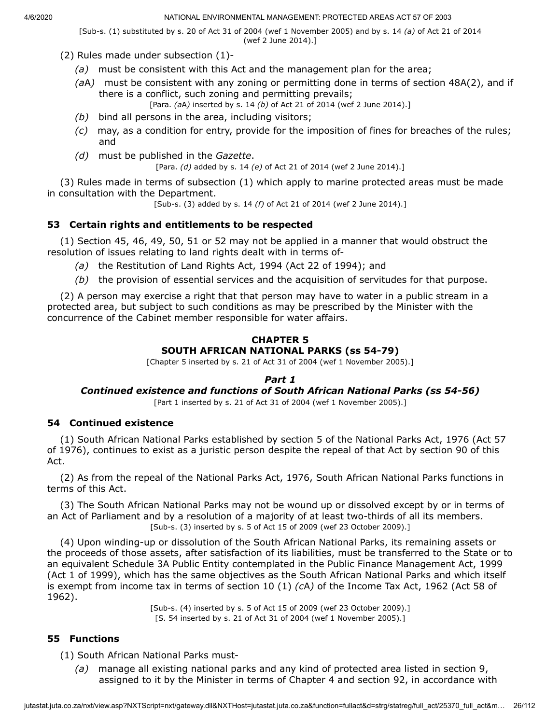[Sub-s. (1) substituted by s. 20 of Act 31 of 2004 (wef 1 November 2005) and by s. 14 *(a)* of Act 21 of 2014 (wef 2 June 2014).]

- (2) Rules made under subsection (1)-
	- *(a)* must be consistent with this Act and the management plan for the area;
	- *(a*A*)* must be consistent with any zoning or permitting done in terms of section 48A(2), and if there is a conflict, such zoning and permitting prevails;
		- [Para. *(a*A*)* inserted by s. 14 *(b)* of Act 21 of 2014 (wef 2 June 2014).]
	- *(b)* bind all persons in the area, including visitors;
	- *(c)* may, as a condition for entry, provide for the imposition of fines for breaches of the rules; and
	- *(d)* must be published in the *Gazette*.

[Para. *(d)* added by s. 14 *(e)* of Act 21 of 2014 (wef 2 June 2014).]

(3) Rules made in terms of subsection (1) which apply to marine protected areas must be made in consultation with the Department.

[Sub-s. (3) added by s. 14 *(f)* of Act 21 of 2014 (wef 2 June 2014).]

# **53 Certain rights and entitlements to be respected**

(1) Section 45, 46, 49, 50, 51 or 52 may not be applied in a manner that would obstruct the resolution of issues relating to land rights dealt with in terms of-

- *(a)* the Restitution of Land Rights Act, 1994 (Act 22 of 1994); and
- *(b)* the provision of essential services and the acquisition of servitudes for that purpose.

(2) A person may exercise a right that that person may have to water in a public stream in a protected area, but subject to such conditions as may be prescribed by the Minister with the concurrence of the Cabinet member responsible for water affairs.

# **CHAPTER 5 SOUTH AFRICAN NATIONAL PARKS (ss 54-79)**

[Chapter 5 inserted by s. 21 of Act 31 of 2004 (wef 1 November 2005).]

# *Part 1*

# *Continued existence and functions of South African National Parks (ss 54-56)*

[Part 1 inserted by s. 21 of Act 31 of 2004 (wef 1 November 2005).]

### **54 Continued existence**

(1) South African National Parks established by section 5 of the National Parks Act, 1976 (Act 57 of 1976), continues to exist as a juristic person despite the repeal of that Act by section 90 of this Act.

(2) As from the repeal of the National Parks Act, 1976, South African National Parks functions in terms of this Act.

(3) The South African National Parks may not be wound up or dissolved except by or in terms of an Act of Parliament and by a resolution of a majority of at least two-thirds of all its members. [Sub-s. (3) inserted by s. 5 of Act 15 of 2009 (wef 23 October 2009).]

(4) Upon winding-up or dissolution of the South African National Parks, its remaining assets or the proceeds of those assets, after satisfaction of its liabilities, must be transferred to the State or to an equivalent Schedule 3A Public Entity contemplated in the Public Finance Management Act, 1999 (Act 1 of 1999), which has the same objectives as the South African National Parks and which itself is exempt from income tax in terms of section 10 (1) *(c*A*)* of the Income Tax Act, 1962 (Act 58 of 1962).

> [Sub-s. (4) inserted by s. 5 of Act 15 of 2009 (wef 23 October 2009).] [S. 54 inserted by s. 21 of Act 31 of 2004 (wef 1 November 2005).]

# **55 Functions**

(1) South African National Parks must-

*(a)* manage all existing national parks and any kind of protected area listed in section 9, assigned to it by the Minister in terms of Chapter 4 and section 92, in accordance with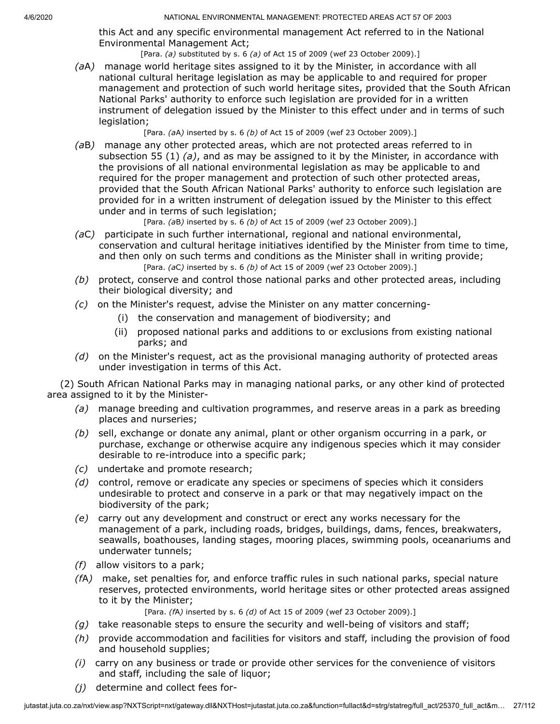this Act and any specific environmental management Act referred to in the National Environmental Management Act;

[Para. *(a)* substituted by s. 6 *(a)* of Act 15 of 2009 (wef 23 October 2009).]

*(a*A*)* manage world heritage sites assigned to it by the Minister, in accordance with all national cultural heritage legislation as may be applicable to and required for proper management and protection of such world heritage sites, provided that the South African National Parks' authority to enforce such legislation are provided for in a written instrument of delegation issued by the Minister to this effect under and in terms of such legislation;

[Para. *(a*A*)* inserted by s. 6 *(b)* of Act 15 of 2009 (wef 23 October 2009).]

*(a*B*)* manage any other protected areas, which are not protected areas referred to in subsection 55 (1) *(a)*, and as may be assigned to it by the Minister, in accordance with the provisions of all national environmental legislation as may be applicable to and required for the proper management and protection of such other protected areas, provided that the South African National Parks' authority to enforce such legislation are provided for in a written instrument of delegation issued by the Minister to this effect under and in terms of such legislation;

[Para. *(a*B*)* inserted by s. 6 *(b)* of Act 15 of 2009 (wef 23 October 2009).]

- *(a*C*)* participate in such further international, regional and national environmental, conservation and cultural heritage initiatives identified by the Minister from time to time, and then only on such terms and conditions as the Minister shall in writing provide; [Para. *(a*C*)* inserted by s. 6 *(b)* of Act 15 of 2009 (wef 23 October 2009).]
- *(b)* protect, conserve and control those national parks and other protected areas, including their biological diversity; and
- *(c)* on the Minister's request, advise the Minister on any matter concerning-
	- (i) the conservation and management of biodiversity; and
	- (ii) proposed national parks and additions to or exclusions from existing national parks; and
- *(d)* on the Minister's request, act as the provisional managing authority of protected areas under investigation in terms of this Act.

(2) South African National Parks may in managing national parks, or any other kind of protected area assigned to it by the Minister-

- *(a)* manage breeding and cultivation programmes, and reserve areas in a park as breeding places and nurseries;
- *(b)* sell, exchange or donate any animal, plant or other organism occurring in a park, or purchase, exchange or otherwise acquire any indigenous species which it may consider desirable to re-introduce into a specific park;
- *(c)* undertake and promote research;
- *(d)* control, remove or eradicate any species or specimens of species which it considers undesirable to protect and conserve in a park or that may negatively impact on the biodiversity of the park;
- *(e)* carry out any development and construct or erect any works necessary for the management of a park, including roads, bridges, buildings, dams, fences, breakwaters, seawalls, boathouses, landing stages, mooring places, swimming pools, oceanariums and underwater tunnels;
- *(f)* allow visitors to a park;
- *(f*A*)* make, set penalties for, and enforce traffic rules in such national parks, special nature reserves, protected environments, world heritage sites or other protected areas assigned to it by the Minister;

[Para. *(f*A*)* inserted by s. 6 *(d)* of Act 15 of 2009 (wef 23 October 2009).]

- *(g)* take reasonable steps to ensure the security and well-being of visitors and staff;
- *(h)* provide accommodation and facilities for visitors and staff, including the provision of food and household supplies;
- *(i)* carry on any business or trade or provide other services for the convenience of visitors and staff, including the sale of liquor;
- *(j)* determine and collect fees for-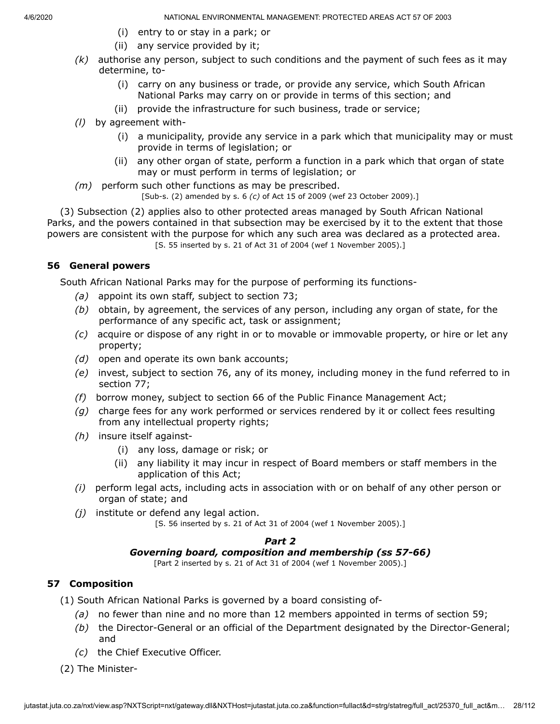- (i) entry to or stay in a park; or
- (ii) any service provided by it;
- *(k)* authorise any person, subject to such conditions and the payment of such fees as it may determine, to-
	- (i) carry on any business or trade, or provide any service, which South African National Parks may carry on or provide in terms of this section; and
	- (ii) provide the infrastructure for such business, trade or service;
- *(l)* by agreement with-
	- (i) a municipality, provide any service in a park which that municipality may or must provide in terms of legislation; or
	- (ii) any other organ of state, perform a function in a park which that organ of state may or must perform in terms of legislation; or
- *(m)* perform such other functions as may be prescribed. [Sub-s. (2) amended by s. 6 *(c)* of Act 15 of 2009 (wef 23 October 2009).]

(3) Subsection (2) applies also to other protected areas managed by South African National

Parks, and the powers contained in that subsection may be exercised by it to the extent that those powers are consistent with the purpose for which any such area was declared as a protected area. [S. 55 inserted by s. 21 of Act 31 of 2004 (wef 1 November 2005).]

# **56 General powers**

South African National Parks may for the purpose of performing its functions-

- *(a)* appoint its own staff, subject to section 73;
- *(b)* obtain, by agreement, the services of any person, including any organ of state, for the performance of any specific act, task or assignment;
- *(c)* acquire or dispose of any right in or to movable or immovable property, or hire or let any property;
- *(d)* open and operate its own bank accounts;
- *(e)* invest, subject to section 76, any of its money, including money in the fund referred to in section 77;
- *(f)* borrow money, subject to section 66 of the Public Finance Management Act;
- *(g)* charge fees for any work performed or services rendered by it or collect fees resulting from any intellectual property rights;
- *(h)* insure itself against-
	- (i) any loss, damage or risk; or
	- (ii) any liability it may incur in respect of Board members or staff members in the application of this Act;
- *(i)* perform legal acts, including acts in association with or on behalf of any other person or organ of state; and
- *(j)* institute or defend any legal action.

[S. 56 inserted by s. 21 of Act 31 of 2004 (wef 1 November 2005).]

# *Part 2*

# *Governing board, composition and membership (ss 57-66)*

[Part 2 inserted by s. 21 of Act 31 of 2004 (wef 1 November 2005).]

# **57 Composition**

(1) South African National Parks is governed by a board consisting of-

- *(a)* no fewer than nine and no more than 12 members appointed in terms of section 59;
- *(b)* the Director-General or an official of the Department designated by the Director-General; and
- *(c)* the Chief Executive Officer.
- (2) The Minister-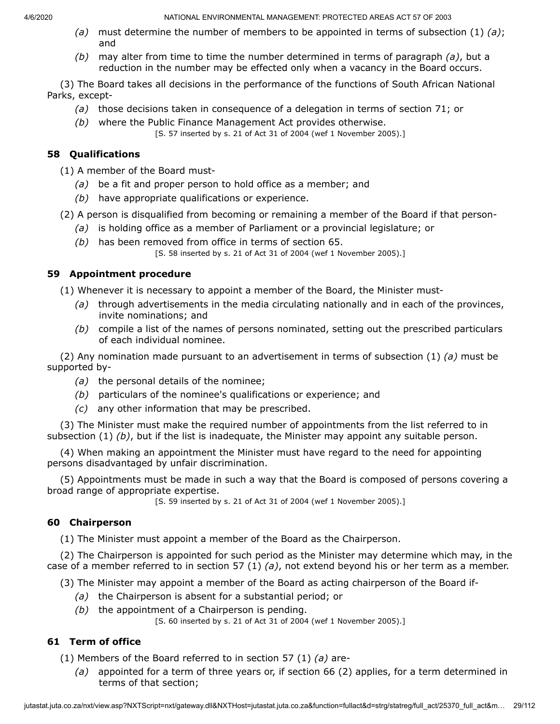- *(a)* must determine the number of members to be appointed in terms of subsection (1) *(a)*; and
- *(b)* may alter from time to time the number determined in terms of paragraph *(a)*, but a reduction in the number may be effected only when a vacancy in the Board occurs.

(3) The Board takes all decisions in the performance of the functions of South African National Parks, except-

- *(a)* those decisions taken in consequence of a delegation in terms of section 71; or
- *(b)* where the Public Finance Management Act provides otherwise.

[S. 57 inserted by s. 21 of Act 31 of 2004 (wef 1 November 2005).]

# **58 Qualifications**

(1) A member of the Board must-

- *(a)* be a fit and proper person to hold office as a member; and
- *(b)* have appropriate qualifications or experience.

(2) A person is disqualified from becoming or remaining a member of the Board if that person-

- *(a)* is holding office as a member of Parliament or a provincial legislature; or
- *(b)* has been removed from office in terms of section 65.

[S. 58 inserted by s. 21 of Act 31 of 2004 (wef 1 November 2005).]

# **59 Appointment procedure**

(1) Whenever it is necessary to appoint a member of the Board, the Minister must-

- *(a)* through advertisements in the media circulating nationally and in each of the provinces, invite nominations; and
- *(b)* compile a list of the names of persons nominated, setting out the prescribed particulars of each individual nominee.

(2) Any nomination made pursuant to an advertisement in terms of subsection (1) *(a)* must be supported by-

- *(a)* the personal details of the nominee;
- *(b)* particulars of the nominee's qualifications or experience; and
- *(c)* any other information that may be prescribed.

(3) The Minister must make the required number of appointments from the list referred to in subsection (1) *(b)*, but if the list is inadequate, the Minister may appoint any suitable person.

(4) When making an appointment the Minister must have regard to the need for appointing persons disadvantaged by unfair discrimination.

(5) Appointments must be made in such a way that the Board is composed of persons covering a broad range of appropriate expertise.

[S. 59 inserted by s. 21 of Act 31 of 2004 (wef 1 November 2005).]

# **60 Chairperson**

(1) The Minister must appoint a member of the Board as the Chairperson.

(2) The Chairperson is appointed for such period as the Minister may determine which may, in the case of a member referred to in section 57 (1) *(a)*, not extend beyond his or her term as a member.

(3) The Minister may appoint a member of the Board as acting chairperson of the Board if-

- *(a)* the Chairperson is absent for a substantial period; or
- *(b)* the appointment of a Chairperson is pending.

[S. 60 inserted by s. 21 of Act 31 of 2004 (wef 1 November 2005).]

# **61 Term of office**

(1) Members of the Board referred to in section 57 (1) *(a)* are-

*(a)* appointed for a term of three years or, if section 66 (2) applies, for a term determined in terms of that section;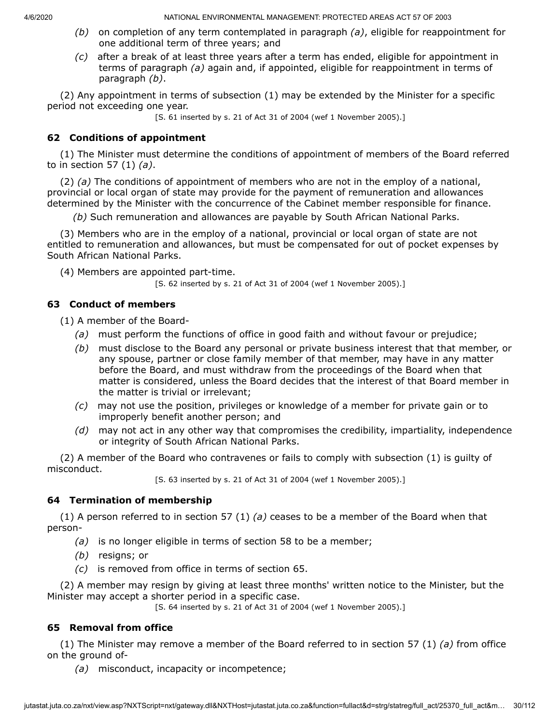- *(b)* on completion of any term contemplated in paragraph *(a)*, eligible for reappointment for one additional term of three years; and
- *(c)* after a break of at least three years after a term has ended, eligible for appointment in terms of paragraph *(a)* again and, if appointed, eligible for reappointment in terms of paragraph *(b)*.

(2) Any appointment in terms of subsection (1) may be extended by the Minister for a specific period not exceeding one year.

[S. 61 inserted by s. 21 of Act 31 of 2004 (wef 1 November 2005).]

# **62 Conditions of appointment**

(1) The Minister must determine the conditions of appointment of members of the Board referred to in section 57 (1) *(a)*.

(2) *(a)* The conditions of appointment of members who are not in the employ of a national, provincial or local organ of state may provide for the payment of remuneration and allowances determined by the Minister with the concurrence of the Cabinet member responsible for finance.

*(b)* Such remuneration and allowances are payable by South African National Parks.

(3) Members who are in the employ of a national, provincial or local organ of state are not entitled to remuneration and allowances, but must be compensated for out of pocket expenses by South African National Parks.

```
(4) Members are appointed part-time.
```
[S. 62 inserted by s. 21 of Act 31 of 2004 (wef 1 November 2005).]

# **63 Conduct of members**

(1) A member of the Board-

- *(a)* must perform the functions of office in good faith and without favour or prejudice;
- *(b)* must disclose to the Board any personal or private business interest that that member, or any spouse, partner or close family member of that member, may have in any matter before the Board, and must withdraw from the proceedings of the Board when that matter is considered, unless the Board decides that the interest of that Board member in the matter is trivial or irrelevant;
- *(c)* may not use the position, privileges or knowledge of a member for private gain or to improperly benefit another person; and
- *(d)* may not act in any other way that compromises the credibility, impartiality, independence or integrity of South African National Parks.

(2) A member of the Board who contravenes or fails to comply with subsection (1) is guilty of misconduct.

[S. 63 inserted by s. 21 of Act 31 of 2004 (wef 1 November 2005).]

### **64 Termination of membership**

(1) A person referred to in section 57 (1) *(a)* ceases to be a member of the Board when that person-

- *(a)* is no longer eligible in terms of section 58 to be a member;
- *(b)* resigns; or
- *(c)* is removed from office in terms of section 65.

(2) A member may resign by giving at least three months' written notice to the Minister, but the Minister may accept a shorter period in a specific case.

[S. 64 inserted by s. 21 of Act 31 of 2004 (wef 1 November 2005).]

# **65 Removal from office**

(1) The Minister may remove a member of the Board referred to in section 57 (1) *(a)* from office on the ground of-

*(a)* misconduct, incapacity or incompetence;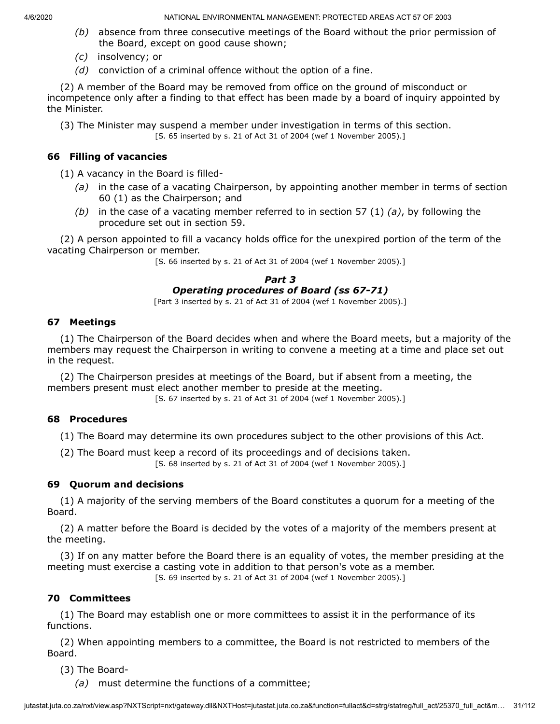- *(b)* absence from three consecutive meetings of the Board without the prior permission of the Board, except on good cause shown;
- *(c)* insolvency; or
- *(d)* conviction of a criminal offence without the option of a fine.

(2) A member of the Board may be removed from office on the ground of misconduct or incompetence only after a finding to that effect has been made by a board of inquiry appointed by the Minister.

(3) The Minister may suspend a member under investigation in terms of this section. [S. 65 inserted by s. 21 of Act 31 of 2004 (wef 1 November 2005).]

# **66 Filling of vacancies**

(1) A vacancy in the Board is filled-

- *(a)* in the case of a vacating Chairperson, by appointing another member in terms of section 60 (1) as the Chairperson; and
- *(b)* in the case of a vacating member referred to in section 57 (1) *(a)*, by following the procedure set out in section 59.

(2) A person appointed to fill a vacancy holds office for the unexpired portion of the term of the vacating Chairperson or member.

[S. 66 inserted by s. 21 of Act 31 of 2004 (wef 1 November 2005).]

# *Part 3 Operating procedures of Board (ss 67-71)*

[Part 3 inserted by s. 21 of Act 31 of 2004 (wef 1 November 2005).]

# **67 Meetings**

(1) The Chairperson of the Board decides when and where the Board meets, but a majority of the members may request the Chairperson in writing to convene a meeting at a time and place set out in the request.

(2) The Chairperson presides at meetings of the Board, but if absent from a meeting, the members present must elect another member to preside at the meeting.

[S. 67 inserted by s. 21 of Act 31 of 2004 (wef 1 November 2005).]

# **68 Procedures**

(1) The Board may determine its own procedures subject to the other provisions of this Act.

(2) The Board must keep a record of its proceedings and of decisions taken. [S. 68 inserted by s. 21 of Act 31 of 2004 (wef 1 November 2005).]

# **69 Quorum and decisions**

(1) A majority of the serving members of the Board constitutes a quorum for a meeting of the Board.

(2) A matter before the Board is decided by the votes of a majority of the members present at the meeting.

(3) If on any matter before the Board there is an equality of votes, the member presiding at the meeting must exercise a casting vote in addition to that person's vote as a member.

[S. 69 inserted by s. 21 of Act 31 of 2004 (wef 1 November 2005).]

# **70 Committees**

(1) The Board may establish one or more committees to assist it in the performance of its functions.

(2) When appointing members to a committee, the Board is not restricted to members of the Board.

(3) The Board-

*(a)* must determine the functions of a committee;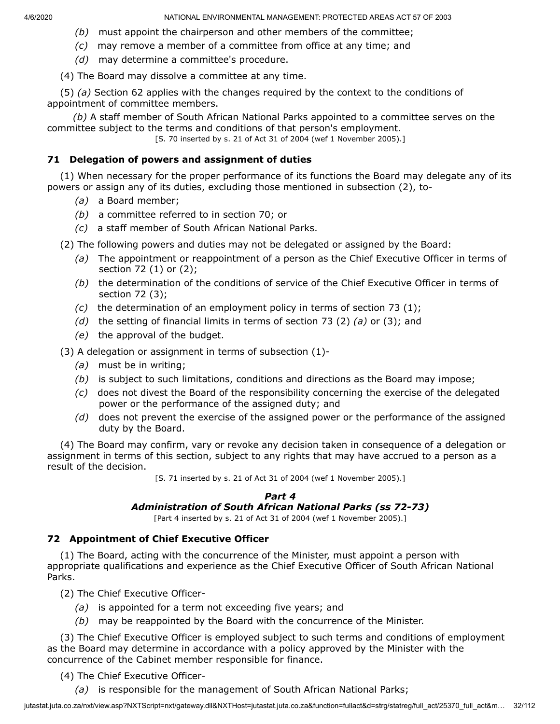- *(b)* must appoint the chairperson and other members of the committee;
- *(c)* may remove a member of a committee from office at any time; and
- *(d)* may determine a committee's procedure.
- (4) The Board may dissolve a committee at any time.

(5) *(a)* Section 62 applies with the changes required by the context to the conditions of appointment of committee members.

*(b)* A staff member of South African National Parks appointed to a committee serves on the committee subject to the terms and conditions of that person's employment.

[S. 70 inserted by s. 21 of Act 31 of 2004 (wef 1 November 2005).]

### **71 Delegation of powers and assignment of duties**

(1) When necessary for the proper performance of its functions the Board may delegate any of its powers or assign any of its duties, excluding those mentioned in subsection (2), to-

- *(a)* a Board member;
- *(b)* a committee referred to in section 70; or
- *(c)* a staff member of South African National Parks.

(2) The following powers and duties may not be delegated or assigned by the Board:

- *(a)* The appointment or reappointment of a person as the Chief Executive Officer in terms of section 72 (1) or (2);
- *(b)* the determination of the conditions of service of the Chief Executive Officer in terms of section 72 (3);
- *(c)* the determination of an employment policy in terms of section 73 (1);
- *(d)* the setting of financial limits in terms of section 73 (2) *(a)* or (3); and
- *(e)* the approval of the budget.

(3) A delegation or assignment in terms of subsection (1)-

- *(a)* must be in writing;
- *(b)* is subject to such limitations, conditions and directions as the Board may impose;
- *(c)* does not divest the Board of the responsibility concerning the exercise of the delegated power or the performance of the assigned duty; and
- *(d)* does not prevent the exercise of the assigned power or the performance of the assigned duty by the Board.

(4) The Board may confirm, vary or revoke any decision taken in consequence of a delegation or assignment in terms of this section, subject to any rights that may have accrued to a person as a result of the decision.

[S. 71 inserted by s. 21 of Act 31 of 2004 (wef 1 November 2005).]

#### *Part 4*

### *Administration of South African National Parks (ss 72-73)*

[Part 4 inserted by s. 21 of Act 31 of 2004 (wef 1 November 2005).]

# **72 Appointment of Chief Executive Officer**

(1) The Board, acting with the concurrence of the Minister, must appoint a person with appropriate qualifications and experience as the Chief Executive Officer of South African National Parks.

(2) The Chief Executive Officer-

- *(a)* is appointed for a term not exceeding five years; and
- *(b)* may be reappointed by the Board with the concurrence of the Minister.

(3) The Chief Executive Officer is employed subject to such terms and conditions of employment as the Board may determine in accordance with a policy approved by the Minister with the concurrence of the Cabinet member responsible for finance.

(4) The Chief Executive Officer-

*(a)* is responsible for the management of South African National Parks;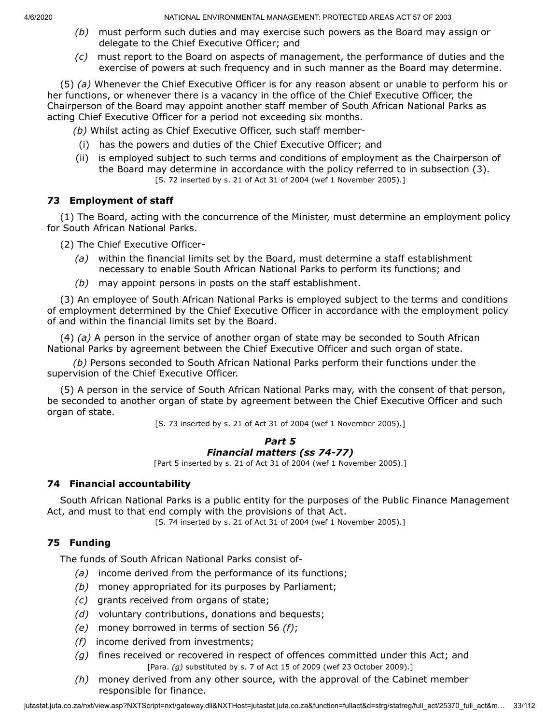- *(b)* must perform such duties and may exercise such powers as the Board may assign or delegate to the Chief Executive Officer; and
- *(c)* must report to the Board on aspects of management, the performance of duties and the exercise of powers at such frequency and in such manner as the Board may determine.

(5) *(a)* Whenever the Chief Executive Officer is for any reason absent or unable to perform his or her functions, or whenever there is a vacancy in the office of the Chief Executive Officer, the Chairperson of the Board may appoint another staff member of South African National Parks as acting Chief Executive Officer for a period not exceeding six months.

*(b)* Whilst acting as Chief Executive Officer, such staff member-

- (i) has the powers and duties of the Chief Executive Officer; and
- (ii) is employed subject to such terms and conditions of employment as the Chairperson of the Board may determine in accordance with the policy referred to in subsection (3). [S. 72 inserted by s. 21 of Act 31 of 2004 (wef 1 November 2005).]

# **73 Employment of staff**

(1) The Board, acting with the concurrence of the Minister, must determine an employment policy for South African National Parks.

(2) The Chief Executive Officer-

- *(a)* within the financial limits set by the Board, must determine a staff establishment necessary to enable South African National Parks to perform its functions; and
- *(b)* may appoint persons in posts on the staff establishment.

(3) An employee of South African National Parks is employed subject to the terms and conditions of employment determined by the Chief Executive Officer in accordance with the employment policy of and within the financial limits set by the Board.

(4) *(a)* A person in the service of another organ of state may be seconded to South African National Parks by agreement between the Chief Executive Officer and such organ of state.

*(b)* Persons seconded to South African National Parks perform their functions under the supervision of the Chief Executive Officer.

(5) A person in the service of South African National Parks may, with the consent of that person, be seconded to another organ of state by agreement between the Chief Executive Officer and such organ of state.

[S. 73 inserted by s. 21 of Act 31 of 2004 (wef 1 November 2005).]

#### *Part 5 Financial matters (ss 74-77)*

[Part 5 inserted by s. 21 of Act 31 of 2004 (wef 1 November 2005).]

### **74 Financial accountability**

South African National Parks is a public entity for the purposes of the Public Finance Management Act, and must to that end comply with the provisions of that Act.

[S. 74 inserted by s. 21 of Act 31 of 2004 (wef 1 November 2005).]

### **75 Funding**

The funds of South African National Parks consist of-

- *(a)* income derived from the performance of its functions;
- *(b)* money appropriated for its purposes by Parliament;
- *(c)* grants received from organs of state;
- *(d)* voluntary contributions, donations and bequests;
- *(e)* money borrowed in terms of section 56 *(f)*;
- *(f)* income derived from investments;
- *(g)* fines received or recovered in respect of offences committed under this Act; and [Para. *(g)* substituted by s. 7 of Act 15 of 2009 (wef 23 October 2009).]
- *(h)* money derived from any other source, with the approval of the Cabinet member responsible for finance.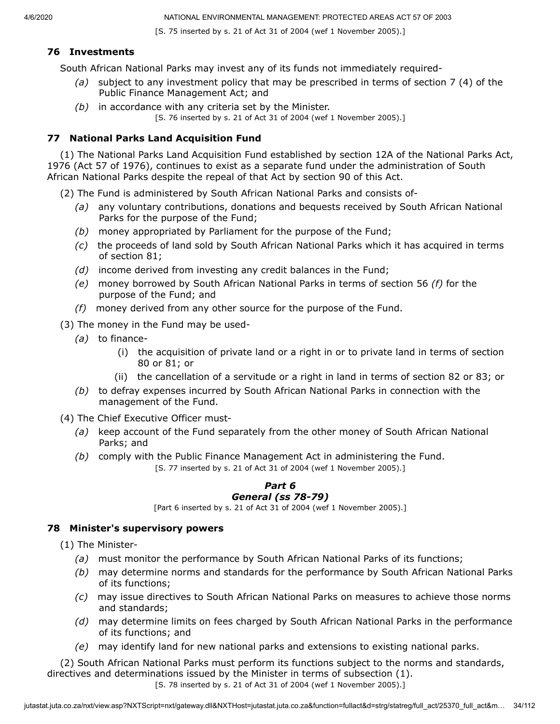[S. 75 inserted by s. 21 of Act 31 of 2004 (wef 1 November 2005).]

# **76 Investments**

South African National Parks may invest any of its funds not immediately required-

- *(a)* subject to any investment policy that may be prescribed in terms of section 7 (4) of the Public Finance Management Act; and
- *(b)* in accordance with any criteria set by the Minister. [S. 76 inserted by s. 21 of Act 31 of 2004 (wef 1 November 2005).]

# **77 National Parks Land Acquisition Fund**

(1) The National Parks Land Acquisition Fund established by section 12A of the National Parks Act, 1976 (Act 57 of 1976), continues to exist as a separate fund under the administration of South African National Parks despite the repeal of that Act by section 90 of this Act.

- (2) The Fund is administered by South African National Parks and consists of-
	- *(a)* any voluntary contributions, donations and bequests received by South African National Parks for the purpose of the Fund;
	- *(b)* money appropriated by Parliament for the purpose of the Fund;
	- *(c)* the proceeds of land sold by South African National Parks which it has acquired in terms of section 81;
	- *(d)* income derived from investing any credit balances in the Fund;
	- *(e)* money borrowed by South African National Parks in terms of section 56 *(f)* for the purpose of the Fund; and
	- *(f)* money derived from any other source for the purpose of the Fund.
- (3) The money in the Fund may be used-
	- *(a)* to finance-
		- (i) the acquisition of private land or a right in or to private land in terms of section 80 or 81; or
		- (ii) the cancellation of a servitude or a right in land in terms of section 82 or 83; or
	- *(b)* to defray expenses incurred by South African National Parks in connection with the management of the Fund.
- (4) The Chief Executive Officer must-
	- *(a)* keep account of the Fund separately from the other money of South African National Parks; and
	- *(b)* comply with the Public Finance Management Act in administering the Fund. [S. 77 inserted by s. 21 of Act 31 of 2004 (wef 1 November 2005).]

### *Part 6 General (ss 78-79)*

[Part 6 inserted by s. 21 of Act 31 of 2004 (wef 1 November 2005).]

### **78 Minister's supervisory powers**

(1) The Minister-

- *(a)* must monitor the performance by South African National Parks of its functions;
- *(b)* may determine norms and standards for the performance by South African National Parks of its functions;
- *(c)* may issue directives to South African National Parks on measures to achieve those norms and standards;
- *(d)* may determine limits on fees charged by South African National Parks in the performance of its functions; and
- *(e)* may identify land for new national parks and extensions to existing national parks.

(2) South African National Parks must perform its functions subject to the norms and standards, directives and determinations issued by the Minister in terms of subsection (1).

[S. 78 inserted by s. 21 of Act 31 of 2004 (wef 1 November 2005).]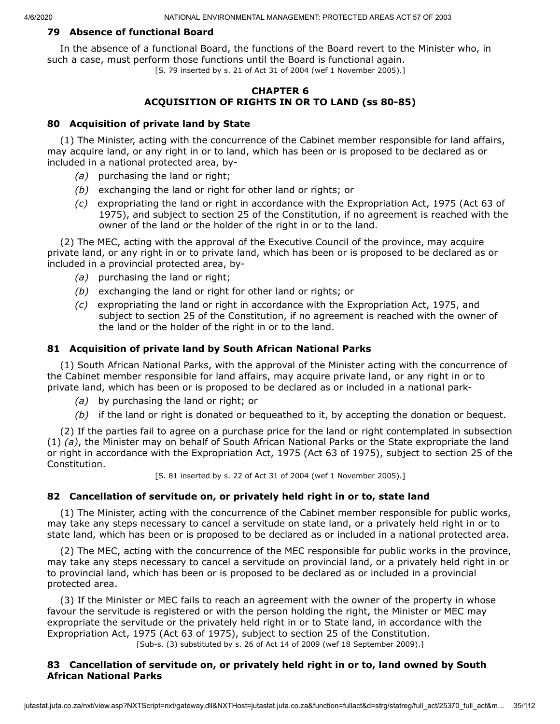#### **79 Absence of functional Board**

In the absence of a functional Board, the functions of the Board revert to the Minister who, in such a case, must perform those functions until the Board is functional again. [S. 79 inserted by s. 21 of Act 31 of 2004 (wef 1 November 2005).]

### **CHAPTER 6 ACQUISITION OF RIGHTS IN OR TO LAND (ss 80-85)**

#### **80 Acquisition of private land by State**

(1) The Minister, acting with the concurrence of the Cabinet member responsible for land affairs, may acquire land, or any right in or to land, which has been or is proposed to be declared as or included in a national protected area, by-

- *(a)* purchasing the land or right;
- *(b)* exchanging the land or right for other land or rights; or
- *(c)* expropriating the land or right in accordance with the Expropriation Act, 1975 (Act 63 of 1975), and subject to section 25 of the Constitution, if no agreement is reached with the owner of the land or the holder of the right in or to the land.

(2) The MEC, acting with the approval of the Executive Council of the province, may acquire private land, or any right in or to private land, which has been or is proposed to be declared as or included in a provincial protected area, by-

- *(a)* purchasing the land or right;
- *(b)* exchanging the land or right for other land or rights; or
- *(c)* expropriating the land or right in accordance with the Expropriation Act, 1975, and subject to section 25 of the Constitution, if no agreement is reached with the owner of the land or the holder of the right in or to the land.

#### **81 Acquisition of private land by South African National Parks**

(1) South African National Parks, with the approval of the Minister acting with the concurrence of the Cabinet member responsible for land affairs, may acquire private land, or any right in or to private land, which has been or is proposed to be declared as or included in a national park-

- *(a)* by purchasing the land or right; or
- *(b)* if the land or right is donated or bequeathed to it, by accepting the donation or bequest.

(2) If the parties fail to agree on a purchase price for the land or right contemplated in subsection (1) *(a)*, the Minister may on behalf of South African National Parks or the State expropriate the land or right in accordance with the Expropriation Act, 1975 (Act 63 of 1975), subject to section 25 of the Constitution.

[S. 81 inserted by s. 22 of Act 31 of 2004 (wef 1 November 2005).]

#### **82 Cancellation of servitude on, or privately held right in or to, state land**

(1) The Minister, acting with the concurrence of the Cabinet member responsible for public works, may take any steps necessary to cancel a servitude on state land, or a privately held right in or to state land, which has been or is proposed to be declared as or included in a national protected area.

(2) The MEC, acting with the concurrence of the MEC responsible for public works in the province, may take any steps necessary to cancel a servitude on provincial land, or a privately held right in or to provincial land, which has been or is proposed to be declared as or included in a provincial protected area.

(3) If the Minister or MEC fails to reach an agreement with the owner of the property in whose favour the servitude is registered or with the person holding the right, the Minister or MEC may expropriate the servitude or the privately held right in or to State land, in accordance with the Expropriation Act, 1975 (Act 63 of 1975), subject to section 25 of the Constitution. [Sub-s. (3) substituted by s. 26 of Act 14 of 2009 (wef 18 September 2009).]

#### **83 Cancellation of servitude on, or privately held right in or to, land owned by South African National Parks**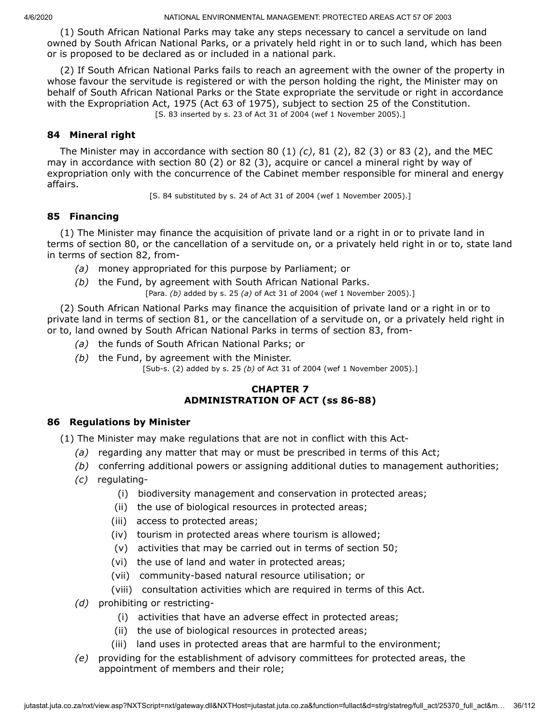(1) South African National Parks may take any steps necessary to cancel a servitude on land owned by South African National Parks, or a privately held right in or to such land, which has been or is proposed to be declared as or included in a national park.

(2) If South African National Parks fails to reach an agreement with the owner of the property in whose favour the servitude is registered or with the person holding the right, the Minister may on behalf of South African National Parks or the State expropriate the servitude or right in accordance with the Expropriation Act, 1975 (Act 63 of 1975), subject to section 25 of the Constitution. [S. 83 inserted by s. 23 of Act 31 of 2004 (wef 1 November 2005).]

# **84 Mineral right**

The Minister may in accordance with section 80 (1) *(c)*, 81 (2), 82 (3) or 83 (2), and the MEC may in accordance with section 80 (2) or 82 (3), acquire or cancel a mineral right by way of expropriation only with the concurrence of the Cabinet member responsible for mineral and energy affairs.

[S. 84 substituted by s. 24 of Act 31 of 2004 (wef 1 November 2005).]

# **85 Financing**

(1) The Minister may finance the acquisition of private land or a right in or to private land in terms of section 80, or the cancellation of a servitude on, or a privately held right in or to, state land in terms of section 82, from-

- *(a)* money appropriated for this purpose by Parliament; or
- *(b)* the Fund, by agreement with South African National Parks. [Para. *(b)* added by s. 25 *(a)* of Act 31 of 2004 (wef 1 November 2005).]

(2) South African National Parks may finance the acquisition of private land or a right in or to private land in terms of section 81, or the cancellation of a servitude on, or a privately held right in or to, land owned by South African National Parks in terms of section 83, from-

- *(a)* the funds of South African National Parks; or
- *(b)* the Fund, by agreement with the Minister.

[Sub-s. (2) added by s. 25 *(b)* of Act 31 of 2004 (wef 1 November 2005).]

# **CHAPTER 7 ADMINISTRATION OF ACT (ss 86-88)**

# **86 Regulations by Minister**

- (1) The Minister may make regulations that are not in conflict with this Act-
	- *(a)* regarding any matter that may or must be prescribed in terms of this Act;
	- *(b)* conferring additional powers or assigning additional duties to management authorities;
	- *(c)* regulating-
		- (i) biodiversity management and conservation in protected areas;
		- (ii) the use of biological resources in protected areas;
		- (iii) access to protected areas;
		- (iv) tourism in protected areas where tourism is allowed;
		- (v) activities that may be carried out in terms of section 50;
		- (vi) the use of land and water in protected areas;
		- (vii) community-based natural resource utilisation; or
		- (viii) consultation activities which are required in terms of this Act.
	- *(d)* prohibiting or restricting-
		- (i) activities that have an adverse effect in protected areas;
		- (ii) the use of biological resources in protected areas;
		- (iii) land uses in protected areas that are harmful to the environment;
	- *(e)* providing for the establishment of advisory committees for protected areas, the appointment of members and their role;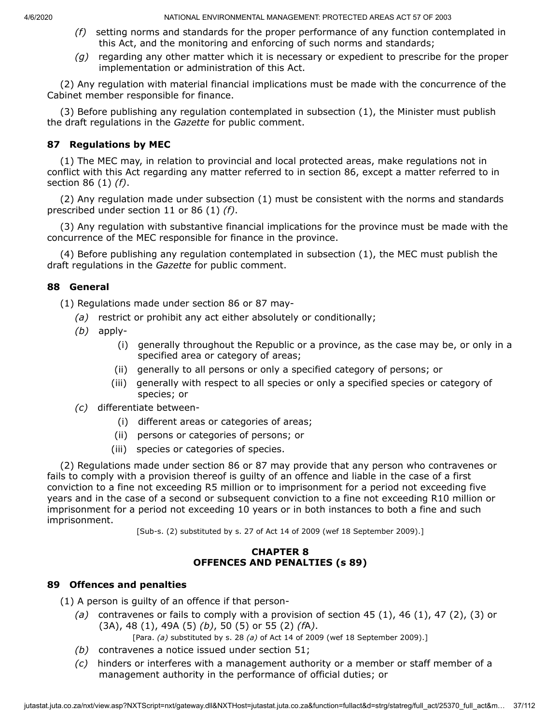- *(f)* setting norms and standards for the proper performance of any function contemplated in this Act, and the monitoring and enforcing of such norms and standards;
- *(g)* regarding any other matter which it is necessary or expedient to prescribe for the proper implementation or administration of this Act.

(2) Any regulation with material financial implications must be made with the concurrence of the Cabinet member responsible for finance.

(3) Before publishing any regulation contemplated in subsection (1), the Minister must publish the draft regulations in the *Gazette* for public comment.

## **87 Regulations by MEC**

(1) The MEC may, in relation to provincial and local protected areas, make regulations not in conflict with this Act regarding any matter referred to in section 86, except a matter referred to in section 86 (1) *(f)*.

(2) Any regulation made under subsection (1) must be consistent with the norms and standards prescribed under section 11 or 86 (1) *(f)*.

(3) Any regulation with substantive financial implications for the province must be made with the concurrence of the MEC responsible for finance in the province.

(4) Before publishing any regulation contemplated in subsection (1), the MEC must publish the draft regulations in the *Gazette* for public comment.

### **88 General**

(1) Regulations made under section 86 or 87 may-

- *(a)* restrict or prohibit any act either absolutely or conditionally;
- *(b)* apply-
	- (i) generally throughout the Republic or a province, as the case may be, or only in a specified area or category of areas;
	- (ii) generally to all persons or only a specified category of persons; or
	- (iii) generally with respect to all species or only a specified species or category of species; or
- *(c)* differentiate between-
	- (i) different areas or categories of areas;
	- (ii) persons or categories of persons; or
	- (iii) species or categories of species.

(2) Regulations made under section 86 or 87 may provide that any person who contravenes or fails to comply with a provision thereof is guilty of an offence and liable in the case of a first conviction to a fine not exceeding R5 million or to imprisonment for a period not exceeding five years and in the case of a second or subsequent conviction to a fine not exceeding R10 million or imprisonment for a period not exceeding 10 years or in both instances to both a fine and such imprisonment.

[Sub-s. (2) substituted by s. 27 of Act 14 of 2009 (wef 18 September 2009).]

### **CHAPTER 8 OFFENCES AND PENALTIES (s 89)**

#### **89 Offences and penalties**

(1) A person is guilty of an offence if that person-

*(a)* contravenes or fails to comply with a provision of section 45 (1), 46 (1), 47 (2), (3) or (3A), 48 (1), 49A (5) *(b)*, 50 (5) or 55 (2) *(f*A*)*.

[Para. *(a)* substituted by s. 28 *(a)* of Act 14 of 2009 (wef 18 September 2009).]

- *(b)* contravenes a notice issued under section 51;
- *(c)* hinders or interferes with a management authority or a member or staff member of a management authority in the performance of official duties; or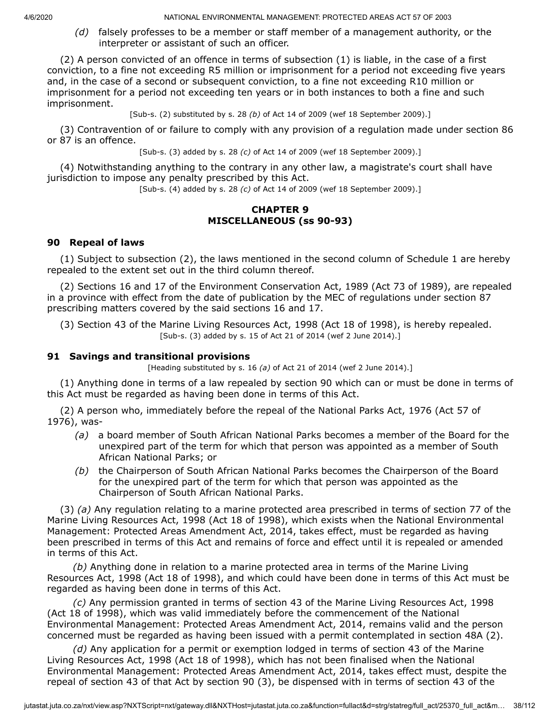*(d)* falsely professes to be a member or staff member of a management authority, or the interpreter or assistant of such an officer.

(2) A person convicted of an offence in terms of subsection (1) is liable, in the case of a first conviction, to a fine not exceeding R5 million or imprisonment for a period not exceeding five years and, in the case of a second or subsequent conviction, to a fine not exceeding R10 million or imprisonment for a period not exceeding ten years or in both instances to both a fine and such imprisonment.

[Sub-s. (2) substituted by s. 28 *(b)* of Act 14 of 2009 (wef 18 September 2009).]

(3) Contravention of or failure to comply with any provision of a regulation made under section 86 or 87 is an offence.

[Sub-s. (3) added by s. 28 *(c)* of Act 14 of 2009 (wef 18 September 2009).]

(4) Notwithstanding anything to the contrary in any other law, a magistrate's court shall have jurisdiction to impose any penalty prescribed by this Act.

[Sub-s. (4) added by s. 28 *(c)* of Act 14 of 2009 (wef 18 September 2009).]

### **CHAPTER 9 MISCELLANEOUS (ss 90-93)**

#### **90 Repeal of laws**

(1) Subject to subsection (2), the laws mentioned in the second column of Schedule 1 are hereby repealed to the extent set out in the third column thereof.

(2) Sections 16 and 17 of the Environment Conservation Act, 1989 (Act 73 of 1989), are repealed in a province with effect from the date of publication by the MEC of regulations under section 87 prescribing matters covered by the said sections 16 and 17.

(3) Section 43 of the Marine Living Resources Act, 1998 (Act 18 of 1998), is hereby repealed. [Sub-s. (3) added by s. 15 of Act 21 of 2014 (wef 2 June 2014).]

#### **91 Savings and transitional provisions**

[Heading substituted by s. 16 *(a)* of Act 21 of 2014 (wef 2 June 2014).]

(1) Anything done in terms of a law repealed by section 90 which can or must be done in terms of this Act must be regarded as having been done in terms of this Act.

(2) A person who, immediately before the repeal of the National Parks Act, 1976 (Act 57 of 1976), was-

- *(a)* a board member of South African National Parks becomes a member of the Board for the unexpired part of the term for which that person was appointed as a member of South African National Parks; or
- *(b)* the Chairperson of South African National Parks becomes the Chairperson of the Board for the unexpired part of the term for which that person was appointed as the Chairperson of South African National Parks.

(3) *(a)* Any regulation relating to a marine protected area prescribed in terms of section 77 of the Marine Living Resources Act, 1998 (Act 18 of 1998), which exists when the National Environmental Management: Protected Areas Amendment Act, 2014, takes effect, must be regarded as having been prescribed in terms of this Act and remains of force and effect until it is repealed or amended in terms of this Act.

*(b)* Anything done in relation to a marine protected area in terms of the Marine Living Resources Act, 1998 (Act 18 of 1998), and which could have been done in terms of this Act must be regarded as having been done in terms of this Act.

*(c)* Any permission granted in terms of section 43 of the Marine Living Resources Act, 1998 (Act 18 of 1998), which was valid immediately before the commencement of the National Environmental Management: Protected Areas Amendment Act, 2014, remains valid and the person concerned must be regarded as having been issued with a permit contemplated in section 48A (2).

*(d)* Any application for a permit or exemption lodged in terms of section 43 of the Marine Living Resources Act, 1998 (Act 18 of 1998), which has not been finalised when the National Environmental Management: Protected Areas Amendment Act, 2014, takes effect must, despite the repeal of section 43 of that Act by section 90 (3), be dispensed with in terms of section 43 of the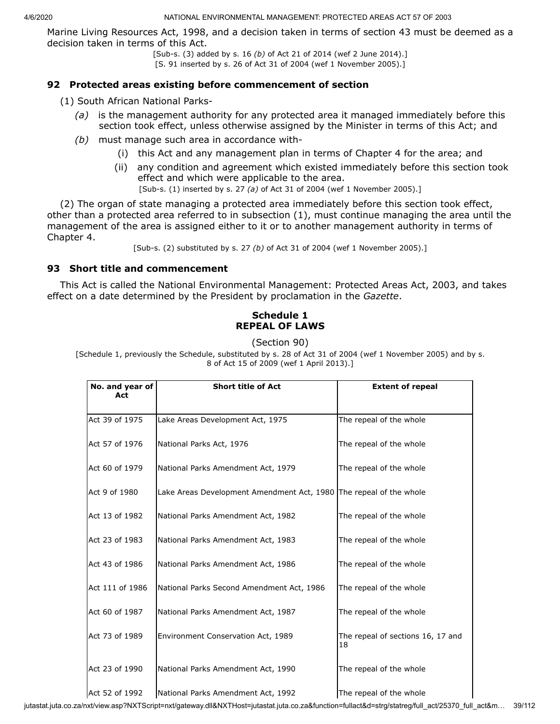Marine Living Resources Act, 1998, and a decision taken in terms of section 43 must be deemed as a decision taken in terms of this Act.

[Sub-s. (3) added by s. 16 *(b)* of Act 21 of 2014 (wef 2 June 2014).]

[S. 91 inserted by s. 26 of Act 31 of 2004 (wef 1 November 2005).]

#### **92 Protected areas existing before commencement of section**

(1) South African National Parks-

- *(a)* is the management authority for any protected area it managed immediately before this section took effect, unless otherwise assigned by the Minister in terms of this Act; and
- *(b)* must manage such area in accordance with-
	- (i) this Act and any management plan in terms of Chapter 4 for the area; and
	- (ii) any condition and agreement which existed immediately before this section took effect and which were applicable to the area. [Sub-s. (1) inserted by s. 27 *(a)* of Act 31 of 2004 (wef 1 November 2005).]

(2) The organ of state managing a protected area immediately before this section took effect, other than a protected area referred to in subsection (1), must continue managing the area until the management of the area is assigned either to it or to another management authority in terms of Chapter 4.

[Sub-s. (2) substituted by s. 27 *(b)* of Act 31 of 2004 (wef 1 November 2005).]

#### **93 Short title and commencement**

This Act is called the National Environmental Management: Protected Areas Act, 2003, and takes effect on a date determined by the President by proclamation in the *Gazette*.

#### **Schedule 1 REPEAL OF LAWS**

(Section 90)

[Schedule 1, previously the Schedule, substituted by s. 28 of Act 31 of 2004 (wef 1 November 2005) and by s. 8 of Act 15 of 2009 (wef 1 April 2013).]

| No. and year of<br>Act | <b>Short title of Act</b>                                          | <b>Extent of repeal</b>                 |
|------------------------|--------------------------------------------------------------------|-----------------------------------------|
| Act 39 of 1975         | Lake Areas Development Act, 1975                                   | The repeal of the whole                 |
| Act 57 of 1976         | National Parks Act, 1976                                           | The repeal of the whole                 |
| Act 60 of 1979         | National Parks Amendment Act, 1979                                 | The repeal of the whole                 |
| Act 9 of 1980          | Lake Areas Development Amendment Act, 1980 The repeal of the whole |                                         |
| Act 13 of 1982         | National Parks Amendment Act, 1982                                 | The repeal of the whole                 |
| Act 23 of 1983         | National Parks Amendment Act, 1983                                 | The repeal of the whole                 |
| Act 43 of 1986         | National Parks Amendment Act, 1986                                 | The repeal of the whole                 |
| Act 111 of 1986        | National Parks Second Amendment Act, 1986                          | The repeal of the whole                 |
| Act 60 of 1987         | National Parks Amendment Act, 1987                                 | The repeal of the whole                 |
| Act 73 of 1989         | Environment Conservation Act, 1989                                 | The repeal of sections 16, 17 and<br>18 |
| Act 23 of 1990         | National Parks Amendment Act, 1990                                 | The repeal of the whole                 |
| Act 52 of 1992         | National Parks Amendment Act, 1992                                 | The repeal of the whole                 |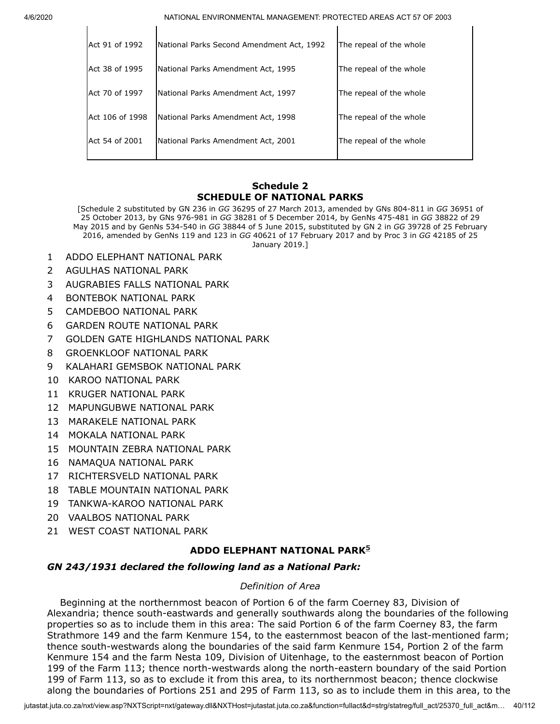| Act 91 of 1992  | National Parks Second Amendment Act, 1992 | The repeal of the whole |
|-----------------|-------------------------------------------|-------------------------|
| Act 38 of 1995  | National Parks Amendment Act, 1995        | The repeal of the whole |
| Act 70 of 1997  | National Parks Amendment Act, 1997        | The repeal of the whole |
| Act 106 of 1998 | National Parks Amendment Act, 1998        | The repeal of the whole |
| Act 54 of 2001  | National Parks Amendment Act, 2001        | The repeal of the whole |
|                 |                                           |                         |

### **Schedule 2 SCHEDULE OF NATIONAL PARKS**

[Schedule 2 substituted by GN 236 in *GG* 36295 of 27 March 2013, amended by GNs 804-811 in *GG* 36951 of 25 October 2013, by GNs 976-981 in *GG* 38281 of 5 December 2014, by GenNs 475-481 in *GG* 38822 of 29 May 2015 and by GenNs 534-540 in *GG* 38844 of 5 June 2015, substituted by GN 2 in *GG* 39728 of 25 February 2016, amended by GenNs 119 and 123 in *GG* 40621 of 17 February 2017 and by Proc 3 in *GG* 42185 of 25 January 2019.]

- 1 ADDO ELEPHANT NATIONAL PARK
- 2 AGULHAS NATIONAL PARK
- 3 AUGRABIES FALLS NATIONAL PARK
- 4 BONTEBOK NATIONAL PARK
- 5 CAMDEBOO NATIONAL PARK
- 6 GARDEN ROUTE NATIONAL PARK
- 7 GOLDEN GATE HIGHLANDS NATIONAL PARK
- 8 GROENKLOOF NATIONAL PARK
- 9 KALAHARI GEMSBOK NATIONAL PARK
- 10 KAROO NATIONAL PARK
- 11 KRUGER NATIONAL PARK
- 12 MAPUNGUBWE NATIONAL PARK
- 13 MARAKELE NATIONAL PARK
- 14 MOKALA NATIONAL PARK
- 15 MOUNTAIN ZEBRA NATIONAL PARK
- 16 NAMAQUA NATIONAL PARK
- 17 RICHTERSVELD NATIONAL PARK
- 18 TABLE MOUNTAIN NATIONAL PARK
- 19 TANKWA-KAROO NATIONAL PARK
- 20 VAALBOS NATIONAL PARK
- 21 WEST COAST NATIONAL PARK

#### **ADDO ELEPHANT NATIONAL PARK [5](#page-103-0)**

# *GN 243/1931 declared the following land as a National Park:*

# *Definition of Area*

Beginning at the northernmost beacon of Portion 6 of the farm Coerney 83, Division of Alexandria; thence south-eastwards and generally southwards along the boundaries of the following properties so as to include them in this area: The said Portion 6 of the farm Coerney 83, the farm Strathmore 149 and the farm Kenmure 154, to the easternmost beacon of the last-mentioned farm; thence south-westwards along the boundaries of the said farm Kenmure 154, Portion 2 of the farm Kenmure 154 and the farm Nesta 109, Division of Uitenhage, to the easternmost beacon of Portion 199 of the Farm 113; thence north-westwards along the north-eastern boundary of the said Portion 199 of Farm 113, so as to exclude it from this area, to its northernmost beacon; thence clockwise along the boundaries of Portions 251 and 295 of Farm 113, so as to include them in this area, to the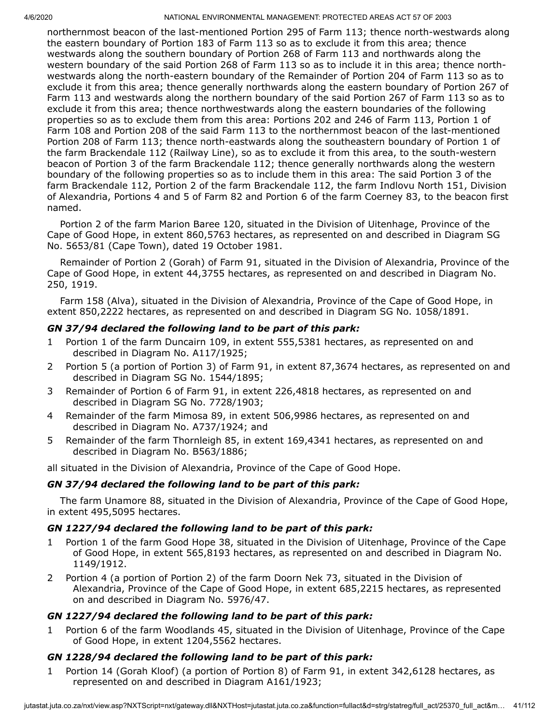northernmost beacon of the last-mentioned Portion 295 of Farm 113; thence north-westwards along the eastern boundary of Portion 183 of Farm 113 so as to exclude it from this area; thence westwards along the southern boundary of Portion 268 of Farm 113 and northwards along the western boundary of the said Portion 268 of Farm 113 so as to include it in this area; thence northwestwards along the north-eastern boundary of the Remainder of Portion 204 of Farm 113 so as to exclude it from this area; thence generally northwards along the eastern boundary of Portion 267 of Farm 113 and westwards along the northern boundary of the said Portion 267 of Farm 113 so as to exclude it from this area; thence northwestwards along the eastern boundaries of the following properties so as to exclude them from this area: Portions 202 and 246 of Farm 113, Portion 1 of Farm 108 and Portion 208 of the said Farm 113 to the northernmost beacon of the last-mentioned Portion 208 of Farm 113; thence north-eastwards along the southeastern boundary of Portion 1 of the farm Brackendale 112 (Railway Line), so as to exclude it from this area, to the south-western beacon of Portion 3 of the farm Brackendale 112; thence generally northwards along the western boundary of the following properties so as to include them in this area: The said Portion 3 of the farm Brackendale 112, Portion 2 of the farm Brackendale 112, the farm Indlovu North 151, Division of Alexandria, Portions 4 and 5 of Farm 82 and Portion 6 of the farm Coerney 83, to the beacon first named.

Portion 2 of the farm Marion Baree 120, situated in the Division of Uitenhage, Province of the Cape of Good Hope, in extent 860,5763 hectares, as represented on and described in Diagram SG No. 5653/81 (Cape Town), dated 19 October 1981.

Remainder of Portion 2 (Gorah) of Farm 91, situated in the Division of Alexandria, Province of the Cape of Good Hope, in extent 44,3755 hectares, as represented on and described in Diagram No. 250, 1919.

Farm 158 (Alva), situated in the Division of Alexandria, Province of the Cape of Good Hope, in extent 850,2222 hectares, as represented on and described in Diagram SG No. 1058/1891.

#### *GN 37/94 declared the following land to be part of this park:*

- 1 Portion 1 of the farm Duncairn 109, in extent 555,5381 hectares, as represented on and described in Diagram No. A117/1925;
- 2 Portion 5 (a portion of Portion 3) of Farm 91, in extent 87,3674 hectares, as represented on and described in Diagram SG No. 1544/1895;
- 3 Remainder of Portion 6 of Farm 91, in extent 226,4818 hectares, as represented on and described in Diagram SG No. 7728/1903;
- 4 Remainder of the farm Mimosa 89, in extent 506,9986 hectares, as represented on and described in Diagram No. A737/1924; and
- 5 Remainder of the farm Thornleigh 85, in extent 169,4341 hectares, as represented on and described in Diagram No. B563/1886;

all situated in the Division of Alexandria, Province of the Cape of Good Hope.

# *GN 37/94 declared the following land to be part of this park:*

The farm Unamore 88, situated in the Division of Alexandria, Province of the Cape of Good Hope, in extent 495,5095 hectares.

#### *GN 1227/94 declared the following land to be part of this park:*

- 1 Portion 1 of the farm Good Hope 38, situated in the Division of Uitenhage, Province of the Cape of Good Hope, in extent 565,8193 hectares, as represented on and described in Diagram No. 1149/1912.
- 2 Portion 4 (a portion of Portion 2) of the farm Doorn Nek 73, situated in the Division of Alexandria, Province of the Cape of Good Hope, in extent 685,2215 hectares, as represented on and described in Diagram No. 5976/47.

#### *GN 1227/94 declared the following land to be part of this park:*

1 Portion 6 of the farm Woodlands 45, situated in the Division of Uitenhage, Province of the Cape of Good Hope, in extent 1204,5562 hectares.

#### *GN 1228/94 declared the following land to be part of this park:*

1 Portion 14 (Gorah Kloof) (a portion of Portion 8) of Farm 91, in extent 342,6128 hectares, as represented on and described in Diagram A161/1923;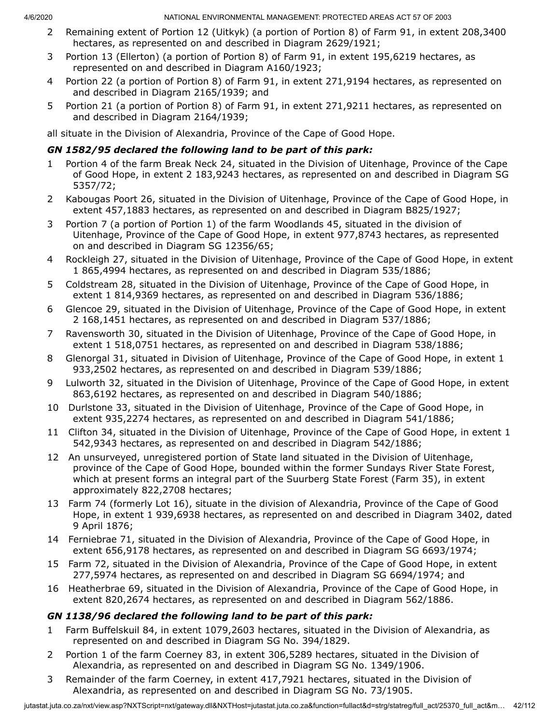- 2 Remaining extent of Portion 12 (Uitkyk) (a portion of Portion 8) of Farm 91, in extent 208,3400 hectares, as represented on and described in Diagram 2629/1921;
- 3 Portion 13 (Ellerton) (a portion of Portion 8) of Farm 91, in extent 195,6219 hectares, as represented on and described in Diagram A160/1923;
- 4 Portion 22 (a portion of Portion 8) of Farm 91, in extent 271,9194 hectares, as represented on and described in Diagram 2165/1939; and
- 5 Portion 21 (a portion of Portion 8) of Farm 91, in extent 271,9211 hectares, as represented on and described in Diagram 2164/1939;

all situate in the Division of Alexandria, Province of the Cape of Good Hope.

# *GN 1582/95 declared the following land to be part of this park:*

- 1 Portion 4 of the farm Break Neck 24, situated in the Division of Uitenhage, Province of the Cape of Good Hope, in extent 2 183,9243 hectares, as represented on and described in Diagram SG 5357/72;
- 2 Kabougas Poort 26, situated in the Division of Uitenhage, Province of the Cape of Good Hope, in extent 457,1883 hectares, as represented on and described in Diagram B825/1927;
- 3 Portion 7 (a portion of Portion 1) of the farm Woodlands 45, situated in the division of Uitenhage, Province of the Cape of Good Hope, in extent 977,8743 hectares, as represented on and described in Diagram SG 12356/65;
- 4 Rockleigh 27, situated in the Division of Uitenhage, Province of the Cape of Good Hope, in extent 1 865,4994 hectares, as represented on and described in Diagram 535/1886;
- 5 Coldstream 28, situated in the Division of Uitenhage, Province of the Cape of Good Hope, in extent 1 814,9369 hectares, as represented on and described in Diagram 536/1886;
- 6 Glencoe 29, situated in the Division of Uitenhage, Province of the Cape of Good Hope, in extent 2 168,1451 hectares, as represented on and described in Diagram 537/1886;
- 7 Ravensworth 30, situated in the Division of Uitenhage, Province of the Cape of Good Hope, in extent 1 518,0751 hectares, as represented on and described in Diagram 538/1886;
- 8 Glenorgal 31, situated in Division of Uitenhage, Province of the Cape of Good Hope, in extent 1 933,2502 hectares, as represented on and described in Diagram 539/1886;
- 9 Lulworth 32, situated in the Division of Uitenhage, Province of the Cape of Good Hope, in extent 863,6192 hectares, as represented on and described in Diagram 540/1886;
- 10 Durlstone 33, situated in the Division of Uitenhage, Province of the Cape of Good Hope, in extent 935,2274 hectares, as represented on and described in Diagram 541/1886;
- 11 Clifton 34, situated in the Division of Uitenhage, Province of the Cape of Good Hope, in extent 1 542,9343 hectares, as represented on and described in Diagram 542/1886;
- 12 An unsurveyed, unregistered portion of State land situated in the Division of Uitenhage, province of the Cape of Good Hope, bounded within the former Sundays River State Forest, which at present forms an integral part of the Suurberg State Forest (Farm 35), in extent approximately 822,2708 hectares;
- 13 Farm 74 (formerly Lot 16), situate in the division of Alexandria, Province of the Cape of Good Hope, in extent 1 939,6938 hectares, as represented on and described in Diagram 3402, dated 9 April 1876;
- 14 Ferniebrae 71, situated in the Division of Alexandria, Province of the Cape of Good Hope, in extent 656,9178 hectares, as represented on and described in Diagram SG 6693/1974;
- 15 Farm 72, situated in the Division of Alexandria, Province of the Cape of Good Hope, in extent 277,5974 hectares, as represented on and described in Diagram SG 6694/1974; and
- 16 Heatherbrae 69, situated in the Division of Alexandria, Province of the Cape of Good Hope, in extent 820,2674 hectares, as represented on and described in Diagram 562/1886.

# *GN 1138/96 declared the following land to be part of this park:*

- 1 Farm Buffelskuil 84, in extent 1079,2603 hectares, situated in the Division of Alexandria, as represented on and described in Diagram SG No. 394/1829.
- 2 Portion 1 of the farm Coerney 83, in extent 306,5289 hectares, situated in the Division of Alexandria, as represented on and described in Diagram SG No. 1349/1906.
- 3 Remainder of the farm Coerney, in extent 417,7921 hectares, situated in the Division of Alexandria, as represented on and described in Diagram SG No. 73/1905.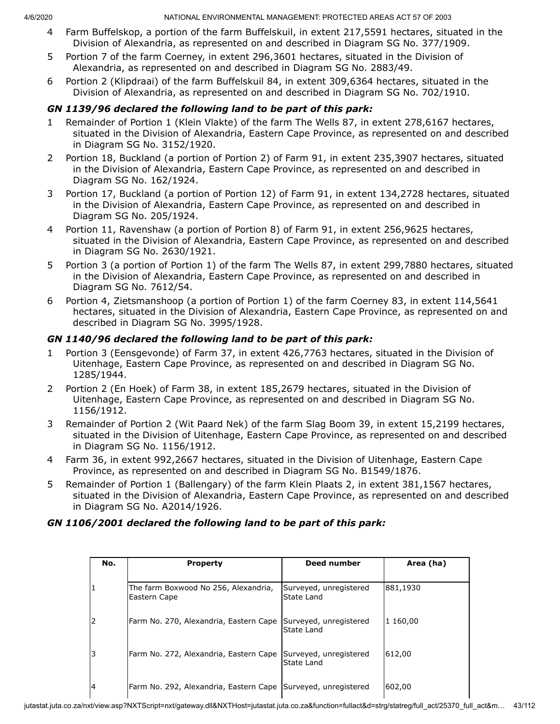- 4 Farm Buffelskop, a portion of the farm Buffelskuil, in extent 217,5591 hectares, situated in the Division of Alexandria, as represented on and described in Diagram SG No. 377/1909.
- 5 Portion 7 of the farm Coerney, in extent 296,3601 hectares, situated in the Division of Alexandria, as represented on and described in Diagram SG No. 2883/49.
- 6 Portion 2 (Klipdraai) of the farm Buffelskuil 84, in extent 309,6364 hectares, situated in the Division of Alexandria, as represented on and described in Diagram SG No. 702/1910.

## *GN 1139/96 declared the following land to be part of this park:*

- 1 Remainder of Portion 1 (Klein Vlakte) of the farm The Wells 87, in extent 278,6167 hectares, situated in the Division of Alexandria, Eastern Cape Province, as represented on and described in Diagram SG No. 3152/1920.
- 2 Portion 18, Buckland (a portion of Portion 2) of Farm 91, in extent 235,3907 hectares, situated in the Division of Alexandria, Eastern Cape Province, as represented on and described in Diagram SG No. 162/1924.
- 3 Portion 17, Buckland (a portion of Portion 12) of Farm 91, in extent 134,2728 hectares, situated in the Division of Alexandria, Eastern Cape Province, as represented on and described in Diagram SG No. 205/1924.
- 4 Portion 11, Ravenshaw (a portion of Portion 8) of Farm 91, in extent 256,9625 hectares, situated in the Division of Alexandria, Eastern Cape Province, as represented on and described in Diagram SG No. 2630/1921.
- 5 Portion 3 (a portion of Portion 1) of the farm The Wells 87, in extent 299,7880 hectares, situated in the Division of Alexandria, Eastern Cape Province, as represented on and described in Diagram SG No. 7612/54.
- 6 Portion 4, Zietsmanshoop (a portion of Portion 1) of the farm Coerney 83, in extent 114,5641 hectares, situated in the Division of Alexandria, Eastern Cape Province, as represented on and described in Diagram SG No. 3995/1928.

# *GN 1140/96 declared the following land to be part of this park:*

- 1 Portion 3 (Eensgevonde) of Farm 37, in extent 426,7763 hectares, situated in the Division of Uitenhage, Eastern Cape Province, as represented on and described in Diagram SG No. 1285/1944.
- 2 Portion 2 (En Hoek) of Farm 38, in extent 185,2679 hectares, situated in the Division of Uitenhage, Eastern Cape Province, as represented on and described in Diagram SG No. 1156/1912.
- 3 Remainder of Portion 2 (Wit Paard Nek) of the farm Slag Boom 39, in extent 15,2199 hectares, situated in the Division of Uitenhage, Eastern Cape Province, as represented on and described in Diagram SG No. 1156/1912.
- 4 Farm 36, in extent 992,2667 hectares, situated in the Division of Uitenhage, Eastern Cape Province, as represented on and described in Diagram SG No. B1549/1876.
- 5 Remainder of Portion 1 (Ballengary) of the farm Klein Plaats 2, in extent 381,1567 hectares, situated in the Division of Alexandria, Eastern Cape Province, as represented on and described in Diagram SG No. A2014/1926.

# *GN 1106/2001 declared the following land to be part of this park:*

| No.            | <b>Property</b>                                      | Deed number                          | Area (ha) |
|----------------|------------------------------------------------------|--------------------------------------|-----------|
| 1              | The farm Boxwood No 256, Alexandria,<br>Eastern Cape | Surveyed, unregistered<br>State Land | 881,1930  |
| 2              | Farm No. 270, Alexandria, Eastern Cape               | Surveyed, unregistered<br>State Land | 1 160,00  |
| 3              | Farm No. 272, Alexandria, Eastern Cape               | Surveyed, unregistered<br>State Land | 612,00    |
| $\overline{4}$ | Farm No. 292, Alexandria, Eastern Cape               | Surveyed, unregistered               | 602,00    |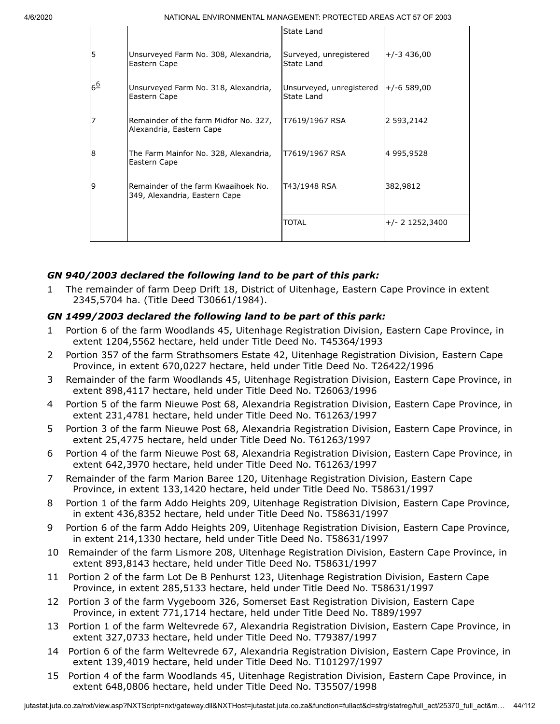|                |                                                                      | State Land                             |                   |
|----------------|----------------------------------------------------------------------|----------------------------------------|-------------------|
| 5              | Unsurveyed Farm No. 308, Alexandria,<br>Eastern Cape                 | Surveyed, unregistered<br>State Land   | $+/-3$ 436,00     |
| 6 <sup>6</sup> | Unsurveyed Farm No. 318, Alexandria,<br>Eastern Cape                 | Unsurveyed, unregistered<br>State Land | $+/-6$ 589,00     |
| 7              | Remainder of the farm Midfor No. 327,<br>Alexandria, Eastern Cape    | T7619/1967 RSA                         | 2 593,2142        |
| 8              | The Farm Mainfor No. 328, Alexandria,<br>Eastern Cape                | T7619/1967 RSA                         | 4 995,9528        |
| 9              | Remainder of the farm Kwaaihoek No.<br>349, Alexandria, Eastern Cape | T43/1948 RSA                           | 382,9812          |
|                |                                                                      | TOTAL                                  | $+/- 2$ 1252,3400 |

# *GN 940/2003 declared the following land to be part of this park:*

1 The remainder of farm Deep Drift 18, District of Uitenhage, Eastern Cape Province in extent 2345,5704 ha. (Title Deed T30661/1984).

# *GN 1499/2003 declared the following land to be part of this park:*

- Portion 6 of the farm Woodlands 45, Uitenhage Registration Division, Eastern Cape Province, in extent 1204,5562 hectare, held under Title Deed No. T45364/1993
- 2 Portion 357 of the farm Strathsomers Estate 42, Uitenhage Registration Division, Eastern Cape Province, in extent 670,0227 hectare, held under Title Deed No. T26422/1996
- 3 Remainder of the farm Woodlands 45, Uitenhage Registration Division, Eastern Cape Province, in extent 898,4117 hectare, held under Title Deed No. T26063/1996
- 4 Portion 5 of the farm Nieuwe Post 68, Alexandria Registration Division, Eastern Cape Province, in extent 231,4781 hectare, held under Title Deed No. T61263/1997
- 5 Portion 3 of the farm Nieuwe Post 68, Alexandria Registration Division, Eastern Cape Province, in extent 25,4775 hectare, held under Title Deed No. T61263/1997
- 6 Portion 4 of the farm Nieuwe Post 68, Alexandria Registration Division, Eastern Cape Province, in extent 642,3970 hectare, held under Title Deed No. T61263/1997
- 7 Remainder of the farm Marion Baree 120, Uitenhage Registration Division, Eastern Cape Province, in extent 133,1420 hectare, held under Title Deed No. T58631/1997
- 8 Portion 1 of the farm Addo Heights 209, Uitenhage Registration Division, Eastern Cape Province, in extent 436,8352 hectare, held under Title Deed No. T58631/1997
- 9 Portion 6 of the farm Addo Heights 209, Uitenhage Registration Division, Eastern Cape Province, in extent 214,1330 hectare, held under Title Deed No. T58631/1997
- 10 Remainder of the farm Lismore 208, Uitenhage Registration Division, Eastern Cape Province, in extent 893,8143 hectare, held under Title Deed No. T58631/1997
- 11 Portion 2 of the farm Lot De B Penhurst 123, Uitenhage Registration Division, Eastern Cape Province, in extent 285,5133 hectare, held under Title Deed No. T58631/1997
- 12 Portion 3 of the farm Vygeboom 326, Somerset East Registration Division, Eastern Cape Province, in extent 771,1714 hectare, held under Title Deed No. T889/1997
- 13 Portion 1 of the farm Weltevrede 67, Alexandria Registration Division, Eastern Cape Province, in extent 327,0733 hectare, held under Title Deed No. T79387/1997
- 14 Portion 6 of the farm Weltevrede 67, Alexandria Registration Division, Eastern Cape Province, in extent 139,4019 hectare, held under Title Deed No. T101297/1997
- 15 Portion 4 of the farm Woodlands 45, Uitenhage Registration Division, Eastern Cape Province, in extent 648,0806 hectare, held under Title Deed No. T35507/1998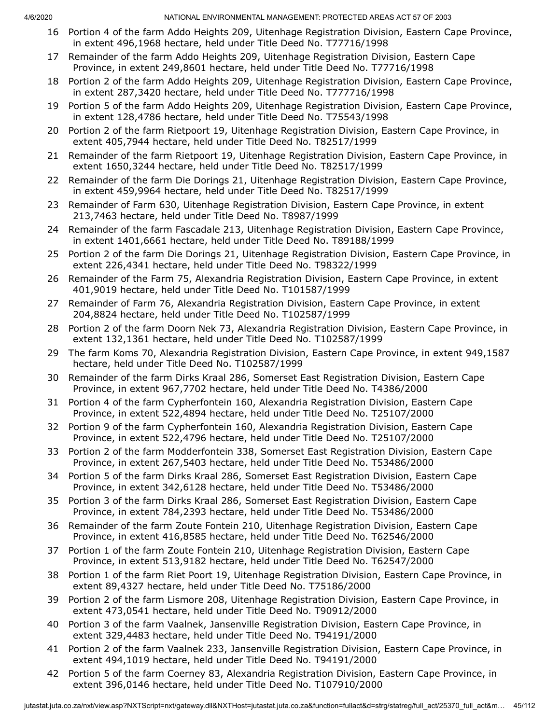- 16 Portion 4 of the farm Addo Heights 209, Uitenhage Registration Division, Eastern Cape Province, in extent 496,1968 hectare, held under Title Deed No. T77716/1998
- 17 Remainder of the farm Addo Heights 209, Uitenhage Registration Division, Eastern Cape Province, in extent 249,8601 hectare, held under Title Deed No. T77716/1998
- 18 Portion 2 of the farm Addo Heights 209, Uitenhage Registration Division, Eastern Cape Province, in extent 287,3420 hectare, held under Title Deed No. T777716/1998
- 19 Portion 5 of the farm Addo Heights 209, Uitenhage Registration Division, Eastern Cape Province, in extent 128,4786 hectare, held under Title Deed No. T75543/1998
- 20 Portion 2 of the farm Rietpoort 19, Uitenhage Registration Division, Eastern Cape Province, in extent 405,7944 hectare, held under Title Deed No. T82517/1999
- 21 Remainder of the farm Rietpoort 19, Uitenhage Registration Division, Eastern Cape Province, in extent 1650,3244 hectare, held under Title Deed No. T82517/1999
- 22 Remainder of the farm Die Dorings 21, Uitenhage Registration Division, Eastern Cape Province, in extent 459,9964 hectare, held under Title Deed No. T82517/1999
- 23 Remainder of Farm 630, Uitenhage Registration Division, Eastern Cape Province, in extent 213,7463 hectare, held under Title Deed No. T8987/1999
- 24 Remainder of the farm Fascadale 213, Uitenhage Registration Division, Eastern Cape Province, in extent 1401,6661 hectare, held under Title Deed No. T89188/1999
- 25 Portion 2 of the farm Die Dorings 21, Uitenhage Registration Division, Eastern Cape Province, in extent 226,4341 hectare, held under Title Deed No. T98322/1999
- 26 Remainder of the Farm 75, Alexandria Registration Division, Eastern Cape Province, in extent 401,9019 hectare, held under Title Deed No. T101587/1999
- 27 Remainder of Farm 76, Alexandria Registration Division, Eastern Cape Province, in extent 204,8824 hectare, held under Title Deed No. T102587/1999
- 28 Portion 2 of the farm Doorn Nek 73, Alexandria Registration Division, Eastern Cape Province, in extent 132,1361 hectare, held under Title Deed No. T102587/1999
- 29 The farm Koms 70, Alexandria Registration Division, Eastern Cape Province, in extent 949,1587 hectare, held under Title Deed No. T102587/1999
- 30 Remainder of the farm Dirks Kraal 286, Somerset East Registration Division, Eastern Cape Province, in extent 967,7702 hectare, held under Title Deed No. T4386/2000
- 31 Portion 4 of the farm Cypherfontein 160, Alexandria Registration Division, Eastern Cape Province, in extent 522,4894 hectare, held under Title Deed No. T25107/2000
- 32 Portion 9 of the farm Cypherfontein 160, Alexandria Registration Division, Eastern Cape Province, in extent 522,4796 hectare, held under Title Deed No. T25107/2000
- 33 Portion 2 of the farm Modderfontein 338, Somerset East Registration Division, Eastern Cape Province, in extent 267,5403 hectare, held under Title Deed No. T53486/2000
- 34 Portion 5 of the farm Dirks Kraal 286, Somerset East Registration Division, Eastern Cape Province, in extent 342,6128 hectare, held under Title Deed No. T53486/2000
- 35 Portion 3 of the farm Dirks Kraal 286, Somerset East Registration Division, Eastern Cape Province, in extent 784,2393 hectare, held under Title Deed No. T53486/2000
- 36 Remainder of the farm Zoute Fontein 210, Uitenhage Registration Division, Eastern Cape Province, in extent 416,8585 hectare, held under Title Deed No. T62546/2000
- 37 Portion 1 of the farm Zoute Fontein 210, Uitenhage Registration Division, Eastern Cape Province, in extent 513,9182 hectare, held under Title Deed No. T62547/2000
- 38 Portion 1 of the farm Riet Poort 19, Uitenhage Registration Division, Eastern Cape Province, in extent 89,4327 hectare, held under Title Deed No. T75186/2000
- 39 Portion 2 of the farm Lismore 208, Uitenhage Registration Division, Eastern Cape Province, in extent 473,0541 hectare, held under Title Deed No. T90912/2000
- 40 Portion 3 of the farm Vaalnek, Jansenville Registration Division, Eastern Cape Province, in extent 329,4483 hectare, held under Title Deed No. T94191/2000
- 41 Portion 2 of the farm Vaalnek 233, Jansenville Registration Division, Eastern Cape Province, in extent 494,1019 hectare, held under Title Deed No. T94191/2000
- 42 Portion 5 of the farm Coerney 83, Alexandria Registration Division, Eastern Cape Province, in extent 396,0146 hectare, held under Title Deed No. T107910/2000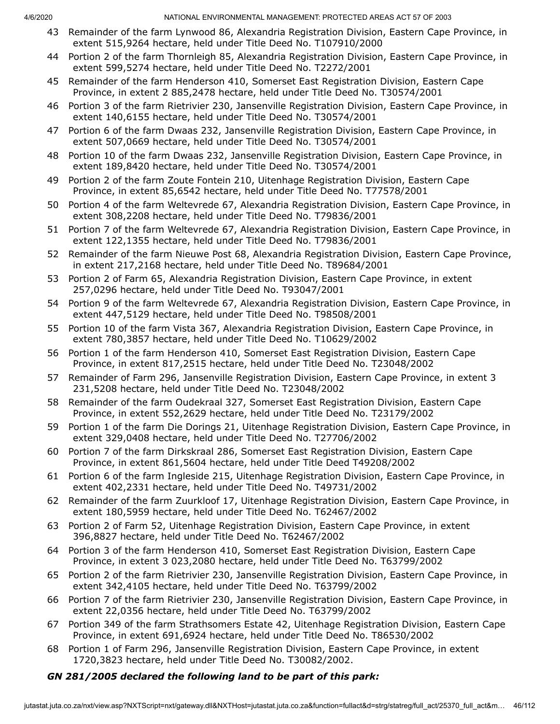- 43 Remainder of the farm Lynwood 86, Alexandria Registration Division, Eastern Cape Province, in extent 515,9264 hectare, held under Title Deed No. T107910/2000
- 44 Portion 2 of the farm Thornleigh 85, Alexandria Registration Division, Eastern Cape Province, in extent 599,5274 hectare, held under Title Deed No. T2272/2001
- 45 Remainder of the farm Henderson 410, Somerset East Registration Division, Eastern Cape Province, in extent 2 885,2478 hectare, held under Title Deed No. T30574/2001
- 46 Portion 3 of the farm Rietrivier 230, Jansenville Registration Division, Eastern Cape Province, in extent 140,6155 hectare, held under Title Deed No. T30574/2001
- 47 Portion 6 of the farm Dwaas 232, Jansenville Registration Division, Eastern Cape Province, in extent 507,0669 hectare, held under Title Deed No. T30574/2001
- 48 Portion 10 of the farm Dwaas 232, Jansenville Registration Division, Eastern Cape Province, in extent 189,8420 hectare, held under Title Deed No. T30574/2001
- 49 Portion 2 of the farm Zoute Fontein 210, Uitenhage Registration Division, Eastern Cape Province, in extent 85,6542 hectare, held under Title Deed No. T77578/2001
- 50 Portion 4 of the farm Weltevrede 67, Alexandria Registration Division, Eastern Cape Province, in extent 308,2208 hectare, held under Title Deed No. T79836/2001
- 51 Portion 7 of the farm Weltevrede 67, Alexandria Registration Division, Eastern Cape Province, in extent 122,1355 hectare, held under Title Deed No. T79836/2001
- 52 Remainder of the farm Nieuwe Post 68, Alexandria Registration Division, Eastern Cape Province, in extent 217,2168 hectare, held under Title Deed No. T89684/2001
- 53 Portion 2 of Farm 65, Alexandria Registration Division, Eastern Cape Province, in extent 257,0296 hectare, held under Title Deed No. T93047/2001
- 54 Portion 9 of the farm Weltevrede 67, Alexandria Registration Division, Eastern Cape Province, in extent 447,5129 hectare, held under Title Deed No. T98508/2001
- 55 Portion 10 of the farm Vista 367, Alexandria Registration Division, Eastern Cape Province, in extent 780,3857 hectare, held under Title Deed No. T10629/2002
- 56 Portion 1 of the farm Henderson 410, Somerset East Registration Division, Eastern Cape Province, in extent 817,2515 hectare, held under Title Deed No. T23048/2002
- 57 Remainder of Farm 296, Jansenville Registration Division, Eastern Cape Province, in extent 3 231,5208 hectare, held under Title Deed No. T23048/2002
- 58 Remainder of the farm Oudekraal 327, Somerset East Registration Division, Eastern Cape Province, in extent 552,2629 hectare, held under Title Deed No. T23179/2002
- 59 Portion 1 of the farm Die Dorings 21, Uitenhage Registration Division, Eastern Cape Province, in extent 329,0408 hectare, held under Title Deed No. T27706/2002
- 60 Portion 7 of the farm Dirkskraal 286, Somerset East Registration Division, Eastern Cape Province, in extent 861,5604 hectare, held under Title Deed T49208/2002
- 61 Portion 6 of the farm Ingleside 215, Uitenhage Registration Division, Eastern Cape Province, in extent 402,2331 hectare, held under Title Deed No. T49731/2002
- 62 Remainder of the farm Zuurkloof 17, Uitenhage Registration Division, Eastern Cape Province, in extent 180,5959 hectare, held under Title Deed No. T62467/2002
- 63 Portion 2 of Farm 52, Uitenhage Registration Division, Eastern Cape Province, in extent 396,8827 hectare, held under Title Deed No. T62467/2002
- 64 Portion 3 of the farm Henderson 410, Somerset East Registration Division, Eastern Cape Province, in extent 3 023,2080 hectare, held under Title Deed No. T63799/2002
- 65 Portion 2 of the farm Rietrivier 230, Jansenville Registration Division, Eastern Cape Province, in extent 342,4105 hectare, held under Title Deed No. T63799/2002
- 66 Portion 7 of the farm Rietrivier 230, Jansenville Registration Division, Eastern Cape Province, in extent 22,0356 hectare, held under Title Deed No. T63799/2002
- 67 Portion 349 of the farm Strathsomers Estate 42, Uitenhage Registration Division, Eastern Cape Province, in extent 691,6924 hectare, held under Title Deed No. T86530/2002
- 68 Portion 1 of Farm 296, Jansenville Registration Division, Eastern Cape Province, in extent 1720,3823 hectare, held under Title Deed No. T30082/2002.

# *GN 281/2005 declared the following land to be part of this park:*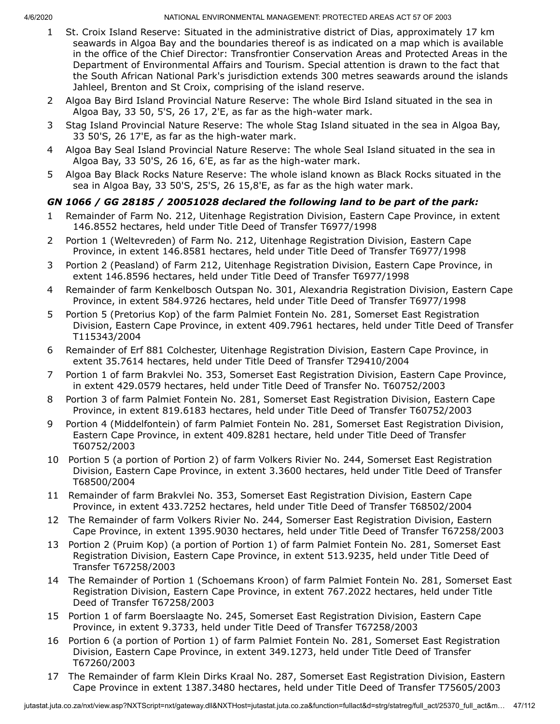- 1 St. Croix Island Reserve: Situated in the administrative district of Dias, approximately 17 km seawards in Algoa Bay and the boundaries thereof is as indicated on a map which is available in the office of the Chief Director: Transfrontier Conservation Areas and Protected Areas in the Department of Environmental Affairs and Tourism. Special attention is drawn to the fact that the South African National Park's jurisdiction extends 300 metres seawards around the islands Jahleel, Brenton and St Croix, comprising of the island reserve.
- 2 Algoa Bay Bird Island Provincial Nature Reserve: The whole Bird Island situated in the sea in Algoa Bay, 33 50, 5'S, 26 17, 2'E, as far as the high-water mark.
- 3 Stag Island Provincial Nature Reserve: The whole Stag Island situated in the sea in Algoa Bay, 33 50'S, 26 17'E, as far as the high-water mark.
- 4 Algoa Bay Seal Island Provincial Nature Reserve: The whole Seal Island situated in the sea in Algoa Bay, 33 50'S, 26 16, 6'E, as far as the high-water mark.
- 5 Algoa Bay Black Rocks Nature Reserve: The whole island known as Black Rocks situated in the sea in Algoa Bay, 33 50'S, 25'S, 26 15,8'E, as far as the high water mark.

# *GN 1066 / GG 28185 / 20051028 declared the following land to be part of the park:*

- 1 Remainder of Farm No. 212, Uitenhage Registration Division, Eastern Cape Province, in extent 146.8552 hectares, held under Title Deed of Transfer T6977/1998
- 2 Portion 1 (Weltevreden) of Farm No. 212, Uitenhage Registration Division, Eastern Cape Province, in extent 146.8581 hectares, held under Title Deed of Transfer T6977/1998
- 3 Portion 2 (Peasland) of Farm 212, Uitenhage Registration Division, Eastern Cape Province, in extent 146.8596 hectares, held under Title Deed of Transfer T6977/1998
- 4 Remainder of farm Kenkelbosch Outspan No. 301, Alexandria Registration Division, Eastern Cape Province, in extent 584.9726 hectares, held under Title Deed of Transfer T6977/1998
- 5 Portion 5 (Pretorius Kop) of the farm Palmiet Fontein No. 281, Somerset East Registration Division, Eastern Cape Province, in extent 409.7961 hectares, held under Title Deed of Transfer T115343/2004
- 6 Remainder of Erf 881 Colchester, Uitenhage Registration Division, Eastern Cape Province, in extent 35.7614 hectares, held under Title Deed of Transfer T29410/2004
- 7 Portion 1 of farm Brakvlei No. 353, Somerset East Registration Division, Eastern Cape Province, in extent 429.0579 hectares, held under Title Deed of Transfer No. T60752/2003
- 8 Portion 3 of farm Palmiet Fontein No. 281, Somerset East Registration Division, Eastern Cape Province, in extent 819.6183 hectares, held under Title Deed of Transfer T60752/2003
- 9 Portion 4 (Middelfontein) of farm Palmiet Fontein No. 281, Somerset East Registration Division, Eastern Cape Province, in extent 409.8281 hectare, held under Title Deed of Transfer T60752/2003
- 10 Portion 5 (a portion of Portion 2) of farm Volkers Rivier No. 244, Somerset East Registration Division, Eastern Cape Province, in extent 3.3600 hectares, held under Title Deed of Transfer T68500/2004
- 11 Remainder of farm Brakvlei No. 353, Somerset East Registration Division, Eastern Cape Province, in extent 433.7252 hectares, held under Title Deed of Transfer T68502/2004
- 12 The Remainder of farm Volkers Rivier No. 244, Somerser East Registration Division, Eastern Cape Province, in extent 1395.9030 hectares, held under Title Deed of Transfer T67258/2003
- 13 Portion 2 (Pruim Kop) (a portion of Portion 1) of farm Palmiet Fontein No. 281, Somerset East Registration Division, Eastern Cape Province, in extent 513.9235, held under Title Deed of Transfer T67258/2003
- 14 The Remainder of Portion 1 (Schoemans Kroon) of farm Palmiet Fontein No. 281, Somerset East Registration Division, Eastern Cape Province, in extent 767.2022 hectares, held under Title Deed of Transfer T67258/2003
- 15 Portion 1 of farm Boerslaagte No. 245, Somerset East Registration Division, Eastern Cape Province, in extent 9.3733, held under Title Deed of Transfer T67258/2003
- 16 Portion 6 (a portion of Portion 1) of farm Palmiet Fontein No. 281, Somerset East Registration Division, Eastern Cape Province, in extent 349.1273, held under Title Deed of Transfer T67260/2003
- 17 The Remainder of farm Klein Dirks Kraal No. 287, Somerset East Registration Division, Eastern Cape Province in extent 1387.3480 hectares, held under Title Deed of Transfer T75605/2003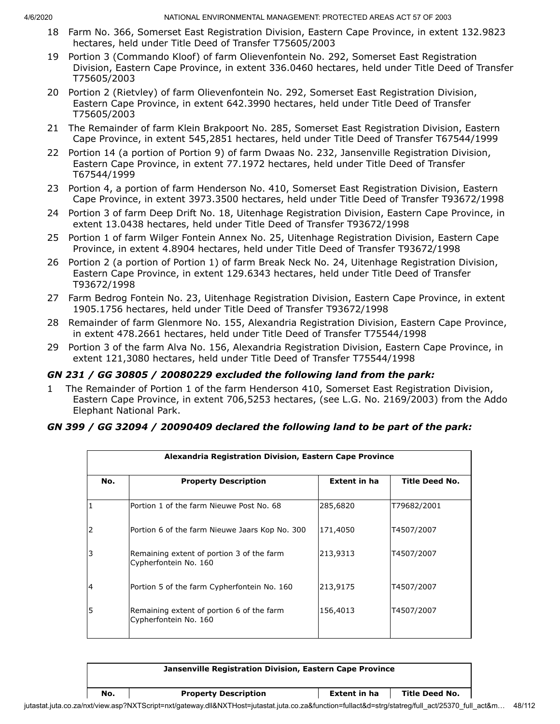- 18 Farm No. 366, Somerset East Registration Division, Eastern Cape Province, in extent 132.9823 hectares, held under Title Deed of Transfer T75605/2003
- 19 Portion 3 (Commando Kloof) of farm Olievenfontein No. 292, Somerset East Registration Division, Eastern Cape Province, in extent 336.0460 hectares, held under Title Deed of Transfer T75605/2003
- 20 Portion 2 (Rietvley) of farm Olievenfontein No. 292, Somerset East Registration Division, Eastern Cape Province, in extent 642.3990 hectares, held under Title Deed of Transfer T75605/2003
- 21 The Remainder of farm Klein Brakpoort No. 285, Somerset East Registration Division, Eastern Cape Province, in extent 545,2851 hectares, held under Title Deed of Transfer T67544/1999
- 22 Portion 14 (a portion of Portion 9) of farm Dwaas No. 232, Jansenville Registration Division, Eastern Cape Province, in extent 77.1972 hectares, held under Title Deed of Transfer T67544/1999
- 23 Portion 4, a portion of farm Henderson No. 410, Somerset East Registration Division, Eastern Cape Province, in extent 3973.3500 hectares, held under Title Deed of Transfer T93672/1998
- 24 Portion 3 of farm Deep Drift No. 18, Uitenhage Registration Division, Eastern Cape Province, in extent 13.0438 hectares, held under Title Deed of Transfer T93672/1998
- 25 Portion 1 of farm Wilger Fontein Annex No. 25, Uitenhage Registration Division, Eastern Cape Province, in extent 4.8904 hectares, held under Title Deed of Transfer T93672/1998
- 26 Portion 2 (a portion of Portion 1) of farm Break Neck No. 24, Uitenhage Registration Division, Eastern Cape Province, in extent 129.6343 hectares, held under Title Deed of Transfer T93672/1998
- 27 Farm Bedrog Fontein No. 23, Uitenhage Registration Division, Eastern Cape Province, in extent 1905.1756 hectares, held under Title Deed of Transfer T93672/1998
- 28 Remainder of farm Glenmore No. 155, Alexandria Registration Division, Eastern Cape Province, in extent 478.2661 hectares, held under Title Deed of Transfer T75544/1998
- 29 Portion 3 of the farm Alva No. 156, Alexandria Registration Division, Eastern Cape Province, in extent 121,3080 hectares, held under Title Deed of Transfer T75544/1998

# *GN 231 / GG 30805 / 20080229 excluded the following land from the park:*

1 The Remainder of Portion 1 of the farm Henderson 410, Somerset East Registration Division, Eastern Cape Province, in extent 706,5253 hectares, (see L.G. No. 2169/2003) from the Addo Elephant National Park.

# *GN 399 / GG 32094 / 20090409 declared the following land to be part of the park:*

|                | Alexandria Registration Division, Eastern Cape Province            |              |                       |  |  |
|----------------|--------------------------------------------------------------------|--------------|-----------------------|--|--|
| No.            | <b>Property Description</b>                                        | Extent in ha | <b>Title Deed No.</b> |  |  |
| 1              | Portion 1 of the farm Nieuwe Post No. 68                           | 285,6820     | T79682/2001           |  |  |
| 2              | Portion 6 of the farm Nieuwe Jaars Kop No. 300                     | 171,4050     | T4507/2007            |  |  |
| 3              | Remaining extent of portion 3 of the farm<br>Cypherfontein No. 160 | 213,9313     | T4507/2007            |  |  |
| $\overline{4}$ | Portion 5 of the farm Cypherfontein No. 160                        | 213,9175     | T4507/2007            |  |  |
| 5              | Remaining extent of portion 6 of the farm<br>Cypherfontein No. 160 | 156,4013     | T4507/2007            |  |  |

#### **Jansenville Registration Division, Eastern Cape Province**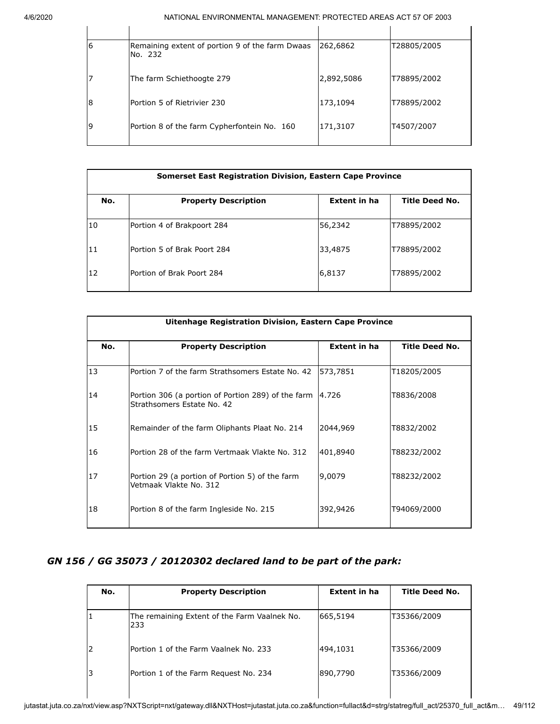| 6 | Remaining extent of portion 9 of the farm Dwaas<br>INo. 232 | 262,6862   | T28805/2005 |
|---|-------------------------------------------------------------|------------|-------------|
|   | The farm Schiethoogte 279                                   | 2,892,5086 | T78895/2002 |
| 8 | Portion 5 of Rietrivier 230                                 | 173,1094   | T78895/2002 |
| 9 | Portion 8 of the farm Cypherfontein No. 160                 | 171,3107   | T4507/2007  |

|     | <b>Somerset East Registration Division, Eastern Cape Province</b> |                     |                       |  |
|-----|-------------------------------------------------------------------|---------------------|-----------------------|--|
| No. | <b>Property Description</b>                                       | <b>Extent in ha</b> | <b>Title Deed No.</b> |  |
| 10  | Portion 4 of Brakpoort 284                                        | 56,2342             | T78895/2002           |  |
| 11  | Portion 5 of Brak Poort 284                                       | 33,4875             | T78895/2002           |  |
| 12  | Portion of Brak Poort 284                                         | 6,8137              | T78895/2002           |  |

|     | Uitenhage Registration Division, Eastern Cape Province                                  |                     |                       |  |  |
|-----|-----------------------------------------------------------------------------------------|---------------------|-----------------------|--|--|
| No. | <b>Property Description</b>                                                             | <b>Extent in ha</b> | <b>Title Deed No.</b> |  |  |
| 13  | Portion 7 of the farm Strathsomers Estate No. 42                                        | 573,7851            | T18205/2005           |  |  |
| 14  | Portion 306 (a portion of Portion 289) of the farm  4.726<br>Strathsomers Estate No. 42 |                     | T8836/2008            |  |  |
| 15  | Remainder of the farm Oliphants Plaat No. 214                                           | 2044,969            | T8832/2002            |  |  |
| 16  | Portion 28 of the farm Vertmaak Vlakte No. 312                                          | 401,8940            | T88232/2002           |  |  |
| 17  | Portion 29 (a portion of Portion 5) of the farm<br>Vetmaak Vlakte No. 312               | 9,0079              | T88232/2002           |  |  |
| 18  | Portion 8 of the farm Ingleside No. 215                                                 | 392,9426            | T94069/2000           |  |  |

# *GN 156 / GG 35073 / 20120302 declared land to be part of the park:*

| No. | <b>Property Description</b>                         | Extent in ha | <b>Title Deed No.</b> |
|-----|-----------------------------------------------------|--------------|-----------------------|
|     | The remaining Extent of the Farm Vaalnek No.<br>233 | 665,5194     | T35366/2009           |
| 2   | Portion 1 of the Farm Vaalnek No. 233               | 494,1031     | T35366/2009           |
| 3   | Portion 1 of the Farm Request No. 234               | 890,7790     | T35366/2009           |
|     |                                                     |              |                       |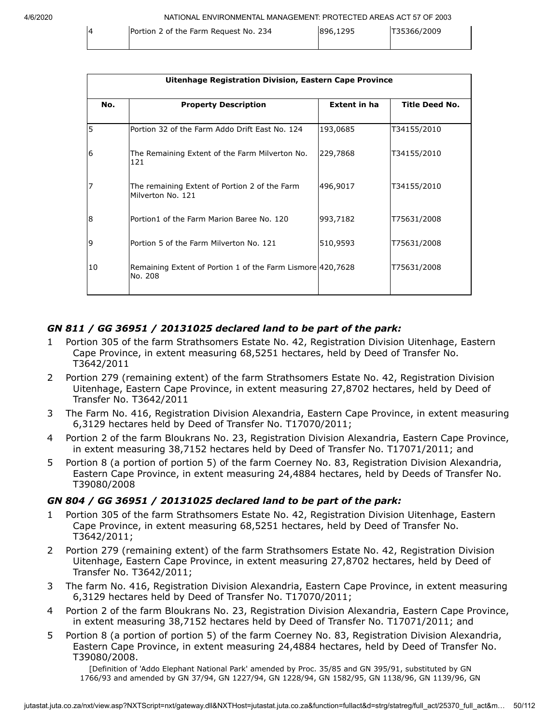| Portion 2 of the Farm Request No. 234 | 896,1295 | T35366/2009 |
|---------------------------------------|----------|-------------|
|                                       |          |             |

| Uitenhage Registration Division, Eastern Cape Province |                                                                       |                     |                       |  |
|--------------------------------------------------------|-----------------------------------------------------------------------|---------------------|-----------------------|--|
| No.                                                    | <b>Property Description</b>                                           | <b>Extent in ha</b> | <b>Title Deed No.</b> |  |
| 5                                                      | Portion 32 of the Farm Addo Drift East No. 124                        | 193,0685            | T34155/2010           |  |
| 6                                                      | The Remaining Extent of the Farm Milverton No.<br>121                 | 229,7868            | T34155/2010           |  |
| 7                                                      | The remaining Extent of Portion 2 of the Farm<br>Milverton No. 121    | 496,9017            | T34155/2010           |  |
| 8                                                      | Portion1 of the Farm Marion Baree No. 120                             | 993,7182            | T75631/2008           |  |
| 9                                                      | Portion 5 of the Farm Milverton No. 121                               | 510,9593            | T75631/2008           |  |
| 10                                                     | Remaining Extent of Portion 1 of the Farm Lismore 420,7628<br>No. 208 |                     | T75631/2008           |  |

# *GN 811 / GG 36951 / 20131025 declared land to be part of the park:*

- 1 Portion 305 of the farm Strathsomers Estate No. 42, Registration Division Uitenhage, Eastern Cape Province, in extent measuring 68,5251 hectares, held by Deed of Transfer No. T3642/2011
- 2 Portion 279 (remaining extent) of the farm Strathsomers Estate No. 42, Registration Division Uitenhage, Eastern Cape Province, in extent measuring 27,8702 hectares, held by Deed of Transfer No. T3642/2011
- 3 The Farm No. 416, Registration Division Alexandria, Eastern Cape Province, in extent measuring 6,3129 hectares held by Deed of Transfer No. T17070/2011;
- 4 Portion 2 of the farm Bloukrans No. 23, Registration Division Alexandria, Eastern Cape Province, in extent measuring 38,7152 hectares held by Deed of Transfer No. T17071/2011; and
- 5 Portion 8 (a portion of portion 5) of the farm Coerney No. 83, Registration Division Alexandria, Eastern Cape Province, in extent measuring 24,4884 hectares, held by Deeds of Transfer No. T39080/2008

# *GN 804 / GG 36951 / 20131025 declared land to be part of the park:*

- 1 Portion 305 of the farm Strathsomers Estate No. 42, Registration Division Uitenhage, Eastern Cape Province, in extent measuring 68,5251 hectares, held by Deed of Transfer No. T3642/2011;
- 2 Portion 279 (remaining extent) of the farm Strathsomers Estate No. 42, Registration Division Uitenhage, Eastern Cape Province, in extent measuring 27,8702 hectares, held by Deed of Transfer No. T3642/2011;
- 3 The farm No. 416, Registration Division Alexandria, Eastern Cape Province, in extent measuring 6,3129 hectares held by Deed of Transfer No. T17070/2011;
- 4 Portion 2 of the farm Bloukrans No. 23, Registration Division Alexandria, Eastern Cape Province, in extent measuring 38,7152 hectares held by Deed of Transfer No. T17071/2011; and
- 5 Portion 8 (a portion of portion 5) of the farm Coerney No. 83, Registration Division Alexandria, Eastern Cape Province, in extent measuring 24,4884 hectares, held by Deed of Transfer No. T39080/2008.

[Definition of 'Addo Elephant National Park' amended by Proc. 35/85 and GN 395/91, substituted by GN 1766/93 and amended by GN 37/94, GN 1227/94, GN 1228/94, GN 1582/95, GN 1138/96, GN 1139/96, GN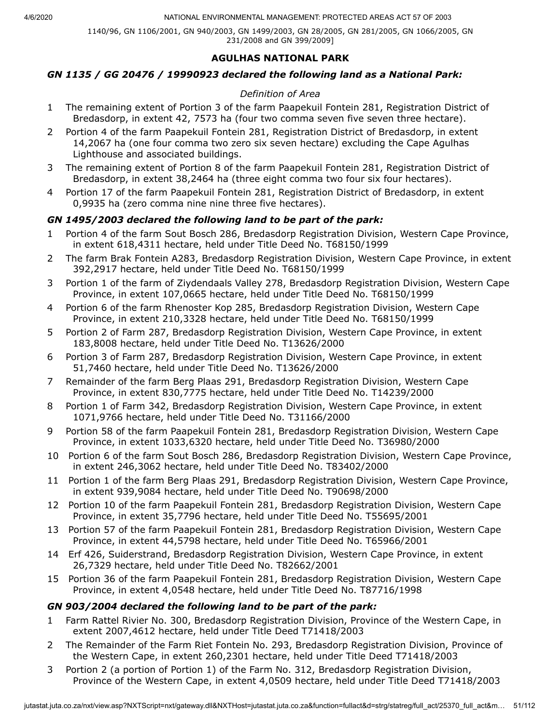1140/96, GN 1106/2001, GN 940/2003, GN 1499/2003, GN 28/2005, GN 281/2005, GN 1066/2005, GN 231/2008 and GN 399/2009]

# **AGULHAS NATIONAL PARK**

# *GN 1135 / GG 20476 / 19990923 declared the following land as a National Park:*

### *Definition of Area*

- 1 The remaining extent of Portion 3 of the farm Paapekuil Fontein 281, Registration District of Bredasdorp, in extent 42, 7573 ha (four two comma seven five seven three hectare).
- 2 Portion 4 of the farm Paapekuil Fontein 281, Registration District of Bredasdorp, in extent 14,2067 ha (one four comma two zero six seven hectare) excluding the Cape Agulhas Lighthouse and associated buildings.
- 3 The remaining extent of Portion 8 of the farm Paapekuil Fontein 281, Registration District of Bredasdorp, in extent 38,2464 ha (three eight comma two four six four hectares).
- 4 Portion 17 of the farm Paapekuil Fontein 281, Registration District of Bredasdorp, in extent 0,9935 ha (zero comma nine nine three five hectares).

# *GN 1495/2003 declared the following land to be part of the park:*

- 1 Portion 4 of the farm Sout Bosch 286, Bredasdorp Registration Division, Western Cape Province, in extent 618,4311 hectare, held under Title Deed No. T68150/1999
- 2 The farm Brak Fontein A283, Bredasdorp Registration Division, Western Cape Province, in extent 392,2917 hectare, held under Title Deed No. T68150/1999
- 3 Portion 1 of the farm of Ziydendaals Valley 278, Bredasdorp Registration Division, Western Cape Province, in extent 107,0665 hectare, held under Title Deed No. T68150/1999
- 4 Portion 6 of the farm Rhenoster Kop 285, Bredasdorp Registration Division, Western Cape Province, in extent 210,3328 hectare, held under Title Deed No. T68150/1999
- 5 Portion 2 of Farm 287, Bredasdorp Registration Division, Western Cape Province, in extent 183,8008 hectare, held under Title Deed No. T13626/2000
- 6 Portion 3 of Farm 287, Bredasdorp Registration Division, Western Cape Province, in extent 51,7460 hectare, held under Title Deed No. T13626/2000
- 7 Remainder of the farm Berg Plaas 291, Bredasdorp Registration Division, Western Cape Province, in extent 830,7775 hectare, held under Title Deed No. T14239/2000
- 8 Portion 1 of Farm 342, Bredasdorp Registration Division, Western Cape Province, in extent 1071,9766 hectare, held under Title Deed No. T31166/2000
- 9 Portion 58 of the farm Paapekuil Fontein 281, Bredasdorp Registration Division, Western Cape Province, in extent 1033,6320 hectare, held under Title Deed No. T36980/2000
- 10 Portion 6 of the farm Sout Bosch 286, Bredasdorp Registration Division, Western Cape Province, in extent 246,3062 hectare, held under Title Deed No. T83402/2000
- 11 Portion 1 of the farm Berg Plaas 291, Bredasdorp Registration Division, Western Cape Province, in extent 939,9084 hectare, held under Title Deed No. T90698/2000
- 12 Portion 10 of the farm Paapekuil Fontein 281, Bredasdorp Registration Division, Western Cape Province, in extent 35,7796 hectare, held under Title Deed No. T55695/2001
- 13 Portion 57 of the farm Paapekuil Fontein 281, Bredasdorp Registration Division, Western Cape Province, in extent 44,5798 hectare, held under Title Deed No. T65966/2001
- 14 Erf 426, Suiderstrand, Bredasdorp Registration Division, Western Cape Province, in extent 26,7329 hectare, held under Title Deed No. T82662/2001
- 15 Portion 36 of the farm Paapekuil Fontein 281, Bredasdorp Registration Division, Western Cape Province, in extent 4,0548 hectare, held under Title Deed No. T87716/1998

# *GN 903/2004 declared the following land to be part of the park:*

- 1 Farm Rattel Rivier No. 300, Bredasdorp Registration Division, Province of the Western Cape, in extent 2007,4612 hectare, held under Title Deed T71418/2003
- 2 The Remainder of the Farm Riet Fontein No. 293, Bredasdorp Registration Division, Province of the Western Cape, in extent 260,2301 hectare, held under Title Deed T71418/2003
- 3 Portion 2 (a portion of Portion 1) of the Farm No. 312, Bredasdorp Registration Division, Province of the Western Cape, in extent 4,0509 hectare, held under Title Deed T71418/2003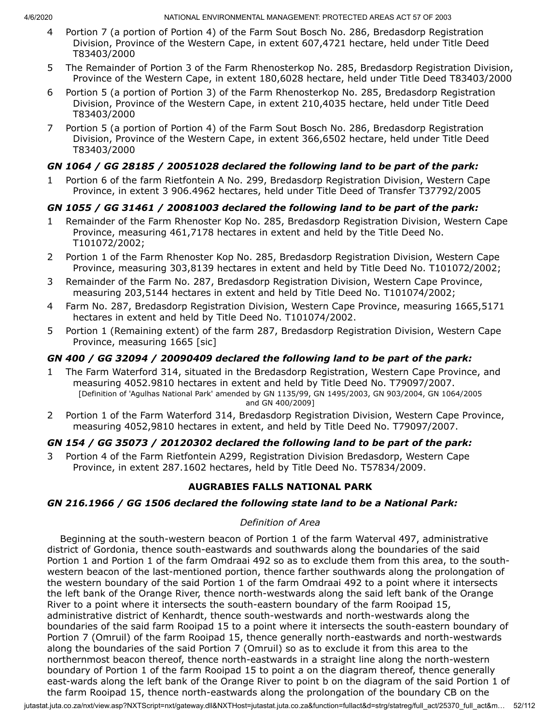- 4 Portion 7 (a portion of Portion 4) of the Farm Sout Bosch No. 286, Bredasdorp Registration Division, Province of the Western Cape, in extent 607,4721 hectare, held under Title Deed T83403/2000
- 5 The Remainder of Portion 3 of the Farm Rhenosterkop No. 285, Bredasdorp Registration Division, Province of the Western Cape, in extent 180,6028 hectare, held under Title Deed T83403/2000
- 6 Portion 5 (a portion of Portion 3) of the Farm Rhenosterkop No. 285, Bredasdorp Registration Division, Province of the Western Cape, in extent 210,4035 hectare, held under Title Deed T83403/2000
- 7 Portion 5 (a portion of Portion 4) of the Farm Sout Bosch No. 286, Bredasdorp Registration Division, Province of the Western Cape, in extent 366,6502 hectare, held under Title Deed T83403/2000

# *GN 1064 / GG 28185 / 20051028 declared the following land to be part of the park:*

1 Portion 6 of the farm Rietfontein A No. 299, Bredasdorp Registration Division, Western Cape Province, in extent 3 906.4962 hectares, held under Title Deed of Transfer T37792/2005

# *GN 1055 / GG 31461 / 20081003 declared the following land to be part of the park:*

- Remainder of the Farm Rhenoster Kop No. 285, Bredasdorp Registration Division, Western Cape Province, measuring 461,7178 hectares in extent and held by the Title Deed No. T101072/2002;
- 2 Portion 1 of the Farm Rhenoster Kop No. 285, Bredasdorp Registration Division, Western Cape Province, measuring 303,8139 hectares in extent and held by Title Deed No. T101072/2002;
- 3 Remainder of the Farm No. 287, Bredasdorp Registration Division, Western Cape Province, measuring 203,5144 hectares in extent and held by Title Deed No. T101074/2002;
- 4 Farm No. 287, Bredasdorp Registration Division, Western Cape Province, measuring 1665,5171 hectares in extent and held by Title Deed No. T101074/2002.
- 5 Portion 1 (Remaining extent) of the farm 287, Bredasdorp Registration Division, Western Cape Province, measuring 1665 [sic]

# *GN 400 / GG 32094 / 20090409 declared the following land to be part of the park:*

- 1 The Farm Waterford 314, situated in the Bredasdorp Registration, Western Cape Province, and measuring 4052.9810 hectares in extent and held by Title Deed No. T79097/2007. [Definition of 'Agulhas National Park' amended by GN 1135/99, GN 1495/2003, GN 903/2004, GN 1064/2005 and GN 400/2009]
- 2 Portion 1 of the Farm Waterford 314, Bredasdorp Registration Division, Western Cape Province, measuring 4052,9810 hectares in extent, and held by Title Deed No. T79097/2007.

# *GN 154 / GG 35073 / 20120302 declared the following land to be part of the park:*

3 Portion 4 of the Farm Rietfontein A299, Registration Division Bredasdorp, Western Cape Province, in extent 287.1602 hectares, held by Title Deed No. T57834/2009.

# **AUGRABIES FALLS NATIONAL PARK**

# *GN 216.1966 / GG 1506 declared the following state land to be a National Park:*

# *Definition of Area*

Beginning at the south-western beacon of Portion 1 of the farm Waterval 497, administrative district of Gordonia, thence south-eastwards and southwards along the boundaries of the said Portion 1 and Portion 1 of the farm Omdraai 492 so as to exclude them from this area, to the southwestern beacon of the last-mentioned portion, thence farther southwards along the prolongation of the western boundary of the said Portion 1 of the farm Omdraai 492 to a point where it intersects the left bank of the Orange River, thence north-westwards along the said left bank of the Orange River to a point where it intersects the south-eastern boundary of the farm Rooipad 15, administrative district of Kenhardt, thence south-westwards and north-westwards along the boundaries of the said farm Rooipad 15 to a point where it intersects the south-eastern boundary of Portion 7 (Omruil) of the farm Rooipad 15, thence generally north-eastwards and north-westwards along the boundaries of the said Portion 7 (Omruil) so as to exclude it from this area to the northernmost beacon thereof, thence north-eastwards in a straight line along the north-western boundary of Portion 1 of the farm Rooipad 15 to point a on the diagram thereof, thence generally east-wards along the left bank of the Orange River to point b on the diagram of the said Portion 1 of the farm Rooipad 15, thence north-eastwards along the prolongation of the boundary CB on the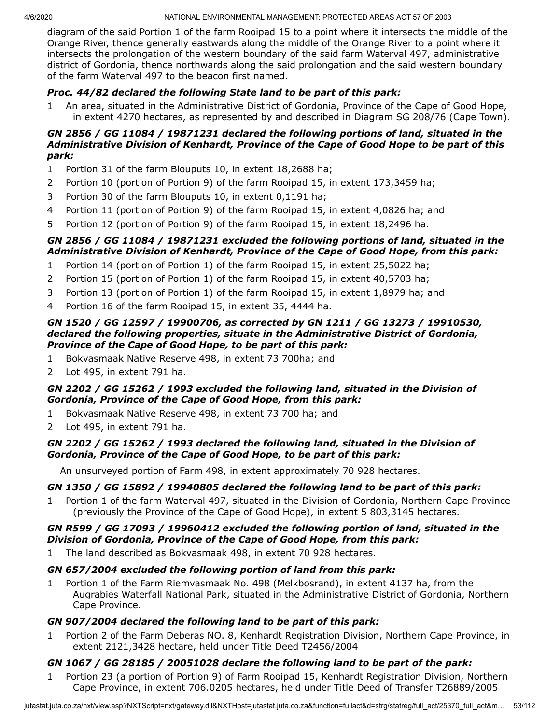diagram of the said Portion 1 of the farm Rooipad 15 to a point where it intersects the middle of the Orange River, thence generally eastwards along the middle of the Orange River to a point where it intersects the prolongation of the western boundary of the said farm Waterval 497, administrative district of Gordonia, thence northwards along the said prolongation and the said western boundary of the farm Waterval 497 to the beacon first named.

# *Proc. 44/82 declared the following State land to be part of this park:*

1 An area, situated in the Administrative District of Gordonia, Province of the Cape of Good Hope, in extent 4270 hectares, as represented by and described in Diagram SG 208/76 (Cape Town).

# *GN 2856 / GG 11084 / 19871231 declared the following portions of land, situated in the Administrative Division of Kenhardt, Province of the Cape of Good Hope to be part of this park:*

- 1 Portion 31 of the farm Blouputs 10, in extent 18,2688 ha;
- 2 Portion 10 (portion of Portion 9) of the farm Rooipad 15, in extent 173,3459 ha;
- 3 Portion 30 of the farm Blouputs 10, in extent 0,1191 ha;
- 4 Portion 11 (portion of Portion 9) of the farm Rooipad 15, in extent 4,0826 ha; and
- 5 Portion 12 (portion of Portion 9) of the farm Rooipad 15, in extent 18,2496 ha.

## *GN 2856 / GG 11084 / 19871231 excluded the following portions of land, situated in the Administrative Division of Kenhardt, Province of the Cape of Good Hope, from this park:*

- 1 Portion 14 (portion of Portion 1) of the farm Rooipad 15, in extent 25,5022 ha;
- 2 Portion 15 (portion of Portion 1) of the farm Rooipad 15, in extent 40,5703 ha;
- 3 Portion 13 (portion of Portion 1) of the farm Rooipad 15, in extent 1,8979 ha; and
- 4 Portion 16 of the farm Rooipad 15, in extent 35, 4444 ha.

#### *GN 1520 / GG 12597 / 19900706, as corrected by GN 1211 / GG 13273 / 19910530, declared the following properties, situate in the Administrative District of Gordonia, Province of the Cape of Good Hope, to be part of this park:*

- 1 Bokvasmaak Native Reserve 498, in extent 73 700ha; and
- 2 Lot 495, in extent 791 ha.

### *GN 2202 / GG 15262 / 1993 excluded the following land, situated in the Division of Gordonia, Province of the Cape of Good Hope, from this park:*

- 1 Bokvasmaak Native Reserve 498, in extent 73 700 ha; and
- 2 Lot 495, in extent 791 ha.

### *GN 2202 / GG 15262 / 1993 declared the following land, situated in the Division of Gordonia, Province of the Cape of Good Hope, to be part of this park:*

An unsurveyed portion of Farm 498, in extent approximately 70 928 hectares.

# *GN 1350 / GG 15892 / 19940805 declared the following land to be part of this park:*

1 Portion 1 of the farm Waterval 497, situated in the Division of Gordonia, Northern Cape Province (previously the Province of the Cape of Good Hope), in extent 5 803,3145 hectares.

### *GN R599 / GG 17093 / 19960412 excluded the following portion of land, situated in the Division of Gordonia, Province of the Cape of Good Hope, from this park:*

1 The land described as Bokvasmaak 498, in extent 70 928 hectares.

# *GN 657/2004 excluded the following portion of land from this park:*

1 Portion 1 of the Farm Riemvasmaak No. 498 (Melkbosrand), in extent 4137 ha, from the Augrabies Waterfall National Park, situated in the Administrative District of Gordonia, Northern Cape Province.

# *GN 907/2004 declared the following land to be part of this park:*

1 Portion 2 of the Farm Deberas NO. 8, Kenhardt Registration Division, Northern Cape Province, in extent 2121,3428 hectare, held under Title Deed T2456/2004

# *GN 1067 / GG 28185 / 20051028 declare the following land to be part of the park:*

1 Portion 23 (a portion of Portion 9) of Farm Rooipad 15, Kenhardt Registration Division, Northern Cape Province, in extent 706.0205 hectares, held under Title Deed of Transfer T26889/2005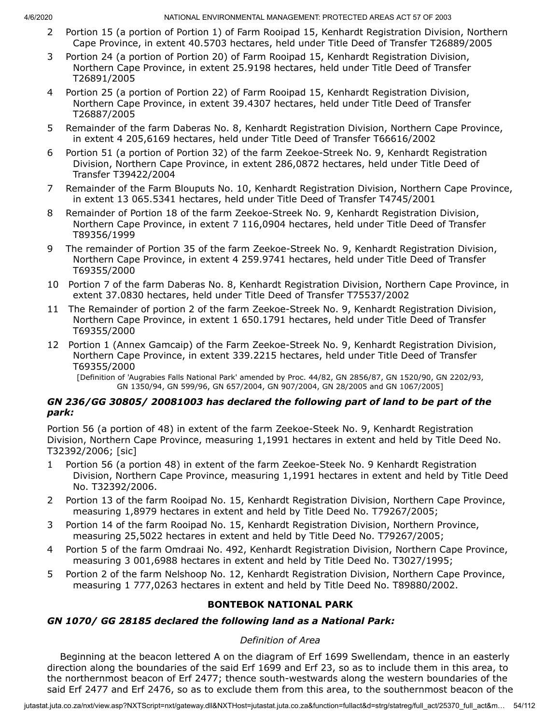- 2 Portion 15 (a portion of Portion 1) of Farm Rooipad 15, Kenhardt Registration Division, Northern Cape Province, in extent 40.5703 hectares, held under Title Deed of Transfer T26889/2005
- 3 Portion 24 (a portion of Portion 20) of Farm Rooipad 15, Kenhardt Registration Division, Northern Cape Province, in extent 25.9198 hectares, held under Title Deed of Transfer T26891/2005
- 4 Portion 25 (a portion of Portion 22) of Farm Rooipad 15, Kenhardt Registration Division, Northern Cape Province, in extent 39.4307 hectares, held under Title Deed of Transfer T26887/2005
- 5 Remainder of the farm Daberas No. 8, Kenhardt Registration Division, Northern Cape Province, in extent 4 205,6169 hectares, held under Title Deed of Transfer T66616/2002
- 6 Portion 51 (a portion of Portion 32) of the farm Zeekoe-Streek No. 9, Kenhardt Registration Division, Northern Cape Province, in extent 286,0872 hectares, held under Title Deed of Transfer T39422/2004
- 7 Remainder of the Farm Blouputs No. 10, Kenhardt Registration Division, Northern Cape Province, in extent 13 065.5341 hectares, held under Title Deed of Transfer T4745/2001
- 8 Remainder of Portion 18 of the farm Zeekoe-Streek No. 9, Kenhardt Registration Division, Northern Cape Province, in extent 7 116,0904 hectares, held under Title Deed of Transfer T89356/1999
- 9 The remainder of Portion 35 of the farm Zeekoe-Streek No. 9, Kenhardt Registration Division, Northern Cape Province, in extent 4 259.9741 hectares, held under Title Deed of Transfer T69355/2000
- 10 Portion 7 of the farm Daberas No. 8, Kenhardt Registration Division, Northern Cape Province, in extent 37.0830 hectares, held under Title Deed of Transfer T75537/2002
- 11 The Remainder of portion 2 of the farm Zeekoe-Streek No. 9, Kenhardt Registration Division, Northern Cape Province, in extent 1 650.1791 hectares, held under Title Deed of Transfer T69355/2000
- 12 Portion 1 (Annex Gamcaip) of the Farm Zeekoe-Streek No. 9, Kenhardt Registration Division, Northern Cape Province, in extent 339.2215 hectares, held under Title Deed of Transfer T69355/2000

[Definition of 'Augrabies Falls National Park' amended by Proc. 44/82, GN 2856/87, GN 1520/90, GN 2202/93, GN 1350/94, GN 599/96, GN 657/2004, GN 907/2004, GN 28/2005 and GN 1067/2005]

#### *GN 236/GG 30805/ 20081003 has declared the following part of land to be part of the park:*

Portion 56 (a portion of 48) in extent of the farm Zeekoe-Steek No. 9, Kenhardt Registration Division, Northern Cape Province, measuring 1,1991 hectares in extent and held by Title Deed No. T32392/2006; [sic]

- 1 Portion 56 (a portion 48) in extent of the farm Zeekoe-Steek No. 9 Kenhardt Registration Division, Northern Cape Province, measuring 1,1991 hectares in extent and held by Title Deed No. T32392/2006.
- 2 Portion 13 of the farm Rooipad No. 15, Kenhardt Registration Division, Northern Cape Province, measuring 1,8979 hectares in extent and held by Title Deed No. T79267/2005;
- 3 Portion 14 of the farm Rooipad No. 15, Kenhardt Registration Division, Northern Province, measuring 25,5022 hectares in extent and held by Title Deed No. T79267/2005;
- 4 Portion 5 of the farm Omdraai No. 492, Kenhardt Registration Division, Northern Cape Province, measuring 3 001,6988 hectares in extent and held by Title Deed No. T3027/1995;
- 5 Portion 2 of the farm Nelshoop No. 12, Kenhardt Registration Division, Northern Cape Province, measuring 1 777,0263 hectares in extent and held by Title Deed No. T89880/2002.

# **BONTEBOK NATIONAL PARK**

# *GN 1070/ GG 28185 declared the following land as a National Park:*

# *Definition of Area*

Beginning at the beacon lettered A on the diagram of Erf 1699 Swellendam, thence in an easterly direction along the boundaries of the said Erf 1699 and Erf 23, so as to include them in this area, to the northernmost beacon of Erf 2477; thence south-westwards along the western boundaries of the said Erf 2477 and Erf 2476, so as to exclude them from this area, to the southernmost beacon of the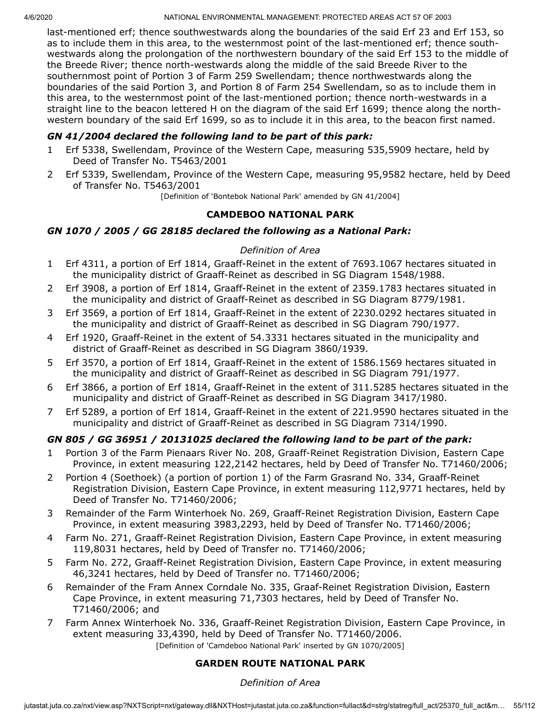last-mentioned erf; thence southwestwards along the boundaries of the said Erf 23 and Erf 153, so as to include them in this area, to the westernmost point of the last-mentioned erf; thence southwestwards along the prolongation of the northwestern boundary of the said Erf 153 to the middle of the Breede River; thence north-westwards along the middle of the said Breede River to the southernmost point of Portion 3 of Farm 259 Swellendam; thence northwestwards along the boundaries of the said Portion 3, and Portion 8 of Farm 254 Swellendam, so as to include them in this area, to the westernmost point of the last-mentioned portion; thence north-westwards in a straight line to the beacon lettered H on the diagram of the said Erf 1699; thence along the northwestern boundary of the said Erf 1699, so as to include it in this area, to the beacon first named.

# *GN 41/2004 declared the following land to be part of this park:*

- 1 Erf 5338, Swellendam, Province of the Western Cape, measuring 535,5909 hectare, held by Deed of Transfer No. T5463/2001
- 2 Erf 5339, Swellendam, Province of the Western Cape, measuring 95,9582 hectare, held by Deed of Transfer No. T5463/2001

[Definition of 'Bontebok National Park' amended by GN 41/2004]

### **CAMDEBOO NATIONAL PARK**

### *GN 1070 / 2005 / GG 28185 declared the following as a National Park:*

#### *Definition of Area*

- 1 Erf 4311, a portion of Erf 1814, Graaff-Reinet in the extent of 7693.1067 hectares situated in the municipality district of Graaff-Reinet as described in SG Diagram 1548/1988.
- 2 Erf 3908, a portion of Erf 1814, Graaff-Reinet in the extent of 2359.1783 hectares situated in the municipality and district of Graaff-Reinet as described in SG Diagram 8779/1981.
- 3 Erf 3569, a portion of Erf 1814, Graaff-Reinet in the extent of 2230.0292 hectares situated in the municipality and district of Graaff-Reinet as described in SG Diagram 790/1977.
- 4 Erf 1920, Graaff-Reinet in the extent of 54.3331 hectares situated in the municipality and district of Graaff-Reinet as described in SG Diagram 3860/1939.
- 5 Erf 3570, a portion of Erf 1814, Graaff-Reinet in the extent of 1586.1569 hectares situated in the municipality and district of Graaff-Reinet as described in SG Diagram 791/1977.
- 6 Erf 3866, a portion of Erf 1814, Graaff-Reinet in the extent of 311.5285 hectares situated in the municipality and district of Graaff-Reinet as described in SG Diagram 3417/1980.
- 7 Erf 5289, a portion of Erf 1814, Graaff-Reinet in the extent of 221.9590 hectares situated in the municipality and district of Graaff-Reinet as described in SG Diagram 7314/1990.

# *GN 805 / GG 36951 / 20131025 declared the following land to be part of the park:*

- 1 Portion 3 of the Farm Pienaars River No. 208, Graaff-Reinet Registration Division, Eastern Cape Province, in extent measuring 122,2142 hectares, held by Deed of Transfer No. T71460/2006;
- 2 Portion 4 (Soethoek) (a portion of portion 1) of the Farm Grasrand No. 334, Graaff-Reinet Registration Division, Eastern Cape Province, in extent measuring 112,9771 hectares, held by Deed of Transfer No. T71460/2006;
- 3 Remainder of the Farm Winterhoek No. 269, Graaff-Reinet Registration Division, Eastern Cape Province, in extent measuring 3983,2293, held by Deed of Transfer No. T71460/2006;
- 4 Farm No. 271, Graaff-Reinet Registration Division, Eastern Cape Province, in extent measuring 119,8031 hectares, held by Deed of Transfer no. T71460/2006;
- 5 Farm No. 272, Graaff-Reinet Registration Division, Eastern Cape Province, in extent measuring 46,3241 hectares, held by Deed of Transfer no. T71460/2006;
- 6 Remainder of the Fram Annex Corndale No. 335, Graaf-Reinet Registration Division, Eastern Cape Province, in extent measuring 71,7303 hectares, held by Deed of Transfer No. T71460/2006; and
- 7 Farm Annex Winterhoek No. 336, Graaff-Reinet Registration Division, Eastern Cape Province, in extent measuring 33,4390, held by Deed of Transfer No. T71460/2006. [Definition of 'Camdeboo National Park' inserted by GN 1070/2005]

# **GARDEN ROUTE NATIONAL PARK**

*Definition of Area*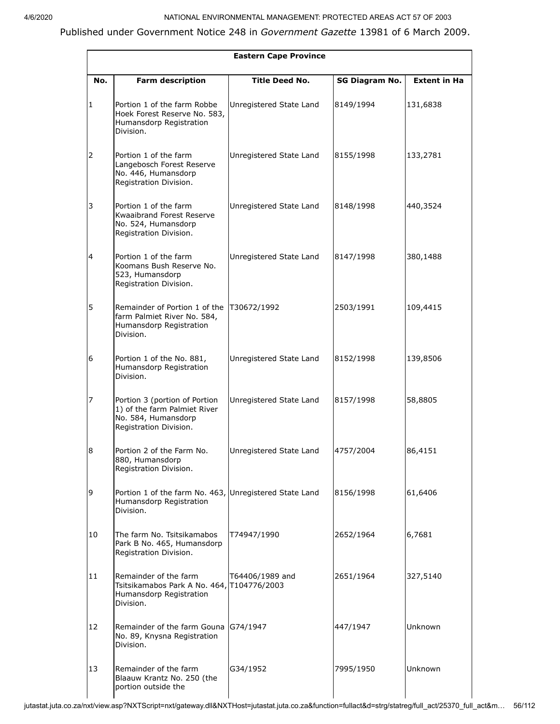#### Published under Government Notice 248 in *Government Gazette* 13981 of 6 March 2009.

|                | <b>Eastern Cape Province</b>                                                                                   |                         |                       |                     |
|----------------|----------------------------------------------------------------------------------------------------------------|-------------------------|-----------------------|---------------------|
| No.            | <b>Farm description</b>                                                                                        | <b>Title Deed No.</b>   | <b>SG Diagram No.</b> | <b>Extent in Ha</b> |
| 1              | Portion 1 of the farm Robbe<br>Hoek Forest Reserve No. 583,<br>Humansdorp Registration<br>Division.            | Unregistered State Land | 8149/1994             | 131,6838            |
| 2              | Portion 1 of the farm<br>Langebosch Forest Reserve<br>No. 446, Humansdorp<br>Registration Division.            | Unregistered State Land | 8155/1998             | 133,2781            |
| 3              | Portion 1 of the farm<br>Kwaaibrand Forest Reserve<br>No. 524, Humansdorp<br>Registration Division.            | Unregistered State Land | 8148/1998             | 440,3524            |
| $\overline{4}$ | Portion 1 of the farm<br>Koomans Bush Reserve No.<br>523, Humansdorp<br>Registration Division.                 | Unregistered State Land | 8147/1998             | 380,1488            |
| 5              | Remainder of Portion 1 of the<br>farm Palmiet River No. 584,<br>Humansdorp Registration<br>Division.           | T30672/1992             | 2503/1991             | 109,4415            |
| 6              | Portion 1 of the No. 881,<br>Humansdorp Registration<br>Division.                                              | Unregistered State Land | 8152/1998             | 139,8506            |
| 7              | Portion 3 (portion of Portion<br>1) of the farm Palmiet River<br>No. 584, Humansdorp<br>Registration Division. | Unregistered State Land | 8157/1998             | 58,8805             |
| 8              | Portion 2 of the Farm No.<br>880, Humansdorp<br>Registration Division.                                         | Unregistered State Land | 4757/2004             | 86,4151             |
| 9              | Portion 1 of the farm No. 463, Unregistered State Land<br>Humansdorp Registration<br>Division.                 |                         | 8156/1998             | 61,6406             |
| 10             | The farm No. Tsitsikamabos<br>Park B No. 465, Humansdorp<br>Registration Division.                             | T74947/1990             | 2652/1964             | 6,7681              |
| 11             | Remainder of the farm<br>Tsitsikamabos Park A No. 464, T104776/2003<br>Humansdorp Registration<br>Division.    | T64406/1989 and         | 2651/1964             | 327,5140            |
| 12             | Remainder of the farm Gouna G74/1947<br>No. 89, Knysna Registration<br>Division.                               |                         | 447/1947              | Unknown             |
| 13             | Remainder of the farm<br>Blaauw Krantz No. 250 (the<br>portion outside the                                     | G34/1952                | 7995/1950             | Unknown             |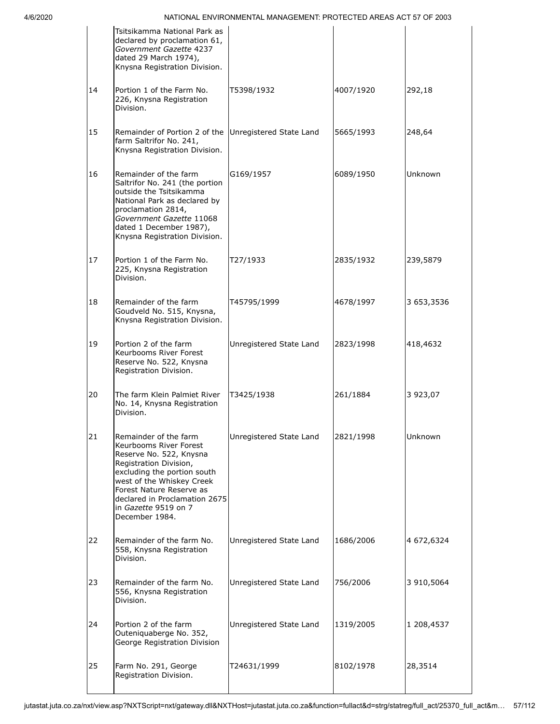|    | Tsitsikamma National Park as<br>declared by proclamation 61,<br>Government Gazette 4237<br>dated 29 March 1974),<br>Knysna Registration Division.                                                                                                                       |                         |           |            |
|----|-------------------------------------------------------------------------------------------------------------------------------------------------------------------------------------------------------------------------------------------------------------------------|-------------------------|-----------|------------|
| 14 | Portion 1 of the Farm No.<br>226, Knysna Registration<br>Division.                                                                                                                                                                                                      | T5398/1932              | 4007/1920 | 292,18     |
| 15 | Remainder of Portion 2 of the<br>farm Saltrifor No. 241,<br>Knysna Registration Division.                                                                                                                                                                               | Unregistered State Land | 5665/1993 | 248,64     |
| 16 | Remainder of the farm<br>Saltrifor No. 241 (the portion<br>outside the Tsitsikamma<br>National Park as declared by<br>proclamation 2814,<br>Government Gazette 11068<br>dated 1 December 1987),<br>Knysna Registration Division.                                        | G169/1957               | 6089/1950 | Unknown    |
| 17 | Portion 1 of the Farm No.<br>225, Knysna Registration<br>Division.                                                                                                                                                                                                      | T27/1933                | 2835/1932 | 239,5879   |
| 18 | Remainder of the farm<br>Goudveld No. 515, Knysna,<br>Knysna Registration Division.                                                                                                                                                                                     | T45795/1999             | 4678/1997 | 3 653,3536 |
| 19 | Portion 2 of the farm<br>Keurbooms River Forest<br>Reserve No. 522, Knysna<br>Registration Division.                                                                                                                                                                    | Unregistered State Land | 2823/1998 | 418,4632   |
| 20 | The farm Klein Palmiet River<br>No. 14, Knysna Registration<br>Division.                                                                                                                                                                                                | T3425/1938              | 261/1884  | 3 923,07   |
| 21 | Remainder of the farm<br>Keurbooms River Forest<br>Reserve No. 522, Knysna<br>Registration Division,<br>excluding the portion south<br>west of the Whiskey Creek<br>Forest Nature Reserve as<br>declared in Proclamation 2675<br>in Gazette 9519 on 7<br>December 1984. | Unregistered State Land | 2821/1998 | Unknown    |
| 22 | Remainder of the farm No.<br>558, Knysna Registration<br>Division.                                                                                                                                                                                                      | Unregistered State Land | 1686/2006 | 4 672,6324 |
| 23 | Remainder of the farm No.<br>556, Knysna Registration<br>Division.                                                                                                                                                                                                      | Unregistered State Land | 756/2006  | 3 910,5064 |
| 24 | Portion 2 of the farm<br>Outeniquaberge No. 352,<br>George Registration Division                                                                                                                                                                                        | Unregistered State Land | 1319/2005 | 1 208,4537 |
| 25 | Farm No. 291, George<br>Registration Division.                                                                                                                                                                                                                          | T24631/1999             | 8102/1978 | 28,3514    |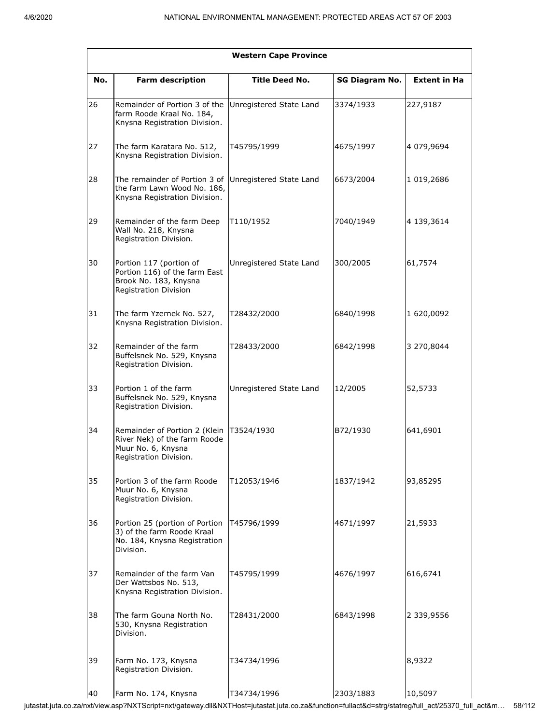|     | <b>Western Cape Province</b>                                                                                          |                         |                       |                     |  |
|-----|-----------------------------------------------------------------------------------------------------------------------|-------------------------|-----------------------|---------------------|--|
| No. | <b>Farm description</b>                                                                                               | <b>Title Deed No.</b>   | <b>SG Diagram No.</b> | <b>Extent in Ha</b> |  |
| 26  | Remainder of Portion 3 of the<br>farm Roode Kraal No. 184,<br>Knysna Registration Division.                           | Unregistered State Land | 3374/1933             | 227,9187            |  |
| 27  | The farm Karatara No. 512,<br>Knysna Registration Division.                                                           | T45795/1999             | 4675/1997             | 4 079,9694          |  |
| 28  | The remainder of Portion 3 of Unregistered State Land<br>the farm Lawn Wood No. 186,<br>Knysna Registration Division. |                         | 6673/2004             | 1 019,2686          |  |
| 29  | Remainder of the farm Deep<br>Wall No. 218, Knysna<br>Registration Division.                                          | T110/1952               | 7040/1949             | 4 139,3614          |  |
| 30  | Portion 117 (portion of<br>Portion 116) of the farm East<br>Brook No. 183, Knysna<br>Registration Division            | Unregistered State Land | 300/2005              | 61,7574             |  |
| 31  | The farm Yzernek No. 527,<br>Knysna Registration Division.                                                            | T28432/2000             | 6840/1998             | 1 620,0092          |  |
| 32  | Remainder of the farm<br>Buffelsnek No. 529, Knysna<br>Registration Division.                                         | T28433/2000             | 6842/1998             | 3 270,8044          |  |
| 33  | Portion 1 of the farm<br>Buffelsnek No. 529, Knysna<br>Registration Division.                                         | Unregistered State Land | 12/2005               | 52,5733             |  |
| 34  | Remainder of Portion 2 (Klein<br>River Nek) of the farm Roode<br>Muur No. 6, Knysna<br>Registration Division.         | T3524/1930              | B72/1930              | 641,6901            |  |
| 35  | Portion 3 of the farm Roode<br>Muur No. 6, Knysna<br>Registration Division.                                           | T12053/1946             | 1837/1942             | 93,85295            |  |
| 36  | Portion 25 (portion of Portion<br>3) of the farm Roode Kraal<br>No. 184, Knysna Registration<br>Division.             | T45796/1999             | 4671/1997             | 21,5933             |  |
| 37  | Remainder of the farm Van<br>Der Wattsbos No. 513,<br>Knysna Registration Division.                                   | T45795/1999             | 4676/1997             | 616,6741            |  |
| 38  | The farm Gouna North No.<br>530, Knysna Registration<br>Division.                                                     | T28431/2000             | 6843/1998             | 2 339,9556          |  |
| 39  | Farm No. 173, Knysna<br>Registration Division.                                                                        | T34734/1996             |                       | 8,9322              |  |
| 40  | Farm No. 174, Knysna                                                                                                  | T34734/1996             | 2303/1883             | 10,5097             |  |

jutastat.juta.co.za/nxt/view.asp?NXTScript=nxt/gateway.dll&NXTHost=jutastat.juta.co.za&function=fullact&d=strg/statreg/full\_act/25370\_full\_act&m… 58/112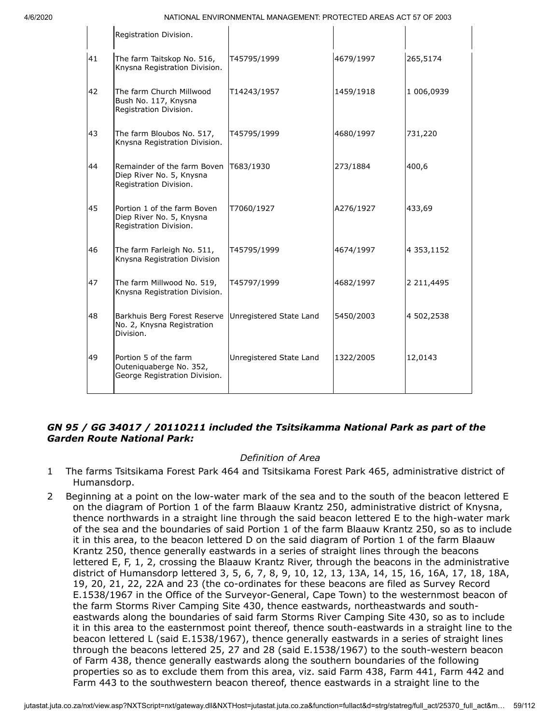|    | Registration Division.                                                            |                         |           |            |
|----|-----------------------------------------------------------------------------------|-------------------------|-----------|------------|
| 41 | The farm Taitskop No. 516,<br>Knysna Registration Division.                       | T45795/1999             | 4679/1997 | 265,5174   |
| 42 | The farm Church Millwood<br>Bush No. 117, Knysna<br>Registration Division.        | T14243/1957             | 1459/1918 | 1 006,0939 |
| 43 | The farm Bloubos No. 517,<br>Knysna Registration Division.                        | T45795/1999             | 4680/1997 | 731,220    |
| 44 | Remainder of the farm Boven<br>Diep River No. 5, Knysna<br>Registration Division. | T683/1930               | 273/1884  | 400,6      |
| 45 | Portion 1 of the farm Boven<br>Diep River No. 5, Knysna<br>Registration Division. | T7060/1927              | A276/1927 | 433,69     |
| 46 | The farm Farleigh No. 511,<br>Knysna Registration Division                        | T45795/1999             | 4674/1997 | 4 353,1152 |
| 47 | The farm Millwood No. 519,<br>Knysna Registration Division.                       | T45797/1999             | 4682/1997 | 2 211,4495 |
| 48 | Barkhuis Berg Forest Reserve<br>No. 2, Knysna Registration<br>Division.           | Unregistered State Land | 5450/2003 | 4 502,2538 |
| 49 | Portion 5 of the farm<br>Outeniquaberge No. 352,<br>George Registration Division. | Unregistered State Land | 1322/2005 | 12,0143    |

### *GN 95 / GG 34017 / 20110211 included the Tsitsikamma National Park as part of the Garden Route National Park:*

#### *Definition of Area*

- 1 The farms Tsitsikama Forest Park 464 and Tsitsikama Forest Park 465, administrative district of Humansdorp.
- 2 Beginning at a point on the low-water mark of the sea and to the south of the beacon lettered E on the diagram of Portion 1 of the farm Blaauw Krantz 250, administrative district of Knysna, thence northwards in a straight line through the said beacon lettered E to the high-water mark of the sea and the boundaries of said Portion 1 of the farm Blaauw Krantz 250, so as to include it in this area, to the beacon lettered D on the said diagram of Portion 1 of the farm Blaauw Krantz 250, thence generally eastwards in a series of straight lines through the beacons lettered E, F, 1, 2, crossing the Blaauw Krantz River, through the beacons in the administrative district of Humansdorp lettered 3, 5, 6, 7, 8, 9, 10, 12, 13, 13A, 14, 15, 16, 16A, 17, 18, 18A, 19, 20, 21, 22, 22A and 23 (the co-ordinates for these beacons are filed as Survey Record E.1538/1967 in the Office of the Surveyor-General, Cape Town) to the westernmost beacon of the farm Storms River Camping Site 430, thence eastwards, northeastwards and southeastwards along the boundaries of said farm Storms River Camping Site 430, so as to include it in this area to the easternmost point thereof, thence south-eastwards in a straight line to the beacon lettered L (said E.1538/1967), thence generally eastwards in a series of straight lines through the beacons lettered 25, 27 and 28 (said E.1538/1967) to the south-western beacon of Farm 438, thence generally eastwards along the southern boundaries of the following properties so as to exclude them from this area, viz. said Farm 438, Farm 441, Farm 442 and Farm 443 to the southwestern beacon thereof, thence eastwards in a straight line to the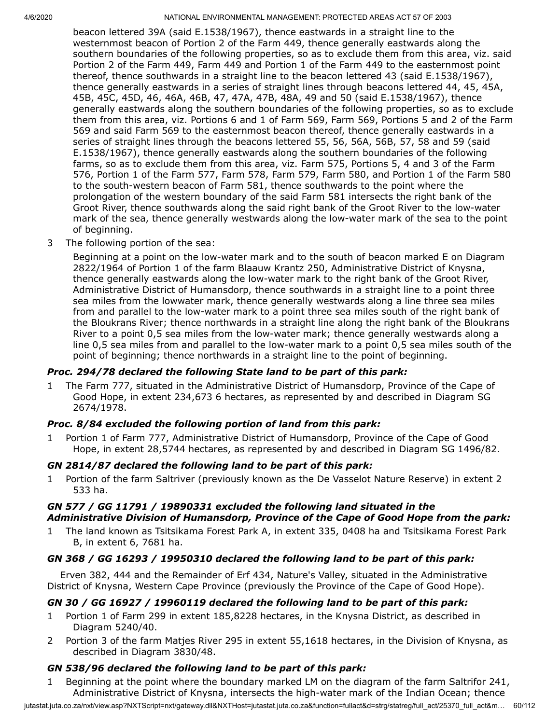beacon lettered 39A (said E.1538/1967), thence eastwards in a straight line to the westernmost beacon of Portion 2 of the Farm 449, thence generally eastwards along the southern boundaries of the following properties, so as to exclude them from this area, viz. said Portion 2 of the Farm 449, Farm 449 and Portion 1 of the Farm 449 to the easternmost point thereof, thence southwards in a straight line to the beacon lettered 43 (said E.1538/1967), thence generally eastwards in a series of straight lines through beacons lettered 44, 45, 45A, 45B, 45C, 45D, 46, 46A, 46B, 47, 47A, 47B, 48A, 49 and 50 (said E.1538/1967), thence generally eastwards along the southern boundaries of the following properties, so as to exclude them from this area, viz. Portions 6 and 1 of Farm 569, Farm 569, Portions 5 and 2 of the Farm 569 and said Farm 569 to the easternmost beacon thereof, thence generally eastwards in a series of straight lines through the beacons lettered 55, 56, 56A, 56B, 57, 58 and 59 (said E.1538/1967), thence generally eastwards along the southern boundaries of the following farms, so as to exclude them from this area, viz. Farm 575, Portions 5, 4 and 3 of the Farm 576, Portion 1 of the Farm 577, Farm 578, Farm 579, Farm 580, and Portion 1 of the Farm 580 to the south-western beacon of Farm 581, thence southwards to the point where the prolongation of the western boundary of the said Farm 581 intersects the right bank of the Groot River, thence southwards along the said right bank of the Groot River to the low-water mark of the sea, thence generally westwards along the low-water mark of the sea to the point of beginning.

3 The following portion of the sea:

Beginning at a point on the low-water mark and to the south of beacon marked E on Diagram 2822/1964 of Portion 1 of the farm Blaauw Krantz 250, Administrative District of Knysna, thence generally eastwards along the low-water mark to the right bank of the Groot River, Administrative District of Humansdorp, thence southwards in a straight line to a point three sea miles from the lowwater mark, thence generally westwards along a line three sea miles from and parallel to the low-water mark to a point three sea miles south of the right bank of the Bloukrans River; thence northwards in a straight line along the right bank of the Bloukrans River to a point 0,5 sea miles from the low-water mark; thence generally westwards along a line 0,5 sea miles from and parallel to the low-water mark to a point 0,5 sea miles south of the point of beginning; thence northwards in a straight line to the point of beginning.

# *Proc. 294/78 declared the following State land to be part of this park:*

1 The Farm 777, situated in the Administrative District of Humansdorp, Province of the Cape of Good Hope, in extent 234,673 6 hectares, as represented by and described in Diagram SG 2674/1978.

# *Proc. 8/84 excluded the following portion of land from this park:*

1 Portion 1 of Farm 777, Administrative District of Humansdorp, Province of the Cape of Good Hope, in extent 28,5744 hectares, as represented by and described in Diagram SG 1496/82.

# *GN 2814/87 declared the following land to be part of this park:*

1 Portion of the farm Saltriver (previously known as the De Vasselot Nature Reserve) in extent 2 533 ha.

# *GN 577 / GG 11791 / 19890331 excluded the following land situated in the Administrative Division of Humansdorp, Province of the Cape of Good Hope from the park:*

1 The land known as Tsitsikama Forest Park A, in extent 335, 0408 ha and Tsitsikama Forest Park B, in extent 6, 7681 ha.

# *GN 368 / GG 16293 / 19950310 declared the following land to be part of this park:*

Erven 382, 444 and the Remainder of Erf 434, Nature's Valley, situated in the Administrative District of Knysna, Western Cape Province (previously the Province of the Cape of Good Hope).

# *GN 30 / GG 16927 / 19960119 declared the following land to be part of this park:*

- 1 Portion 1 of Farm 299 in extent 185,8228 hectares, in the Knysna District, as described in Diagram 5240/40.
- 2 Portion 3 of the farm Matjes River 295 in extent 55,1618 hectares, in the Division of Knysna, as described in Diagram 3830/48.

# *GN 538/96 declared the following land to be part of this park:*

1 Beginning at the point where the boundary marked LM on the diagram of the farm Saltrifor 241, Administrative District of Knysna, intersects the high-water mark of the Indian Ocean; thence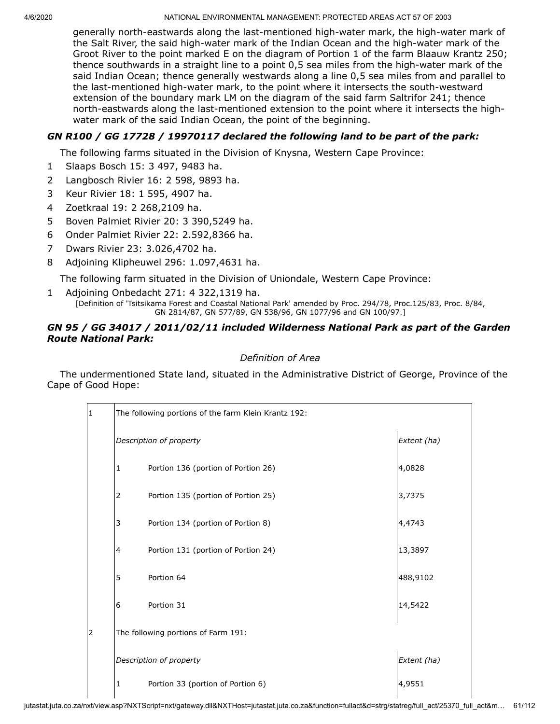generally north-eastwards along the last-mentioned high-water mark, the high-water mark of the Salt River, the said high-water mark of the Indian Ocean and the high-water mark of the Groot River to the point marked E on the diagram of Portion 1 of the farm Blaauw Krantz 250; thence southwards in a straight line to a point 0,5 sea miles from the high-water mark of the said Indian Ocean; thence generally westwards along a line 0,5 sea miles from and parallel to the last-mentioned high-water mark, to the point where it intersects the south-westward extension of the boundary mark LM on the diagram of the said farm Saltrifor 241; thence north-eastwards along the last-mentioned extension to the point where it intersects the highwater mark of the said Indian Ocean, the point of the beginning.

# *GN R100 / GG 17728 / 19970117 declared the following land to be part of the park:*

The following farms situated in the Division of Knysna, Western Cape Province:

- 1 Slaaps Bosch 15: 3 497, 9483 ha.
- 2 Langbosch Rivier 16: 2 598, 9893 ha.
- 3 Keur Rivier 18: 1 595, 4907 ha.
- 4 Zoetkraal 19: 2 268,2109 ha.
- 5 Boven Palmiet Rivier 20: 3 390,5249 ha.
- 6 Onder Palmiet Rivier 22: 2.592,8366 ha.
- 7 Dwars Rivier 23: 3.026,4702 ha.
- 8 Adjoining Klipheuwel 296: 1.097,4631 ha.

The following farm situated in the Division of Uniondale, Western Cape Province:

1 Adjoining Onbedacht 271: 4 322,1319 ha.

[Definition of 'Tsitsikama Forest and Coastal National Park' amended by Proc. 294/78, Proc.125/83, Proc. 8/84, GN 2814/87, GN 577/89, GN 538/96, GN 1077/96 and GN 100/97.]

#### *GN 95 / GG 34017 / 2011/02/11 included Wilderness National Park as part of the Garden Route National Park:*

### *Definition of Area*

The undermentioned State land, situated in the Administrative District of George, Province of the Cape of Good Hope:

| 1 | The following portions of the farm Klein Krantz 192:           |                                     |             |  |
|---|----------------------------------------------------------------|-------------------------------------|-------------|--|
|   | Description of property                                        |                                     | Extent (ha) |  |
|   | 1                                                              | Portion 136 (portion of Portion 26) | 4,0828      |  |
|   | $\overline{2}$                                                 | Portion 135 (portion of Portion 25) | 3,7375      |  |
|   | 3                                                              | Portion 134 (portion of Portion 8)  | 4,4743      |  |
|   | 4                                                              | Portion 131 (portion of Portion 24) | 13,3897     |  |
|   | 5                                                              | Portion 64                          | 488,9102    |  |
|   | 6                                                              | Portion 31                          | 14,5422     |  |
| 2 | The following portions of Farm 191:<br>Description of property |                                     |             |  |
|   |                                                                |                                     | Extent (ha) |  |
|   | 1                                                              | Portion 33 (portion of Portion 6)   | 4,9551      |  |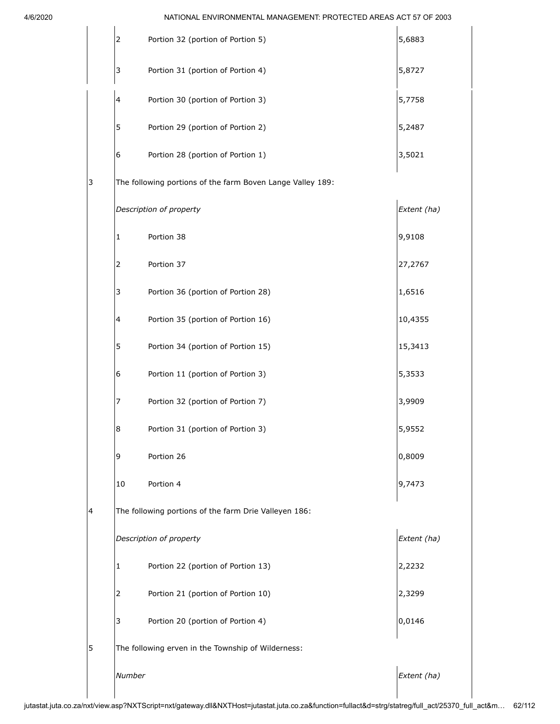|                                                                                       |   | 2                                                  | Portion 32 (portion of Portion 5)                          | 5,6883      |
|---------------------------------------------------------------------------------------|---|----------------------------------------------------|------------------------------------------------------------|-------------|
|                                                                                       |   | 3                                                  | Portion 31 (portion of Portion 4)                          | 5,8727      |
|                                                                                       |   | 4                                                  | Portion 30 (portion of Portion 3)                          | 5,7758      |
|                                                                                       |   | 5                                                  | Portion 29 (portion of Portion 2)                          | 5,2487      |
|                                                                                       |   | 6                                                  | Portion 28 (portion of Portion 1)                          | 3,5021      |
|                                                                                       | 3 |                                                    | The following portions of the farm Boven Lange Valley 189: |             |
|                                                                                       |   |                                                    | Description of property                                    | Extent (ha) |
|                                                                                       |   | 1                                                  | Portion 38                                                 | 9,9108      |
|                                                                                       |   | 2                                                  | Portion 37                                                 | 27,2767     |
|                                                                                       |   | 3                                                  | Portion 36 (portion of Portion 28)                         | 1,6516      |
|                                                                                       |   | 4                                                  | Portion 35 (portion of Portion 16)                         | 10,4355     |
|                                                                                       |   | 5                                                  | Portion 34 (portion of Portion 15)                         | 15,3413     |
|                                                                                       |   | 6                                                  | Portion 11 (portion of Portion 3)                          | 5,3533      |
|                                                                                       |   | 7                                                  | Portion 32 (portion of Portion 7)                          | 3,9909      |
|                                                                                       |   | 8                                                  | Portion 31 (portion of Portion 3)                          | 5,9552      |
|                                                                                       |   | 9                                                  | Portion 26                                                 | 0,8009      |
|                                                                                       |   | 10                                                 | Portion 4                                                  | 9,7473      |
| The following portions of the farm Drie Valleyen 186:<br>4<br>Description of property |   |                                                    |                                                            |             |
|                                                                                       |   |                                                    |                                                            | Extent (ha) |
|                                                                                       |   | 1                                                  | Portion 22 (portion of Portion 13)                         | 2,2232      |
|                                                                                       |   | 2                                                  | Portion 21 (portion of Portion 10)                         | 2,3299      |
|                                                                                       |   | 3                                                  | Portion 20 (portion of Portion 4)                          | 0,0146      |
|                                                                                       | 5 | The following erven in the Township of Wilderness: |                                                            |             |
|                                                                                       |   | Number                                             |                                                            | Extent (ha) |
|                                                                                       |   |                                                    |                                                            |             |

jutastat.juta.co.za/nxt/view.asp?NXTScript=nxt/gateway.dll&NXTHost=jutastat.juta.co.za&function=fullact&d=strg/statreg/full\_act/25370\_full\_act&m… 62/112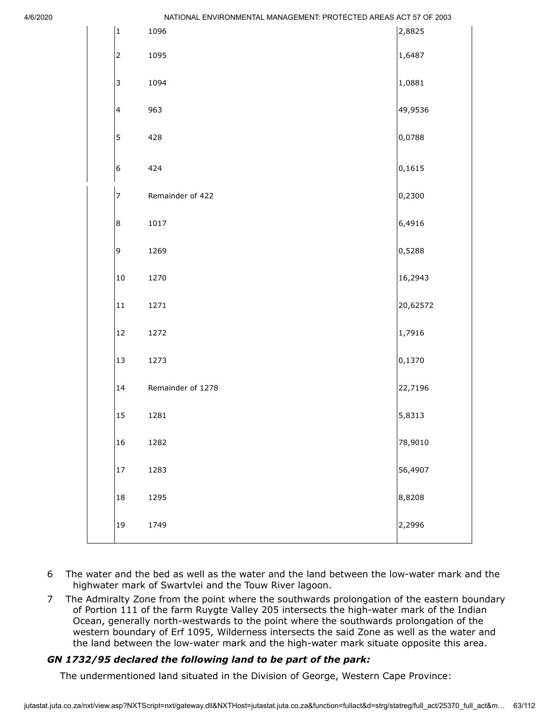|                          | <b>INATIONAL ENVIRONMENTAL MANAGEMENT, FROTECTED AREAS ACT 37 OF 2003</b> |          |
|--------------------------|---------------------------------------------------------------------------|----------|
| $\mathbf 1$              | 1096                                                                      | 2,8825   |
| $\overline{2}$           | 1095                                                                      | 1,6487   |
| $\overline{\mathbf{3}}$  | 1094                                                                      | 1,0881   |
| $\overline{\mathcal{L}}$ | 963                                                                       | 49,9536  |
| 5                        | 428                                                                       | 0,0788   |
| $\boldsymbol{6}$         | 424                                                                       | 0,1615   |
| 7                        | Remainder of 422                                                          | 0,2300   |
| $\bf8$                   | 1017                                                                      | 6,4916   |
| 9                        | 1269                                                                      | 0,5288   |
| 10                       | 1270                                                                      | 16,2943  |
| $11\,$                   | 1271                                                                      | 20,62572 |
| 12                       | 1272                                                                      | 1,7916   |
| 13                       | 1273                                                                      | 0,1370   |
| 14                       | Remainder of 1278                                                         | 22,7196  |
| 15                       | 1281                                                                      | 5,8313   |
| 16                       | 1282                                                                      | 78,9010  |
| 17                       | 1283                                                                      | 56,4907  |
| 18                       | 1295                                                                      | 8,8208   |
| 19                       | 1749                                                                      | 2,2996   |

- The water and the bed as well as the water and the land between the low-water mark and the highwater mark of Swartvlei and the Touw River lagoon.
- The Admiralty Zone from the point where the southwards prolongation of the eastern boundary of Portion 111 of the farm Ruygte Valley 205 intersects the high-water mark of the Indian Ocean, generally north-westwards to the point where the southwards prolongation of the western boundary of Erf 1095, Wilderness intersects the said Zone as well as the water and the land between the low-water mark and the high-water mark situate opposite this area.

#### *GN 1732/95 declared the following land to be part of the park:*

The undermentioned land situated in the Division of George, Western Cape Province: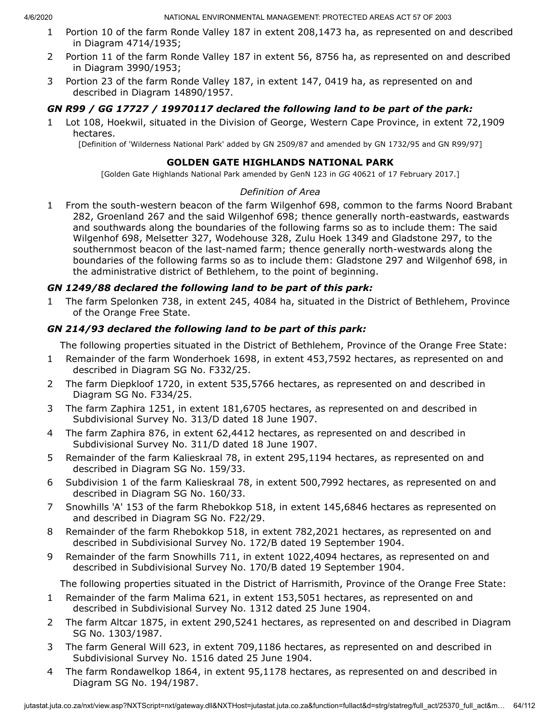- 1 Portion 10 of the farm Ronde Valley 187 in extent 208,1473 ha, as represented on and described in Diagram 4714/1935;
- 2 Portion 11 of the farm Ronde Valley 187 in extent 56, 8756 ha, as represented on and described in Diagram 3990/1953;
- 3 Portion 23 of the farm Ronde Valley 187, in extent 147, 0419 ha, as represented on and described in Diagram 14890/1957.

# *GN R99 / GG 17727 / 19970117 declared the following land to be part of the park:*

1 Lot 108, Hoekwil, situated in the Division of George, Western Cape Province, in extent 72,1909 hectares.

[Definition of 'Wilderness National Park' added by GN 2509/87 and amended by GN 1732/95 and GN R99/97]

### **GOLDEN GATE HIGHLANDS NATIONAL PARK**

[Golden Gate Highlands National Park amended by GenN 123 in *GG* 40621 of 17 February 2017.]

#### *Definition of Area*

1 From the south-western beacon of the farm Wilgenhof 698, common to the farms Noord Brabant 282, Groenland 267 and the said Wilgenhof 698; thence generally north-eastwards, eastwards and southwards along the boundaries of the following farms so as to include them: The said Wilgenhof 698, Melsetter 327, Wodehouse 328, Zulu Hoek 1349 and Gladstone 297, to the southernmost beacon of the last-named farm; thence generally north-westwards along the boundaries of the following farms so as to include them: Gladstone 297 and Wilgenhof 698, in the administrative district of Bethlehem, to the point of beginning.

# *GN 1249/88 declared the following land to be part of this park:*

1 The farm Spelonken 738, in extent 245, 4084 ha, situated in the District of Bethlehem, Province of the Orange Free State.

### *GN 214/93 declared the following land to be part of this park:*

The following properties situated in the District of Bethlehem, Province of the Orange Free State:

- 1 Remainder of the farm Wonderhoek 1698, in extent 453,7592 hectares, as represented on and described in Diagram SG No. F332/25.
- 2 The farm Diepkloof 1720, in extent 535,5766 hectares, as represented on and described in Diagram SG No. F334/25.
- 3 The farm Zaphira 1251, in extent 181,6705 hectares, as represented on and described in Subdivisional Survey No. 313/D dated 18 June 1907.
- 4 The farm Zaphira 876, in extent 62,4412 hectares, as represented on and described in Subdivisional Survey No. 311/D dated 18 June 1907.
- 5 Remainder of the farm Kalieskraal 78, in extent 295,1194 hectares, as represented on and described in Diagram SG No. 159/33.
- 6 Subdivision 1 of the farm Kalieskraal 78, in extent 500,7992 hectares, as represented on and described in Diagram SG No. 160/33.
- 7 Snowhills 'A' 153 of the farm Rhebokkop 518, in extent 145,6846 hectares as represented on and described in Diagram SG No. F22/29.
- 8 Remainder of the farm Rhebokkop 518, in extent 782,2021 hectares, as represented on and described in Subdivisional Survey No. 172/B dated 19 September 1904.
- 9 Remainder of the farm Snowhills 711, in extent 1022,4094 hectares, as represented on and described in Subdivisional Survey No. 170/B dated 19 September 1904.

The following properties situated in the District of Harrismith, Province of the Orange Free State:

- 1 Remainder of the farm Malima 621, in extent 153,5051 hectares, as represented on and described in Subdivisional Survey No. 1312 dated 25 June 1904.
- 2 The farm Altcar 1875, in extent 290,5241 hectares, as represented on and described in Diagram SG No. 1303/1987.
- 3 The farm General Will 623, in extent 709,1186 hectares, as represented on and described in Subdivisional Survey No. 1516 dated 25 June 1904.
- 4 The farm Rondawelkop 1864, in extent 95,1178 hectares, as represented on and described in Diagram SG No. 194/1987.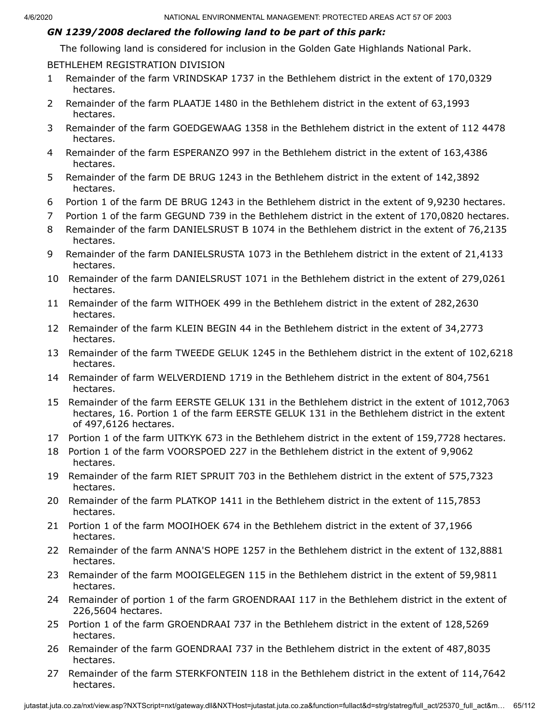#### *GN 1239/2008 declared the following land to be part of this park:*

The following land is considered for inclusion in the Golden Gate Highlands National Park.

BETHLEHEM REGISTRATION DIVISION

- 1 Remainder of the farm VRINDSKAP 1737 in the Bethlehem district in the extent of 170,0329 hectares.
- 2 Remainder of the farm PLAATJE 1480 in the Bethlehem district in the extent of 63,1993 hectares.
- 3 Remainder of the farm GOEDGEWAAG 1358 in the Bethlehem district in the extent of 112 4478 hectares.
- 4 Remainder of the farm ESPERANZO 997 in the Bethlehem district in the extent of 163,4386 hectares.
- 5 Remainder of the farm DE BRUG 1243 in the Bethlehem district in the extent of 142,3892 hectares.
- 6 Portion 1 of the farm DE BRUG 1243 in the Bethlehem district in the extent of 9,9230 hectares.
- 7 Portion 1 of the farm GEGUND 739 in the Bethlehem district in the extent of 170,0820 hectares.
- 8 Remainder of the farm DANIELSRUST B 1074 in the Bethlehem district in the extent of 76,2135 hectares.
- 9 Remainder of the farm DANIELSRUSTA 1073 in the Bethlehem district in the extent of 21,4133 hectares.
- 10 Remainder of the farm DANIELSRUST 1071 in the Bethlehem district in the extent of 279,0261 hectares.
- 11 Remainder of the farm WITHOEK 499 in the Bethlehem district in the extent of 282,2630 hectares.
- 12 Remainder of the farm KLEIN BEGIN 44 in the Bethlehem district in the extent of 34,2773 hectares.
- 13 Remainder of the farm TWEEDE GELUK 1245 in the Bethlehem district in the extent of 102,6218 hectares.
- 14 Remainder of farm WELVERDIEND 1719 in the Bethlehem district in the extent of 804,7561 hectares.
- 15 Remainder of the farm EERSTE GELUK 131 in the Bethlehem district in the extent of 1012,7063 hectares, 16. Portion 1 of the farm EERSTE GELUK 131 in the Bethlehem district in the extent of 497,6126 hectares.
- 17 Portion 1 of the farm UITKYK 673 in the Bethlehem district in the extent of 159,7728 hectares.
- 18 Portion 1 of the farm VOORSPOED 227 in the Bethlehem district in the extent of 9,9062 hectares.
- 19 Remainder of the farm RIET SPRUIT 703 in the Bethlehem district in the extent of 575,7323 hectares.
- 20 Remainder of the farm PLATKOP 1411 in the Bethlehem district in the extent of 115,7853 hectares.
- 21 Portion 1 of the farm MOOIHOEK 674 in the Bethlehem district in the extent of 37,1966 hectares.
- 22 Remainder of the farm ANNA'S HOPE 1257 in the Bethlehem district in the extent of 132,8881 hectares.
- 23 Remainder of the farm MOOIGELEGEN 115 in the Bethlehem district in the extent of 59,9811 hectares.
- 24 Remainder of portion 1 of the farm GROENDRAAI 117 in the Bethlehem district in the extent of 226,5604 hectares.
- 25 Portion 1 of the farm GROENDRAAI 737 in the Bethlehem district in the extent of 128,5269 hectares.
- 26 Remainder of the farm GOENDRAAI 737 in the Bethlehem district in the extent of 487,8035 hectares.
- 27 Remainder of the farm STERKFONTEIN 118 in the Bethlehem district in the extent of 114,7642 hectares.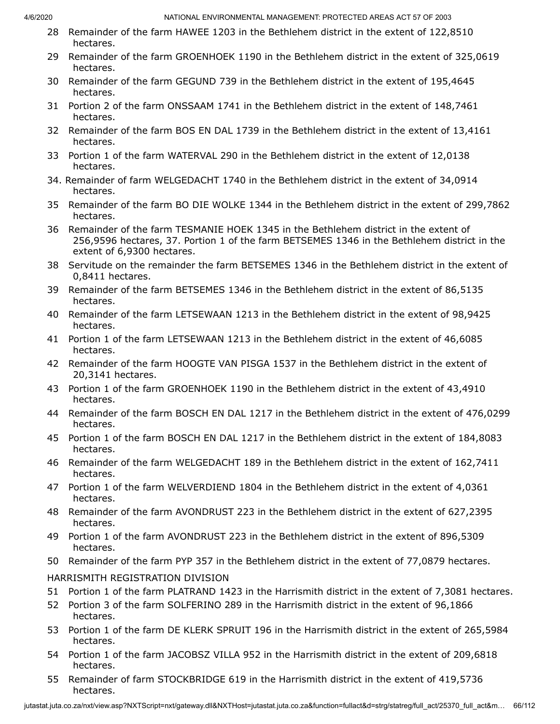- 28 Remainder of the farm HAWEE 1203 in the Bethlehem district in the extent of 122,8510 hectares.
- 29 Remainder of the farm GROENHOEK 1190 in the Bethlehem district in the extent of 325,0619 hectares.
- 30 Remainder of the farm GEGUND 739 in the Bethlehem district in the extent of 195,4645 hectares.
- 31 Portion 2 of the farm ONSSAAM 1741 in the Bethlehem district in the extent of 148,7461 hectares.
- 32 Remainder of the farm BOS EN DAL 1739 in the Bethlehem district in the extent of 13,4161 hectares.
- 33 Portion 1 of the farm WATERVAL 290 in the Bethlehem district in the extent of 12,0138 hectares.
- 34. Remainder of farm WELGEDACHT 1740 in the Bethlehem district in the extent of 34,0914 hectares.
- 35 Remainder of the farm BO DIE WOLKE 1344 in the Bethlehem district in the extent of 299,7862 hectares.
- 36 Remainder of the farm TESMANIE HOEK 1345 in the Bethlehem district in the extent of 256,9596 hectares, 37. Portion 1 of the farm BETSEMES 1346 in the Bethlehem district in the extent of 6,9300 hectares.
- 38 Servitude on the remainder the farm BETSEMES 1346 in the Bethlehem district in the extent of 0,8411 hectares.
- 39 Remainder of the farm BETSEMES 1346 in the Bethlehem district in the extent of 86,5135 hectares.
- 40 Remainder of the farm LETSEWAAN 1213 in the Bethlehem district in the extent of 98,9425 hectares.
- 41 Portion 1 of the farm LETSEWAAN 1213 in the Bethlehem district in the extent of 46,6085 hectares.
- 42 Remainder of the farm HOOGTE VAN PISGA 1537 in the Bethlehem district in the extent of 20,3141 hectares.
- 43 Portion 1 of the farm GROENHOEK 1190 in the Bethlehem district in the extent of 43,4910 hectares.
- 44 Remainder of the farm BOSCH EN DAL 1217 in the Bethlehem district in the extent of 476,0299 hectares.
- 45 Portion 1 of the farm BOSCH EN DAL 1217 in the Bethlehem district in the extent of 184,8083 hectares.
- 46 Remainder of the farm WELGEDACHT 189 in the Bethlehem district in the extent of 162,7411 hectares.
- 47 Portion 1 of the farm WELVERDIEND 1804 in the Bethlehem district in the extent of 4,0361 hectares.
- 48 Remainder of the farm AVONDRUST 223 in the Bethlehem district in the extent of 627,2395 hectares.
- 49 Portion 1 of the farm AVONDRUST 223 in the Bethlehem district in the extent of 896,5309 hectares.
- 50 Remainder of the farm PYP 357 in the Bethlehem district in the extent of 77,0879 hectares.

HARRISMITH REGISTRATION DIVISION

- 51 Portion 1 of the farm PLATRAND 1423 in the Harrismith district in the extent of 7,3081 hectares.
- 52 Portion 3 of the farm SOLFERINO 289 in the Harrismith district in the extent of 96,1866 hectares.
- 53 Portion 1 of the farm DE KLERK SPRUIT 196 in the Harrismith district in the extent of 265,5984 hectares.
- 54 Portion 1 of the farm JACOBSZ VILLA 952 in the Harrismith district in the extent of 209,6818 hectares.
- 55 Remainder of farm STOCKBRIDGE 619 in the Harrismith district in the extent of 419,5736 hectares.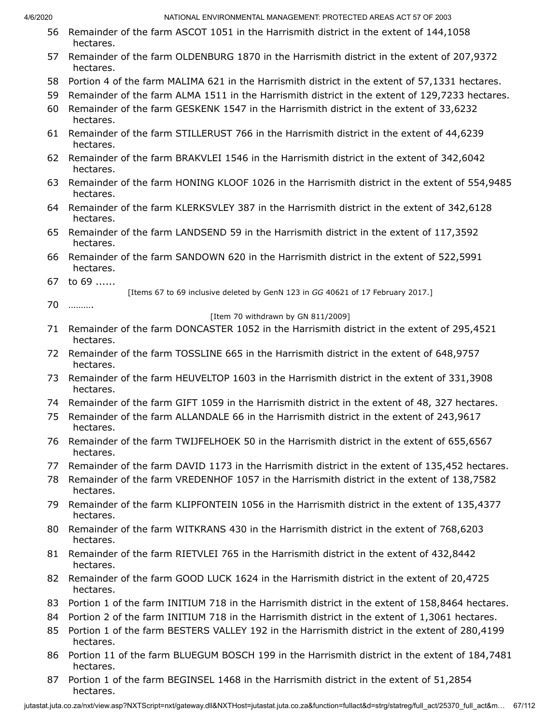- 56 Remainder of the farm ASCOT 1051 in the Harrismith district in the extent of 144,1058 hectares.
- 57 Remainder of the farm OLDENBURG 1870 in the Harrismith district in the extent of 207,9372 hectares.
- 58 Portion 4 of the farm MALIMA 621 in the Harrismith district in the extent of 57,1331 hectares.
- 59 Remainder of the farm ALMA 1511 in the Harrismith district in the extent of 129,7233 hectares.
- 60 Remainder of the farm GESKENK 1547 in the Harrismith district in the extent of 33,6232 hectares.
- 61 Remainder of the farm STILLERUST 766 in the Harrismith district in the extent of 44,6239 hectares.
- 62 Remainder of the farm BRAKVLEI 1546 in the Harrismith district in the extent of 342,6042 hectares.
- 63 Remainder of the farm HONING KLOOF 1026 in the Harrismith district in the extent of 554,9485 hectares.
- 64 Remainder of the farm KLERKSVLEY 387 in the Harrismith district in the extent of 342,6128 hectares.
- 65 Remainder of the farm LANDSEND 59 in the Harrismith district in the extent of 117,3592 hectares.
- 66 Remainder of the farm SANDOWN 620 in the Harrismith district in the extent of 522,5991 hectares.
- 67 to 69 ......

[Items 67 to 69 inclusive deleted by GenN 123 in *GG* 40621 of 17 February 2017.]

70 ……….

### [Item 70 withdrawn by GN 811/2009]

- 71 Remainder of the farm DONCASTER 1052 in the Harrismith district in the extent of 295,4521 hectares.
- 72 Remainder of the farm TOSSLINE 665 in the Harrismith district in the extent of 648,9757 hectares.
- 73 Remainder of the farm HEUVELTOP 1603 in the Harrismith district in the extent of 331,3908 hectares.
- 74 Remainder of the farm GIFT 1059 in the Harrismith district in the extent of 48, 327 hectares.
- 75 Remainder of the farm ALLANDALE 66 in the Harrismith district in the extent of 243,9617 hectares.
- 76 Remainder of the farm TWIJFELHOEK 50 in the Harrismith district in the extent of 655,6567 hectares.
- 77 Remainder of the farm DAVID 1173 in the Harrismith district in the extent of 135,452 hectares.
- 78 Remainder of the farm VREDENHOF 1057 in the Harrismith district in the extent of 138,7582 hectares.
- 79 Remainder of the farm KLIPFONTEIN 1056 in the Harrismith district in the extent of 135,4377 hectares.
- 80 Remainder of the farm WITKRANS 430 in the Harrismith district in the extent of 768,6203 hectares.
- 81 Remainder of the farm RIETVLEI 765 in the Harrismith district in the extent of 432,8442 hectares.
- 82 Remainder of the farm GOOD LUCK 1624 in the Harrismith district in the extent of 20,4725 hectares.
- 83 Portion 1 of the farm INITIUM 718 in the Harrismith district in the extent of 158,8464 hectares.
- 84 Portion 2 of the farm INITIUM 718 in the Harrismith district in the extent of 1,3061 hectares.
- 85 Portion 1 of the farm BESTERS VALLEY 192 in the Harrismith district in the extent of 280,4199 hectares.
- 86 Portion 11 of the farm BLUEGUM BOSCH 199 in the Harrismith district in the extent of 184,7481 hectares.
- 87 Portion 1 of the farm BEGINSEL 1468 in the Harrismith district in the extent of 51,2854 hectares.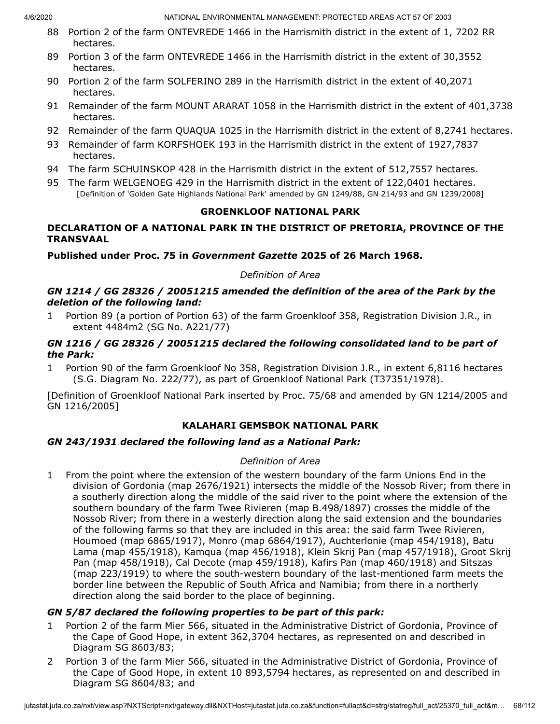- 88 Portion 2 of the farm ONTEVREDE 1466 in the Harrismith district in the extent of 1, 7202 RR hectares.
- 89 Portion 3 of the farm ONTEVREDE 1466 in the Harrismith district in the extent of 30,3552 hectares.
- 90 Portion 2 of the farm SOLFERINO 289 in the Harrismith district in the extent of 40,2071 hectares.
- 91 Remainder of the farm MOUNT ARARAT 1058 in the Harrismith district in the extent of 401,3738 hectares.
- 92 Remainder of the farm QUAQUA 1025 in the Harrismith district in the extent of 8,2741 hectares.
- 93 Remainder of farm KORFSHOEK 193 in the Harrismith district in the extent of 1927,7837 hectares.
- 94 The farm SCHUINSKOP 428 in the Harrismith district in the extent of 512,7557 hectares.
- 95 The farm WELGENOEG 429 in the Harrismith district in the extent of 122,0401 hectares. [Definition of 'Golden Gate Highlands National Park' amended by GN 1249/88, GN 214/93 and GN 1239/2008]

# **GROENKLOOF NATIONAL PARK**

# **DECLARATION OF A NATIONAL PARK IN THE DISTRICT OF PRETORIA, PROVINCE OF THE TRANSVAAL**

**Published under Proc. 75 in** *Government Gazette* **2025 of 26 March 1968.**

# *Definition of Area*

# *GN 1214 / GG 28326 / 20051215 amended the definition of the area of the Park by the deletion of the following land:*

1 Portion 89 (a portion of Portion 63) of the farm Groenkloof 358, Registration Division J.R., in extent 4484m2 (SG No. A221/77)

## *GN 1216 / GG 28326 / 20051215 declared the following consolidated land to be part of the Park:*

1 Portion 90 of the farm Groenkloof No 358, Registration Division J.R., in extent 6,8116 hectares (S.G. Diagram No. 222/77), as part of Groenkloof National Park (T37351/1978).

[Definition of Groenkloof National Park inserted by Proc. 75/68 and amended by GN 1214/2005 and GN 1216/2005]

# **KALAHARI GEMSBOK NATIONAL PARK**

# *GN 243/1931 declared the following land as a National Park:*

# *Definition of Area*

1 From the point where the extension of the western boundary of the farm Unions End in the division of Gordonia (map 2676/1921) intersects the middle of the Nossob River; from there in a southerly direction along the middle of the said river to the point where the extension of the southern boundary of the farm Twee Rivieren (map B.498/1897) crosses the middle of the Nossob River; from there in a westerly direction along the said extension and the boundaries of the following farms so that they are included in this area: the said farm Twee Rivieren, Houmoed (map 6865/1917), Monro (map 6864/1917), Auchterlonie (map 454/1918), Batu Lama (map 455/1918), Kamqua (map 456/1918), Klein Skrij Pan (map 457/1918), Groot Skrij Pan (map 458/1918), Cal Decote (map 459/1918), Kafirs Pan (map 460/1918) and Sitszas (map 223/1919) to where the south-western boundary of the last-mentioned farm meets the border line between the Republic of South Africa and Namibia; from there in a northerly direction along the said border to the place of beginning.

# *GN 5/87 declared the following properties to be part of this park:*

- 1 Portion 2 of the farm Mier 566, situated in the Administrative District of Gordonia, Province of the Cape of Good Hope, in extent 362,3704 hectares, as represented on and described in Diagram SG 8603/83;
- 2 Portion 3 of the farm Mier 566, situated in the Administrative District of Gordonia, Province of the Cape of Good Hope, in extent 10 893,5794 hectares, as represented on and described in Diagram SG 8604/83; and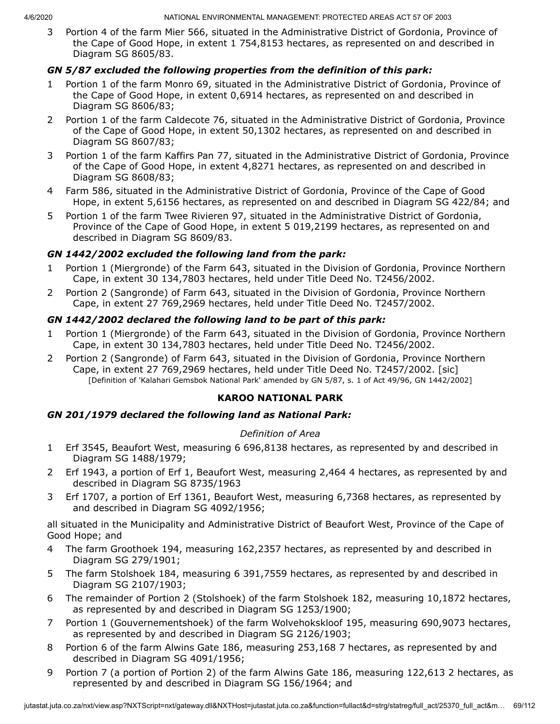3 Portion 4 of the farm Mier 566, situated in the Administrative District of Gordonia, Province of the Cape of Good Hope, in extent 1 754,8153 hectares, as represented on and described in Diagram SG 8605/83.

## *GN 5/87 excluded the following properties from the definition of this park:*

- 1 Portion 1 of the farm Monro 69, situated in the Administrative District of Gordonia, Province of the Cape of Good Hope, in extent 0,6914 hectares, as represented on and described in Diagram SG 8606/83;
- 2 Portion 1 of the farm Caldecote 76, situated in the Administrative District of Gordonia, Province of the Cape of Good Hope, in extent 50,1302 hectares, as represented on and described in Diagram SG 8607/83;
- 3 Portion 1 of the farm Kaffirs Pan 77, situated in the Administrative District of Gordonia, Province of the Cape of Good Hope, in extent 4,8271 hectares, as represented on and described in Diagram SG 8608/83;
- 4 Farm 586, situated in the Administrative District of Gordonia, Province of the Cape of Good Hope, in extent 5,6156 hectares, as represented on and described in Diagram SG 422/84; and
- 5 Portion 1 of the farm Twee Rivieren 97, situated in the Administrative District of Gordonia, Province of the Cape of Good Hope, in extent 5 019,2199 hectares, as represented on and described in Diagram SG 8609/83.

# *GN 1442/2002 excluded the following land from the park:*

- 1 Portion 1 (Miergronde) of the Farm 643, situated in the Division of Gordonia, Province Northern Cape, in extent 30 134,7803 hectares, held under Title Deed No. T2456/2002.
- 2 Portion 2 (Sangronde) of Farm 643, situated in the Division of Gordonia, Province Northern Cape, in extent 27 769,2969 hectares, held under Title Deed No. T2457/2002.

# *GN 1442/2002 declared the following land to be part of this park:*

- 1 Portion 1 (Miergronde) of the Farm 643, situated in the Division of Gordonia, Province Northern Cape, in extent 30 134,7803 hectares, held under Title Deed No. T2456/2002.
- 2 Portion 2 (Sangronde) of Farm 643, situated in the Division of Gordonia, Province Northern Cape, in extent 27 769,2969 hectares, held under Title Deed No. T2457/2002. [sic] [Definition of 'Kalahari Gemsbok National Park' amended by GN 5/87, s. 1 of Act 49/96, GN 1442/2002]

# **KAROO NATIONAL PARK**

# *GN 201/1979 declared the following land as National Park:*

#### *Definition of Area*

- 1 Erf 3545, Beaufort West, measuring 6 696,8138 hectares, as represented by and described in Diagram SG 1488/1979;
- 2 Erf 1943, a portion of Erf 1, Beaufort West, measuring 2,464 4 hectares, as represented by and described in Diagram SG 8735/1963
- 3 Erf 1707, a portion of Erf 1361, Beaufort West, measuring 6,7368 hectares, as represented by and described in Diagram SG 4092/1956;

all situated in the Municipality and Administrative District of Beaufort West, Province of the Cape of Good Hope; and

- 4 The farm Groothoek 194, measuring 162,2357 hectares, as represented by and described in Diagram SG 279/1901;
- 5 The farm Stolshoek 184, measuring 6 391,7559 hectares, as represented by and described in Diagram SG 2107/1903;
- 6 The remainder of Portion 2 (Stolshoek) of the farm Stolshoek 182, measuring 10,1872 hectares, as represented by and described in Diagram SG 1253/1900;
- 7 Portion 1 (Gouvernementshoek) of the farm Wolvehokskloof 195, measuring 690,9073 hectares, as represented by and described in Diagram SG 2126/1903;
- 8 Portion 6 of the farm Alwins Gate 186, measuring 253,168 7 hectares, as represented by and described in Diagram SG 4091/1956;
- 9 Portion 7 (a portion of Portion 2) of the farm Alwins Gate 186, measuring 122,613 2 hectares, as represented by and described in Diagram SG 156/1964; and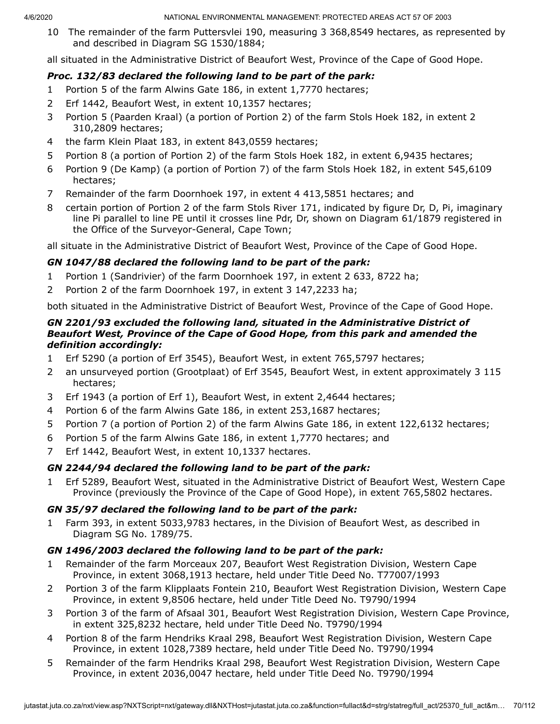10 The remainder of the farm Puttersvlei 190, measuring 3 368,8549 hectares, as represented by and described in Diagram SG 1530/1884;

all situated in the Administrative District of Beaufort West, Province of the Cape of Good Hope.

# *Proc. 132/83 declared the following land to be part of the park:*

- 1 Portion 5 of the farm Alwins Gate 186, in extent 1,7770 hectares;
- 2 Erf 1442, Beaufort West, in extent 10,1357 hectares;
- 3 Portion 5 (Paarden Kraal) (a portion of Portion 2) of the farm Stols Hoek 182, in extent 2 310,2809 hectares;
- 4 the farm Klein Plaat 183, in extent 843,0559 hectares;
- 5 Portion 8 (a portion of Portion 2) of the farm Stols Hoek 182, in extent 6,9435 hectares;
- 6 Portion 9 (De Kamp) (a portion of Portion 7) of the farm Stols Hoek 182, in extent 545,6109 hectares;
- 7 Remainder of the farm Doornhoek 197, in extent 4 413,5851 hectares; and
- 8 certain portion of Portion 2 of the farm Stols River 171, indicated by figure Dr, D, Pi, imaginary line Pi parallel to line PE until it crosses line Pdr, Dr, shown on Diagram 61/1879 registered in the Office of the Surveyor-General, Cape Town;

all situate in the Administrative District of Beaufort West, Province of the Cape of Good Hope.

### *GN 1047/88 declared the following land to be part of the park:*

- 1 Portion 1 (Sandrivier) of the farm Doornhoek 197, in extent 2 633, 8722 ha;
- 2 Portion 2 of the farm Doornhoek 197, in extent 3 147,2233 ha;

both situated in the Administrative District of Beaufort West, Province of the Cape of Good Hope.

#### *GN 2201/93 excluded the following land, situated in the Administrative District of Beaufort West, Province of the Cape of Good Hope, from this park and amended the definition accordingly:*

- 1 Erf 5290 (a portion of Erf 3545), Beaufort West, in extent 765,5797 hectares;
- 2 an unsurveyed portion (Grootplaat) of Erf 3545, Beaufort West, in extent approximately 3 115 hectares;
- 3 Erf 1943 (a portion of Erf 1), Beaufort West, in extent 2,4644 hectares;
- 4 Portion 6 of the farm Alwins Gate 186, in extent 253,1687 hectares;
- 5 Portion 7 (a portion of Portion 2) of the farm Alwins Gate 186, in extent 122,6132 hectares;
- 6 Portion 5 of the farm Alwins Gate 186, in extent 1,7770 hectares; and
- 7 Erf 1442, Beaufort West, in extent 10,1337 hectares.

# *GN 2244/94 declared the following land to be part of the park:*

1 Erf 5289, Beaufort West, situated in the Administrative District of Beaufort West, Western Cape Province (previously the Province of the Cape of Good Hope), in extent 765,5802 hectares.

# *GN 35/97 declared the following land to be part of the park:*

1 Farm 393, in extent 5033,9783 hectares, in the Division of Beaufort West, as described in Diagram SG No. 1789/75.

# *GN 1496/2003 declared the following land to be part of the park:*

- 1 Remainder of the farm Morceaux 207, Beaufort West Registration Division, Western Cape Province, in extent 3068,1913 hectare, held under Title Deed No. T77007/1993
- 2 Portion 3 of the farm Klipplaats Fontein 210, Beaufort West Registration Division, Western Cape Province, in extent 9,8506 hectare, held under Title Deed No. T9790/1994
- 3 Portion 3 of the farm of Afsaal 301, Beaufort West Registration Division, Western Cape Province, in extent 325,8232 hectare, held under Title Deed No. T9790/1994
- 4 Portion 8 of the farm Hendriks Kraal 298, Beaufort West Registration Division, Western Cape Province, in extent 1028,7389 hectare, held under Title Deed No. T9790/1994
- 5 Remainder of the farm Hendriks Kraal 298, Beaufort West Registration Division, Western Cape Province, in extent 2036,0047 hectare, held under Title Deed No. T9790/1994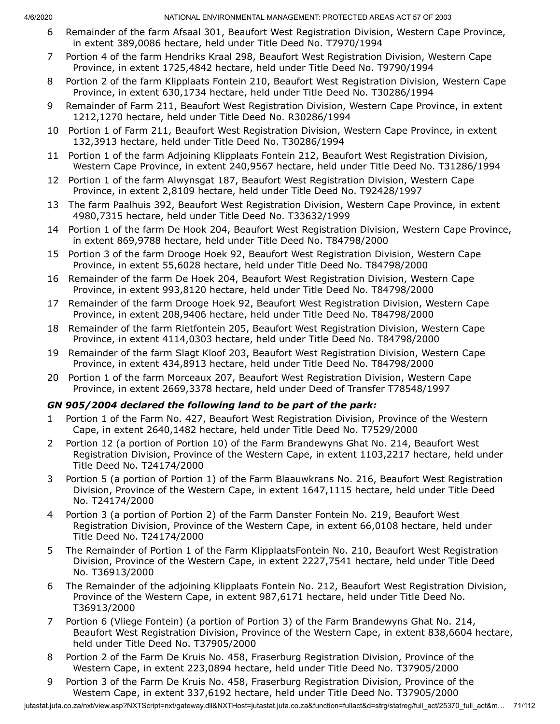- 6 Remainder of the farm Afsaal 301, Beaufort West Registration Division, Western Cape Province, in extent 389,0086 hectare, held under Title Deed No. T7970/1994
- 7 Portion 4 of the farm Hendriks Kraal 298, Beaufort West Registration Division, Western Cape Province, in extent 1725,4842 hectare, held under Title Deed No. T9790/1994
- 8 Portion 2 of the farm Klipplaats Fontein 210, Beaufort West Registration Division, Western Cape Province, in extent 630,1734 hectare, held under Title Deed No. T30286/1994
- 9 Remainder of Farm 211, Beaufort West Registration Division, Western Cape Province, in extent 1212,1270 hectare, held under Title Deed No. R30286/1994
- 10 Portion 1 of Farm 211, Beaufort West Registration Division, Western Cape Province, in extent 132,3913 hectare, held under Title Deed No. T30286/1994
- 11 Portion 1 of the farm Adjoining Klipplaats Fontein 212, Beaufort West Registration Division, Western Cape Province, in extent 240,9567 hectare, held under Title Deed No. T31286/1994
- 12 Portion 1 of the farm Alwynsgat 187, Beaufort West Registration Division, Western Cape Province, in extent 2,8109 hectare, held under Title Deed No. T92428/1997
- 13 The farm Paalhuis 392, Beaufort West Registration Division, Western Cape Province, in extent 4980,7315 hectare, held under Title Deed No. T33632/1999
- 14 Portion 1 of the farm De Hook 204, Beaufort West Registration Division, Western Cape Province, in extent 869,9788 hectare, held under Title Deed No. T84798/2000
- 15 Portion 3 of the farm Drooge Hoek 92, Beaufort West Registration Division, Western Cape Province, in extent 55,6028 hectare, held under Title Deed No. T84798/2000
- 16 Remainder of the farm De Hoek 204, Beaufort West Registration Division, Western Cape Province, in extent 993,8120 hectare, held under Title Deed No. T84798/2000
- 17 Remainder of the farm Drooge Hoek 92, Beaufort West Registration Division, Western Cape Province, in extent 208,9406 hectare, held under Title Deed No. T84798/2000
- 18 Remainder of the farm Rietfontein 205, Beaufort West Registration Division, Western Cape Province, in extent 4114,0303 hectare, held under Title Deed No. T84798/2000
- 19 Remainder of the farm Slagt Kloof 203, Beaufort West Registration Division, Western Cape Province, in extent 434,8913 hectare, held under Title Deed No. T84798/2000
- 20 Portion 1 of the farm Morceaux 207, Beaufort West Registration Division, Western Cape Province, in extent 2669,3378 hectare, held under Deed of Transfer T78548/1997

# *GN 905/2004 declared the following land to be part of the park:*

- 1 Portion 1 of the Farm No. 427, Beaufort West Registration Division, Province of the Western Cape, in extent 2640,1482 hectare, held under Title Deed No. T7529/2000
- 2 Portion 12 (a portion of Portion 10) of the Farm Brandewyns Ghat No. 214, Beaufort West Registration Division, Province of the Western Cape, in extent 1103,2217 hectare, held under Title Deed No. T24174/2000
- 3 Portion 5 (a portion of Portion 1) of the Farm Blaauwkrans No. 216, Beaufort West Registration Division, Province of the Western Cape, in extent 1647,1115 hectare, held under Title Deed No. T24174/2000
- 4 Portion 3 (a portion of Portion 2) of the Farm Danster Fontein No. 219, Beaufort West Registration Division, Province of the Western Cape, in extent 66,0108 hectare, held under Title Deed No. T24174/2000
- 5 The Remainder of Portion 1 of the Farm KlipplaatsFontein No. 210, Beaufort West Registration Division, Province of the Western Cape, in extent 2227,7541 hectare, held under Title Deed No. T36913/2000
- 6 The Remainder of the adjoining Klipplaats Fontein No. 212, Beaufort West Registration Division, Province of the Western Cape, in extent 987,6171 hectare, held under Title Deed No. T36913/2000
- 7 Portion 6 (Vliege Fontein) (a portion of Portion 3) of the Farm Brandewyns Ghat No. 214, Beaufort West Registration Division, Province of the Western Cape, in extent 838,6604 hectare, held under Title Deed No. T37905/2000
- 8 Portion 2 of the Farm De Kruis No. 458, Fraserburg Registration Division, Province of the Western Cape, in extent 223,0894 hectare, held under Title Deed No. T37905/2000
- 9 Portion 3 of the Farm De Kruis No. 458, Fraserburg Registration Division, Province of the Western Cape, in extent 337,6192 hectare, held under Title Deed No. T37905/2000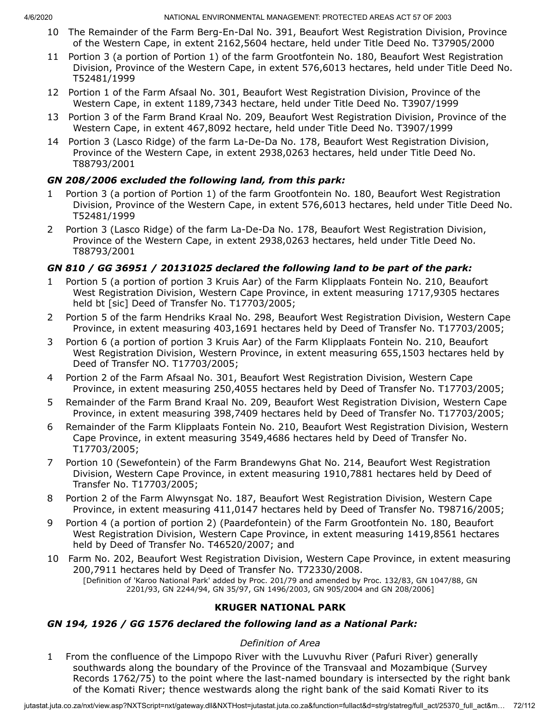- 10 The Remainder of the Farm Berg-En-Dal No. 391, Beaufort West Registration Division, Province of the Western Cape, in extent 2162,5604 hectare, held under Title Deed No. T37905/2000
- 11 Portion 3 (a portion of Portion 1) of the farm Grootfontein No. 180, Beaufort West Registration Division, Province of the Western Cape, in extent 576,6013 hectares, held under Title Deed No. T52481/1999
- 12 Portion 1 of the Farm Afsaal No. 301, Beaufort West Registration Division, Province of the Western Cape, in extent 1189,7343 hectare, held under Title Deed No. T3907/1999
- 13 Portion 3 of the Farm Brand Kraal No. 209, Beaufort West Registration Division, Province of the Western Cape, in extent 467,8092 hectare, held under Title Deed No. T3907/1999
- 14 Portion 3 (Lasco Ridge) of the farm La-De-Da No. 178, Beaufort West Registration Division, Province of the Western Cape, in extent 2938,0263 hectares, held under Title Deed No. T88793/2001

# *GN 208/2006 excluded the following land, from this park:*

- 1 Portion 3 (a portion of Portion 1) of the farm Grootfontein No. 180, Beaufort West Registration Division, Province of the Western Cape, in extent 576,6013 hectares, held under Title Deed No. T52481/1999
- 2 Portion 3 (Lasco Ridge) of the farm La-De-Da No. 178, Beaufort West Registration Division, Province of the Western Cape, in extent 2938,0263 hectares, held under Title Deed No. T88793/2001

# *GN 810 / GG 36951 / 20131025 declared the following land to be part of the park:*

- 1 Portion 5 (a portion of portion 3 Kruis Aar) of the Farm Klipplaats Fontein No. 210, Beaufort West Registration Division, Western Cape Province, in extent measuring 1717,9305 hectares held bt [sic] Deed of Transfer No. T17703/2005;
- 2 Portion 5 of the farm Hendriks Kraal No. 298, Beaufort West Registration Division, Western Cape Province, in extent measuring 403,1691 hectares held by Deed of Transfer No. T17703/2005;
- 3 Portion 6 (a portion of portion 3 Kruis Aar) of the Farm Klipplaats Fontein No. 210, Beaufort West Registration Division, Western Province, in extent measuring 655,1503 hectares held by Deed of Transfer NO. T17703/2005;
- 4 Portion 2 of the Farm Afsaal No. 301, Beaufort West Registration Division, Western Cape Province, in extent measuring 250,4055 hectares held by Deed of Transfer No. T17703/2005;
- 5 Remainder of the Farm Brand Kraal No. 209, Beaufort West Registration Division, Western Cape Province, in extent measuring 398,7409 hectares held by Deed of Transfer No. T17703/2005;
- 6 Remainder of the Farm Klipplaats Fontein No. 210, Beaufort West Registration Division, Western Cape Province, in extent measuring 3549,4686 hectares held by Deed of Transfer No. T17703/2005;
- 7 Portion 10 (Sewefontein) of the Farm Brandewyns Ghat No. 214, Beaufort West Registration Division, Western Cape Province, in extent measuring 1910,7881 hectares held by Deed of Transfer No. T17703/2005;
- 8 Portion 2 of the Farm Alwynsgat No. 187, Beaufort West Registration Division, Western Cape Province, in extent measuring 411,0147 hectares held by Deed of Transfer No. T98716/2005;
- 9 Portion 4 (a portion of portion 2) (Paardefontein) of the Farm Grootfontein No. 180, Beaufort West Registration Division, Western Cape Province, in extent measuring 1419,8561 hectares held by Deed of Transfer No. T46520/2007; and
- 10 Farm No. 202, Beaufort West Registration Division, Western Cape Province, in extent measuring 200,7911 hectares held by Deed of Transfer No. T72330/2008. [Definition of 'Karoo National Park' added by Proc. 201/79 and amended by Proc. 132/83, GN 1047/88, GN 2201/93, GN 2244/94, GN 35/97, GN 1496/2003, GN 905/2004 and GN 208/2006]

# **KRUGER NATIONAL PARK**

# *GN 194, 1926 / GG 1576 declared the following land as a National Park:*

# *Definition of Area*

1 From the confluence of the Limpopo River with the Luvuvhu River (Pafuri River) generally southwards along the boundary of the Province of the Transvaal and Mozambique (Survey Records 1762/75) to the point where the last-named boundary is intersected by the right bank of the Komati River; thence westwards along the right bank of the said Komati River to its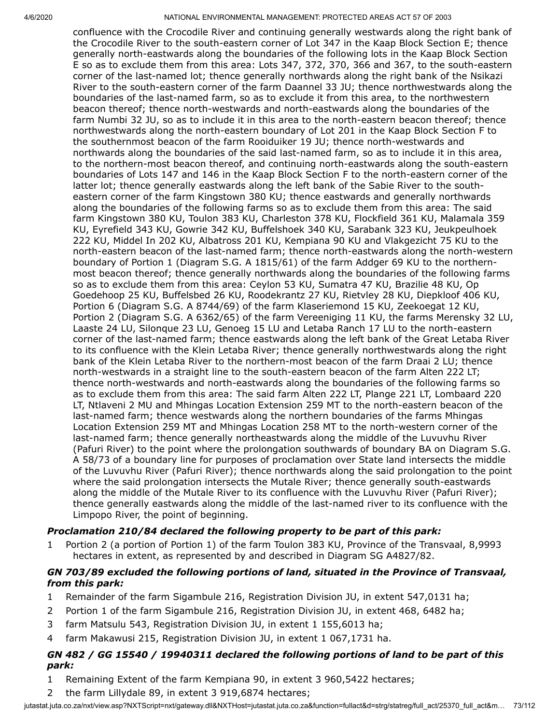confluence with the Crocodile River and continuing generally westwards along the right bank of the Crocodile River to the south-eastern corner of Lot 347 in the Kaap Block Section E; thence generally north-eastwards along the boundaries of the following lots in the Kaap Block Section E so as to exclude them from this area: Lots 347, 372, 370, 366 and 367, to the south-eastern corner of the last-named lot; thence generally northwards along the right bank of the Nsikazi River to the south-eastern corner of the farm Daannel 33 JU; thence northwestwards along the boundaries of the last-named farm, so as to exclude it from this area, to the northwestern beacon thereof; thence north-westwards and north-eastwards along the boundaries of the farm Numbi 32 JU, so as to include it in this area to the north-eastern beacon thereof; thence northwestwards along the north-eastern boundary of Lot 201 in the Kaap Block Section F to the southernmost beacon of the farm Rooiduiker 19 JU; thence north-westwards and northwards along the boundaries of the said last-named farm, so as to include it in this area, to the northern-most beacon thereof, and continuing north-eastwards along the south-eastern boundaries of Lots 147 and 146 in the Kaap Block Section F to the north-eastern corner of the latter lot; thence generally eastwards along the left bank of the Sabie River to the southeastern corner of the farm Kingstown 380 KU; thence eastwards and generally northwards along the boundaries of the following farms so as to exclude them from this area: The said farm Kingstown 380 KU, Toulon 383 KU, Charleston 378 KU, Flockfield 361 KU, Malamala 359 KU, Eyrefield 343 KU, Gowrie 342 KU, Buffelshoek 340 KU, Sarabank 323 KU, Jeukpeulhoek 222 KU, Middel In 202 KU, Albatross 201 KU, Kempiana 90 KU and Vlakgezicht 75 KU to the north-eastern beacon of the last-named farm; thence north-eastwards along the north-western boundary of Portion 1 (Diagram S.G. A 1815/61) of the farm Addger 69 KU to the northernmost beacon thereof; thence generally northwards along the boundaries of the following farms so as to exclude them from this area: Ceylon 53 KU, Sumatra 47 KU, Brazilie 48 KU, Op Goedehoop 25 KU, Buffelsbed 26 KU, Roodekrantz 27 KU, Rietvley 28 KU, Diepkloof 406 KU, Portion 6 (Diagram S.G. A 8744/69) of the farm Klaseriemond 15 KU, Zeekoegat 12 KU, Portion 2 (Diagram S.G. A 6362/65) of the farm Vereeniging 11 KU, the farms Merensky 32 LU, Laaste 24 LU, Silonque 23 LU, Genoeg 15 LU and Letaba Ranch 17 LU to the north-eastern corner of the last-named farm; thence eastwards along the left bank of the Great Letaba River to its confluence with the Klein Letaba River; thence generally northwestwards along the right bank of the Klein Letaba River to the northern-most beacon of the farm Draai 2 LU; thence north-westwards in a straight line to the south-eastern beacon of the farm Alten 222 LT; thence north-westwards and north-eastwards along the boundaries of the following farms so as to exclude them from this area: The said farm Alten 222 LT, Plange 221 LT, Lombaard 220 LT, Ntlaveni 2 MU and Mhingas Location Extension 259 MT to the north-eastern beacon of the last-named farm; thence westwards along the northern boundaries of the farms Mhingas Location Extension 259 MT and Mhingas Location 258 MT to the north-western corner of the last-named farm; thence generally northeastwards along the middle of the Luvuvhu River (Pafuri River) to the point where the prolongation southwards of boundary BA on Diagram S.G. A 58/73 of a boundary line for purposes of proclamation over State land intersects the middle of the Luvuvhu River (Pafuri River); thence northwards along the said prolongation to the point where the said prolongation intersects the Mutale River; thence generally south-eastwards along the middle of the Mutale River to its confluence with the Luvuvhu River (Pafuri River); thence generally eastwards along the middle of the last-named river to its confluence with the Limpopo River, the point of beginning.

# *Proclamation 210/84 declared the following property to be part of this park:*

1 Portion 2 (a portion of Portion 1) of the farm Toulon 383 KU, Province of the Transvaal, 8,9993 hectares in extent, as represented by and described in Diagram SG A4827/82.

#### *GN 703/89 excluded the following portions of land, situated in the Province of Transvaal, from this park:*

- 1 Remainder of the farm Sigambule 216, Registration Division JU, in extent 547,0131 ha;
- 2 Portion 1 of the farm Sigambule 216, Registration Division JU, in extent 468, 6482 ha;
- 3 farm Matsulu 543, Registration Division JU, in extent 1 155,6013 ha;
- 4 farm Makawusi 215, Registration Division JU, in extent 1 067,1731 ha.

# *GN 482 / GG 15540 / 19940311 declared the following portions of land to be part of this park:*

- 1 Remaining Extent of the farm Kempiana 90, in extent 3 960,5422 hectares;
- 2 the farm Lillydale 89, in extent 3 919,6874 hectares;

jutastat.juta.co.za/nxt/view.asp?NXTScript=nxt/gateway.dll&NXTHost=jutastat.juta.co.za&function=fullact&d=strg/statreg/full\_act/25370\_full\_act&m... 73/112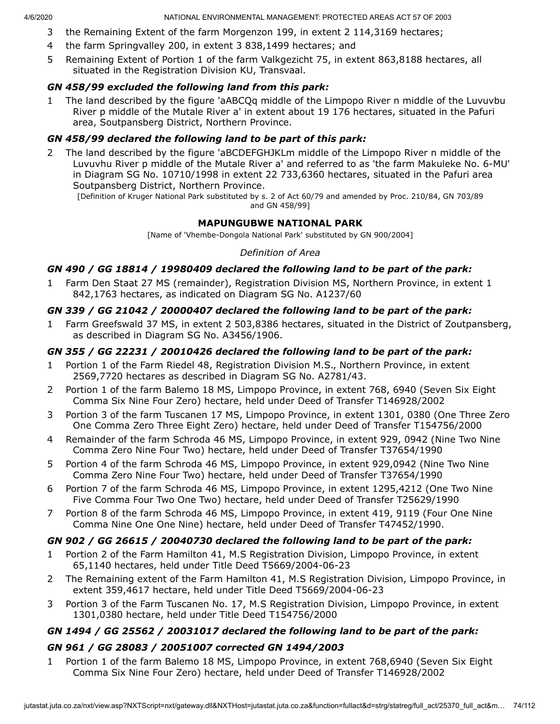- 3 the Remaining Extent of the farm Morgenzon 199, in extent 2 114,3169 hectares;
- 4 the farm Springvalley 200, in extent 3 838,1499 hectares; and
- 5 Remaining Extent of Portion 1 of the farm Valkgezicht 75, in extent 863,8188 hectares, all situated in the Registration Division KU, Transvaal.

#### *GN 458/99 excluded the following land from this park:*

1 The land described by the figure 'aABCQq middle of the Limpopo River n middle of the Luvuvbu River p middle of the Mutale River a' in extent about 19 176 hectares, situated in the Pafuri area, Soutpansberg District, Northern Province.

#### *GN 458/99 declared the following land to be part of this park:*

2 The land described by the figure 'aBCDEFGHJKLm middle of the Limpopo River n middle of the Luvuvhu River p middle of the Mutale River a' and referred to as 'the farm Makuleke No. 6-MU' in Diagram SG No. 10710/1998 in extent 22 733,6360 hectares, situated in the Pafuri area Soutpansberg District, Northern Province.

[Definition of Kruger National Park substituted by s. 2 of Act 60/79 and amended by Proc. 210/84, GN 703/89 and GN 458/99]

#### **MAPUNGUBWE NATIONAL PARK**

[Name of 'Vhembe-Dongola National Park' substituted by GN 900/2004]

#### *Definition of Area*

#### *GN 490 / GG 18814 / 19980409 declared the following land to be part of the park:*

1 Farm Den Staat 27 MS (remainder), Registration Division MS, Northern Province, in extent 1 842,1763 hectares, as indicated on Diagram SG No. A1237/60

#### *GN 339 / GG 21042 / 20000407 declared the following land to be part of the park:*

1 Farm Greefswald 37 MS, in extent 2 503,8386 hectares, situated in the District of Zoutpansberg, as described in Diagram SG No. A3456/1906.

#### *GN 355 / GG 22231 / 20010426 declared the following land to be part of the park:*

- 1 Portion 1 of the Farm Riedel 48, Registration Division M.S., Northern Province, in extent 2569,7720 hectares as described in Diagram SG No. A2781/43.
- 2 Portion 1 of the farm Balemo 18 MS, Limpopo Province, in extent 768, 6940 (Seven Six Eight Comma Six Nine Four Zero) hectare, held under Deed of Transfer T146928/2002
- 3 Portion 3 of the farm Tuscanen 17 MS, Limpopo Province, in extent 1301, 0380 (One Three Zero One Comma Zero Three Eight Zero) hectare, held under Deed of Transfer T154756/2000
- 4 Remainder of the farm Schroda 46 MS, Limpopo Province, in extent 929, 0942 (Nine Two Nine Comma Zero Nine Four Two) hectare, held under Deed of Transfer T37654/1990
- 5 Portion 4 of the farm Schroda 46 MS, Limpopo Province, in extent 929,0942 (Nine Two Nine Comma Zero Nine Four Two) hectare, held under Deed of Transfer T37654/1990
- 6 Portion 7 of the farm Schroda 46 MS, Limpopo Province, in extent 1295,4212 (One Two Nine Five Comma Four Two One Two) hectare, held under Deed of Transfer T25629/1990
- 7 Portion 8 of the farm Schroda 46 MS, Limpopo Province, in extent 419, 9119 (Four One Nine Comma Nine One One Nine) hectare, held under Deed of Transfer T47452/1990.

# *GN 902 / GG 26615 / 20040730 declared the following land to be part of the park:*

- 1 Portion 2 of the Farm Hamilton 41, M.S Registration Division, Limpopo Province, in extent 65,1140 hectares, held under Title Deed T5669/2004-06-23
- 2 The Remaining extent of the Farm Hamilton 41, M.S Registration Division, Limpopo Province, in extent 359,4617 hectare, held under Title Deed T5669/2004-06-23
- 3 Portion 3 of the Farm Tuscanen No. 17, M.S Registration Division, Limpopo Province, in extent 1301,0380 hectare, held under Title Deed T154756/2000

# *GN 1494 / GG 25562 / 20031017 declared the following land to be part of the park:*

# *GN 961 / GG 28083 / 20051007 corrected GN 1494/2003*

1 Portion 1 of the farm Balemo 18 MS, Limpopo Province, in extent 768,6940 (Seven Six Eight Comma Six Nine Four Zero) hectare, held under Deed of Transfer T146928/2002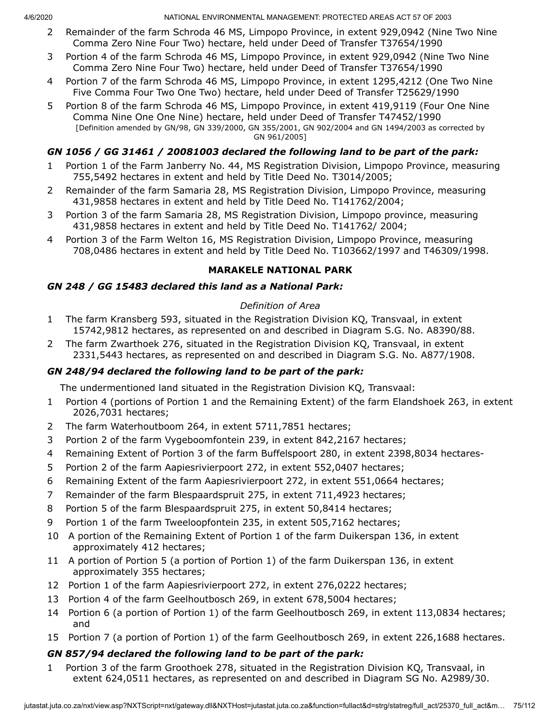- 2 Remainder of the farm Schroda 46 MS, Limpopo Province, in extent 929,0942 (Nine Two Nine Comma Zero Nine Four Two) hectare, held under Deed of Transfer T37654/1990
- 3 Portion 4 of the farm Schroda 46 MS, Limpopo Province, in extent 929,0942 (Nine Two Nine Comma Zero Nine Four Two) hectare, held under Deed of Transfer T37654/1990
- 4 Portion 7 of the farm Schroda 46 MS, Limpopo Province, in extent 1295,4212 (One Two Nine Five Comma Four Two One Two) hectare, held under Deed of Transfer T25629/1990
- 5 Portion 8 of the farm Schroda 46 MS, Limpopo Province, in extent 419,9119 (Four One Nine Comma Nine One One Nine) hectare, held under Deed of Transfer T47452/1990 [Definition amended by GN/98, GN 339/2000, GN 355/2001, GN 902/2004 and GN 1494/2003 as corrected by GN 961/2005]

# *GN 1056 / GG 31461 / 20081003 declared the following land to be part of the park:*

- 1 Portion 1 of the Farm Janberry No. 44, MS Registration Division, Limpopo Province, measuring 755,5492 hectares in extent and held by Title Deed No. T3014/2005;
- 2 Remainder of the farm Samaria 28, MS Registration Division, Limpopo Province, measuring 431,9858 hectares in extent and held by Title Deed No. T141762/2004;
- 3 Portion 3 of the farm Samaria 28, MS Registration Division, Limpopo province, measuring 431,9858 hectares in extent and held by Title Deed No. T141762/ 2004;
- 4 Portion 3 of the Farm Welton 16, MS Registration Division, Limpopo Province, measuring 708,0486 hectares in extent and held by Title Deed No. T103662/1997 and T46309/1998.

#### **MARAKELE NATIONAL PARK**

# *GN 248 / GG 15483 declared this land as a National Park:*

# *Definition of Area*

- 1 The farm Kransberg 593, situated in the Registration Division KQ, Transvaal, in extent 15742,9812 hectares, as represented on and described in Diagram S.G. No. A8390/88.
- 2 The farm Zwarthoek 276, situated in the Registration Division KQ, Transvaal, in extent 2331,5443 hectares, as represented on and described in Diagram S.G. No. A877/1908.

# *GN 248/94 declared the following land to be part of the park:*

The undermentioned land situated in the Registration Division KQ, Transvaal:

- 1 Portion 4 (portions of Portion 1 and the Remaining Extent) of the farm Elandshoek 263, in extent 2026,7031 hectares;
- 2 The farm Waterhoutboom 264, in extent 5711,7851 hectares;
- 3 Portion 2 of the farm Vygeboomfontein 239, in extent 842,2167 hectares;
- 4 Remaining Extent of Portion 3 of the farm Buffelspoort 280, in extent 2398,8034 hectares-
- 5 Portion 2 of the farm Aapiesrivierpoort 272, in extent 552,0407 hectares;
- 6 Remaining Extent of the farm Aapiesrivierpoort 272, in extent 551,0664 hectares;
- 7 Remainder of the farm Blespaardspruit 275, in extent 711,4923 hectares;
- 8 Portion 5 of the farm Blespaardspruit 275, in extent 50,8414 hectares;
- 9 Portion 1 of the farm Tweeloopfontein 235, in extent 505,7162 hectares;
- 10 A portion of the Remaining Extent of Portion 1 of the farm Duikerspan 136, in extent approximately 412 hectares;
- 11 A portion of Portion 5 (a portion of Portion 1) of the farm Duikerspan 136, in extent approximately 355 hectares;
- 12 Portion 1 of the farm Aapiesrivierpoort 272, in extent 276,0222 hectares;
- 13 Portion 4 of the farm Geelhoutbosch 269, in extent 678,5004 hectares;
- 14 Portion 6 (a portion of Portion 1) of the farm Geelhoutbosch 269, in extent 113,0834 hectares; and
- 15 Portion 7 (a portion of Portion 1) of the farm Geelhoutbosch 269, in extent 226,1688 hectares.

# *GN 857/94 declared the following land to be part of the park:*

1 Portion 3 of the farm Groothoek 278, situated in the Registration Division KQ, Transvaal, in extent 624,0511 hectares, as represented on and described in Diagram SG No. A2989/30.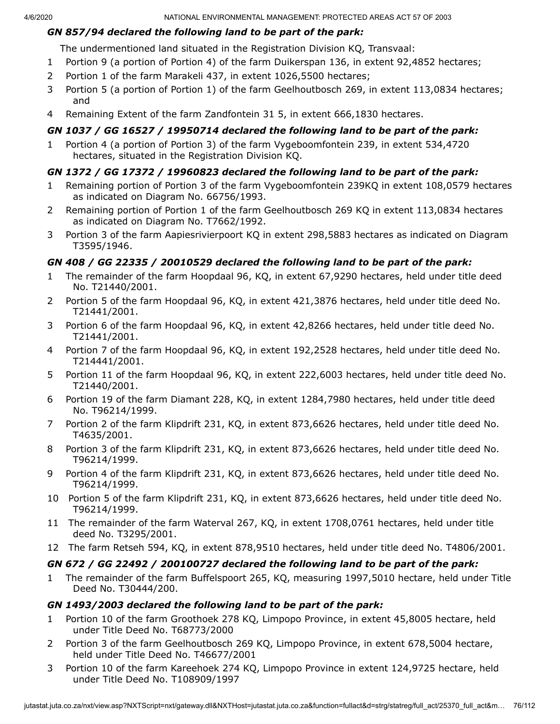### *GN 857/94 declared the following land to be part of the park:*

The undermentioned land situated in the Registration Division KQ, Transvaal:

- 1 Portion 9 (a portion of Portion 4) of the farm Duikerspan 136, in extent 92,4852 hectares;
- 2 Portion 1 of the farm Marakeli 437, in extent 1026,5500 hectares;
- 3 Portion 5 (a portion of Portion 1) of the farm Geelhoutbosch 269, in extent 113,0834 hectares; and
- 4 Remaining Extent of the farm Zandfontein 31 5, in extent 666,1830 hectares.

# *GN 1037 / GG 16527 / 19950714 declared the following land to be part of the park:*

1 Portion 4 (a portion of Portion 3) of the farm Vygeboomfontein 239, in extent 534,4720 hectares, situated in the Registration Division KQ.

# *GN 1372 / GG 17372 / 19960823 declared the following land to be part of the park:*

- 1 Remaining portion of Portion 3 of the farm Vygeboomfontein 239KQ in extent 108,0579 hectares as indicated on Diagram No. 66756/1993.
- 2 Remaining portion of Portion 1 of the farm Geelhoutbosch 269 KQ in extent 113,0834 hectares as indicated on Diagram No. T7662/1992.
- 3 Portion 3 of the farm Aapiesrivierpoort KQ in extent 298,5883 hectares as indicated on Diagram T3595/1946.

# *GN 408 / GG 22335 / 20010529 declared the following land to be part of the park:*

- 1 The remainder of the farm Hoopdaal 96, KQ, in extent 67,9290 hectares, held under title deed No. T21440/2001.
- 2 Portion 5 of the farm Hoopdaal 96, KQ, in extent 421,3876 hectares, held under title deed No. T21441/2001.
- 3 Portion 6 of the farm Hoopdaal 96, KQ, in extent 42,8266 hectares, held under title deed No. T21441/2001.
- 4 Portion 7 of the farm Hoopdaal 96, KQ, in extent 192,2528 hectares, held under title deed No. T214441/2001.
- 5 Portion 11 of the farm Hoopdaal 96, KQ, in extent 222,6003 hectares, held under title deed No. T21440/2001.
- 6 Portion 19 of the farm Diamant 228, KQ, in extent 1284,7980 hectares, held under title deed No. T96214/1999.
- 7 Portion 2 of the farm Klipdrift 231, KQ, in extent 873,6626 hectares, held under title deed No. T4635/2001.
- 8 Portion 3 of the farm Klipdrift 231, KQ, in extent 873,6626 hectares, held under title deed No. T96214/1999.
- 9 Portion 4 of the farm Klipdrift 231, KQ, in extent 873,6626 hectares, held under title deed No. T96214/1999.
- 10 Portion 5 of the farm Klipdrift 231, KQ, in extent 873,6626 hectares, held under title deed No. T96214/1999.
- 11 The remainder of the farm Waterval 267, KQ, in extent 1708,0761 hectares, held under title deed No. T3295/2001.
- 12 The farm Retseh 594, KQ, in extent 878,9510 hectares, held under title deed No. T4806/2001.

# *GN 672 / GG 22492 / 200100727 declared the following land to be part of the park:*

1 The remainder of the farm Buffelspoort 265, KQ, measuring 1997,5010 hectare, held under Title Deed No. T30444/200.

# *GN 1493/2003 declared the following land to be part of the park:*

- 1 Portion 10 of the farm Groothoek 278 KQ, Limpopo Province, in extent 45,8005 hectare, held under Title Deed No. T68773/2000
- 2 Portion 3 of the farm Geelhoutbosch 269 KQ, Limpopo Province, in extent 678,5004 hectare, held under Title Deed No. T46677/2001
- 3 Portion 10 of the farm Kareehoek 274 KQ, Limpopo Province in extent 124,9725 hectare, held under Title Deed No. T108909/1997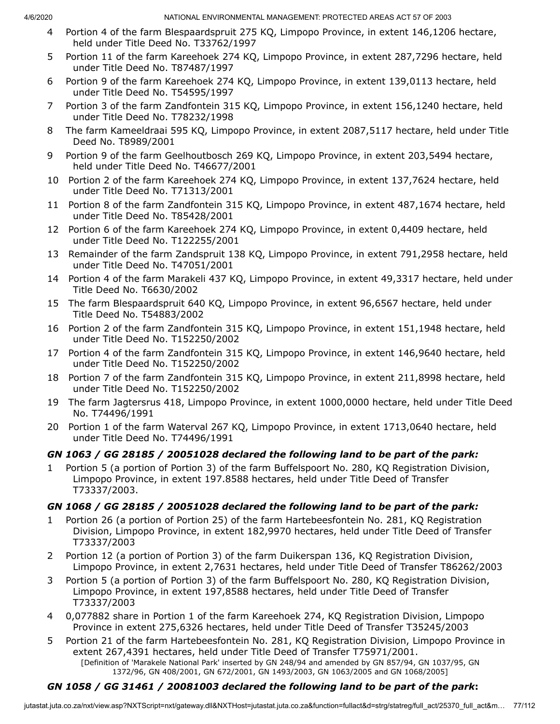- 4 Portion 4 of the farm Blespaardspruit 275 KQ, Limpopo Province, in extent 146,1206 hectare, held under Title Deed No. T33762/1997
- 5 Portion 11 of the farm Kareehoek 274 KQ, Limpopo Province, in extent 287,7296 hectare, held under Title Deed No. T87487/1997
- 6 Portion 9 of the farm Kareehoek 274 KQ, Limpopo Province, in extent 139,0113 hectare, held under Title Deed No. T54595/1997
- 7 Portion 3 of the farm Zandfontein 315 KQ, Limpopo Province, in extent 156,1240 hectare, held under Title Deed No. T78232/1998
- 8 The farm Kameeldraai 595 KQ, Limpopo Province, in extent 2087,5117 hectare, held under Title Deed No. T8989/2001
- 9 Portion 9 of the farm Geelhoutbosch 269 KQ, Limpopo Province, in extent 203,5494 hectare, held under Title Deed No. T46677/2001
- 10 Portion 2 of the farm Kareehoek 274 KQ, Limpopo Province, in extent 137,7624 hectare, held under Title Deed No. T71313/2001
- 11 Portion 8 of the farm Zandfontein 315 KQ, Limpopo Province, in extent 487,1674 hectare, held under Title Deed No. T85428/2001
- 12 Portion 6 of the farm Kareehoek 274 KQ, Limpopo Province, in extent 0,4409 hectare, held under Title Deed No. T122255/2001
- 13 Remainder of the farm Zandspruit 138 KQ, Limpopo Province, in extent 791,2958 hectare, held under Title Deed No. T47051/2001
- 14 Portion 4 of the farm Marakeli 437 KQ, Limpopo Province, in extent 49,3317 hectare, held under Title Deed No. T6630/2002
- 15 The farm Blespaardspruit 640 KQ, Limpopo Province, in extent 96,6567 hectare, held under Title Deed No. T54883/2002
- 16 Portion 2 of the farm Zandfontein 315 KQ, Limpopo Province, in extent 151,1948 hectare, held under Title Deed No. T152250/2002
- 17 Portion 4 of the farm Zandfontein 315 KQ, Limpopo Province, in extent 146,9640 hectare, held under Title Deed No. T152250/2002
- 18 Portion 7 of the farm Zandfontein 315 KQ, Limpopo Province, in extent 211,8998 hectare, held under Title Deed No. T152250/2002
- 19 The farm Jagtersrus 418, Limpopo Province, in extent 1000,0000 hectare, held under Title Deed No. T74496/1991
- 20 Portion 1 of the farm Waterval 267 KQ, Limpopo Province, in extent 1713,0640 hectare, held under Title Deed No. T74496/1991

# *GN 1063 / GG 28185 / 20051028 declared the following land to be part of the park:*

1 Portion 5 (a portion of Portion 3) of the farm Buffelspoort No. 280, KQ Registration Division, Limpopo Province, in extent 197.8588 hectares, held under Title Deed of Transfer T73337/2003.

# *GN 1068 / GG 28185 / 20051028 declared the following land to be part of the park:*

- 1 Portion 26 (a portion of Portion 25) of the farm Hartebeesfontein No. 281, KQ Registration Division, Limpopo Province, in extent 182,9970 hectares, held under Title Deed of Transfer T73337/2003
- 2 Portion 12 (a portion of Portion 3) of the farm Duikerspan 136, KQ Registration Division, Limpopo Province, in extent 2,7631 hectares, held under Title Deed of Transfer T86262/2003
- 3 Portion 5 (a portion of Portion 3) of the farm Buffelspoort No. 280, KQ Registration Division, Limpopo Province, in extent 197,8588 hectares, held under Title Deed of Transfer T73337/2003
- 4 0,077882 share in Portion 1 of the farm Kareehoek 274, KQ Registration Division, Limpopo Province in extent 275,6326 hectares, held under Title Deed of Transfer T35245/2003
- 5 Portion 21 of the farm Hartebeesfontein No. 281, KQ Registration Division, Limpopo Province in extent 267,4391 hectares, held under Title Deed of Transfer T75971/2001. [Definition of 'Marakele National Park' inserted by GN 248/94 and amended by GN 857/94, GN 1037/95, GN 1372/96, GN 408/2001, GN 672/2001, GN 1493/2003, GN 1063/2005 and GN 1068/2005]

# *GN 1058 / GG 31461 / 20081003 declared the following land to be part of the park***:**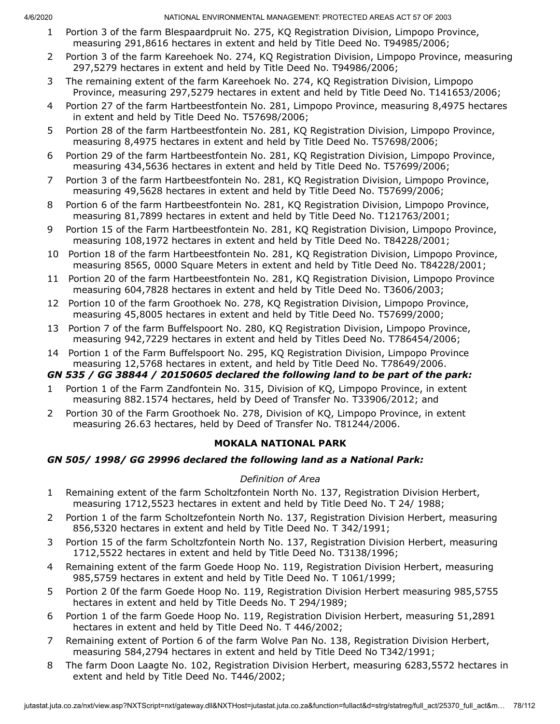- 1 Portion 3 of the farm Blespaardpruit No. 275, KQ Registration Division, Limpopo Province, measuring 291,8616 hectares in extent and held by Title Deed No. T94985/2006;
- 2 Portion 3 of the farm Kareehoek No. 274, KQ Registration Division, Limpopo Province, measuring 297,5279 hectares in extent and held by Title Deed No. T94986/2006;
- 3 The remaining extent of the farm Kareehoek No. 274, KQ Registration Division, Limpopo Province, measuring 297,5279 hectares in extent and held by Title Deed No. T141653/2006;
- 4 Portion 27 of the farm Hartbeestfontein No. 281, Limpopo Province, measuring 8,4975 hectares in extent and held by Title Deed No. T57698/2006;
- 5 Portion 28 of the farm Hartbeestfontein No. 281, KQ Registration Division, Limpopo Province, measuring 8,4975 hectares in extent and held by Title Deed No. T57698/2006;
- 6 Portion 29 of the farm Hartbeestfontein No. 281, KQ Registration Division, Limpopo Province, measuring 434,5636 hectares in extent and held by Title Deed No. T57699/2006;
- 7 Portion 3 of the farm Hartbeestfontein No. 281, KQ Registration Division, Limpopo Province, measuring 49,5628 hectares in extent and held by Title Deed No. T57699/2006;
- 8 Portion 6 of the farm Hartbeestfontein No. 281, KQ Registration Division, Limpopo Province, measuring 81,7899 hectares in extent and held by Title Deed No. T121763/2001;
- 9 Portion 15 of the Farm Hartbeestfontein No. 281, KQ Registration Division, Limpopo Province, measuring 108,1972 hectares in extent and held by Title Deed No. T84228/2001;
- 10 Portion 18 of the farm Hartbeestfontein No. 281, KQ Registration Division, Limpopo Province, measuring 8565, 0000 Square Meters in extent and held by Title Deed No. T84228/2001;
- 11 Portion 20 of the farm Hartbeestfontein No. 281, KQ Registration Division, Limpopo Province measuring 604,7828 hectares in extent and held by Title Deed No. T3606/2003;
- 12 Portion 10 of the farm Groothoek No. 278, KQ Registration Division, Limpopo Province, measuring 45,8005 hectares in extent and held by Title Deed No. T57699/2000;
- 13 Portion 7 of the farm Buffelspoort No. 280, KQ Registration Division, Limpopo Province, measuring 942,7229 hectares in extent and held by Titles Deed No. T786454/2006;
- 14 Portion 1 of the Farm Buffelspoort No. 295, KQ Registration Division, Limpopo Province measuring 12,5768 hectares in extent, and held by Title Deed No. T78649/2006.

# *GN 535 / GG 38844 / 20150605 declared the following land to be part of the park:*

- 1 Portion 1 of the Farm Zandfontein No. 315, Division of KQ, Limpopo Province, in extent measuring 882.1574 hectares, held by Deed of Transfer No. T33906/2012; and
- 2 Portion 30 of the Farm Groothoek No. 278, Division of KQ, Limpopo Province, in extent measuring 26.63 hectares, held by Deed of Transfer No. T81244/2006.

# **MOKALA NATIONAL PARK**

# *GN 505/ 1998/ GG 29996 declared the following land as a National Park:*

# *Definition of Area*

- 1 Remaining extent of the farm Scholtzfontein North No. 137, Registration Division Herbert, measuring 1712,5523 hectares in extent and held by Title Deed No. T 24/ 1988;
- 2 Portion 1 of the farm Scholtzefontein North No. 137, Registration Division Herbert, measuring 856,5320 hectares in extent and held by Title Deed No. T 342/1991;
- 3 Portion 15 of the farm Scholtzfontein North No. 137, Registration Division Herbert, measuring 1712,5522 hectares in extent and held by Title Deed No. T3138/1996;
- 4 Remaining extent of the farm Goede Hoop No. 119, Registration Division Herbert, measuring 985,5759 hectares in extent and held by Title Deed No. T 1061/1999;
- 5 Portion 2 0f the farm Goede Hoop No. 119, Registration Division Herbert measuring 985,5755 hectares in extent and held by Title Deeds No. T 294/1989;
- 6 Portion 1 of the farm Goede Hoop No. 119, Registration Division Herbert, measuring 51,2891 hectares in extent and held by Title Deed No. T 446/2002;
- 7 Remaining extent of Portion 6 of the farm Wolve Pan No. 138, Registration Division Herbert, measuring 584,2794 hectares in extent and held by Title Deed No T342/1991;
- 8 The farm Doon Laagte No. 102, Registration Division Herbert, measuring 6283,5572 hectares in extent and held by Title Deed No. T446/2002;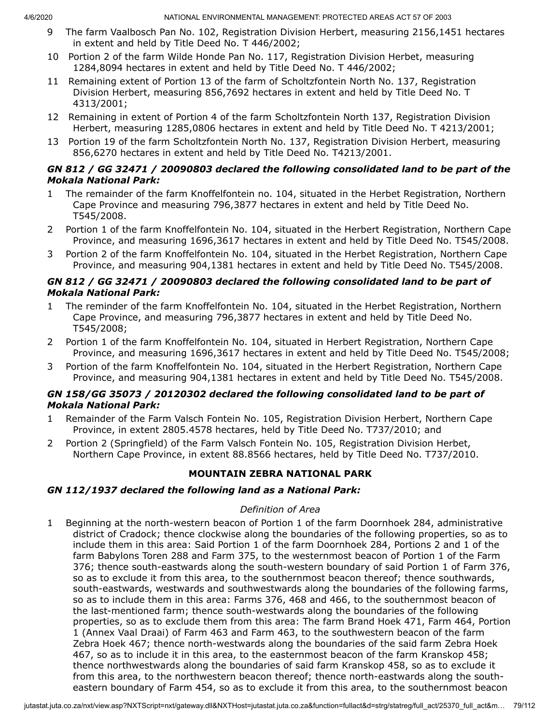- 9 The farm Vaalbosch Pan No. 102, Registration Division Herbert, measuring 2156,1451 hectares in extent and held by Title Deed No. T 446/2002;
- 10 Portion 2 of the farm Wilde Honde Pan No. 117, Registration Division Herbet, measuring 1284,8094 hectares in extent and held by Title Deed No. T 446/2002;
- 11 Remaining extent of Portion 13 of the farm of Scholtzfontein North No. 137, Registration Division Herbert, measuring 856,7692 hectares in extent and held by Title Deed No. T 4313/2001;
- 12 Remaining in extent of Portion 4 of the farm Scholtzfontein North 137, Registration Division Herbert, measuring 1285,0806 hectares in extent and held by Title Deed No. T 4213/2001;
- 13 Portion 19 of the farm Scholtzfontein North No. 137, Registration Division Herbert, measuring 856,6270 hectares in extent and held by Title Deed No. T4213/2001.

# *GN 812 / GG 32471 / 20090803 declared the following consolidated land to be part of the Mokala National Park:*

- 1 The remainder of the farm Knoffelfontein no. 104, situated in the Herbet Registration, Northern Cape Province and measuring 796,3877 hectares in extent and held by Title Deed No. T545/2008.
- 2 Portion 1 of the farm Knoffelfontein No. 104, situated in the Herbert Registration, Northern Cape Province, and measuring 1696,3617 hectares in extent and held by Title Deed No. T545/2008.
- 3 Portion 2 of the farm Knoffelfontein No. 104, situated in the Herbet Registration, Northern Cape Province, and measuring 904,1381 hectares in extent and held by Title Deed No. T545/2008.

### *GN 812 / GG 32471 / 20090803 declared the following consolidated land to be part of Mokala National Park:*

- 1 The reminder of the farm Knoffelfontein No. 104, situated in the Herbet Registration, Northern Cape Province, and measuring 796,3877 hectares in extent and held by Title Deed No. T545/2008;
- 2 Portion 1 of the farm Knoffelfontein No. 104, situated in Herbert Registration, Northern Cape Province, and measuring 1696,3617 hectares in extent and held by Title Deed No. T545/2008;
- 3 Portion of the farm Knoffelfontein No. 104, situated in the Herbert Registration, Northern Cape Province, and measuring 904,1381 hectares in extent and held by Title Deed No. T545/2008.

# *GN 158/GG 35073 / 20120302 declared the following consolidated land to be part of Mokala National Park:*

- 1 Remainder of the Farm Valsch Fontein No. 105, Registration Division Herbert, Northern Cape Province, in extent 2805.4578 hectares, held by Title Deed No. T737/2010; and
- 2 Portion 2 (Springfield) of the Farm Valsch Fontein No. 105, Registration Division Herbet, Northern Cape Province, in extent 88.8566 hectares, held by Title Deed No. T737/2010.

# **MOUNTAIN ZEBRA NATIONAL PARK**

# *GN 112/1937 declared the following land as a National Park:*

# *Definition of Area*

1 Beginning at the north-western beacon of Portion 1 of the farm Doornhoek 284, administrative district of Cradock; thence clockwise along the boundaries of the following properties, so as to include them in this area: Said Portion 1 of the farm Doornhoek 284, Portions 2 and 1 of the farm Babylons Toren 288 and Farm 375, to the westernmost beacon of Portion 1 of the Farm 376; thence south-eastwards along the south-western boundary of said Portion 1 of Farm 376, so as to exclude it from this area, to the southernmost beacon thereof; thence southwards, south-eastwards, westwards and southwestwards along the boundaries of the following farms, so as to include them in this area: Farms 376, 468 and 466, to the southernmost beacon of the last-mentioned farm; thence south-westwards along the boundaries of the following properties, so as to exclude them from this area: The farm Brand Hoek 471, Farm 464, Portion 1 (Annex Vaal Draai) of Farm 463 and Farm 463, to the southwestern beacon of the farm Zebra Hoek 467; thence north-westwards along the boundaries of the said farm Zebra Hoek 467, so as to include it in this area, to the easternmost beacon of the farm Kranskop 458; thence northwestwards along the boundaries of said farm Kranskop 458, so as to exclude it from this area, to the northwestern beacon thereof; thence north-eastwards along the southeastern boundary of Farm 454, so as to exclude it from this area, to the southernmost beacon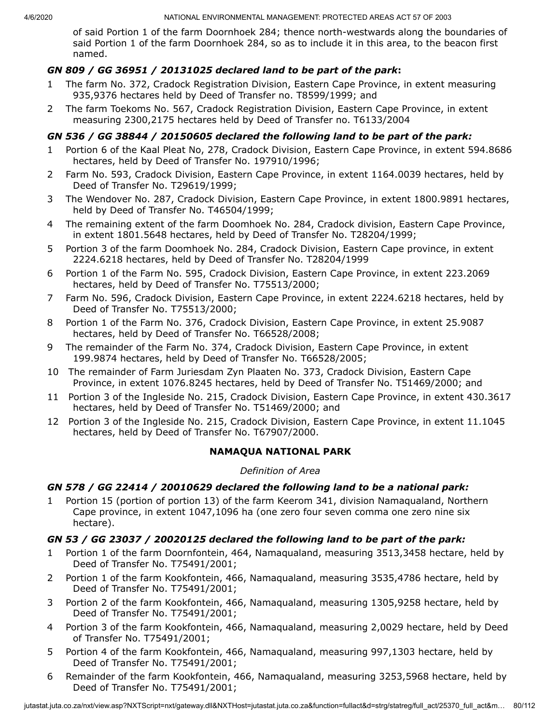of said Portion 1 of the farm Doornhoek 284; thence north-westwards along the boundaries of said Portion 1 of the farm Doornhoek 284, so as to include it in this area, to the beacon first named.

# *GN 809 / GG 36951 / 20131025 declared land to be part of the park***:**

- 1 The farm No. 372, Cradock Registration Division, Eastern Cape Province, in extent measuring 935,9376 hectares held by Deed of Transfer no. T8599/1999; and
- 2 The farm Toekoms No. 567, Cradock Registration Division, Eastern Cape Province, in extent measuring 2300,2175 hectares held by Deed of Transfer no. T6133/2004

# *GN 536 / GG 38844 / 20150605 declared the following land to be part of the park:*

- 1 Portion 6 of the Kaal Pleat No, 278, Cradock Division, Eastern Cape Province, in extent 594.8686 hectares, held by Deed of Transfer No. 197910/1996;
- 2 Farm No. 593, Cradock Division, Eastern Cape Province, in extent 1164.0039 hectares, held by Deed of Transfer No. T29619/1999;
- 3 The Wendover No. 287, Cradock Division, Eastern Cape Province, in extent 1800.9891 hectares, held by Deed of Transfer No. T46504/1999;
- 4 The remaining extent of the farm Doomhoek No. 284, Cradock division, Eastern Cape Province, in extent 1801.5648 hectares, held by Deed of Transfer No. T28204/1999;
- 5 Portion 3 of the farm Doomhoek No. 284, Cradock Division, Eastern Cape province, in extent 2224.6218 hectares, held by Deed of Transfer No. T28204/1999
- 6 Portion 1 of the Farm No. 595, Cradock Division, Eastern Cape Province, in extent 223.2069 hectares, held by Deed of Transfer No. T75513/2000;
- 7 Farm No. 596, Cradock Division, Eastern Cape Province, in extent 2224.6218 hectares, held by Deed of Transfer No. T75513/2000;
- 8 Portion 1 of the Farm No. 376, Cradock Division, Eastern Cape Province, in extent 25.9087 hectares, held by Deed of Transfer No. T66528/2008;
- 9 The remainder of the Farm No. 374, Cradock Division, Eastern Cape Province, in extent 199.9874 hectares, held by Deed of Transfer No. T66528/2005;
- 10 The remainder of Farm Juriesdam Zyn Plaaten No. 373, Cradock Division, Eastern Cape Province, in extent 1076.8245 hectares, held by Deed of Transfer No. T51469/2000; and
- 11 Portion 3 of the Ingleside No. 215, Cradock Division, Eastern Cape Province, in extent 430.3617 hectares, held by Deed of Transfer No. T51469/2000; and
- 12 Portion 3 of the Ingleside No. 215, Cradock Division, Eastern Cape Province, in extent 11.1045 hectares, held by Deed of Transfer No. T67907/2000.

# **NAMAQUA NATIONAL PARK**

#### *Definition of Area*

# *GN 578 / GG 22414 / 20010629 declared the following land to be a national park:*

1 Portion 15 (portion of portion 13) of the farm Keerom 341, division Namaqualand, Northern Cape province, in extent 1047,1096 ha (one zero four seven comma one zero nine six hectare).

# *GN 53 / GG 23037 / 20020125 declared the following land to be part of the park:*

- 1 Portion 1 of the farm Doornfontein, 464, Namaqualand, measuring 3513,3458 hectare, held by Deed of Transfer No. T75491/2001;
- 2 Portion 1 of the farm Kookfontein, 466, Namaqualand, measuring 3535,4786 hectare, held by Deed of Transfer No. T75491/2001;
- 3 Portion 2 of the farm Kookfontein, 466, Namaqualand, measuring 1305,9258 hectare, held by Deed of Transfer No. T75491/2001;
- 4 Portion 3 of the farm Kookfontein, 466, Namaqualand, measuring 2,0029 hectare, held by Deed of Transfer No. T75491/2001;
- 5 Portion 4 of the farm Kookfontein, 466, Namaqualand, measuring 997,1303 hectare, held by Deed of Transfer No. T75491/2001;
- 6 Remainder of the farm Kookfontein, 466, Namaqualand, measuring 3253,5968 hectare, held by Deed of Transfer No. T75491/2001;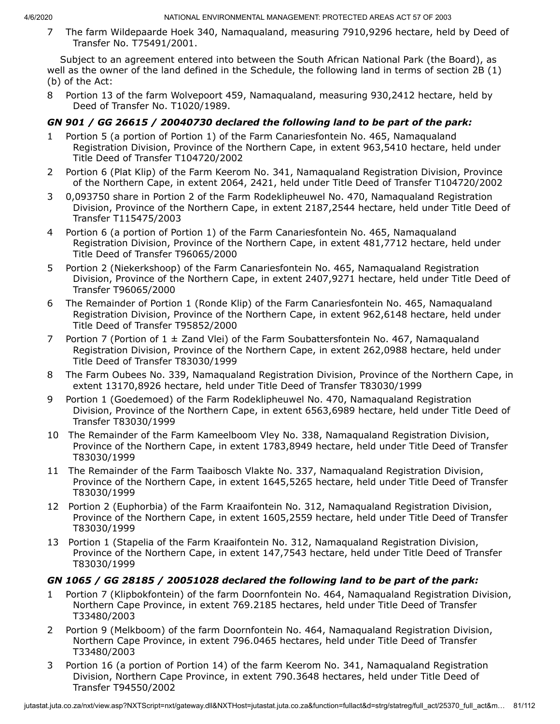7 The farm Wildepaarde Hoek 340, Namaqualand, measuring 7910,9296 hectare, held by Deed of Transfer No. T75491/2001.

Subject to an agreement entered into between the South African National Park (the Board), as well as the owner of the land defined in the Schedule, the following land in terms of section 2B (1) (b) of the Act:

8 Portion 13 of the farm Wolvepoort 459, Namaqualand, measuring 930,2412 hectare, held by Deed of Transfer No. T1020/1989.

# *GN 901 / GG 26615 / 20040730 declared the following land to be part of the park:*

- 1 Portion 5 (a portion of Portion 1) of the Farm Canariesfontein No. 465, Namaqualand Registration Division, Province of the Northern Cape, in extent 963,5410 hectare, held under Title Deed of Transfer T104720/2002
- 2 Portion 6 (Plat Klip) of the Farm Keerom No. 341, Namaqualand Registration Division, Province of the Northern Cape, in extent 2064, 2421, held under Title Deed of Transfer T104720/2002
- 3 0,093750 share in Portion 2 of the Farm Rodeklipheuwel No. 470, Namaqualand Registration Division, Province of the Northern Cape, in extent 2187,2544 hectare, held under Title Deed of Transfer T115475/2003
- 4 Portion 6 (a portion of Portion 1) of the Farm Canariesfontein No. 465, Namaqualand Registration Division, Province of the Northern Cape, in extent 481,7712 hectare, held under Title Deed of Transfer T96065/2000
- 5 Portion 2 (Niekerkshoop) of the Farm Canariesfontein No. 465, Namaqualand Registration Division, Province of the Northern Cape, in extent 2407,9271 hectare, held under Title Deed of Transfer T96065/2000
- 6 The Remainder of Portion 1 (Ronde Klip) of the Farm Canariesfontein No. 465, Namaqualand Registration Division, Province of the Northern Cape, in extent 962,6148 hectare, held under Title Deed of Transfer T95852/2000
- 7 Portion 7 (Portion of  $1 \pm$  Zand Vlei) of the Farm Soubattersfontein No. 467, Namaqualand Registration Division, Province of the Northern Cape, in extent 262,0988 hectare, held under Title Deed of Transfer T83030/1999
- 8 The Farm Oubees No. 339, Namaqualand Registration Division, Province of the Northern Cape, in extent 13170,8926 hectare, held under Title Deed of Transfer T83030/1999
- 9 Portion 1 (Goedemoed) of the Farm Rodeklipheuwel No. 470, Namaqualand Registration Division, Province of the Northern Cape, in extent 6563,6989 hectare, held under Title Deed of Transfer T83030/1999
- 10 The Remainder of the Farm Kameelboom Vley No. 338, Namaqualand Registration Division, Province of the Northern Cape, in extent 1783,8949 hectare, held under Title Deed of Transfer T83030/1999
- 11 The Remainder of the Farm Taaibosch Vlakte No. 337, Namaqualand Registration Division, Province of the Northern Cape, in extent 1645,5265 hectare, held under Title Deed of Transfer T83030/1999
- 12 Portion 2 (Euphorbia) of the Farm Kraaifontein No. 312, Namaqualand Registration Division, Province of the Northern Cape, in extent 1605,2559 hectare, held under Title Deed of Transfer T83030/1999
- 13 Portion 1 (Stapelia of the Farm Kraaifontein No. 312, Namaqualand Registration Division, Province of the Northern Cape, in extent 147,7543 hectare, held under Title Deed of Transfer T83030/1999

# *GN 1065 / GG 28185 / 20051028 declared the following land to be part of the park:*

- 1 Portion 7 (Klipbokfontein) of the farm Doornfontein No. 464, Namaqualand Registration Division, Northern Cape Province, in extent 769.2185 hectares, held under Title Deed of Transfer T33480/2003
- 2 Portion 9 (Melkboom) of the farm Doornfontein No. 464, Namaqualand Registration Division, Northern Cape Province, in extent 796.0465 hectares, held under Title Deed of Transfer T33480/2003
- 3 Portion 16 (a portion of Portion 14) of the farm Keerom No. 341, Namaqualand Registration Division, Northern Cape Province, in extent 790.3648 hectares, held under Title Deed of Transfer T94550/2002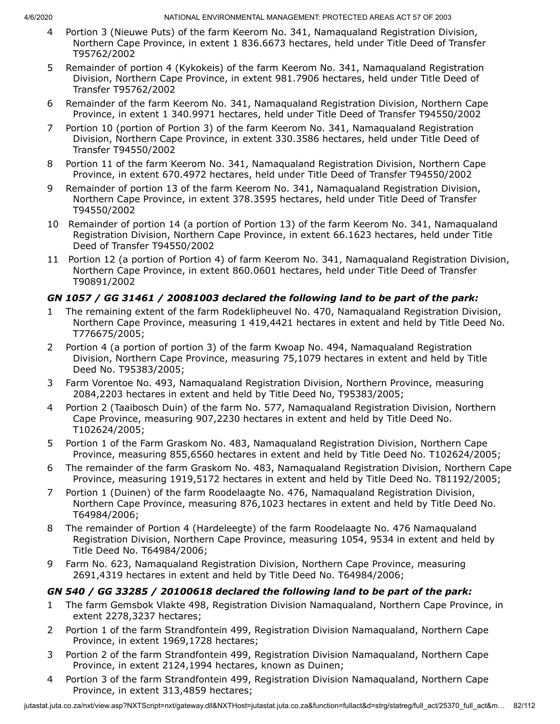- 4 Portion 3 (Nieuwe Puts) of the farm Keerom No. 341, Namaqualand Registration Division, Northern Cape Province, in extent 1 836.6673 hectares, held under Title Deed of Transfer T95762/2002
- 5 Remainder of portion 4 (Kykokeis) of the farm Keerom No. 341, Namaqualand Registration Division, Northern Cape Province, in extent 981.7906 hectares, held under Title Deed of Transfer T95762/2002
- 6 Remainder of the farm Keerom No. 341, Namaqualand Registration Division, Northern Cape Province, in extent 1 340.9971 hectares, held under Title Deed of Transfer T94550/2002
- 7 Portion 10 (portion of Portion 3) of the farm Keerom No. 341, Namaqualand Registration Division, Northern Cape Province, in extent 330.3586 hectares, held under Title Deed of Transfer T94550/2002
- 8 Portion 11 of the farm Keerom No. 341, Namaqualand Registration Division, Northern Cape Province, in extent 670.4972 hectares, held under Title Deed of Transfer T94550/2002
- 9 Remainder of portion 13 of the farm Keerom No. 341, Namaqualand Registration Division, Northern Cape Province, in extent 378.3595 hectares, held under Title Deed of Transfer T94550/2002
- 10 Remainder of portion 14 (a portion of Portion 13) of the farm Keerom No. 341, Namaqualand Registration Division, Northern Cape Province, in extent 66.1623 hectares, held under Title Deed of Transfer T94550/2002
- 11 Portion 12 (a portion of Portion 4) of farm Keerom No. 341, Namaqualand Registration Division, Northern Cape Province, in extent 860.0601 hectares, held under Title Deed of Transfer T90891/2002

# *GN 1057 / GG 31461 / 20081003 declared the following land to be part of the park:*

- 1 The remaining extent of the farm Rodeklipheuvel No. 470, Namaqualand Registration Division, Northern Cape Province, measuring 1 419,4421 hectares in extent and held by Title Deed No. T776675/2005;
- 2 Portion 4 (a portion of portion 3) of the farm Kwoap No. 494, Namaqualand Registration Division, Northern Cape Province, measuring 75,1079 hectares in extent and held by Title Deed No. T95383/2005;
- 3 Farm Vorentoe No. 493, Namaqualand Registration Division, Northern Province, measuring 2084,2203 hectares in extent and held by Title Deed No, T95383/2005;
- 4 Portion 2 (Taaibosch Duin) of the farm No. 577, Namaqualand Registration Division, Northern Cape Province, measuring 907,2230 hectares in extent and held by Title Deed No. T102624/2005;
- 5 Portion 1 of the Farm Graskom No. 483, Namaqualand Registration Division, Northern Cape Province, measuring 855,6560 hectares in extent and held by Title Deed No. T102624/2005;
- 6 The remainder of the farm Graskom No. 483, Namaqualand Registration Division, Northern Cape Province, measuring 1919,5172 hectares in extent and held by Title Deed No. T81192/2005;
- 7 Portion 1 (Duinen) of the farm Roodelaagte No. 476, Namaqualand Registration Division, Northern Cape Province, measuring 876,1023 hectares in extent and held by Title Deed No. T64984/2006;
- 8 The remainder of Portion 4 (Hardeleegte) of the farm Roodelaagte No. 476 Namaqualand Registration Division, Northern Cape Province, measuring 1054, 9534 in extent and held by Title Deed No. T64984/2006;
- 9 Farm No. 623, Namaqualand Registration Division, Northern Cape Province, measuring 2691,4319 hectares in extent and held by Title Deed No. T64984/2006;

# *GN 540 / GG 33285 / 20100618 declared the following land to be part of the park:*

- 1 The farm Gemsbok Vlakte 498, Registration Division Namaqualand, Northern Cape Province, in extent 2278,3237 hectares;
- 2 Portion 1 of the farm Strandfontein 499, Registration Division Namaqualand, Northern Cape Province, in extent 1969,1728 hectares;
- 3 Portion 2 of the farm Strandfontein 499, Registration Division Namaqualand, Northern Cape Province, in extent 2124,1994 hectares, known as Duinen;
- 4 Portion 3 of the farm Strandfontein 499, Registration Division Namaqualand, Northern Cape Province, in extent 313,4859 hectares;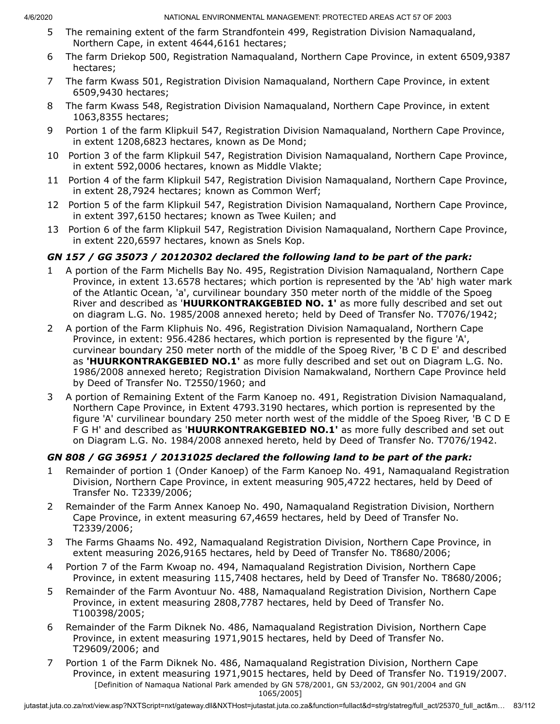- 5 The remaining extent of the farm Strandfontein 499, Registration Division Namaqualand, Northern Cape, in extent 4644,6161 hectares;
- 6 The farm Driekop 500, Registration Namaqualand, Northern Cape Province, in extent 6509,9387 hectares;
- 7 The farm Kwass 501, Registration Division Namaqualand, Northern Cape Province, in extent 6509,9430 hectares;
- 8 The farm Kwass 548, Registration Division Namaqualand, Northern Cape Province, in extent 1063,8355 hectares;
- 9 Portion 1 of the farm Klipkuil 547, Registration Division Namaqualand, Northern Cape Province, in extent 1208,6823 hectares, known as De Mond;
- 10 Portion 3 of the farm Klipkuil 547, Registration Division Namaqualand, Northern Cape Province, in extent 592,0006 hectares, known as Middle Vlakte;
- 11 Portion 4 of the farm Klipkuil 547, Registration Division Namaqualand, Northern Cape Province, in extent 28,7924 hectares; known as Common Werf;
- 12 Portion 5 of the farm Klipkuil 547, Registration Division Namaqualand, Northern Cape Province, in extent 397,6150 hectares; known as Twee Kuilen; and
- 13 Portion 6 of the farm Klipkuil 547, Registration Division Namaqualand, Northern Cape Province, in extent 220,6597 hectares, known as Snels Kop.

# *GN 157 / GG 35073 / 20120302 declared the following land to be part of the park:*

- 1 A portion of the Farm Michells Bay No. 495, Registration Division Namaqualand, Northern Cape Province, in extent 13.6578 hectares; which portion is represented by the 'Ab' high water mark of the Atlantic Ocean, 'a', curvilinear boundary 350 meter north of the middle of the Spoeg River and described as '**HUURKONTRAKGEBIED NO. 1'** as more fully described and set out on diagram L.G. No. 1985/2008 annexed hereto; held by Deed of Transfer No. T7076/1942;
- 2 A portion of the Farm Kliphuis No. 496, Registration Division Namaqualand, Northern Cape Province, in extent: 956.4286 hectares, which portion is represented by the figure 'A', curvinear boundary 250 meter north of the middle of the Spoeg River, 'B C D E' and described as **'HUURKONTRAKGEBIED NO.1'** as more fully described and set out on Diagram L.G. No. 1986/2008 annexed hereto; Registration Division Namakwaland, Northern Cape Province held by Deed of Transfer No. T2550/1960; and
- 3 A portion of Remaining Extent of the Farm Kanoep no. 491, Registration Division Namaqualand, Northern Cape Province, in Extent 4793.3190 hectares, which portion is represented by the figure 'A' curvilinear boundary 250 meter north west of the middle of the Spoeg River, 'B C D E F G H' and described as '**HUURKONTRAKGEBIED NO.1'** as more fully described and set out on Diagram L.G. No. 1984/2008 annexed hereto, held by Deed of Transfer No. T7076/1942.

# *GN 808 / GG 36951 / 20131025 declared the following land to be part of the park:*

- 1 Remainder of portion 1 (Onder Kanoep) of the Farm Kanoep No. 491, Namaqualand Registration Division, Northern Cape Province, in extent measuring 905,4722 hectares, held by Deed of Transfer No. T2339/2006;
- 2 Remainder of the Farm Annex Kanoep No. 490, Namaqualand Registration Division, Northern Cape Province, in extent measuring 67,4659 hectares, held by Deed of Transfer No. T2339/2006;
- 3 The Farms Ghaams No. 492, Namaqualand Registration Division, Northern Cape Province, in extent measuring 2026,9165 hectares, held by Deed of Transfer No. T8680/2006;
- 4 Portion 7 of the Farm Kwoap no. 494, Namaqualand Registration Division, Northern Cape Province, in extent measuring 115,7408 hectares, held by Deed of Transfer No. T8680/2006;
- 5 Remainder of the Farm Avontuur No. 488, Namaqualand Registration Division, Northern Cape Province, in extent measuring 2808,7787 hectares, held by Deed of Transfer No. T100398/2005;
- 6 Remainder of the Farm Diknek No. 486, Namaqualand Registration Division, Northern Cape Province, in extent measuring 1971,9015 hectares, held by Deed of Transfer No. T29609/2006; and
- 7 Portion 1 of the Farm Diknek No. 486, Namaqualand Registration Division, Northern Cape Province, in extent measuring 1971,9015 hectares, held by Deed of Transfer No. T1919/2007. [Definition of Namaqua National Park amended by GN 578/2001, GN 53/2002, GN 901/2004 and GN 1065/2005]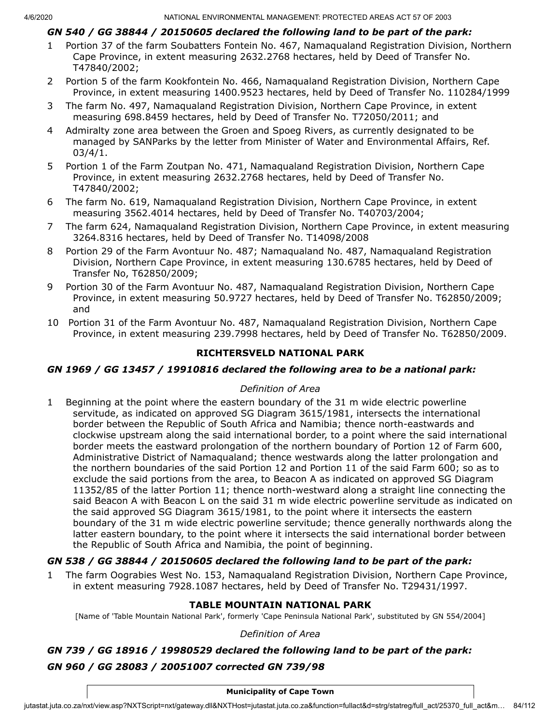#### *GN 540 / GG 38844 / 20150605 declared the following land to be part of the park:*

- 1 Portion 37 of the farm Soubatters Fontein No. 467, Namaqualand Registration Division, Northern Cape Province, in extent measuring 2632.2768 hectares, held by Deed of Transfer No. T47840/2002;
- 2 Portion 5 of the farm Kookfontein No. 466, Namaqualand Registration Division, Northern Cape Province, in extent measuring 1400.9523 hectares, held by Deed of Transfer No. 110284/1999
- 3 The farm No. 497, Namaqualand Registration Division, Northern Cape Province, in extent measuring 698.8459 hectares, held by Deed of Transfer No. T72050/2011; and
- 4 Admiralty zone area between the Groen and Spoeg Rivers, as currently designated to be managed by SANParks by the letter from Minister of Water and Environmental Affairs, Ref. 03/4/1.
- 5 Portion 1 of the Farm Zoutpan No. 471, Namaqualand Registration Division, Northern Cape Province, in extent measuring 2632.2768 hectares, held by Deed of Transfer No. T47840/2002;
- 6 The farm No. 619, Namaqualand Registration Division, Northern Cape Province, in extent measuring 3562.4014 hectares, held by Deed of Transfer No. T40703/2004;
- 7 The farm 624, Namaqualand Registration Division, Northern Cape Province, in extent measuring 3264.8316 hectares, held by Deed of Transfer No. T14098/2008
- 8 Portion 29 of the Farm Avontuur No. 487; Namaqualand No. 487, Namaqualand Registration Division, Northern Cape Province, in extent measuring 130.6785 hectares, held by Deed of Transfer No, T62850/2009;
- 9 Portion 30 of the Farm Avontuur No. 487, Namaqualand Registration Division, Northern Cape Province, in extent measuring 50.9727 hectares, held by Deed of Transfer No. T62850/2009; and
- 10 Portion 31 of the Farm Avontuur No. 487, Namaqualand Registration Division, Northern Cape Province, in extent measuring 239.7998 hectares, held by Deed of Transfer No. T62850/2009.

#### **RICHTERSVELD NATIONAL PARK**

# *GN 1969 / GG 13457 / 19910816 declared the following area to be a national park:*

#### *Definition of Area*

1 Beginning at the point where the eastern boundary of the 31 m wide electric powerline servitude, as indicated on approved SG Diagram 3615/1981, intersects the international border between the Republic of South Africa and Namibia; thence north-eastwards and clockwise upstream along the said international border, to a point where the said international border meets the eastward prolongation of the northern boundary of Portion 12 of Farm 600, Administrative District of Namaqualand; thence westwards along the latter prolongation and the northern boundaries of the said Portion 12 and Portion 11 of the said Farm 600; so as to exclude the said portions from the area, to Beacon A as indicated on approved SG Diagram 11352/85 of the latter Portion 11; thence north-westward along a straight line connecting the said Beacon A with Beacon L on the said 31 m wide electric powerline servitude as indicated on the said approved SG Diagram 3615/1981, to the point where it intersects the eastern boundary of the 31 m wide electric powerline servitude; thence generally northwards along the latter eastern boundary, to the point where it intersects the said international border between the Republic of South Africa and Namibia, the point of beginning.

#### *GN 538 / GG 38844 / 20150605 declared the following land to be part of the park:*

1 The farm Oograbies West No. 153, Namaqualand Registration Division, Northern Cape Province, in extent measuring 7928.1087 hectares, held by Deed of Transfer No. T29431/1997.

#### **TABLE MOUNTAIN NATIONAL PARK**

[Name of 'Table Mountain National Park', formerly 'Cape Peninsula National Park', substituted by GN 554/2004]

#### *Definition of Area*

# *GN 739 / GG 18916 / 19980529 declared the following land to be part of the park: GN 960 / GG 28083 / 20051007 corrected GN 739/98*

#### **Municipality of Cape Town**

jutastat.juta.co.za/nxt/view.asp?NXTScript=nxt/gateway.dll&NXTHost=jutastat.juta.co.za&function=fullact&d=strg/statreg/full\_act/25370\_full\_act&m... 84/112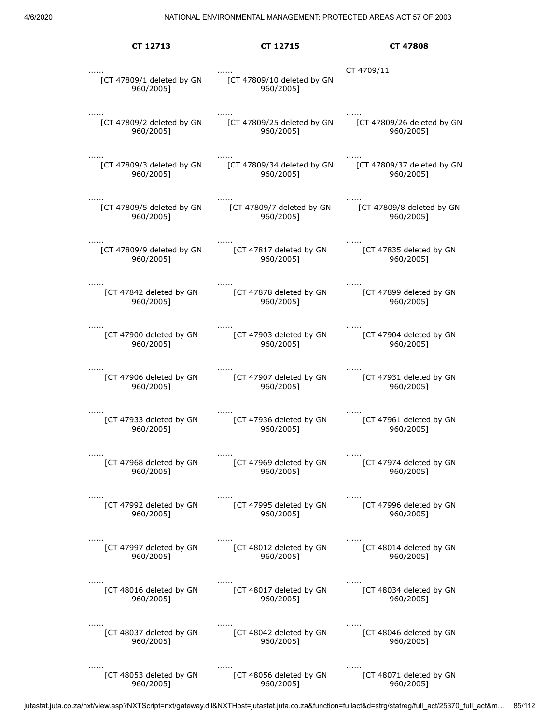| CT 12713                               | CT 12715                                | <b>CT 47808</b>            |
|----------------------------------------|-----------------------------------------|----------------------------|
| [CT 47809/1 deleted by GN<br>960/2005] | [CT 47809/10 deleted by GN<br>960/2005] | CT 4709/11                 |
| [CT 47809/2 deleted by GN              | [CT 47809/25 deleted by GN              | [CT 47809/26 deleted by GN |
| 960/2005]                              | 960/2005]                               | 960/2005]                  |
| [CT 47809/3 deleted by GN              | [CT 47809/34 deleted by GN              | [CT 47809/37 deleted by GN |
| 960/2005]                              | 960/2005]                               | 960/2005]                  |
| [CT 47809/5 deleted by GN              | [CT 47809/7 deleted by GN               | [CT 47809/8 deleted by GN  |
| 960/2005]                              | 960/2005]                               | 960/2005]                  |
| [CT 47809/9 deleted by GN              | [CT 47817 deleted by GN                 | [CT 47835 deleted by GN    |
| 960/2005]                              | 960/2005]                               | 960/2005]                  |
| [CT 47842 deleted by GN                | [CT 47878 deleted by GN                 | [CT 47899 deleted by GN    |
| 960/2005]                              | 960/2005]                               | 960/2005]                  |
| [CT 47900 deleted by GN                | [CT 47903 deleted by GN                 | [CT 47904 deleted by GN    |
| 960/2005]                              | 960/2005]                               | 960/2005]                  |
| [CT 47906 deleted by GN                | [CT 47907 deleted by GN                 | [CT 47931 deleted by GN    |
| 960/2005]                              | 960/2005]                               | 960/2005]                  |
| [CT 47933 deleted by GN                | [CT 47936 deleted by GN                 | [CT 47961 deleted by GN    |
| 960/2005]                              | 960/2005]                               | 960/2005]                  |
| [CT 47968 deleted by GN                | [CT 47969 deleted by GN                 | [CT 47974 deleted by GN    |
| 960/2005]                              | 960/2005]                               | 960/2005]                  |
| [CT 47992 deleted by GN                | [CT 47995 deleted by GN                 | [CT 47996 deleted by GN    |
| 960/20051                              | 960/2005]                               | 960/2005]                  |
| [CT 47997 deleted by GN                | [CT 48012 deleted by GN                 | [CT 48014 deleted by GN    |
| 960/2005]                              | 960/2005]                               | 960/2005]                  |
| [CT 48016 deleted by GN                | [CT 48017 deleted by GN                 | [CT 48034 deleted by GN    |
| 960/2005]                              | 960/2005]                               | 960/2005]                  |
| [CT 48037 deleted by GN                | [CT 48042 deleted by GN                 | [CT 48046 deleted by GN    |
| 960/2005]                              | 960/2005]                               | 960/2005]                  |
| [CT 48053 deleted by GN                | [CT 48056 deleted by GN                 | [CT 48071 deleted by GN    |
| 960/2005]                              | 960/2005]                               | 960/2005]                  |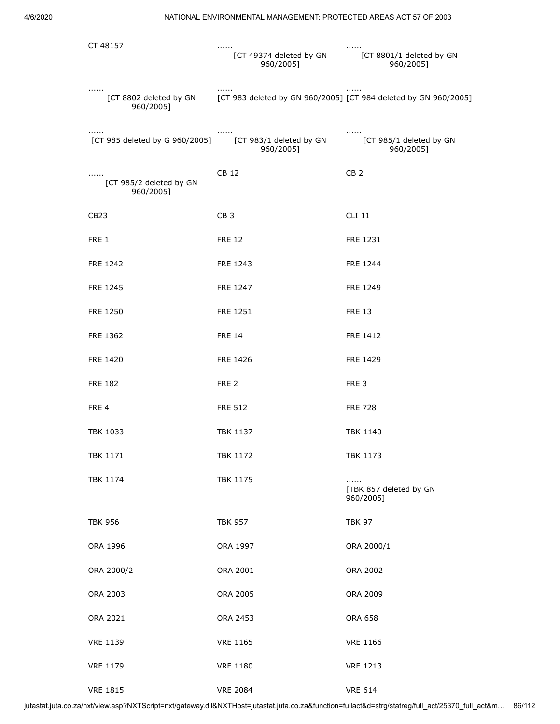| CT 48157                             | [CT 49374 deleted by GN<br>960/2005]                            | [CT 8801/1 deleted by GN<br>960/2005]    |
|--------------------------------------|-----------------------------------------------------------------|------------------------------------------|
| [CT 8802 deleted by GN<br>960/2005]  | [CT 983 deleted by GN 960/2005] [CT 984 deleted by GN 960/2005] |                                          |
| [CT 985 deleted by G 960/2005]       | [CT 983/1 deleted by GN<br>960/2005]                            | [CT 985/1 deleted by GN<br>960/2005]     |
| [CT 985/2 deleted by GN<br>960/2005] | <b>CB 12</b>                                                    | CB <sub>2</sub>                          |
| CB <sub>23</sub>                     | CB <sub>3</sub>                                                 | <b>CLI 11</b>                            |
| FRE <sub>1</sub>                     | <b>FRE 12</b>                                                   | <b>FRE 1231</b>                          |
| <b>FRE 1242</b>                      | <b>FRE 1243</b>                                                 | <b>FRE 1244</b>                          |
| <b>FRE 1245</b>                      | <b>FRE 1247</b>                                                 | <b>FRE 1249</b>                          |
| <b>FRE 1250</b>                      | <b>FRE 1251</b>                                                 | <b>FRE 13</b>                            |
| <b>FRE 1362</b>                      | <b>FRE 14</b>                                                   | <b>FRE 1412</b>                          |
| <b>FRE 1420</b>                      | <b>FRE 1426</b>                                                 | <b>FRE 1429</b>                          |
| <b>FRE 182</b>                       | FRE <sub>2</sub>                                                | FRE <sub>3</sub>                         |
| FRE <sub>4</sub>                     | <b>FRE 512</b>                                                  | <b>FRE 728</b>                           |
| TBK 1033                             | TBK 1137                                                        | <b>TBK 1140</b>                          |
| TBK 1171                             | TBK 1172                                                        | TBK 1173                                 |
| TBK 1174                             | <b>TBK 1175</b>                                                 | .<br>[TBK 857 deleted by GN<br>960/20051 |
| <b>TBK 956</b>                       | <b>TBK 957</b>                                                  | TBK 97                                   |
| ORA 1996                             | ORA 1997                                                        | ORA 2000/1                               |
| ORA 2000/2                           | ORA 2001                                                        | ORA 2002                                 |
| ORA 2003                             | ORA 2005                                                        | ORA 2009                                 |
| ORA 2021                             | ORA 2453                                                        | ORA 658                                  |
| VRE 1139                             | <b>VRE 1165</b>                                                 | <b>VRE 1166</b>                          |
| <b>VRE 1179</b>                      | <b>VRE 1180</b>                                                 | <b>VRE 1213</b>                          |
| <b>VRE 1815</b>                      | <b>VRE 2084</b>                                                 | <b>VRE 614</b>                           |

jutastat.juta.co.za/nxt/view.asp?NXTScript=nxt/gateway.dll&NXTHost=jutastat.juta.co.za&function=fullact&d=strg/statreg/full\_act/25370\_full\_act&m… 86/112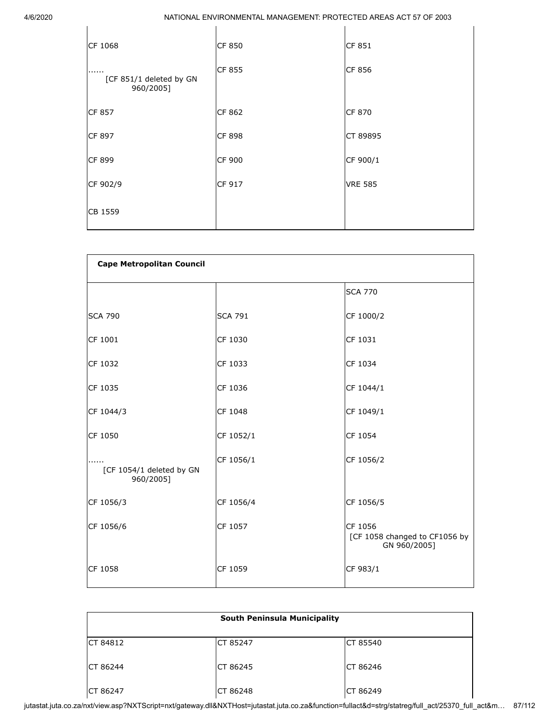| CF 1068                                   | CF 850        | <b>CF 851</b>  |
|-------------------------------------------|---------------|----------------|
| .<br>[CF 851/1 deleted by GN<br>960/2005] | <b>CF 855</b> | <b>CF 856</b>  |
| CF 857                                    | CF 862        | CF 870         |
| CF 897                                    | <b>CF 898</b> | CT 89895       |
| CF 899                                    | <b>CF 900</b> | CF 900/1       |
| CF 902/9                                  | CF 917        | <b>VRE 585</b> |
| CB 1559                                   |               |                |

| <b>Cape Metropolitan Council</b>      |                |                                                          |  |
|---------------------------------------|----------------|----------------------------------------------------------|--|
|                                       |                | <b>SCA 770</b>                                           |  |
| <b>SCA 790</b>                        | <b>SCA 791</b> | CF 1000/2                                                |  |
| CF 1001                               | CF 1030        | CF 1031                                                  |  |
| CF 1032                               | CF 1033        | CF 1034                                                  |  |
| CF 1035                               | CF 1036        | CF 1044/1                                                |  |
| CF 1044/3                             | CF 1048        | CF 1049/1                                                |  |
| CF 1050                               | CF 1052/1      | CF 1054                                                  |  |
| [CF 1054/1 deleted by GN<br>960/2005] | CF 1056/1      | CF 1056/2                                                |  |
| CF 1056/3                             | CF 1056/4      | CF 1056/5                                                |  |
| CF 1056/6                             | CF 1057        | CF 1056<br>[CF 1058 changed to CF1056 by<br>GN 960/2005] |  |
| CF 1058                               | CF 1059        | CF 983/1                                                 |  |

| <b>South Peninsula Municipality</b> |          |           |
|-------------------------------------|----------|-----------|
| <b>CT 84812</b>                     | CT 85247 | ICT 85540 |
| <b>CT 86244</b>                     | CT 86245 | ICT 86246 |
| <b>CT 86247</b>                     | CT 86248 | CT 86249  |

jutastat.juta.co.za/nxt/view.asp?NXTScript=nxt/gateway.dll&NXTHost=jutastat.juta.co.za&function=fullact&d=strg/statreg/full\_act/25370\_full\_act&m… 87/112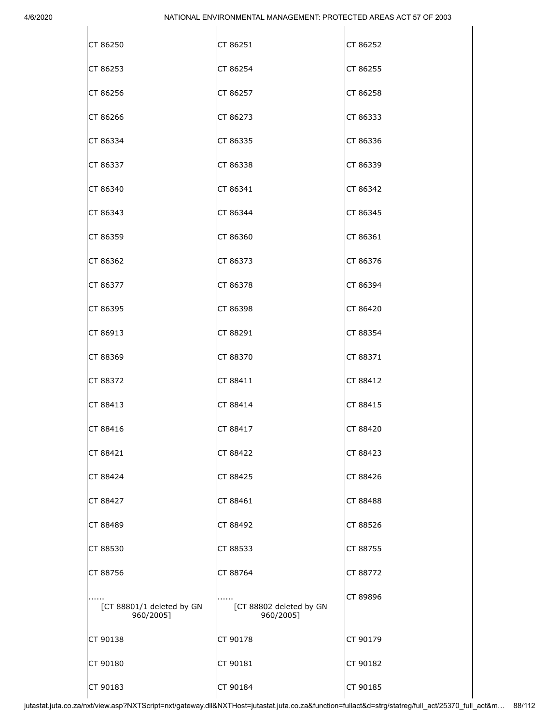| CT 86250                               | CT 86251                             | CT 86252 |
|----------------------------------------|--------------------------------------|----------|
| CT 86253                               | CT 86254                             | CT 86255 |
| CT 86256                               | CT 86257                             | CT 86258 |
| CT 86266                               | CT 86273                             | CT 86333 |
| CT 86334                               | CT 86335                             | CT 86336 |
| CT 86337                               | CT 86338                             | CT 86339 |
| CT 86340                               | CT 86341                             | CT 86342 |
| CT 86343                               | CT 86344                             | CT 86345 |
| CT 86359                               | CT 86360                             | CT 86361 |
| CT 86362                               | CT 86373                             | CT 86376 |
| CT 86377                               | CT 86378                             | CT 86394 |
| CT 86395                               | CT 86398                             | CT 86420 |
| CT 86913                               | CT 88291                             | CT 88354 |
| CT 88369                               | CT 88370                             | CT 88371 |
| CT 88372                               | CT 88411                             | CT 88412 |
| CT 88413                               | CT 88414                             | CT 88415 |
| CT 88416                               | CT 88417                             | CT 88420 |
| CT 88421                               | CT 88422                             | CT 88423 |
| CT 88424                               | CT 88425                             | CT 88426 |
| CT 88427                               | CT 88461                             | CT 88488 |
| CT 88489                               | CT 88492                             | CT 88526 |
| CT 88530                               | CT 88533                             | CT 88755 |
| CT 88756                               | CT 88764                             | CT 88772 |
| [CT 88801/1 deleted by GN<br>960/2005] | [CT 88802 deleted by GN<br>960/2005] | CT 89896 |
| CT 90138                               | CT 90178                             | CT 90179 |
| CT 90180                               | CT 90181                             | CT 90182 |
| CT 90183                               | CT 90184                             | CT 90185 |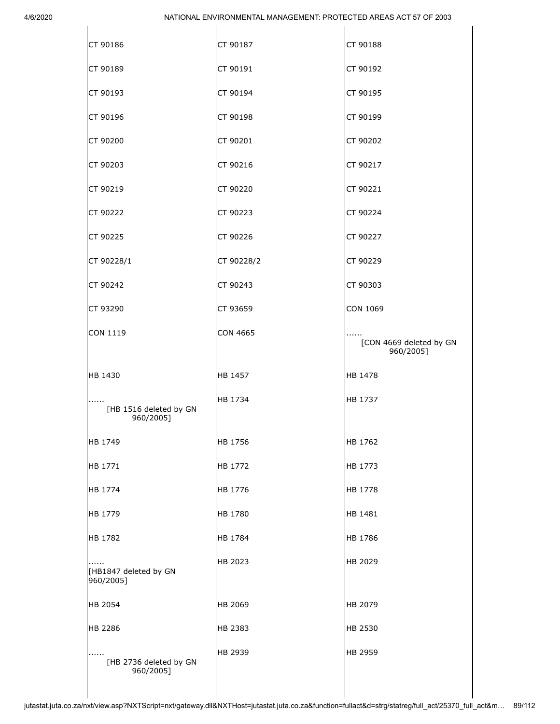| CT 90186                                | CT 90187        | CT 90188                             |
|-----------------------------------------|-----------------|--------------------------------------|
| CT 90189                                | CT 90191        | CT 90192                             |
| CT 90193                                | CT 90194        | CT 90195                             |
| CT 90196                                | CT 90198        | CT 90199                             |
| CT 90200                                | CT 90201        | CT 90202                             |
| CT 90203                                | CT 90216        | CT 90217                             |
| CT 90219                                | CT 90220        | CT 90221                             |
| CT 90222                                | CT 90223        | CT 90224                             |
| CT 90225                                | CT 90226        | CT 90227                             |
| CT 90228/1                              | CT 90228/2      | CT 90229                             |
| CT 90242                                | CT 90243        | CT 90303                             |
| CT 93290                                | CT 93659        | <b>CON 1069</b>                      |
| <b>CON 1119</b>                         | <b>CON 4665</b> | [CON 4669 deleted by GN<br>960/2005] |
| HB 1430                                 | HB 1457         | HB 1478                              |
| [HB 1516 deleted by GN<br>960/2005]     | HB 1734         | HB 1737                              |
| HB 1749                                 | HB 1756         | HB 1762                              |
| HB 1771                                 | HB 1772         | HB 1773                              |
| HB 1774                                 | HB 1776         | HB 1778                              |
| HB 1779                                 | HB 1780         | HB 1481                              |
| HB 1782                                 | HB 1784         | HB 1786                              |
| .<br>[HB1847 deleted by GN<br>960/2005] | HB 2023         | HB 2029                              |
| HB 2054                                 | HB 2069         | HB 2079                              |
| HB 2286                                 | HB 2383         | <b>HB 2530</b>                       |
| [HB 2736 deleted by GN<br>960/2005]     | HB 2939         | HB 2959                              |
|                                         |                 |                                      |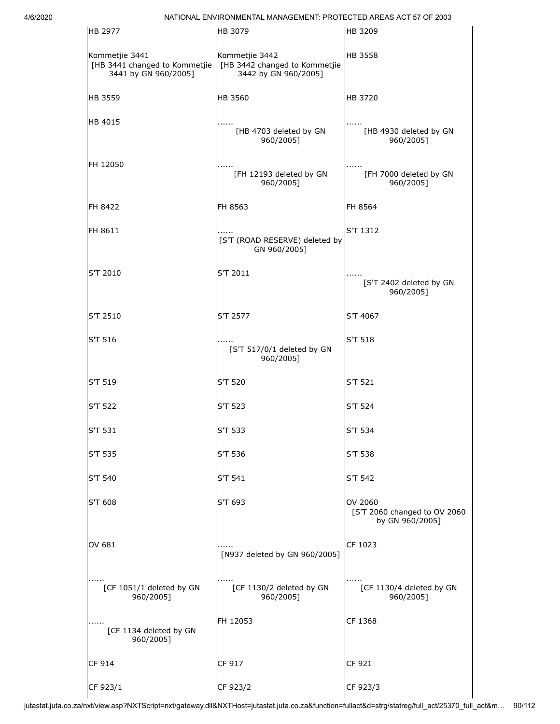| HB 2977                                                                 | HB 3079                                                                 | HB 3209                                                    |
|-------------------------------------------------------------------------|-------------------------------------------------------------------------|------------------------------------------------------------|
| Kommetjie 3441<br>[HB 3441 changed to Kommetjie<br>3441 by GN 960/2005] | Kommetjie 3442<br>[HB 3442 changed to Kommetjie<br>3442 by GN 960/2005] | <b>HB 3558</b>                                             |
| HB 3559                                                                 | HB 3560                                                                 | HB 3720                                                    |
| HB 4015                                                                 | [HB 4703 deleted by GN<br>960/2005]                                     | [HB 4930 deleted by GN<br>960/2005]                        |
| FH 12050                                                                | [FH 12193 deleted by GN<br>960/2005]                                    | [FH 7000 deleted by GN<br>960/2005]                        |
| FH 8422                                                                 | FH 8563                                                                 | FH 8564                                                    |
| FH 8611                                                                 | .<br>[S'T (ROAD RESERVE) deleted by<br>GN 960/2005]                     | S'T 1312                                                   |
| S'T 2010                                                                | S'T 2011                                                                | [S'T 2402 deleted by GN<br>960/2005]                       |
| S'T 2510                                                                | S'T 2577                                                                | S'T 4067                                                   |
| S'T 516                                                                 | [S'T 517/0/1 deleted by GN<br>960/2005]                                 | <b>S'T 518</b>                                             |
| S'T 519                                                                 | S'T 520                                                                 | S'T 521                                                    |
| <b>S'T 522</b>                                                          | S'T 523                                                                 | <b>S'T 524</b>                                             |
| S'T 531                                                                 | <b>S'T 533</b>                                                          | <b>S'T 534</b>                                             |
| S'T 535                                                                 | S'T 536                                                                 | S'T 538                                                    |
| <b>S'T 540</b>                                                          | S'T 541                                                                 | S'T 542                                                    |
| S'T 608                                                                 | S'T 693                                                                 | OV 2060<br>[S'T 2060 changed to OV 2060<br>by GN 960/2005] |
| OV 681                                                                  | [N937 deleted by GN 960/2005]                                           | CF 1023                                                    |
| [CF 1051/1 deleted by GN<br>960/2005]                                   | [CF 1130/2 deleted by GN<br>960/2005]                                   | [CF 1130/4 deleted by GN<br>960/2005]                      |
| [CF 1134 deleted by GN<br>960/2005]                                     | FH 12053                                                                | CF 1368                                                    |
| CF 914                                                                  | CF 917                                                                  | CF 921                                                     |
| CF 923/1                                                                | CF 923/2                                                                | CF 923/3                                                   |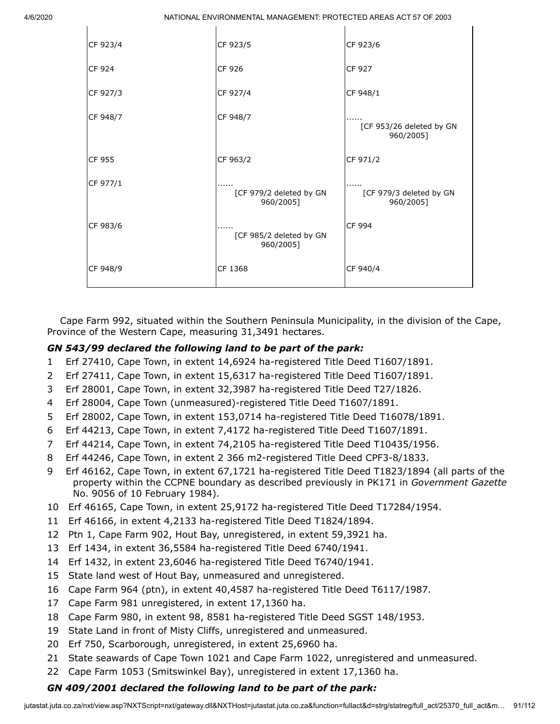| CF 923/4 | CF 923/5                             | CF 923/6                              |
|----------|--------------------------------------|---------------------------------------|
| CF 924   | CF 926                               | CF 927                                |
| CF 927/3 | CF 927/4                             | CF 948/1                              |
| CF 948/7 | CF 948/7                             | [CF 953/26 deleted by GN<br>960/2005] |
| CF 955   | CF 963/2                             | CF 971/2                              |
| CF 977/1 | [CF 979/2 deleted by GN<br>960/2005] | [CF 979/3 deleted by GN<br>960/2005]  |
| CF 983/6 | [CF 985/2 deleted by GN<br>960/2005] | CF 994                                |
| CF 948/9 | CF 1368                              | CF 940/4                              |

Cape Farm 992, situated within the Southern Peninsula Municipality, in the division of the Cape, Province of the Western Cape, measuring 31,3491 hectares.

#### *GN 543/99 declared the following land to be part of the park:*

- 1 Erf 27410, Cape Town, in extent 14,6924 ha-registered Title Deed T1607/1891.
- 2 Erf 27411, Cape Town, in extent 15,6317 ha-registered Title Deed T1607/1891.
- 3 Erf 28001, Cape Town, in extent 32,3987 ha-registered Title Deed T27/1826.
- 4 Erf 28004, Cape Town (unmeasured)-registered Title Deed T1607/1891.
- 5 Erf 28002, Cape Town, in extent 153,0714 ha-registered Title Deed T16078/1891.
- 6 Erf 44213, Cape Town, in extent 7,4172 ha-registered Title Deed T1607/1891.
- 7 Erf 44214, Cape Town, in extent 74,2105 ha-registered Title Deed T10435/1956.
- 8 Erf 44246, Cape Town, in extent 2 366 m2-registered Title Deed CPF3-8/1833.
- 9 Erf 46162, Cape Town, in extent 67,1721 ha-registered Title Deed T1823/1894 (all parts of the property within the CCPNE boundary as described previously in PK171 in *Government Gazette* No. 9056 of 10 February 1984).
- 10 Erf 46165, Cape Town, in extent 25,9172 ha-registered Title Deed T17284/1954.
- 11 Erf 46166, in extent 4,2133 ha-registered Title Deed T1824/1894.
- 12 Ptn 1, Cape Farm 902, Hout Bay, unregistered, in extent 59,3921 ha.
- 13 Erf 1434, in extent 36,5584 ha-registered Title Deed 6740/1941.
- 14 Erf 1432, in extent 23,6046 ha-registered Title Deed T6740/1941.
- 15 State land west of Hout Bay, unmeasured and unregistered.
- 16 Cape Farm 964 (ptn), in extent 40,4587 ha-registered Title Deed T6117/1987.
- 17 Cape Farm 981 unregistered, in extent 17,1360 ha.
- 18 Cape Farm 980, in extent 98, 8581 ha-registered Title Deed SGST 148/1953.
- 19 State Land in front of Misty Cliffs, unregistered and unmeasured.
- 20 Erf 750, Scarborough, unregistered, in extent 25,6960 ha.
- 21 State seawards of Cape Town 1021 and Cape Farm 1022, unregistered and unmeasured.
- 22 Cape Farm 1053 (Smitswinkel Bay), unregistered in extent 17,1360 ha.

#### *GN 409/2001 declared the following land to be part of the park:*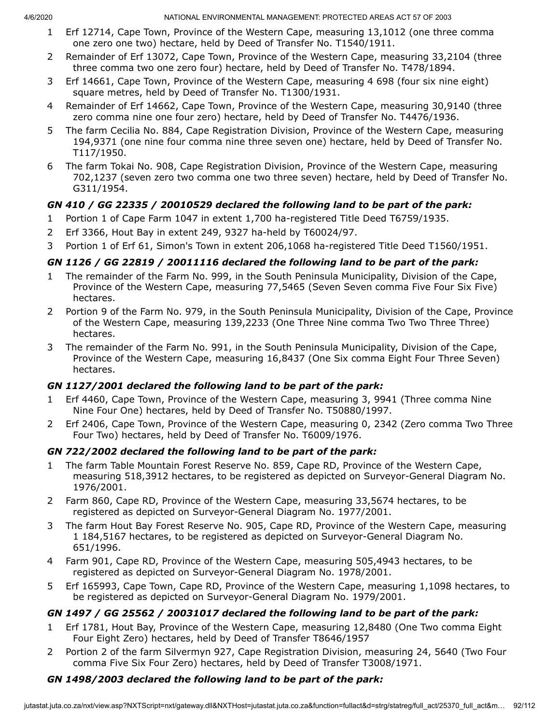- 1 Erf 12714, Cape Town, Province of the Western Cape, measuring 13,1012 (one three comma one zero one two) hectare, held by Deed of Transfer No. T1540/1911.
- 2 Remainder of Erf 13072, Cape Town, Province of the Western Cape, measuring 33,2104 (three three comma two one zero four) hectare, held by Deed of Transfer No. T478/1894.
- 3 Erf 14661, Cape Town, Province of the Western Cape, measuring 4 698 (four six nine eight) square metres, held by Deed of Transfer No. T1300/1931.
- 4 Remainder of Erf 14662, Cape Town, Province of the Western Cape, measuring 30,9140 (three zero comma nine one four zero) hectare, held by Deed of Transfer No. T4476/1936.
- 5 The farm Cecilia No. 884, Cape Registration Division, Province of the Western Cape, measuring 194,9371 (one nine four comma nine three seven one) hectare, held by Deed of Transfer No. T117/1950.
- 6 The farm Tokai No. 908, Cape Registration Division, Province of the Western Cape, measuring 702,1237 (seven zero two comma one two three seven) hectare, held by Deed of Transfer No. G311/1954.

# *GN 410 / GG 22335 / 20010529 declared the following land to be part of the park:*

- 1 Portion 1 of Cape Farm 1047 in extent 1,700 ha-registered Title Deed T6759/1935.
- 2 Erf 3366, Hout Bay in extent 249, 9327 ha-held by T60024/97.
- 3 Portion 1 of Erf 61, Simon's Town in extent 206,1068 ha-registered Title Deed T1560/1951.

# *GN 1126 / GG 22819 / 20011116 declared the following land to be part of the park:*

- 1 The remainder of the Farm No. 999, in the South Peninsula Municipality, Division of the Cape, Province of the Western Cape, measuring 77,5465 (Seven Seven comma Five Four Six Five) hectares.
- 2 Portion 9 of the Farm No. 979, in the South Peninsula Municipality, Division of the Cape, Province of the Western Cape, measuring 139,2233 (One Three Nine comma Two Two Three Three) hectares.
- 3 The remainder of the Farm No. 991, in the South Peninsula Municipality, Division of the Cape, Province of the Western Cape, measuring 16,8437 (One Six comma Eight Four Three Seven) hectares.

# *GN 1127/2001 declared the following land to be part of the park:*

- 1 Erf 4460, Cape Town, Province of the Western Cape, measuring 3, 9941 (Three comma Nine Nine Four One) hectares, held by Deed of Transfer No. T50880/1997.
- 2 Erf 2406, Cape Town, Province of the Western Cape, measuring 0, 2342 (Zero comma Two Three Four Two) hectares, held by Deed of Transfer No. T6009/1976.

# *GN 722/2002 declared the following land to be part of the park:*

- 1 The farm Table Mountain Forest Reserve No. 859, Cape RD, Province of the Western Cape, measuring 518,3912 hectares, to be registered as depicted on Surveyor-General Diagram No. 1976/2001.
- 2 Farm 860, Cape RD, Province of the Western Cape, measuring 33,5674 hectares, to be registered as depicted on Surveyor-General Diagram No. 1977/2001.
- 3 The farm Hout Bay Forest Reserve No. 905, Cape RD, Province of the Western Cape, measuring 1 184,5167 hectares, to be registered as depicted on Surveyor-General Diagram No. 651/1996.
- 4 Farm 901, Cape RD, Province of the Western Cape, measuring 505,4943 hectares, to be registered as depicted on Surveyor-General Diagram No. 1978/2001.
- 5 Erf 165993, Cape Town, Cape RD, Province of the Western Cape, measuring 1,1098 hectares, to be registered as depicted on Surveyor-General Diagram No. 1979/2001.

# *GN 1497 / GG 25562 / 20031017 declared the following land to be part of the park:*

- 1 Erf 1781, Hout Bay, Province of the Western Cape, measuring 12,8480 (One Two comma Eight Four Eight Zero) hectares, held by Deed of Transfer T8646/1957
- 2 Portion 2 of the farm Silvermyn 927, Cape Registration Division, measuring 24, 5640 (Two Four comma Five Six Four Zero) hectares, held by Deed of Transfer T3008/1971.

# *GN 1498/2003 declared the following land to be part of the park:*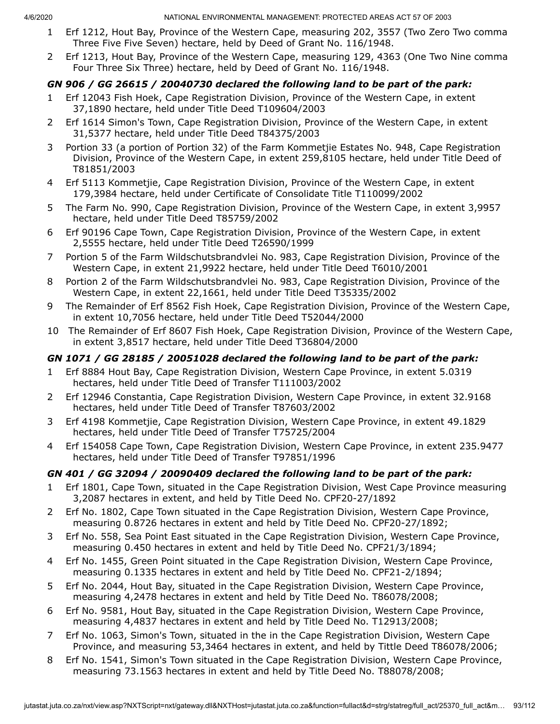- 1 Erf 1212, Hout Bay, Province of the Western Cape, measuring 202, 3557 (Two Zero Two comma Three Five Five Seven) hectare, held by Deed of Grant No. 116/1948.
- 2 Erf 1213, Hout Bay, Province of the Western Cape, measuring 129, 4363 (One Two Nine comma Four Three Six Three) hectare, held by Deed of Grant No. 116/1948.

# *GN 906 / GG 26615 / 20040730 declared the following land to be part of the park:*

- 1 Erf 12043 Fish Hoek, Cape Registration Division, Province of the Western Cape, in extent 37,1890 hectare, held under Title Deed T109604/2003
- 2 Erf 1614 Simon's Town, Cape Registration Division, Province of the Western Cape, in extent 31,5377 hectare, held under Title Deed T84375/2003
- 3 Portion 33 (a portion of Portion 32) of the Farm Kommetjie Estates No. 948, Cape Registration Division, Province of the Western Cape, in extent 259,8105 hectare, held under Title Deed of T81851/2003
- 4 Erf 5113 Kommetjie, Cape Registration Division, Province of the Western Cape, in extent 179,3984 hectare, held under Certificate of Consolidate Title T110099/2002
- 5 The Farm No. 990, Cape Registration Division, Province of the Western Cape, in extent 3,9957 hectare, held under Title Deed T85759/2002
- 6 Erf 90196 Cape Town, Cape Registration Division, Province of the Western Cape, in extent 2,5555 hectare, held under Title Deed T26590/1999
- 7 Portion 5 of the Farm Wildschutsbrandvlei No. 983, Cape Registration Division, Province of the Western Cape, in extent 21,9922 hectare, held under Title Deed T6010/2001
- 8 Portion 2 of the Farm Wildschutsbrandvlei No. 983, Cape Registration Division, Province of the Western Cape, in extent 22,1661, held under Title Deed T35335/2002
- 9 The Remainder of Erf 8562 Fish Hoek, Cape Registration Division, Province of the Western Cape, in extent 10,7056 hectare, held under Title Deed T52044/2000
- 10 The Remainder of Erf 8607 Fish Hoek, Cape Registration Division, Province of the Western Cape, in extent 3,8517 hectare, held under Title Deed T36804/2000

# *GN 1071 / GG 28185 / 20051028 declared the following land to be part of the park:*

- 1 Erf 8884 Hout Bay, Cape Registration Division, Western Cape Province, in extent 5.0319 hectares, held under Title Deed of Transfer T111003/2002
- 2 Erf 12946 Constantia, Cape Registration Division, Western Cape Province, in extent 32.9168 hectares, held under Title Deed of Transfer T87603/2002
- 3 Erf 4198 Kommetjie, Cape Registration Division, Western Cape Province, in extent 49.1829 hectares, held under Title Deed of Transfer T75725/2004
- 4 Erf 154058 Cape Town, Cape Registration Division, Western Cape Province, in extent 235.9477 hectares, held under Title Deed of Transfer T97851/1996

# *GN 401 / GG 32094 / 20090409 declared the following land to be part of the park:*

- 1 Erf 1801, Cape Town, situated in the Cape Registration Division, West Cape Province measuring 3,2087 hectares in extent, and held by Title Deed No. CPF20-27/1892
- 2 Erf No. 1802, Cape Town situated in the Cape Registration Division, Western Cape Province, measuring 0.8726 hectares in extent and held by Title Deed No. CPF20-27/1892;
- 3 Erf No. 558, Sea Point East situated in the Cape Registration Division, Western Cape Province, measuring 0.450 hectares in extent and held by Title Deed No. CPF21/3/1894;
- 4 Erf No. 1455, Green Point situated in the Cape Registration Division, Western Cape Province, measuring 0.1335 hectares in extent and held by Title Deed No. CPF21-2/1894;
- 5 Erf No. 2044, Hout Bay, situated in the Cape Registration Division, Western Cape Province, measuring 4,2478 hectares in extent and held by Title Deed No. T86078/2008;
- 6 Erf No. 9581, Hout Bay, situated in the Cape Registration Division, Western Cape Province, measuring 4,4837 hectares in extent and held by Title Deed No. T12913/2008;
- 7 Erf No. 1063, Simon's Town, situated in the in the Cape Registration Division, Western Cape Province, and measuring 53,3464 hectares in extent, and held by Tittle Deed T86078/2006;
- 8 Erf No. 1541, Simon's Town situated in the Cape Registration Division, Western Cape Province, measuring 73.1563 hectares in extent and held by Title Deed No. T88078/2008;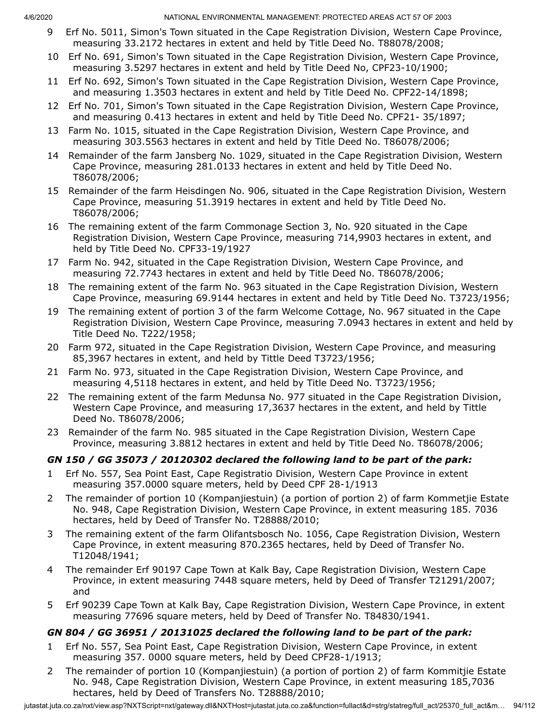- 9 Erf No. 5011, Simon's Town situated in the Cape Registration Division, Western Cape Province, measuring 33.2172 hectares in extent and held by Title Deed No. T88078/2008;
- 10 Erf No. 691, Simon's Town situated in the Cape Registration Division, Western Cape Province, measuring 3.5297 hectares in extent and held by Title Deed No, CPF23-10/1900;
- 11 Erf No. 692, Simon's Town situated in the Cape Registration Division, Western Cape Province, and measuring 1.3503 hectares in extent and held by Title Deed No. CPF22-14/1898;
- 12 Erf No. 701, Simon's Town situated in the Cape Registration Division, Western Cape Province, and measuring 0.413 hectares in extent and held by Title Deed No. CPF21- 35/1897;
- 13 Farm No. 1015, situated in the Cape Registration Division, Western Cape Province, and measuring 303.5563 hectares in extent and held by Title Deed No. T86078/2006;
- 14 Remainder of the farm Jansberg No. 1029, situated in the Cape Registration Division, Western Cape Province, measuring 281.0133 hectares in extent and held by Title Deed No. T86078/2006;
- 15 Remainder of the farm Heisdingen No. 906, situated in the Cape Registration Division, Western Cape Province, measuring 51.3919 hectares in extent and held by Title Deed No. T86078/2006;
- 16 The remaining extent of the farm Commonage Section 3, No. 920 situated in the Cape Registration Division, Western Cape Province, measuring 714,9903 hectares in extent, and held by Title Deed No. CPF33-19/1927
- 17 Farm No. 942, situated in the Cape Registration Division, Western Cape Province, and measuring 72.7743 hectares in extent and held by Title Deed No. T86078/2006;
- 18 The remaining extent of the farm No. 963 situated in the Cape Registration Division, Western Cape Province, measuring 69.9144 hectares in extent and held by Title Deed No. T3723/1956;
- 19 The remaining extent of portion 3 of the farm Welcome Cottage, No. 967 situated in the Cape Registration Division, Western Cape Province, measuring 7.0943 hectares in extent and held by Title Deed No. T222/1958;
- 20 Farm 972, situated in the Cape Registration Division, Western Cape Province, and measuring 85,3967 hectares in extent, and held by Tittle Deed T3723/1956;
- 21 Farm No. 973, situated in the Cape Registration Division, Western Cape Province, and measuring 4,5118 hectares in extent, and held by Title Deed No. T3723/1956;
- 22 The remaining extent of the farm Medunsa No. 977 situated in the Cape Registration Division, Western Cape Province, and measuring 17,3637 hectares in the extent, and held by Tittle Deed No. T86078/2006;
- 23 Remainder of the farm No. 985 situated in the Cape Registration Division, Western Cape Province, measuring 3.8812 hectares in extent and held by Title Deed No. T86078/2006;

# *GN 150 / GG 35073 / 20120302 declared the following land to be part of the park:*

- 1 Erf No. 557, Sea Point East, Cape Registratio Division, Western Cape Province in extent measuring 357.0000 square meters, held by Deed CPF 28-1/1913
- 2 The remainder of portion 10 (Kompanjiestuin) (a portion of portion 2) of farm Kommetjie Estate No. 948, Cape Registration Division, Western Cape Province, in extent measuring 185. 7036 hectares, held by Deed of Transfer No. T28888/2010;
- 3 The remaining extent of the farm Olifantsbosch No. 1056, Cape Registration Division, Western Cape Province, in extent measuring 870.2365 hectares, held by Deed of Transfer No. T12048/1941;
- 4 The remainder Erf 90197 Cape Town at Kalk Bay, Cape Registration Division, Western Cape Province, in extent measuring 7448 square meters, held by Deed of Transfer T21291/2007; and
- 5 Erf 90239 Cape Town at Kalk Bay, Cape Registration Division, Western Cape Province, in extent measuring 77696 square meters, held by Deed of Transfer No. T84830/1941.

# *GN 804 / GG 36951 / 20131025 declared the following land to be part of the park:*

- 1 Erf No. 557, Sea Point East, Cape Registration Division, Western Cape Province, in extent measuring 357. 0000 square meters, held by Deed CPF28-1/1913;
- 2 The remainder of portion 10 (Kompanjiestuin) (a portion of portion 2) of farm Kommitjie Estate No. 948, Cape Registration Division, Western Cape Province, in extent measuring 185,7036 hectares, held by Deed of Transfers No. T28888/2010;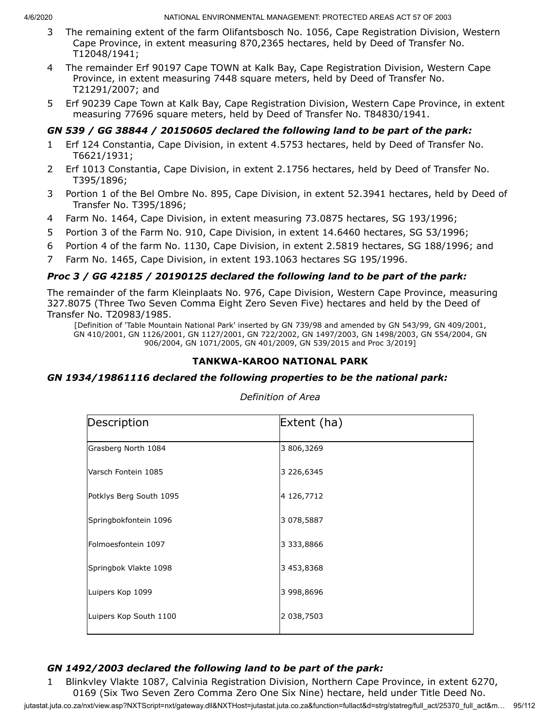- 3 The remaining extent of the farm Olifantsbosch No. 1056, Cape Registration Division, Western Cape Province, in extent measuring 870,2365 hectares, held by Deed of Transfer No. T12048/1941;
- 4 The remainder Erf 90197 Cape TOWN at Kalk Bay, Cape Registration Division, Western Cape Province, in extent measuring 7448 square meters, held by Deed of Transfer No. T21291/2007; and
- 5 Erf 90239 Cape Town at Kalk Bay, Cape Registration Division, Western Cape Province, in extent measuring 77696 square meters, held by Deed of Transfer No. T84830/1941.

# *GN 539 / GG 38844 / 20150605 declared the following land to be part of the park:*

- Erf 124 Constantia, Cape Division, in extent 4.5753 hectares, held by Deed of Transfer No. T6621/1931;
- 2 Erf 1013 Constantia, Cape Division, in extent 2.1756 hectares, held by Deed of Transfer No. T395/1896;
- 3 Portion 1 of the Bel Ombre No. 895, Cape Division, in extent 52.3941 hectares, held by Deed of Transfer No. T395/1896;
- 4 Farm No. 1464, Cape Division, in extent measuring 73.0875 hectares, SG 193/1996;
- 5 Portion 3 of the Farm No. 910, Cape Division, in extent 14.6460 hectares, SG 53/1996;
- 6 Portion 4 of the farm No. 1130, Cape Division, in extent 2.5819 hectares, SG 188/1996; and
- 7 Farm No. 1465, Cape Division, in extent 193.1063 hectares SG 195/1996.

# *Proc 3 / GG 42185 / 20190125 declared the following land to be part of the park:*

The remainder of the farm Kleinplaats No. 976, Cape Division, Western Cape Province, measuring 327.8075 (Three Two Seven Comma Eight Zero Seven Five) hectares and held by the Deed of Transfer No. T20983/1985.

[Definition of 'Table Mountain National Park' inserted by GN 739/98 and amended by GN 543/99, GN 409/2001, GN 410/2001, GN 1126/2001, GN 1127/2001, GN 722/2002, GN 1497/2003, GN 1498/2003, GN 554/2004, GN 906/2004, GN 1071/2005, GN 401/2009, GN 539/2015 and Proc 3/2019]

# **TANKWA-KAROO NATIONAL PARK**

#### *GN 1934/19861116 declared the following properties to be the national park:*

| Description             | Extent (ha) |
|-------------------------|-------------|
| Grasberg North 1084     | 3 806,3269  |
| Varsch Fontein 1085     | 3 226,6345  |
| Potklys Berg South 1095 | 4 126,7712  |
| Springbokfontein 1096   | 3 078,5887  |
| Folmoesfontein 1097     | 3 333,8866  |
| Springbok Vlakte 1098   | 3 453,8368  |
| Luipers Kop 1099        | 3 998,8696  |
| Luipers Kop South 1100  | 2 038,7503  |

*Definition of Area*

# *GN 1492/2003 declared the following land to be part of the park:*

jutastat.juta.co.za/nxt/view.asp?NXTScript=nxt/gateway.dll&NXTHost=jutastat.juta.co.za&function=fullact&d=strg/statreg/full\_act/25370\_full\_act&m... 95/112 1 Blinkvley Vlakte 1087, Calvinia Registration Division, Northern Cape Province, in extent 6270, 0169 (Six Two Seven Zero Comma Zero One Six Nine) hectare, held under Title Deed No.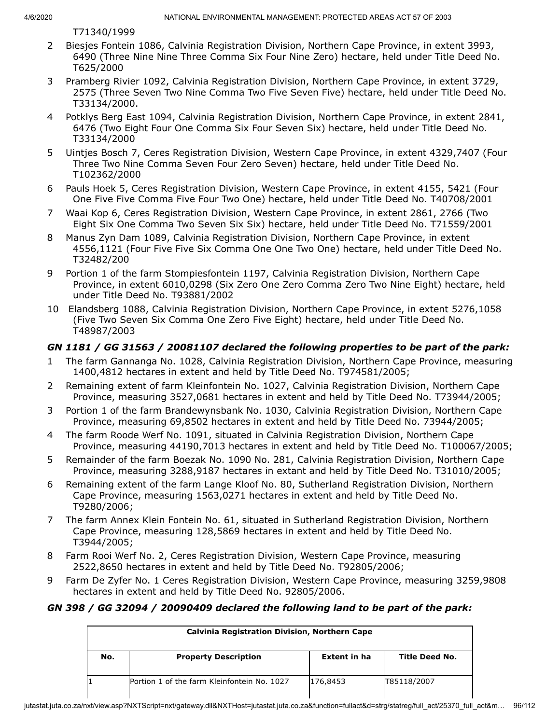T71340/1999

- 2 Biesjes Fontein 1086, Calvinia Registration Division, Northern Cape Province, in extent 3993, 6490 (Three Nine Nine Three Comma Six Four Nine Zero) hectare, held under Title Deed No. T625/2000
- 3 Pramberg Rivier 1092, Calvinia Registration Division, Northern Cape Province, in extent 3729, 2575 (Three Seven Two Nine Comma Two Five Seven Five) hectare, held under Title Deed No. T33134/2000.
- 4 Potklys Berg East 1094, Calvinia Registration Division, Northern Cape Province, in extent 2841, 6476 (Two Eight Four One Comma Six Four Seven Six) hectare, held under Title Deed No. T33134/2000
- 5 Uintjes Bosch 7, Ceres Registration Division, Western Cape Province, in extent 4329,7407 (Four Three Two Nine Comma Seven Four Zero Seven) hectare, held under Title Deed No. T102362/2000
- 6 Pauls Hoek 5, Ceres Registration Division, Western Cape Province, in extent 4155, 5421 (Four One Five Five Comma Five Four Two One) hectare, held under Title Deed No. T40708/2001
- 7 Waai Kop 6, Ceres Registration Division, Western Cape Province, in extent 2861, 2766 (Two Eight Six One Comma Two Seven Six Six) hectare, held under Title Deed No. T71559/2001
- 8 Manus Zyn Dam 1089, Calvinia Registration Division, Northern Cape Province, in extent 4556,1121 (Four Five Five Six Comma One One Two One) hectare, held under Title Deed No. T32482/200
- 9 Portion 1 of the farm Stompiesfontein 1197, Calvinia Registration Division, Northern Cape Province, in extent 6010,0298 (Six Zero One Zero Comma Zero Two Nine Eight) hectare, held under Title Deed No. T93881/2002
- 10 Elandsberg 1088, Calvinia Registration Division, Northern Cape Province, in extent 5276,1058 (Five Two Seven Six Comma One Zero Five Eight) hectare, held under Title Deed No. T48987/2003

# *GN 1181 / GG 31563 / 20081107 declared the following properties to be part of the park:*

- 1 The farm Gannanga No. 1028, Calvinia Registration Division, Northern Cape Province, measuring 1400,4812 hectares in extent and held by Title Deed No. T974581/2005;
- 2 Remaining extent of farm Kleinfontein No. 1027, Calvinia Registration Division, Northern Cape Province, measuring 3527,0681 hectares in extent and held by Title Deed No. T73944/2005;
- 3 Portion 1 of the farm Brandewynsbank No. 1030, Calvinia Registration Division, Northern Cape Province, measuring 69,8502 hectares in extent and held by Title Deed No. 73944/2005;
- 4 The farm Roode Werf No. 1091, situated in Calvinia Registration Division, Northern Cape Province, measuring 44190,7013 hectares in extent and held by Title Deed No. T100067/2005;
- 5 Remainder of the farm Boezak No. 1090 No. 281, Calvinia Registration Division, Northern Cape Province, measuring 3288,9187 hectares in extant and held by Title Deed No. T31010/2005;
- 6 Remaining extent of the farm Lange Kloof No. 80, Sutherland Registration Division, Northern Cape Province, measuring 1563,0271 hectares in extent and held by Title Deed No. T9280/2006;
- 7 The farm Annex Klein Fontein No. 61, situated in Sutherland Registration Division, Northern Cape Province, measuring 128,5869 hectares in extent and held by Title Deed No. T3944/2005;
- 8 Farm Rooi Werf No. 2, Ceres Registration Division, Western Cape Province, measuring 2522,8650 hectares in extent and held by Title Deed No. T92805/2006;
- 9 Farm De Zyfer No. 1 Ceres Registration Division, Western Cape Province, measuring 3259,9808 hectares in extent and held by Title Deed No. 92805/2006.

# *GN 398 / GG 32094 / 20090409 declared the following land to be part of the park:*

| <b>Calvinia Registration Division, Northern Cape</b> |                                                                      |          |             |  |  |
|------------------------------------------------------|----------------------------------------------------------------------|----------|-------------|--|--|
| No.                                                  | <b>Title Deed No.</b><br>Extent in ha<br><b>Property Description</b> |          |             |  |  |
|                                                      | Portion 1 of the farm Kleinfontein No. 1027                          | 176,8453 | T85118/2007 |  |  |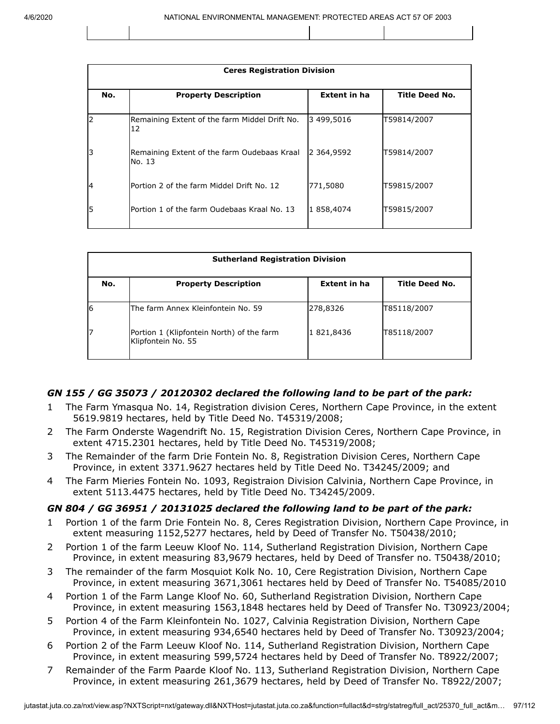| <b>Ceres Registration Division</b> |                                                       |                     |                       |  |
|------------------------------------|-------------------------------------------------------|---------------------|-----------------------|--|
| No.                                | <b>Property Description</b>                           | <b>Extent in ha</b> | <b>Title Deed No.</b> |  |
| $\overline{2}$                     | Remaining Extent of the farm Middel Drift No.<br>12   | 3 499,5016          | T59814/2007           |  |
| 3                                  | Remaining Extent of the farm Oudebaas Kraal<br>No. 13 | 2 364,9592          | T59814/2007           |  |
| 14                                 | Portion 2 of the farm Middel Drift No. 12             | 771,5080            | T59815/2007           |  |
| 5                                  | Portion 1 of the farm Oudebaas Kraal No. 13           | 1 858,4074          | T59815/2007           |  |

| <b>Sutherland Registration Division</b> |                                                                 |              |                       |
|-----------------------------------------|-----------------------------------------------------------------|--------------|-----------------------|
| No.                                     | <b>Property Description</b>                                     | Extent in ha | <b>Title Deed No.</b> |
| 6                                       | The farm Annex Kleinfontein No. 59                              | 278,8326     | T85118/2007           |
| 17                                      | Portion 1 (Klipfontein North) of the farm<br>Klipfontein No. 55 | 1 821,8436   | T85118/2007           |

#### *GN 155 / GG 35073 / 20120302 declared the following land to be part of the park:*

- 1 The Farm Ymasqua No. 14, Registration division Ceres, Northern Cape Province, in the extent 5619.9819 hectares, held by Title Deed No. T45319/2008;
- 2 The Farm Onderste Wagendrift No. 15, Registration Division Ceres, Northern Cape Province, in extent 4715.2301 hectares, held by Title Deed No. T45319/2008;
- 3 The Remainder of the farm Drie Fontein No. 8, Registration Division Ceres, Northern Cape Province, in extent 3371.9627 hectares held by Title Deed No. T34245/2009; and
- 4 The Farm Mieries Fontein No. 1093, Registraion Division Calvinia, Northern Cape Province, in extent 5113.4475 hectares, held by Title Deed No. T34245/2009.

#### *GN 804 / GG 36951 / 20131025 declared the following land to be part of the park:*

- 1 Portion 1 of the farm Drie Fontein No. 8, Ceres Registration Division, Northern Cape Province, in extent measuring 1152,5277 hectares, held by Deed of Transfer No. T50438/2010;
- 2 Portion 1 of the farm Leeuw Kloof No. 114, Sutherland Registration Division, Northern Cape Province, in extent measuring 83,9679 hectares, held by Deed of Transfer no. T50438/2010;
- 3 The remainder of the farm Mosquiot Kolk No. 10, Cere Registration Division, Northern Cape Province, in extent measuring 3671,3061 hectares held by Deed of Transfer No. T54085/2010
- 4 Portion 1 of the Farm Lange Kloof No. 60, Sutherland Registration Division, Northern Cape Province, in extent measuring 1563,1848 hectares held by Deed of Transfer No. T30923/2004;
- 5 Portion 4 of the Farm Kleinfontein No. 1027, Calvinia Registration Division, Northern Cape Province, in extent measuring 934,6540 hectares held by Deed of Transfer No. T30923/2004;
- 6 Portion 2 of the Farm Leeuw Kloof No. 114, Sutherland Registration Division, Northern Cape Province, in extent measuring 599,5724 hectares held by Deed of Transfer No. T8922/2007;
- 7 Remainder of the Farm Paarde Kloof No. 113, Sutherland Registration Division, Northern Cape Province, in extent measuring 261,3679 hectares, held by Deed of Transfer No. T8922/2007;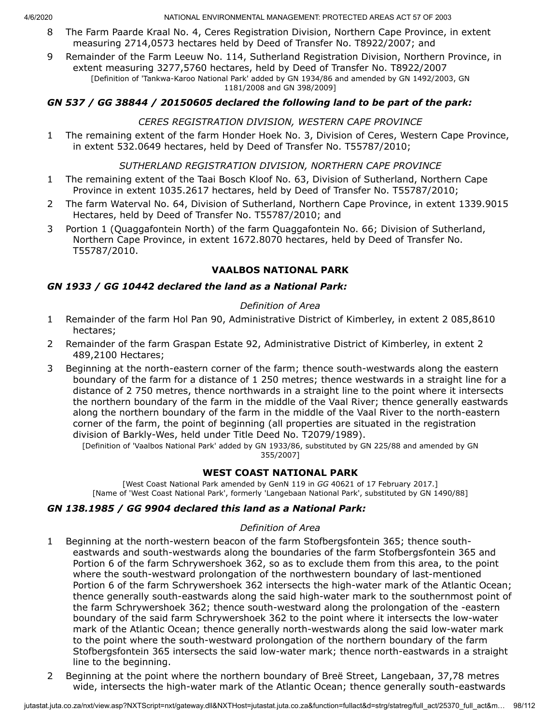- 8 The Farm Paarde Kraal No. 4, Ceres Registration Division, Northern Cape Province, in extent measuring 2714,0573 hectares held by Deed of Transfer No. T8922/2007; and
- 9 Remainder of the Farm Leeuw No. 114, Sutherland Registration Division, Northern Province, in extent measuring 3277,5760 hectares, held by Deed of Transfer No. T8922/2007 [Definition of 'Tankwa-Karoo National Park' added by GN 1934/86 and amended by GN 1492/2003, GN 1181/2008 and GN 398/2009]

# *GN 537 / GG 38844 / 20150605 declared the following land to be part of the park:*

# *CERES REGISTRATION DIVISION, WESTERN CAPE PROVINCE*

1 The remaining extent of the farm Honder Hoek No. 3, Division of Ceres, Western Cape Province, in extent 532.0649 hectares, held by Deed of Transfer No. T55787/2010;

#### *SUTHERLAND REGISTRATION DIVISION, NORTHERN CAPE PROVINCE*

- 1 The remaining extent of the Taai Bosch Kloof No. 63, Division of Sutherland, Northern Cape Province in extent 1035.2617 hectares, held by Deed of Transfer No. T55787/2010;
- 2 The farm Waterval No. 64, Division of Sutherland, Northern Cape Province, in extent 1339.9015 Hectares, held by Deed of Transfer No. T55787/2010; and
- 3 Portion 1 (Quaggafontein North) of the farm Quaggafontein No. 66; Division of Sutherland, Northern Cape Province, in extent 1672.8070 hectares, held by Deed of Transfer No. T55787/2010.

#### **VAALBOS NATIONAL PARK**

# *GN 1933 / GG 10442 declared the land as a National Park:*

#### *Definition of Area*

- 1 Remainder of the farm Hol Pan 90, Administrative District of Kimberley, in extent 2 085,8610 hectares;
- 2 Remainder of the farm Graspan Estate 92, Administrative District of Kimberley, in extent 2 489,2100 Hectares;
- 3 Beginning at the north-eastern corner of the farm; thence south-westwards along the eastern boundary of the farm for a distance of 1 250 metres; thence westwards in a straight line for a distance of 2 750 metres, thence northwards in a straight line to the point where it intersects the northern boundary of the farm in the middle of the Vaal River; thence generally eastwards along the northern boundary of the farm in the middle of the Vaal River to the north-eastern corner of the farm, the point of beginning (all properties are situated in the registration division of Barkly-Wes, held under Title Deed No. T2079/1989).

[Definition of 'Vaalbos National Park' added by GN 1933/86, substituted by GN 225/88 and amended by GN 355/2007]

# **WEST COAST NATIONAL PARK**

[West Coast National Park amended by GenN 119 in *GG* 40621 of 17 February 2017.] [Name of 'West Coast National Park', formerly 'Langebaan National Park', substituted by GN 1490/88]

#### *GN 138.1985 / GG 9904 declared this land as a National Park:*

#### *Definition of Area*

- 1 Beginning at the north-western beacon of the farm Stofbergsfontein 365; thence southeastwards and south-westwards along the boundaries of the farm Stofbergsfontein 365 and Portion 6 of the farm Schrywershoek 362, so as to exclude them from this area, to the point where the south-westward prolongation of the northwestern boundary of last-mentioned Portion 6 of the farm Schrywershoek 362 intersects the high-water mark of the Atlantic Ocean; thence generally south-eastwards along the said high-water mark to the southernmost point of the farm Schrywershoek 362; thence south-westward along the prolongation of the -eastern boundary of the said farm Schrywershoek 362 to the point where it intersects the low-water mark of the Atlantic Ocean; thence generally north-westwards along the said low-water mark to the point where the south-westward prolongation of the northern boundary of the farm Stofbergsfontein 365 intersects the said low-water mark; thence north-eastwards in a straight line to the beginning.
- 2 Beginning at the point where the northern boundary of Breë Street, Langebaan, 37,78 metres wide, intersects the high-water mark of the Atlantic Ocean; thence generally south-eastwards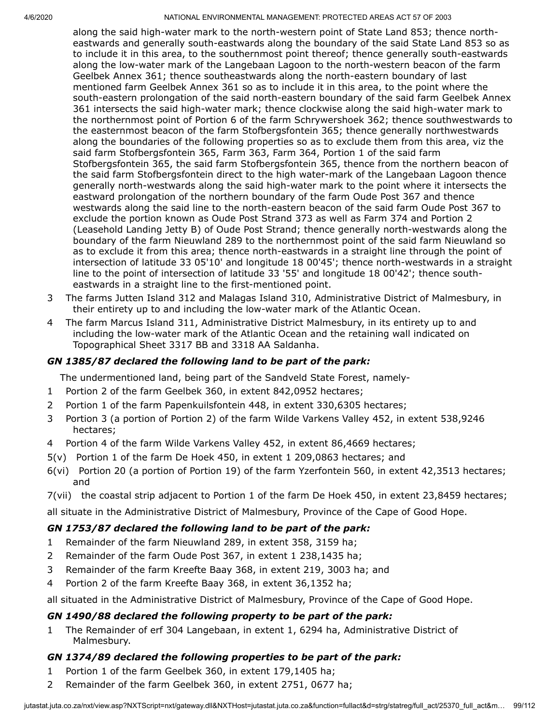along the said high-water mark to the north-western point of State Land 853; thence northeastwards and generally south-eastwards along the boundary of the said State Land 853 so as to include it in this area, to the southernmost point thereof; thence generally south-eastwards along the low-water mark of the Langebaan Lagoon to the north-western beacon of the farm Geelbek Annex 361; thence southeastwards along the north-eastern boundary of last mentioned farm Geelbek Annex 361 so as to include it in this area, to the point where the south-eastern prolongation of the said north-eastern boundary of the said farm Geelbek Annex 361 intersects the said high-water mark; thence clockwise along the said high-water mark to the northernmost point of Portion 6 of the farm Schrywershoek 362; thence southwestwards to the easternmost beacon of the farm Stofbergsfontein 365; thence generally northwestwards along the boundaries of the following properties so as to exclude them from this area, viz the said farm Stofbergsfontein 365, Farm 363, Farm 364, Portion 1 of the said farm Stofbergsfontein 365, the said farm Stofbergsfontein 365, thence from the northern beacon of the said farm Stofbergsfontein direct to the high water-mark of the Langebaan Lagoon thence generally north-westwards along the said high-water mark to the point where it intersects the eastward prolongation of the northern boundary of the farm Oude Post 367 and thence westwards along the said line to the north-eastern beacon of the said farm Oude Post 367 to exclude the portion known as Oude Post Strand 373 as well as Farm 374 and Portion 2 (Leasehold Landing Jetty B) of Oude Post Strand; thence generally north-westwards along the boundary of the farm Nieuwland 289 to the northernmost point of the said farm Nieuwland so as to exclude it from this area; thence north-eastwards in a straight line through the point of intersection of latitude 33 05'10' and longitude 18 00'45'; thence north-westwards in a straight line to the point of intersection of latitude 33 '55' and longitude 18 00'42'; thence southeastwards in a straight line to the first-mentioned point.

- 3 The farms Jutten Island 312 and Malagas Island 310, Administrative District of Malmesbury, in their entirety up to and including the low-water mark of the Atlantic Ocean.
- 4 The farm Marcus Island 311, Administrative District Malmesbury, in its entirety up to and including the low-water mark of the Atlantic Ocean and the retaining wall indicated on Topographical Sheet 3317 BB and 3318 AA Saldanha.

# *GN 1385/87 declared the following land to be part of the park:*

The undermentioned land, being part of the Sandveld State Forest, namely-

- 1 Portion 2 of the farm Geelbek 360, in extent 842,0952 hectares;
- 2 Portion 1 of the farm Papenkuilsfontein 448, in extent 330,6305 hectares;
- 3 Portion 3 (a portion of Portion 2) of the farm Wilde Varkens Valley 452, in extent 538,9246 hectares;
- 4 Portion 4 of the farm Wilde Varkens Valley 452, in extent 86,4669 hectares;
- 5(v) Portion 1 of the farm De Hoek 450, in extent 1 209,0863 hectares; and
- 6(vi) Portion 20 (a portion of Portion 19) of the farm Yzerfontein 560, in extent 42,3513 hectares; and
- 7(vii) the coastal strip adjacent to Portion 1 of the farm De Hoek 450, in extent 23,8459 hectares;

all situate in the Administrative District of Malmesbury, Province of the Cape of Good Hope.

#### *GN 1753/87 declared the following land to be part of the park:*

- 1 Remainder of the farm Nieuwland 289, in extent 358, 3159 ha;
- 2 Remainder of the farm Oude Post 367, in extent 1 238,1435 ha;
- 3 Remainder of the farm Kreefte Baay 368, in extent 219, 3003 ha; and
- 4 Portion 2 of the farm Kreefte Baay 368, in extent 36,1352 ha;

all situated in the Administrative District of Malmesbury, Province of the Cape of Good Hope.

#### *GN 1490/88 declared the following property to be part of the park:*

1 The Remainder of erf 304 Langebaan, in extent 1, 6294 ha, Administrative District of Malmesbury.

# *GN 1374/89 declared the following properties to be part of the park:*

- 1 Portion 1 of the farm Geelbek 360, in extent 179,1405 ha;
- 2 Remainder of the farm Geelbek 360, in extent 2751, 0677 ha;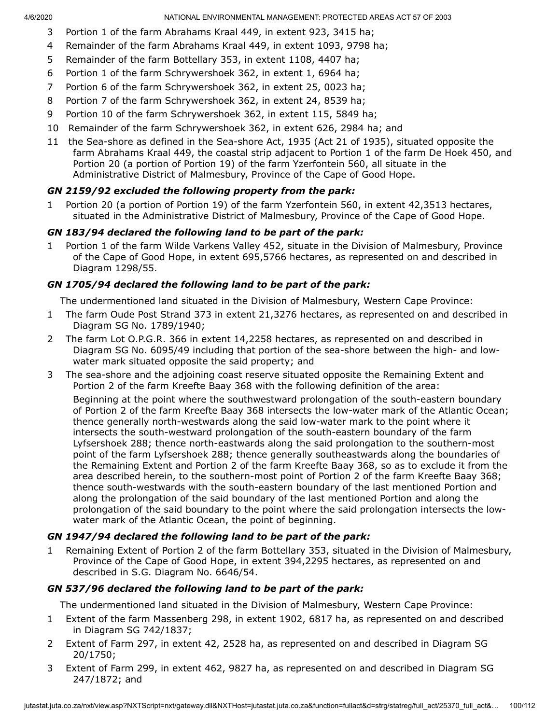- 3 Portion 1 of the farm Abrahams Kraal 449, in extent 923, 3415 ha;
- 4 Remainder of the farm Abrahams Kraal 449, in extent 1093, 9798 ha;
- 5 Remainder of the farm Bottellary 353, in extent 1108, 4407 ha;
- 6 Portion 1 of the farm Schrywershoek 362, in extent 1, 6964 ha;
- 7 Portion 6 of the farm Schrywershoek 362, in extent 25, 0023 ha;
- 8 Portion 7 of the farm Schrywershoek 362, in extent 24, 8539 ha;
- 9 Portion 10 of the farm Schrywershoek 362, in extent 115, 5849 ha;
- 10 Remainder of the farm Schrywershoek 362, in extent 626, 2984 ha; and
- 11 the Sea-shore as defined in the Sea-shore Act, 1935 (Act 21 of 1935), situated opposite the farm Abrahams Kraal 449, the coastal strip adjacent to Portion 1 of the farm De Hoek 450, and Portion 20 (a portion of Portion 19) of the farm Yzerfontein 560, all situate in the Administrative District of Malmesbury, Province of the Cape of Good Hope.

# *GN 2159/92 excluded the following property from the park:*

Portion 20 (a portion of Portion 19) of the farm Yzerfontein 560, in extent 42,3513 hectares, situated in the Administrative District of Malmesbury, Province of the Cape of Good Hope.

#### *GN 183/94 declared the following land to be part of the park:*

1 Portion 1 of the farm Wilde Varkens Valley 452, situate in the Division of Malmesbury, Province of the Cape of Good Hope, in extent 695,5766 hectares, as represented on and described in Diagram 1298/55.

# *GN 1705/94 declared the following land to be part of the park:*

The undermentioned land situated in the Division of Malmesbury, Western Cape Province:

- 1 The farm Oude Post Strand 373 in extent 21,3276 hectares, as represented on and described in Diagram SG No. 1789/1940;
- 2 The farm Lot O.P.G.R. 366 in extent 14,2258 hectares, as represented on and described in Diagram SG No. 6095/49 including that portion of the sea-shore between the high- and lowwater mark situated opposite the said property; and
- 3 The sea-shore and the adjoining coast reserve situated opposite the Remaining Extent and Portion 2 of the farm Kreefte Baay 368 with the following definition of the area:

Beginning at the point where the southwestward prolongation of the south-eastern boundary of Portion 2 of the farm Kreefte Baay 368 intersects the low-water mark of the Atlantic Ocean; thence generally north-westwards along the said low-water mark to the point where it intersects the south-westward prolongation of the south-eastern boundary of the farm Lyfsershoek 288; thence north-eastwards along the said prolongation to the southern-most point of the farm Lyfsershoek 288; thence generally southeastwards along the boundaries of the Remaining Extent and Portion 2 of the farm Kreefte Baay 368, so as to exclude it from the area described herein, to the southern-most point of Portion 2 of the farm Kreefte Baay 368; thence south-westwards with the south-eastern boundary of the last mentioned Portion and along the prolongation of the said boundary of the last mentioned Portion and along the prolongation of the said boundary to the point where the said prolongation intersects the lowwater mark of the Atlantic Ocean, the point of beginning.

# *GN 1947/94 declared the following land to be part of the park:*

Remaining Extent of Portion 2 of the farm Bottellary 353, situated in the Division of Malmesbury, Province of the Cape of Good Hope, in extent 394,2295 hectares, as represented on and described in S.G. Diagram No. 6646/54.

# *GN 537/96 declared the following land to be part of the park:*

The undermentioned land situated in the Division of Malmesbury, Western Cape Province:

- 1 Extent of the farm Massenberg 298, in extent 1902, 6817 ha, as represented on and described in Diagram SG 742/1837;
- 2 Extent of Farm 297, in extent 42, 2528 ha, as represented on and described in Diagram SG 20/1750;
- 3 Extent of Farm 299, in extent 462, 9827 ha, as represented on and described in Diagram SG 247/1872; and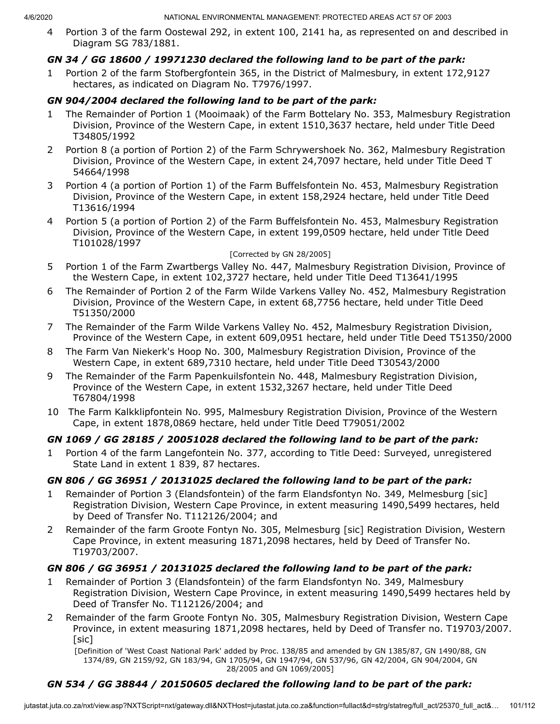4 Portion 3 of the farm Oostewal 292, in extent 100, 2141 ha, as represented on and described in Diagram SG 783/1881.

# *GN 34 / GG 18600 / 19971230 declared the following land to be part of the park:*

1 Portion 2 of the farm Stofbergfontein 365, in the District of Malmesbury, in extent 172,9127 hectares, as indicated on Diagram No. T7976/1997.

# *GN 904/2004 declared the following land to be part of the park:*

- 1 The Remainder of Portion 1 (Mooimaak) of the Farm Bottelary No. 353, Malmesbury Registration Division, Province of the Western Cape, in extent 1510,3637 hectare, held under Title Deed T34805/1992
- 2 Portion 8 (a portion of Portion 2) of the Farm Schrywershoek No. 362, Malmesbury Registration Division, Province of the Western Cape, in extent 24,7097 hectare, held under Title Deed T 54664/1998
- 3 Portion 4 (a portion of Portion 1) of the Farm Buffelsfontein No. 453, Malmesbury Registration Division, Province of the Western Cape, in extent 158,2924 hectare, held under Title Deed T13616/1994
- 4 Portion 5 (a portion of Portion 2) of the Farm Buffelsfontein No. 453, Malmesbury Registration Division, Province of the Western Cape, in extent 199,0509 hectare, held under Title Deed T101028/1997

#### [Corrected by GN 28/2005]

- 5 Portion 1 of the Farm Zwartbergs Valley No. 447, Malmesbury Registration Division, Province of the Western Cape, in extent 102,3727 hectare, held under Title Deed T13641/1995
- 6 The Remainder of Portion 2 of the Farm Wilde Varkens Valley No. 452, Malmesbury Registration Division, Province of the Western Cape, in extent 68,7756 hectare, held under Title Deed T51350/2000
- 7 The Remainder of the Farm Wilde Varkens Valley No. 452, Malmesbury Registration Division, Province of the Western Cape, in extent 609,0951 hectare, held under Title Deed T51350/2000
- 8 The Farm Van Niekerk's Hoop No. 300, Malmesbury Registration Division, Province of the Western Cape, in extent 689,7310 hectare, held under Title Deed T30543/2000
- 9 The Remainder of the Farm Papenkuilsfontein No. 448, Malmesbury Registration Division, Province of the Western Cape, in extent 1532,3267 hectare, held under Title Deed T67804/1998
- 10 The Farm Kalkklipfontein No. 995, Malmesbury Registration Division, Province of the Western Cape, in extent 1878,0869 hectare, held under Title Deed T79051/2002

# *GN 1069 / GG 28185 / 20051028 declared the following land to be part of the park:*

1 Portion 4 of the farm Langefontein No. 377, according to Title Deed: Surveyed, unregistered State Land in extent 1 839, 87 hectares.

# *GN 806 / GG 36951 / 20131025 declared the following land to be part of the park:*

- Remainder of Portion 3 (Elandsfontein) of the farm Elandsfontyn No. 349, Melmesburg [sic] Registration Division, Western Cape Province, in extent measuring 1490,5499 hectares, held by Deed of Transfer No. T112126/2004; and
- 2 Remainder of the farm Groote Fontyn No. 305, Melmesburg [sic] Registration Division, Western Cape Province, in extent measuring 1871,2098 hectares, held by Deed of Transfer No. T19703/2007.

# *GN 806 / GG 36951 / 20131025 declared the following land to be part of the park:*

- 1 Remainder of Portion 3 (Elandsfontein) of the farm Elandsfontyn No. 349, Malmesbury Registration Division, Western Cape Province, in extent measuring 1490,5499 hectares held by Deed of Transfer No. T112126/2004; and
- 2 Remainder of the farm Groote Fontyn No. 305, Malmesbury Registration Division, Western Cape Province, in extent measuring 1871,2098 hectares, held by Deed of Transfer no. T19703/2007.  $[sic]$

[Definition of 'West Coast National Park' added by Proc. 138/85 and amended by GN 1385/87, GN 1490/88, GN 1374/89, GN 2159/92, GN 183/94, GN 1705/94, GN 1947/94, GN 537/96, GN 42/2004, GN 904/2004, GN 28/2005 and GN 1069/2005]

# *GN 534 / GG 38844 / 20150605 declared the following land to be part of the park:*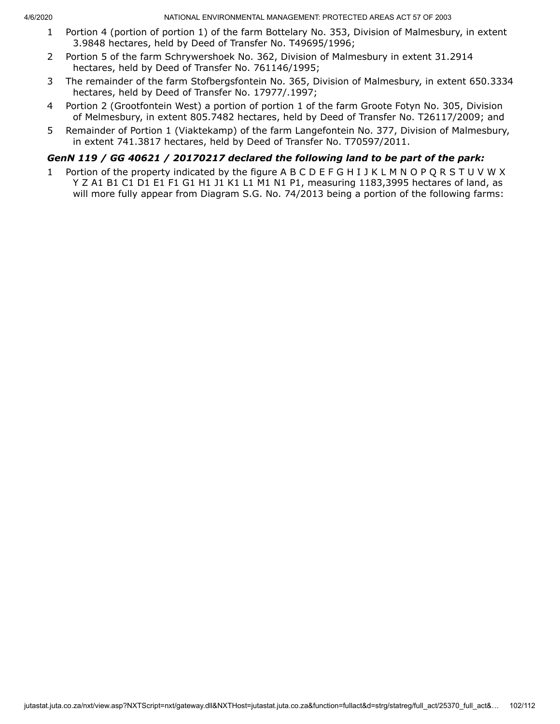- 1 Portion 4 (portion of portion 1) of the farm Bottelary No. 353, Division of Malmesbury, in extent 3.9848 hectares, held by Deed of Transfer No. T49695/1996;
- 2 Portion 5 of the farm Schrywershoek No. 362, Division of Malmesbury in extent 31.2914 hectares, held by Deed of Transfer No. 761146/1995;
- 3 The remainder of the farm Stofbergsfontein No. 365, Division of Malmesbury, in extent 650.3334 hectares, held by Deed of Transfer No. 17977/.1997;
- 4 Portion 2 (Grootfontein West) a portion of portion 1 of the farm Groote Fotyn No. 305, Division of Melmesbury, in extent 805.7482 hectares, held by Deed of Transfer No. T26117/2009; and
- 5 Remainder of Portion 1 (Viaktekamp) of the farm Langefontein No. 377, Division of Malmesbury, in extent 741.3817 hectares, held by Deed of Transfer No. T70597/2011.

# *GenN 119 / GG 40621 / 20170217 declared the following land to be part of the park:*

1 Portion of the property indicated by the figure A B C D E F G H I J K L M N O P Q R S T U V W X Y Z A1 B1 C1 D1 E1 F1 G1 H1 J1 K1 L1 M1 N1 P1, measuring 1183,3995 hectares of land, as will more fully appear from Diagram S.G. No. 74/2013 being a portion of the following farms: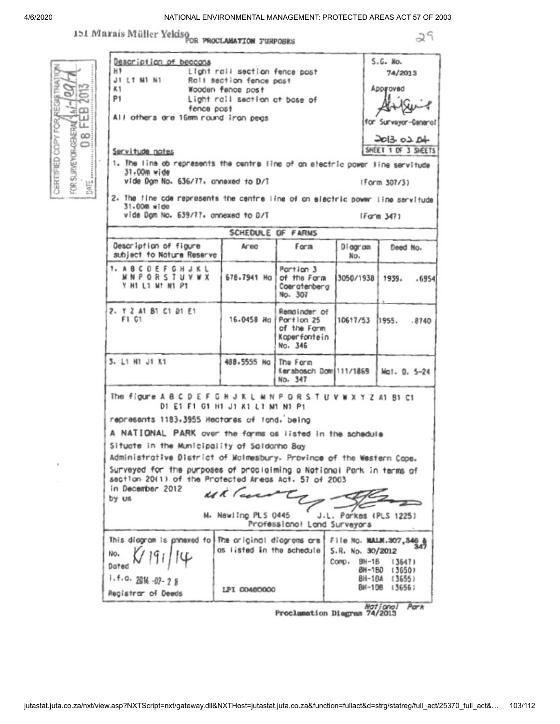151 Marais Müller Yekison PROCLAMATION FURPOSES

| Description of becoms<br>H١<br>J1 L1 M1 N1<br>K1<br>P <sub>1</sub><br>fence post<br>All others are 16mm round iron pegs<br>Servitude notes<br>1. The line ob represents the centre line of on electric power line servitude<br>31.00m wide<br>vide Dam No. 636/77, annexed to D/T<br>$31.00m$ wide | Light rail section fence post<br>Rall section fence post<br>Wooden fence post<br>Light rail section at base of                                      |                                                                                |                                                                                                                                                                            | $S.G.$ No.<br>74/2013<br>Approved<br>2013.0204<br>SHEET 1 OF 3 SHEETS<br>(Form 307/3)                                                                                                                                                                                              |  |  |
|----------------------------------------------------------------------------------------------------------------------------------------------------------------------------------------------------------------------------------------------------------------------------------------------------|-----------------------------------------------------------------------------------------------------------------------------------------------------|--------------------------------------------------------------------------------|----------------------------------------------------------------------------------------------------------------------------------------------------------------------------|------------------------------------------------------------------------------------------------------------------------------------------------------------------------------------------------------------------------------------------------------------------------------------|--|--|
|                                                                                                                                                                                                                                                                                                    |                                                                                                                                                     |                                                                                |                                                                                                                                                                            |                                                                                                                                                                                                                                                                                    |  |  |
|                                                                                                                                                                                                                                                                                                    |                                                                                                                                                     |                                                                                |                                                                                                                                                                            |                                                                                                                                                                                                                                                                                    |  |  |
|                                                                                                                                                                                                                                                                                                    |                                                                                                                                                     |                                                                                |                                                                                                                                                                            |                                                                                                                                                                                                                                                                                    |  |  |
|                                                                                                                                                                                                                                                                                                    |                                                                                                                                                     |                                                                                |                                                                                                                                                                            | for Surveyor-Cenerol                                                                                                                                                                                                                                                               |  |  |
|                                                                                                                                                                                                                                                                                                    |                                                                                                                                                     |                                                                                |                                                                                                                                                                            |                                                                                                                                                                                                                                                                                    |  |  |
|                                                                                                                                                                                                                                                                                                    |                                                                                                                                                     |                                                                                |                                                                                                                                                                            |                                                                                                                                                                                                                                                                                    |  |  |
|                                                                                                                                                                                                                                                                                                    |                                                                                                                                                     |                                                                                |                                                                                                                                                                            |                                                                                                                                                                                                                                                                                    |  |  |
|                                                                                                                                                                                                                                                                                                    |                                                                                                                                                     |                                                                                |                                                                                                                                                                            |                                                                                                                                                                                                                                                                                    |  |  |
|                                                                                                                                                                                                                                                                                                    |                                                                                                                                                     |                                                                                |                                                                                                                                                                            |                                                                                                                                                                                                                                                                                    |  |  |
|                                                                                                                                                                                                                                                                                                    |                                                                                                                                                     | 2. The fine ode represents the centre line of on electric power line servitude |                                                                                                                                                                            |                                                                                                                                                                                                                                                                                    |  |  |
|                                                                                                                                                                                                                                                                                                    | vide Dam No. 639/77, onnexed to D/T<br>(Farm 347)                                                                                                   |                                                                                |                                                                                                                                                                            |                                                                                                                                                                                                                                                                                    |  |  |
|                                                                                                                                                                                                                                                                                                    | SCHEDULE OF FARMS                                                                                                                                   |                                                                                |                                                                                                                                                                            |                                                                                                                                                                                                                                                                                    |  |  |
| Description of figure<br>subject to Noture Reserve                                                                                                                                                                                                                                                 | Areo                                                                                                                                                | Form                                                                           | Diogram<br>No.                                                                                                                                                             | Deed No.                                                                                                                                                                                                                                                                           |  |  |
| <b>MNPORSTUVWX</b><br>Y H1 L1 M1 N1 P1                                                                                                                                                                                                                                                             | 678,7941 Ha                                                                                                                                         | Partion 3<br>of the Form<br>Coeratenberg<br>No. 307                            | 3050/1938                                                                                                                                                                  | 1939.<br>.6954                                                                                                                                                                                                                                                                     |  |  |
| F1 C1                                                                                                                                                                                                                                                                                              |                                                                                                                                                     | Remoinder of<br>of the Farm<br>Kaperfontein<br>No. 346                         | 10617/53                                                                                                                                                                   | 1955.<br>.8740                                                                                                                                                                                                                                                                     |  |  |
|                                                                                                                                                                                                                                                                                                    | 48B, 5555 Hg                                                                                                                                        | No. 347                                                                        |                                                                                                                                                                            | Mai. 0. 5-24                                                                                                                                                                                                                                                                       |  |  |
| The figure A B C D E F G H<br>JKL MNPORSTUVWXYZA1 B1 C1<br>D1 E1 F1 G1 H1 J1 K1 L1 M1 N1 P1                                                                                                                                                                                                        |                                                                                                                                                     |                                                                                |                                                                                                                                                                            |                                                                                                                                                                                                                                                                                    |  |  |
|                                                                                                                                                                                                                                                                                                    |                                                                                                                                                     |                                                                                |                                                                                                                                                                            |                                                                                                                                                                                                                                                                                    |  |  |
|                                                                                                                                                                                                                                                                                                    |                                                                                                                                                     |                                                                                |                                                                                                                                                                            |                                                                                                                                                                                                                                                                                    |  |  |
| Situate in the Municipality of Saldanho Bay                                                                                                                                                                                                                                                        |                                                                                                                                                     |                                                                                |                                                                                                                                                                            |                                                                                                                                                                                                                                                                                    |  |  |
| Administrative District of Malmesbury. Province of the Western Cape.                                                                                                                                                                                                                               |                                                                                                                                                     |                                                                                |                                                                                                                                                                            |                                                                                                                                                                                                                                                                                    |  |  |
| Surveyed for the purposes of proclaiming a National Park in terms of                                                                                                                                                                                                                               |                                                                                                                                                     |                                                                                |                                                                                                                                                                            |                                                                                                                                                                                                                                                                                    |  |  |
| in December 2012                                                                                                                                                                                                                                                                                   |                                                                                                                                                     |                                                                                |                                                                                                                                                                            |                                                                                                                                                                                                                                                                                    |  |  |
| by us                                                                                                                                                                                                                                                                                              |                                                                                                                                                     |                                                                                |                                                                                                                                                                            |                                                                                                                                                                                                                                                                                    |  |  |
| M. Newling PLS 0445<br>J.L. Parkes (PLS 1225)                                                                                                                                                                                                                                                      |                                                                                                                                                     |                                                                                |                                                                                                                                                                            |                                                                                                                                                                                                                                                                                    |  |  |
|                                                                                                                                                                                                                                                                                                    |                                                                                                                                                     |                                                                                |                                                                                                                                                                            |                                                                                                                                                                                                                                                                                    |  |  |
|                                                                                                                                                                                                                                                                                                    |                                                                                                                                                     |                                                                                |                                                                                                                                                                            |                                                                                                                                                                                                                                                                                    |  |  |
|                                                                                                                                                                                                                                                                                                    |                                                                                                                                                     |                                                                                | $BH-1B$                                                                                                                                                                    | (3647)<br>BH-1BD (3650)                                                                                                                                                                                                                                                            |  |  |
|                                                                                                                                                                                                                                                                                                    |                                                                                                                                                     |                                                                                |                                                                                                                                                                            | BH-10A (3655)<br>BH-1DB (3656)                                                                                                                                                                                                                                                     |  |  |
|                                                                                                                                                                                                                                                                                                    |                                                                                                                                                     |                                                                                |                                                                                                                                                                            |                                                                                                                                                                                                                                                                                    |  |  |
|                                                                                                                                                                                                                                                                                                    | 1. ABCDEFGHJKL<br>2. Y 2 A1 B1 C1 D1 E1<br>3. L1 H1 J1 K1<br>This diagram is pnnexed to<br>No.<br>Dated<br>1.4.0. 2014 -07-28<br>Registrar of Deeds |                                                                                | 16.0458 Ho   Portion 25<br>The Form<br>represents 1183,3955 Hectores of Iond, being<br>MK Carro<br>The original diograms are<br>as listed in the schedule<br>LPI CO4600000 | Kersbosch Dom 111/1869<br>A NATIONAL PARK over the forms as listed in the schedule<br>section 20(1) of the Protected Areas Act. 57 of 2003<br>Professiono! Land Surveyors<br>File No. MALM.307,346 &<br>S.R. No. 30/2012<br>Comp.<br>National Park<br>Proclamation Diagram 74/2013 |  |  |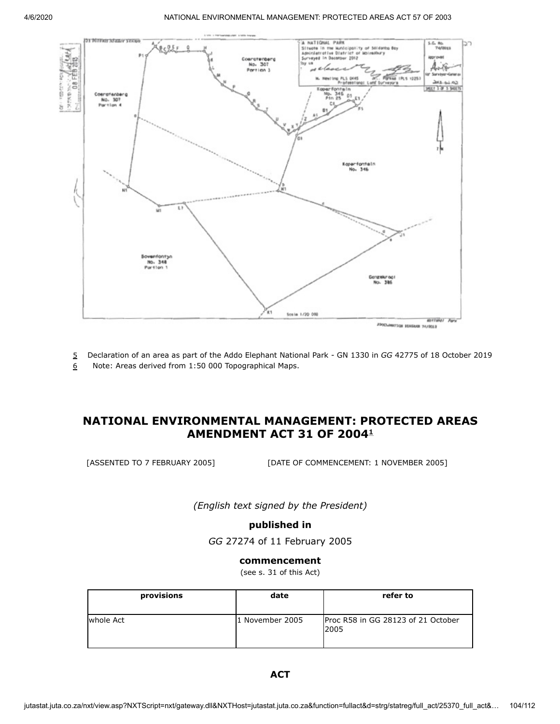

5 Declaration of an area as part of the Addo Elephant National Park - GN 1330 in *GG* 42775 of 18 October 2019 6 Note: Areas derived from 1:50 000 Topographical Maps.

# **NATIONAL ENVIRONMENTAL MANAGEMENT: PROTECTED AREAS AMENDMENT ACT 31 OF 2004 [1](#page-104-0)**

[ASSENTED TO 7 FEBRUARY 2005] [DATE OF COMMENCEMENT: 1 NOVEMBER 2005]

*(English text signed by the President)*

**published in**

*GG* 27274 of 11 February 2005

#### **commencement**

(see s. 31 of this Act)

| provisions | date            | refer to                                   |
|------------|-----------------|--------------------------------------------|
| whole Act  | 1 November 2005 | Proc R58 in GG 28123 of 21 October<br>2005 |

**ACT**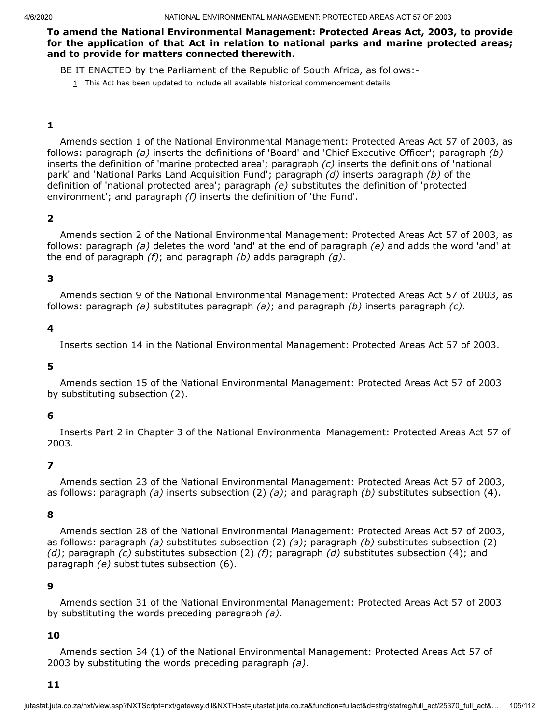**To amend the National Environmental Management: Protected Areas Act, 2003, to provide for the application of that Act in relation to national parks and marine protected areas; and to provide for matters connected therewith.**

<span id="page-104-0"></span>BE IT ENACTED by the Parliament of the Republic of South Africa, as follows:-

 $1$  This Act has been updated to include all available historical commencement details

#### **1**

Amends section 1 of the National Environmental Management: Protected Areas Act 57 of 2003, as follows: paragraph *(a)* inserts the definitions of 'Board' and 'Chief Executive Officer'; paragraph *(b)* inserts the definition of 'marine protected area'; paragraph *(c)* inserts the definitions of 'national park' and 'National Parks Land Acquisition Fund'; paragraph *(d)* inserts paragraph *(b)* of the definition of 'national protected area'; paragraph *(e)* substitutes the definition of 'protected environment'; and paragraph *(f)* inserts the definition of 'the Fund'.

#### **2**

Amends section 2 of the National Environmental Management: Protected Areas Act 57 of 2003, as follows: paragraph *(a)* deletes the word 'and' at the end of paragraph *(e)* and adds the word 'and' at the end of paragraph *(f)*; and paragraph *(b)* adds paragraph *(g)*.

#### **3**

Amends section 9 of the National Environmental Management: Protected Areas Act 57 of 2003, as follows: paragraph *(a)* substitutes paragraph *(a)*; and paragraph *(b)* inserts paragraph *(c)*.

#### **4**

Inserts section 14 in the National Environmental Management: Protected Areas Act 57 of 2003.

#### **5**

Amends section 15 of the National Environmental Management: Protected Areas Act 57 of 2003 by substituting subsection (2).

#### **6**

Inserts Part 2 in Chapter 3 of the National Environmental Management: Protected Areas Act 57 of 2003.

#### **7**

Amends section 23 of the National Environmental Management: Protected Areas Act 57 of 2003, as follows: paragraph *(a)* inserts subsection (2) *(a)*; and paragraph *(b)* substitutes subsection (4).

#### **8**

Amends section 28 of the National Environmental Management: Protected Areas Act 57 of 2003, as follows: paragraph *(a)* substitutes subsection (2) *(a)*; paragraph *(b)* substitutes subsection (2) *(d)*; paragraph *(c)* substitutes subsection (2) *(f)*; paragraph *(d)* substitutes subsection (4); and paragraph *(e)* substitutes subsection (6).

#### **9**

Amends section 31 of the National Environmental Management: Protected Areas Act 57 of 2003 by substituting the words preceding paragraph *(a)*.

#### **10**

Amends section 34 (1) of the National Environmental Management: Protected Areas Act 57 of 2003 by substituting the words preceding paragraph *(a)*.

#### **11**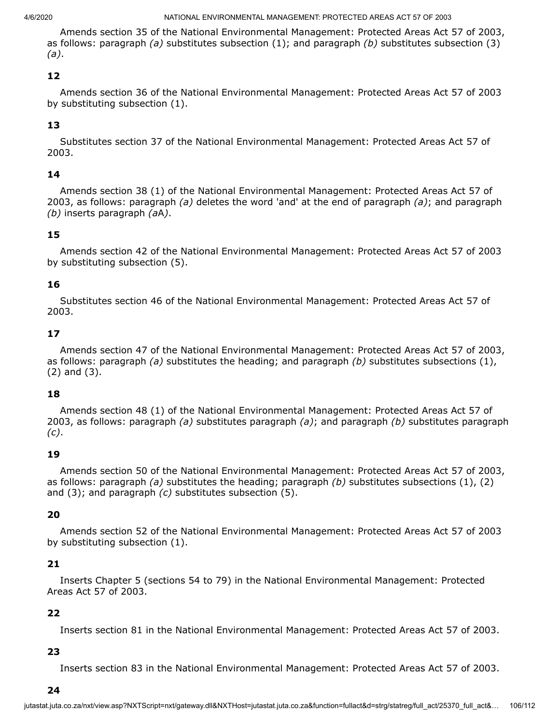Amends section 35 of the National Environmental Management: Protected Areas Act 57 of 2003, as follows: paragraph *(a)* substitutes subsection (1); and paragraph *(b)* substitutes subsection (3) *(a)*.

#### **12**

Amends section 36 of the National Environmental Management: Protected Areas Act 57 of 2003 by substituting subsection (1).

# **13**

Substitutes section 37 of the National Environmental Management: Protected Areas Act 57 of 2003.

#### **14**

Amends section 38 (1) of the National Environmental Management: Protected Areas Act 57 of 2003, as follows: paragraph *(a)* deletes the word 'and' at the end of paragraph *(a)*; and paragraph *(b)* inserts paragraph *(a*A*)*.

#### **15**

Amends section 42 of the National Environmental Management: Protected Areas Act 57 of 2003 by substituting subsection (5).

#### **16**

Substitutes section 46 of the National Environmental Management: Protected Areas Act 57 of 2003.

#### **17**

Amends section 47 of the National Environmental Management: Protected Areas Act 57 of 2003, as follows: paragraph *(a)* substitutes the heading; and paragraph *(b)* substitutes subsections (1), (2) and (3).

#### **18**

Amends section 48 (1) of the National Environmental Management: Protected Areas Act 57 of 2003, as follows: paragraph *(a)* substitutes paragraph *(a)*; and paragraph *(b)* substitutes paragraph *(c)*.

#### **19**

Amends section 50 of the National Environmental Management: Protected Areas Act 57 of 2003, as follows: paragraph *(a)* substitutes the heading; paragraph *(b)* substitutes subsections (1), (2) and (3); and paragraph *(c)* substitutes subsection (5).

#### **20**

Amends section 52 of the National Environmental Management: Protected Areas Act 57 of 2003 by substituting subsection (1).

#### **21**

Inserts Chapter 5 (sections 54 to 79) in the National Environmental Management: Protected Areas Act 57 of 2003.

#### **22**

Inserts section 81 in the National Environmental Management: Protected Areas Act 57 of 2003.

#### **23**

Inserts section 83 in the National Environmental Management: Protected Areas Act 57 of 2003.

#### **24**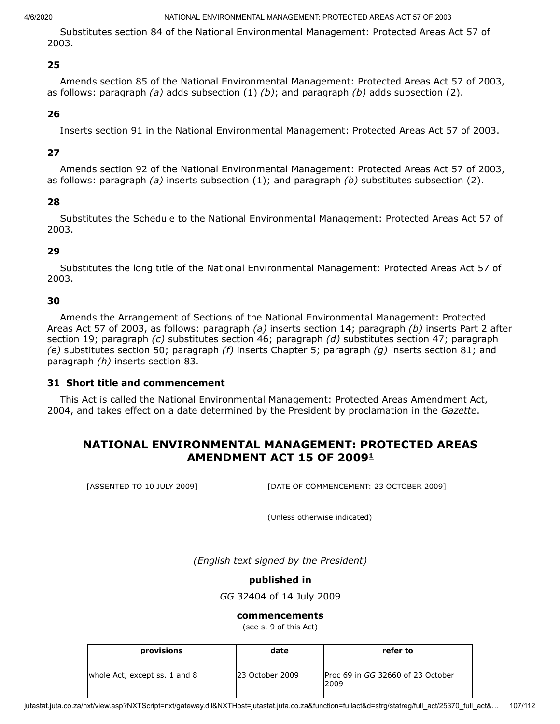Substitutes section 84 of the National Environmental Management: Protected Areas Act 57 of 2003.

#### **25**

Amends section 85 of the National Environmental Management: Protected Areas Act 57 of 2003, as follows: paragraph *(a)* adds subsection (1) *(b)*; and paragraph *(b)* adds subsection (2).

#### **26**

Inserts section 91 in the National Environmental Management: Protected Areas Act 57 of 2003.

### **27**

Amends section 92 of the National Environmental Management: Protected Areas Act 57 of 2003, as follows: paragraph *(a)* inserts subsection (1); and paragraph *(b)* substitutes subsection (2).

#### **28**

Substitutes the Schedule to the National Environmental Management: Protected Areas Act 57 of 2003.

#### **29**

Substitutes the long title of the National Environmental Management: Protected Areas Act 57 of 2003.

#### **30**

Amends the Arrangement of Sections of the National Environmental Management: Protected Areas Act 57 of 2003, as follows: paragraph *(a)* inserts section 14; paragraph *(b)* inserts Part 2 after section 19; paragraph *(c)* substitutes section 46; paragraph *(d)* substitutes section 47; paragraph *(e)* substitutes section 50; paragraph *(f)* inserts Chapter 5; paragraph *(g)* inserts section 81; and paragraph *(h)* inserts section 83.

#### **31 Short title and commencement**

This Act is called the National Environmental Management: Protected Areas Amendment Act, 2004, and takes effect on a date determined by the President by proclamation in the *Gazette*.

# **NATIONAL ENVIRONMENTAL MANAGEMENT: PROTECTED AREAS AMENDMENT ACT 15 OF 2009 [1](#page-107-0)**

[ASSENTED TO 10 JULY 2009] [DATE OF COMMENCEMENT: 23 OCTOBER 2009]

(Unless otherwise indicated)

*(English text signed by the President)*

#### **published in**

*GG* 32404 of 14 July 2009

#### **commencements**

(see s. 9 of this Act)

| provisions                    | date            | refer to                                  |
|-------------------------------|-----------------|-------------------------------------------|
| whole Act, except ss. 1 and 8 | 23 October 2009 | Proc 69 in GG 32660 of 23 October<br>2009 |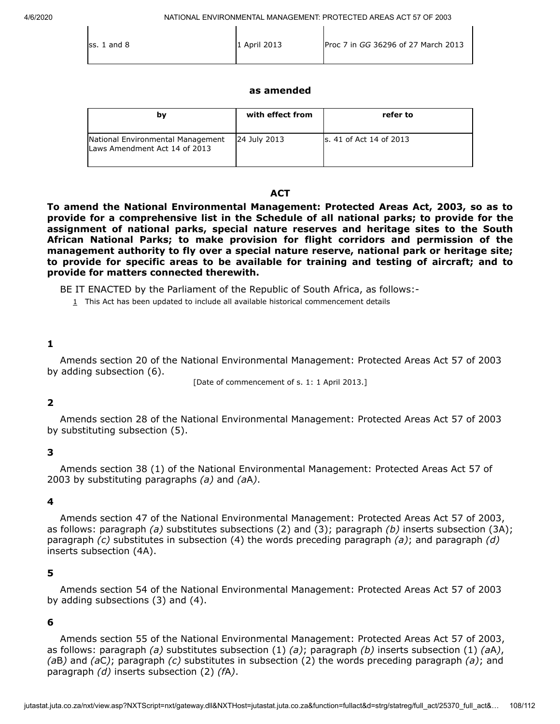$\mathbf{I}$ 

| ss. 1 and 8 | 1 April 2013 | Proc 7 in GG 36296 of 27 March 2013 |
|-------------|--------------|-------------------------------------|
|             |              |                                     |

 $\mathbf{I}$ 

#### **as amended**

| b٧                                                                 | with effect from | refer to                |
|--------------------------------------------------------------------|------------------|-------------------------|
| National Environmental Management<br>Laws Amendment Act 14 of 2013 | 124 July 2013    | s. 41 of Act 14 of 2013 |

#### **ACT**

**To amend the National Environmental Management: Protected Areas Act, 2003, so as to provide for a comprehensive list in the Schedule of all national parks; to provide for the assignment of national parks, special nature reserves and heritage sites to the South African National Parks; to make provision for flight corridors and permission of the management authority to fly over a special nature reserve, national park or heritage site; to provide for specific areas to be available for training and testing of aircraft; and to provide for matters connected therewith.**

<span id="page-107-0"></span>BE IT ENACTED by the Parliament of the Republic of South Africa, as follows:-

 $1$  This Act has been updated to include all available historical commencement details

#### **1**

Amends section 20 of the National Environmental Management: Protected Areas Act 57 of 2003 by adding subsection (6).

[Date of commencement of s. 1: 1 April 2013.]

#### **2**

Amends section 28 of the National Environmental Management: Protected Areas Act 57 of 2003 by substituting subsection (5).

#### **3**

Amends section 38 (1) of the National Environmental Management: Protected Areas Act 57 of 2003 by substituting paragraphs *(a)* and *(a*A*)*.

#### **4**

Amends section 47 of the National Environmental Management: Protected Areas Act 57 of 2003, as follows: paragraph *(a)* substitutes subsections (2) and (3); paragraph *(b)* inserts subsection (3A); paragraph *(c)* substitutes in subsection (4) the words preceding paragraph *(a)*; and paragraph *(d)* inserts subsection (4A).

#### **5**

Amends section 54 of the National Environmental Management: Protected Areas Act 57 of 2003 by adding subsections (3) and (4).

#### **6**

Amends section 55 of the National Environmental Management: Protected Areas Act 57 of 2003, as follows: paragraph *(a)* substitutes subsection (1) *(a)*; paragraph *(b)* inserts subsection (1) *(a*A*)*, *(a*B*)* and *(a*C*)*; paragraph *(c)* substitutes in subsection (2) the words preceding paragraph *(a)*; and paragraph *(d)* inserts subsection (2) *(f*A*)*.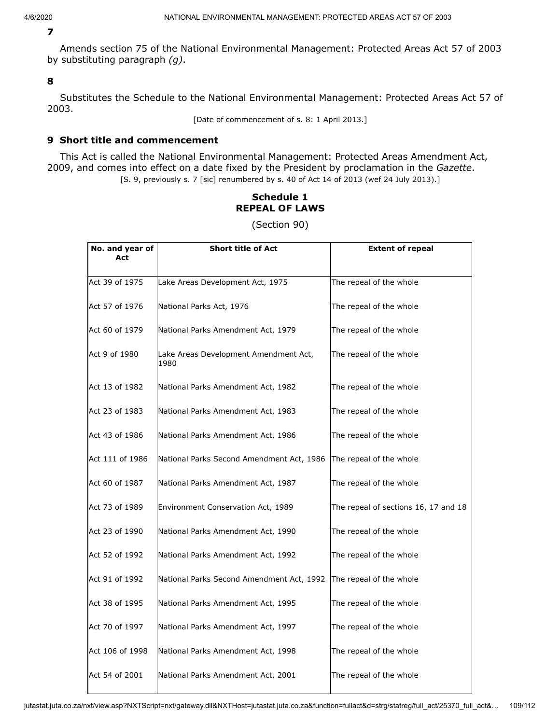# **7**

Amends section 75 of the National Environmental Management: Protected Areas Act 57 of 2003 by substituting paragraph *(g)*.

#### **8**

Substitutes the Schedule to the National Environmental Management: Protected Areas Act 57 of 2003.

[Date of commencement of s. 8: 1 April 2013.]

#### **9 Short title and commencement**

This Act is called the National Environmental Management: Protected Areas Amendment Act, 2009, and comes into effect on a date fixed by the President by proclamation in the *Gazette*. [S. 9, previously s. 7 [sic] renumbered by s. 40 of Act 14 of 2013 (wef 24 July 2013).]

# **Schedule 1 REPEAL OF LAWS**

(Section 90)

| No. and year of<br>Act | <b>Short title of Act</b>                     | <b>Extent of repeal</b>              |
|------------------------|-----------------------------------------------|--------------------------------------|
| Act 39 of 1975         | Lake Areas Development Act, 1975              | The repeal of the whole              |
| Act 57 of 1976         | National Parks Act, 1976                      | The repeal of the whole              |
| Act 60 of 1979         | National Parks Amendment Act, 1979            | The repeal of the whole              |
| Act 9 of 1980          | Lake Areas Development Amendment Act,<br>1980 | The repeal of the whole              |
| Act 13 of 1982         | National Parks Amendment Act, 1982            | The repeal of the whole              |
| Act 23 of 1983         | National Parks Amendment Act, 1983            | The repeal of the whole              |
| Act 43 of 1986         | National Parks Amendment Act, 1986            | The repeal of the whole              |
| Act 111 of 1986        | National Parks Second Amendment Act, 1986     | The repeal of the whole              |
| Act 60 of 1987         | National Parks Amendment Act, 1987            | The repeal of the whole              |
| Act 73 of 1989         | Environment Conservation Act, 1989            | The repeal of sections 16, 17 and 18 |
| Act 23 of 1990         | National Parks Amendment Act, 1990            | The repeal of the whole              |
| Act 52 of 1992         | National Parks Amendment Act, 1992            | The repeal of the whole              |
| Act 91 of 1992         | National Parks Second Amendment Act, 1992     | The repeal of the whole              |
| Act 38 of 1995         | National Parks Amendment Act, 1995            | The repeal of the whole              |
| Act 70 of 1997         | National Parks Amendment Act, 1997            | The repeal of the whole              |
| Act 106 of 1998        | National Parks Amendment Act, 1998            | The repeal of the whole              |
| Act 54 of 2001         | National Parks Amendment Act, 2001            | The repeal of the whole              |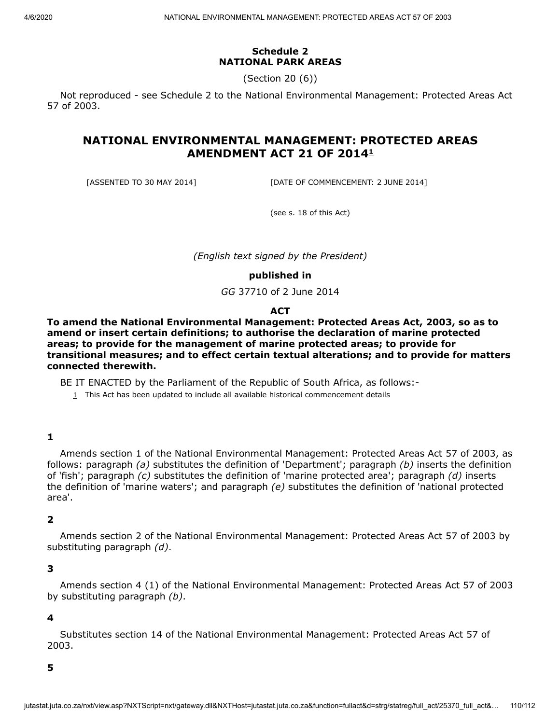## **Schedule 2 NATIONAL PARK AREAS**

(Section 20 (6))

Not reproduced - see Schedule 2 to the National Environmental Management: Protected Areas Act 57 of 2003.

# **NATIONAL ENVIRONMENTAL MANAGEMENT: PROTECTED AREAS AMENDMENT ACT 21 OF 2014 [1](#page-109-0)**

[ASSENTED TO 30 MAY 2014] [DATE OF COMMENCEMENT: 2 JUNE 2014]

(see s. 18 of this Act)

*(English text signed by the President)*

# **published in**

*GG* 37710 of 2 June 2014

## **ACT**

**To amend the National Environmental Management: Protected Areas Act, 2003, so as to amend or insert certain definitions; to authorise the declaration of marine protected areas; to provide for the management of marine protected areas; to provide for transitional measures; and to effect certain textual alterations; and to provide for matters connected therewith.**

<span id="page-109-0"></span>BE IT ENACTED by the Parliament of the Republic of South Africa, as follows:-

 $1$  This Act has been updated to include all available historical commencement details

## **1**

Amends section 1 of the National Environmental Management: Protected Areas Act 57 of 2003, as follows: paragraph *(a)* substitutes the definition of 'Department'; paragraph *(b)* inserts the definition of 'fish'; paragraph *(c)* substitutes the definition of 'marine protected area'; paragraph *(d)* inserts the definition of 'marine waters'; and paragraph *(e)* substitutes the definition of 'national protected area'.

## **2**

Amends section 2 of the National Environmental Management: Protected Areas Act 57 of 2003 by substituting paragraph *(d)*.

## **3**

Amends section 4 (1) of the National Environmental Management: Protected Areas Act 57 of 2003 by substituting paragraph *(b)*.

## **4**

Substitutes section 14 of the National Environmental Management: Protected Areas Act 57 of 2003.

#### **5**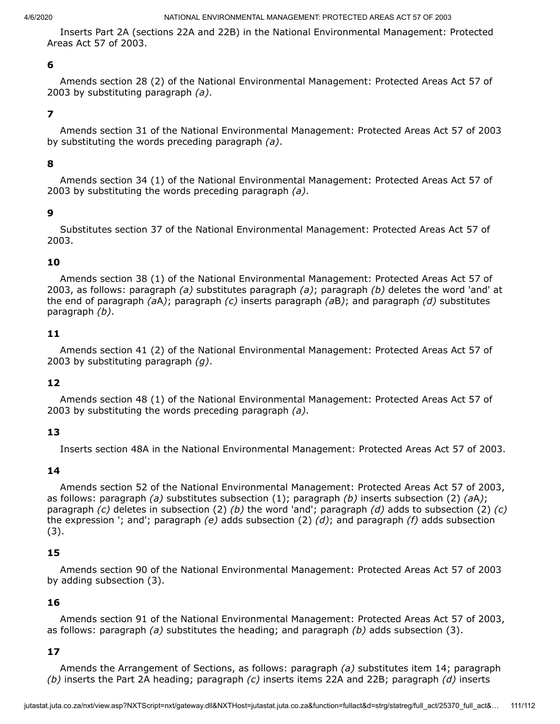Inserts Part 2A (sections 22A and 22B) in the National Environmental Management: Protected Areas Act 57 of 2003.

## **6**

Amends section 28 (2) of the National Environmental Management: Protected Areas Act 57 of 2003 by substituting paragraph *(a)*.

#### **7**

Amends section 31 of the National Environmental Management: Protected Areas Act 57 of 2003 by substituting the words preceding paragraph *(a)*.

## **8**

Amends section 34 (1) of the National Environmental Management: Protected Areas Act 57 of 2003 by substituting the words preceding paragraph *(a)*.

## **9**

Substitutes section 37 of the National Environmental Management: Protected Areas Act 57 of 2003.

## **10**

Amends section 38 (1) of the National Environmental Management: Protected Areas Act 57 of 2003, as follows: paragraph *(a)* substitutes paragraph *(a)*; paragraph *(b)* deletes the word 'and' at the end of paragraph *(a*A*)*; paragraph *(c)* inserts paragraph *(a*B*)*; and paragraph *(d)* substitutes paragraph *(b)*.

## **11**

Amends section 41 (2) of the National Environmental Management: Protected Areas Act 57 of 2003 by substituting paragraph *(g)*.

## **12**

Amends section 48 (1) of the National Environmental Management: Protected Areas Act 57 of 2003 by substituting the words preceding paragraph *(a)*.

## **13**

Inserts section 48A in the National Environmental Management: Protected Areas Act 57 of 2003.

## **14**

Amends section 52 of the National Environmental Management: Protected Areas Act 57 of 2003, as follows: paragraph *(a)* substitutes subsection (1); paragraph *(b)* inserts subsection (2) *(a*A*)*; paragraph *(c)* deletes in subsection (2) *(b)* the word 'and'; paragraph *(d)* adds to subsection (2) *(c)* the expression '; and'; paragraph *(e)* adds subsection (2) *(d)*; and paragraph *(f)* adds subsection (3).

## **15**

Amends section 90 of the National Environmental Management: Protected Areas Act 57 of 2003 by adding subsection (3).

# **16**

Amends section 91 of the National Environmental Management: Protected Areas Act 57 of 2003, as follows: paragraph *(a)* substitutes the heading; and paragraph *(b)* adds subsection (3).

## **17**

Amends the Arrangement of Sections, as follows: paragraph *(a)* substitutes item 14; paragraph *(b)* inserts the Part 2A heading; paragraph *(c)* inserts items 22A and 22B; paragraph *(d)* inserts